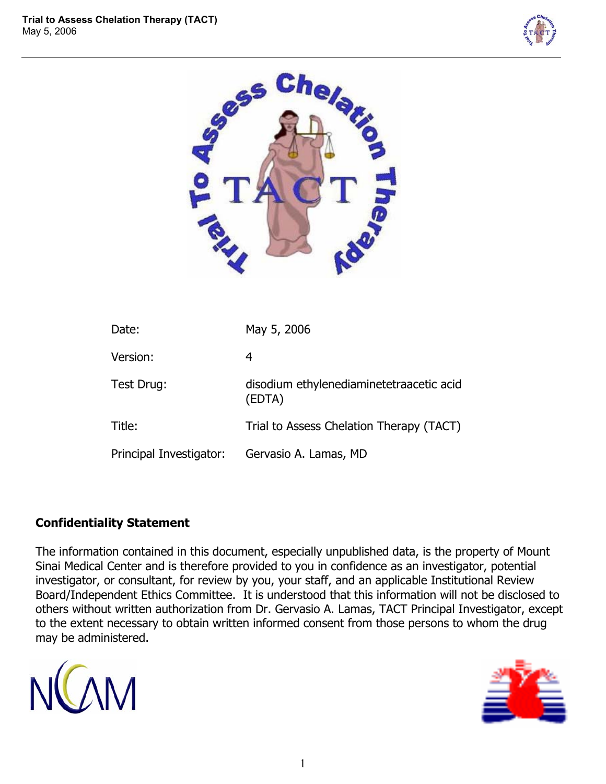



| Date:                   | May 5, 2006                                        |
|-------------------------|----------------------------------------------------|
| Version:                | 4                                                  |
| Test Drug:              | disodium ethylenediaminetetraacetic acid<br>(EDTA) |
| Title:                  | Trial to Assess Chelation Therapy (TACT)           |
| Principal Investigator: | Gervasio A. Lamas, MD                              |

## **Confidentiality Statement**

The information contained in this document, especially unpublished data, is the property of Mount Sinai Medical Center and is therefore provided to you in confidence as an investigator, potential investigator, or consultant, for review by you, your staff, and an applicable Institutional Review Board/Independent Ethics Committee. It is understood that this information will not be disclosed to others without written authorization from Dr. Gervasio A. Lamas, TACT Principal Investigator, except to the extent necessary to obtain written informed consent from those persons to whom the drug may be administered.



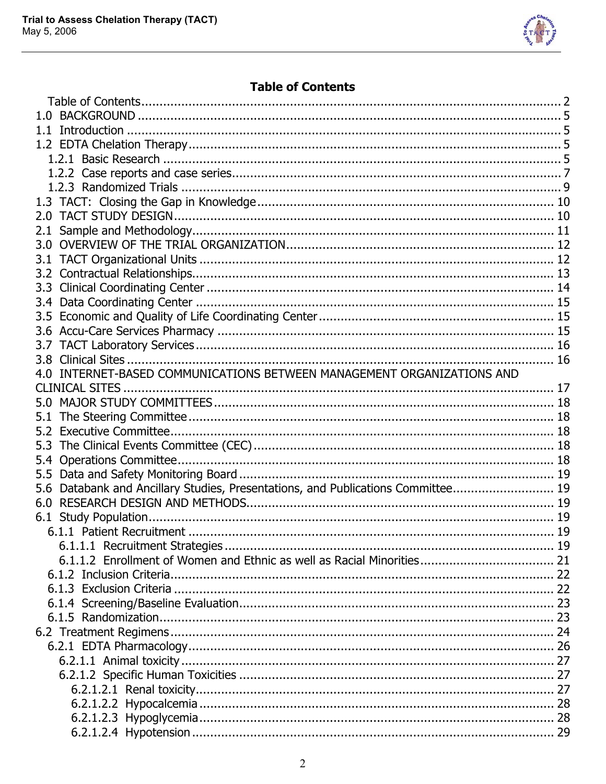

# **Table of Contents**

| 1.1           |                                                                              |  |
|---------------|------------------------------------------------------------------------------|--|
|               |                                                                              |  |
|               |                                                                              |  |
|               |                                                                              |  |
|               |                                                                              |  |
|               |                                                                              |  |
|               |                                                                              |  |
| 2.1           |                                                                              |  |
| 3.0           |                                                                              |  |
| 3.1           |                                                                              |  |
| 3.2           |                                                                              |  |
|               |                                                                              |  |
| 3.4           |                                                                              |  |
| 3.5           |                                                                              |  |
|               |                                                                              |  |
| 3.7           |                                                                              |  |
|               |                                                                              |  |
|               | 4.0 INTERNET-BASED COMMUNICATIONS BETWEEN MANAGEMENT ORGANIZATIONS AND       |  |
|               |                                                                              |  |
|               |                                                                              |  |
| 5.1           |                                                                              |  |
|               |                                                                              |  |
|               |                                                                              |  |
| 5.4           |                                                                              |  |
| $5.5^{\circ}$ |                                                                              |  |
| 5.6           | Databank and Ancillary Studies, Presentations, and Publications Committee 19 |  |
| 6.0           |                                                                              |  |
|               |                                                                              |  |
|               |                                                                              |  |
|               |                                                                              |  |
|               |                                                                              |  |
|               |                                                                              |  |
|               |                                                                              |  |
|               |                                                                              |  |
|               |                                                                              |  |
|               |                                                                              |  |
|               |                                                                              |  |
|               |                                                                              |  |
|               |                                                                              |  |
|               |                                                                              |  |
|               |                                                                              |  |
|               |                                                                              |  |
|               |                                                                              |  |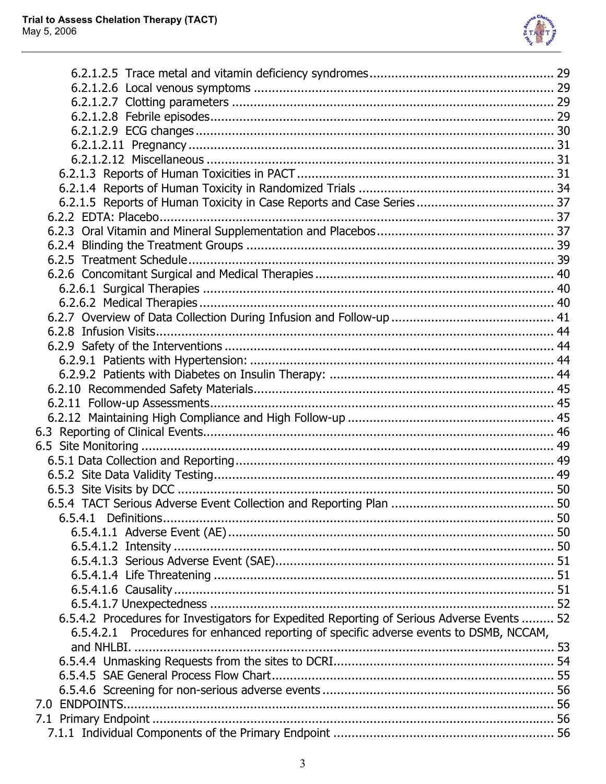

| 6.5.4.1                                                                                    |  |
|--------------------------------------------------------------------------------------------|--|
|                                                                                            |  |
|                                                                                            |  |
|                                                                                            |  |
|                                                                                            |  |
|                                                                                            |  |
|                                                                                            |  |
| 6.5.4.2 Procedures for Investigators for Expedited Reporting of Serious Adverse Events  52 |  |
| 6.5.4.2.1 Procedures for enhanced reporting of specific adverse events to DSMB, NCCAM,     |  |
| and NHLBI.                                                                                 |  |
|                                                                                            |  |
|                                                                                            |  |
|                                                                                            |  |
|                                                                                            |  |
|                                                                                            |  |
|                                                                                            |  |
|                                                                                            |  |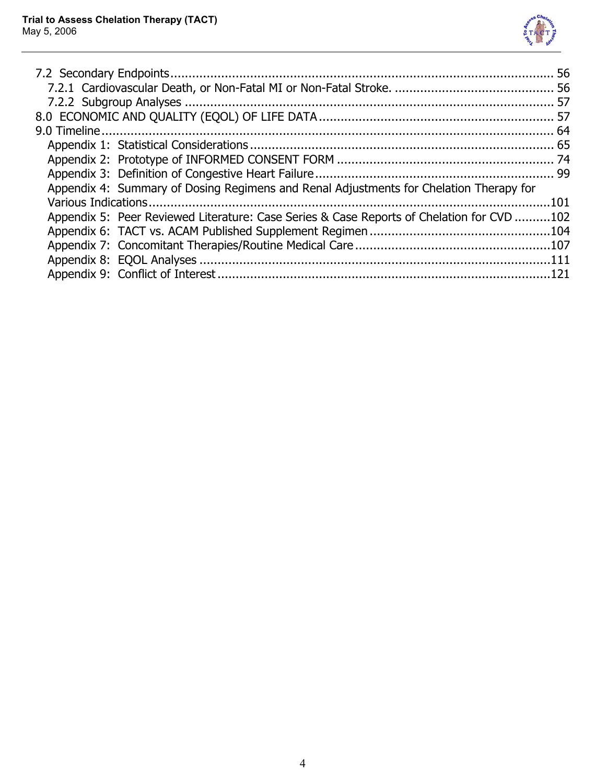

| Appendix 4: Summary of Dosing Regimens and Renal Adjustments for Chelation Therapy for    |  |
|-------------------------------------------------------------------------------------------|--|
|                                                                                           |  |
| Appendix 5: Peer Reviewed Literature: Case Series & Case Reports of Chelation for CVD 102 |  |
|                                                                                           |  |
|                                                                                           |  |
|                                                                                           |  |
|                                                                                           |  |
|                                                                                           |  |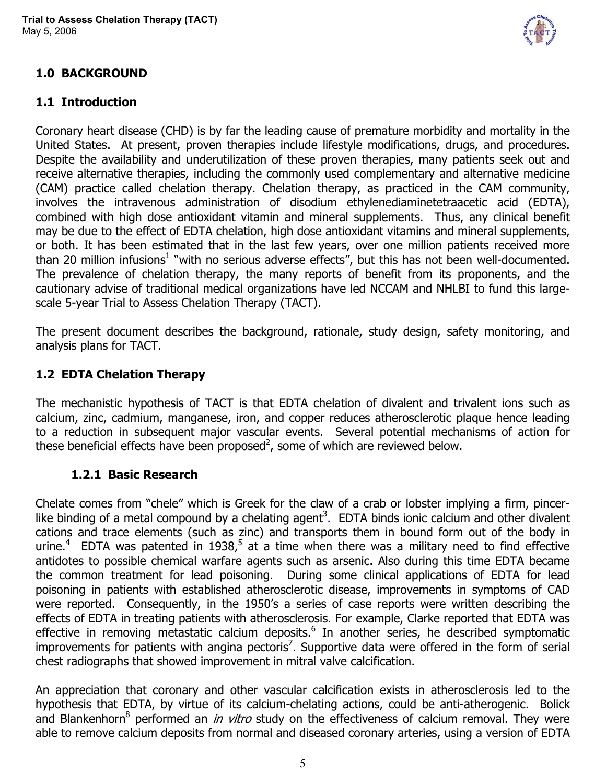

## <span id="page-4-0"></span>**1.0 BACKGROUND**

## **1.1 Introduction**

Coronary heart disease (CHD) is by far the leading cause of premature morbidity and mortality in the United States. At present, proven therapies include lifestyle modifications, drugs, and procedures. Despite the availability and underutilization of these proven therapies, many patients seek out and receive alternative therapies, including the commonly used complementary and alternative medicine (CAM) practice called chelation therapy. Chelation therapy, as practiced in the CAM community, involves the intravenous administration of disodium ethylenediaminetetraacetic acid (EDTA), combined with high dose antioxidant vitamin and mineral supplements. Thus, any clinical benefit may be due to the effect of EDTA chelation, high dose antioxidant vitamins and mineral supplements, or both. It has been estimated that in the last few years, over one million patients received more than 20 million infusions<sup>1</sup> "with no serious adverse effects", but this has not been well-documented. The prevalence of chelation therapy, the many reports of benefit from its proponents, and the cautionary advise of traditional medical organizations have led NCCAM and NHLBI to fund this largescale 5-year Trial to Assess Chelation Therapy (TACT).

The present document describes the background, rationale, study design, safety monitoring, and analysis plans for TACT.

## **1.2 EDTA Chelation Therapy**

The mechanistic hypothesis of TACT is that EDTA chelation of divalent and trivalent ions such as calcium, zinc, cadmium, manganese, iron, and copper reduces atherosclerotic plaque hence leading to a reduction in subsequent major vascular events. Several potential mechanisms of action for these beneficial effects have been proposed<sup>2</sup>, some of which are reviewed below.

#### **1.2.1 Basic Research**

Chelate comes from "chele" which is Greek for the claw of a crab or lobster implying a firm, pincerlike binding of a metal compound by a chelating agent<sup>3</sup>. EDTA binds ionic calcium and other divalent cations and trace elements (such as zinc) and transports them in bound form out of the body in urine.<sup>4</sup> EDTA was patented in 1938,<sup>5</sup> at a time when there was a military need to find effective antidotes to possible chemical warfare agents such as arsenic. Also during this time EDTA became the common treatment for lead poisoning. During some clinical applications of EDTA for lead poisoning in patients with established atherosclerotic disease, improvements in symptoms of CAD were reported. Consequently, in the 1950's a series of case reports were written describing the effects of EDTA in treating patients with atherosclerosis. For example, Clarke reported that EDTA was effective in removing metastatic calcium deposits.<sup>6</sup> In another series, he described symptomatic improvements for patients with angina pectoris<sup>7</sup>. Supportive data were offered in the form of serial chest radiographs that showed improvement in mitral valve calcification.

An appreciation that coronary and other vascular calcification exists in atherosclerosis led to the hypothesis that EDTA, by virtue of its calcium-chelating actions, could be anti-atherogenic. Bolick and Blankenhorn<sup>8</sup> performed an *in vitro* study on the effectiveness of calcium removal. They were able to remove calcium deposits from normal and diseased coronary arteries, using a version of EDTA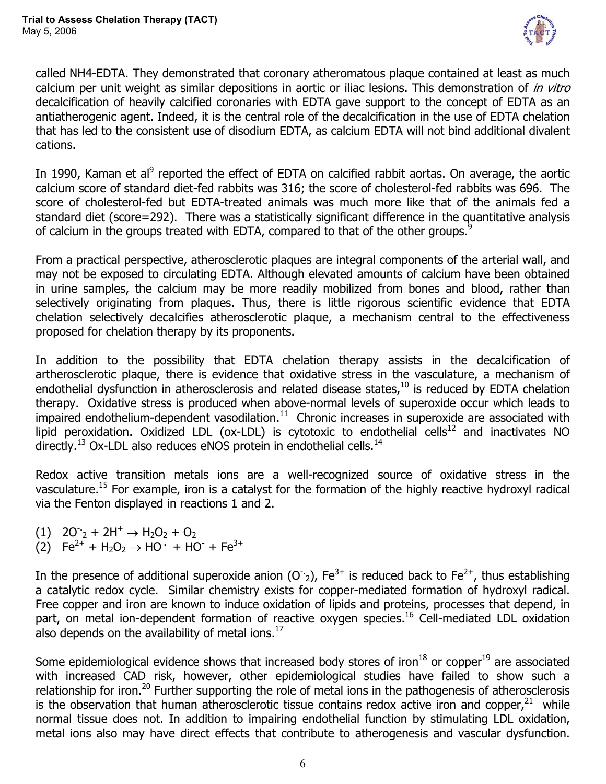

called NH4-EDTA. They demonstrated that coronary atheromatous plaque contained at least as much calcium per unit weight as similar depositions in aortic or iliac lesions. This demonstration of in vitro decalcification of heavily calcified coronaries with EDTA gave support to the concept of EDTA as an antiatherogenic agent. Indeed, it is the central role of the decalcification in the use of EDTA chelation that has led to the consistent use of disodium EDTA, as calcium EDTA will not bind additional divalent cations.

of calcium in the groups treated with EDTA, compared to that of the other groups.  $9$ In 1990, Kaman et al<sup>9</sup> reported the effect of EDTA on calcified rabbit aortas. On average, the aortic calcium score of standard diet-fed rabbits was 316; the score of cholesterol-fed rabbits was 696. The score of cholesterol-fed but EDTA-treated animals was much more like that of the animals fed a standard diet (score=292). There was a statistically significant difference in the quantitative analysis

From a practical perspective, atherosclerotic plaques are integral components of the arterial wall, and may not be exposed to circulating EDTA. Although elevated amounts of calcium have been obtained in urine samples, the calcium may be more readily mobilized from bones and blood, rather than selectively originating from plaques. Thus, there is little rigorous scientific evidence that EDTA chelation selectively decalcifies atherosclerotic plaque, a mechanism central to the effectiveness proposed for chelation therapy by its proponents.

directly.<sup>13</sup> Ox-LDL also reduces eNOS protein in endothelial cells.<sup>14</sup> In addition to the possibility that EDTA chelation therapy assists in the decalcification of artherosclerotic plaque, there is evidence that oxidative stress in the vasculature, a mechanism of endothelial dysfunction in atherosclerosis and related disease states,<sup>10</sup> is reduced by EDTA chelation therapy. Oxidative stress is produced when above-normal levels of superoxide occur which leads to impaired endothelium-dependent vasodilation.<sup>11</sup> Chronic increases in superoxide are associated with lipid peroxidation. Oxidized LDL (ox-LDL) is cytotoxic to endothelial cells<sup>12</sup> and inactivates NO

Redox active transition metals ions are a well-recognized source of oxidative stress in the vasculature.<sup>15</sup> For example, iron is a catalyst for the formation of the highly reactive hydroxyl radical via the Fenton displayed in reactions 1 and 2.

- $(1)$  2O  $_2 + 2H^+ \rightarrow H_2O_2 + O_2$
- $(2)$  Fe<sup>2+</sup> + H<sub>2</sub>O<sub>2</sub>  $\rightarrow$  HO<sup>-</sup> + HO<sup>-</sup> + Fe<sup>3+</sup>

also depends on the availability of metal ions.<sup>17</sup> In the presence of additional superoxide anion (O<sup>-</sup><sub>2</sub>), Fe<sup>3+</sup> is reduced back to Fe<sup>2+</sup>, thus establishing a catalytic redox cycle. Similar chemistry exists for copper-mediated formation of hydroxyl radical. Free copper and iron are known to induce oxidation of lipids and proteins, processes that depend, in part, on metal ion-dependent formation of reactive oxygen species.<sup>16</sup> Cell-mediated LDL oxidation

Some epidemiological evidence shows that increased body stores of iron $18$  or copper $19$  are associated with increased CAD risk, however, other epidemiological studies have failed to show such a relationship for iron.<sup>20</sup> Further supporting the role of metal ions in the pathogenesis of atherosclerosis is the observation that human atherosclerotic tissue contains redox active iron and copper,  $21$  while normal tissue does not. In addition to impairing endothelial function by stimulating LDL oxidation, metal ions also may have direct effects that contribute to atherogenesis and vascular dysfunction.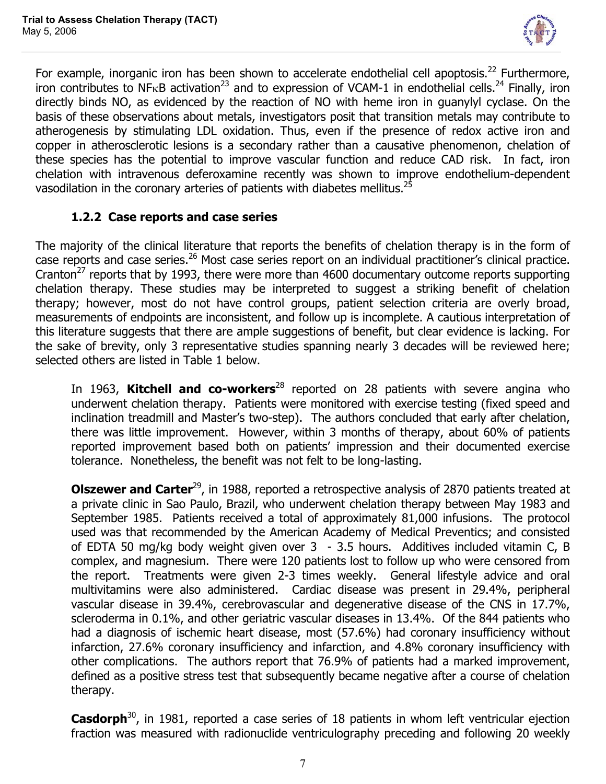

<span id="page-6-0"></span>For example, inorganic iron has been shown to accelerate endothelial cell apoptosis.<sup>22</sup> Furthermore, iron contributes to NF<sub>K</sub>B activation<sup>23</sup> and to expression of VCAM-1 in endothelial cells.<sup>24</sup> Finally, iron directly binds NO, as evidenced by the reaction of NO with heme iron in guanylyl cyclase. On the basis of these observations about metals, investigators posit that transition metals may contribute to atherogenesis by stimulating LDL oxidation. Thus, even if the presence of redox active iron and copper in atherosclerotic lesions is a secondary rather than a causative phenomenon, chelation of these species has the potential to improve vascular function and reduce CAD risk. In fact, iron chelation with intravenous deferoxamine recently was shown to improve endothelium-dependent vasodilation in the coronary arteries of patients with diabetes mellitus.<sup>25</sup>

#### **1.2.2 Case reports and case series**

The majority of the clinical literature that reports the benefits of chelation therapy is in the form of case reports and case series.26 Most case series report on an individual practitioner's clinical practice. Cranton<sup>27</sup> reports that by 1993, there were more than 4600 documentary outcome reports supporting chelation therapy. These studies may be interpreted to suggest a striking benefit of chelation therapy; however, most do not have control groups, patient selection criteria are overly broad, measurements of endpoints are inconsistent, and follow up is incomplete. A cautious interpretation of this literature suggests that there are ample suggestions of benefit, but clear evidence is lacking. For the sake of brevity, only 3 representative studies spanning nearly 3 decades will be reviewed here; selected others are listed in Table 1 below.

In 1963, **Kitchell and co-workers**<sup>28</sup> reported on 28 patients with severe angina who underwent chelation therapy. Patients were monitored with exercise testing (fixed speed and inclination treadmill and Master's two-step). The authors concluded that early after chelation, there was little improvement. However, within 3 months of therapy, about 60% of patients reported improvement based both on patients' impression and their documented exercise tolerance. Nonetheless, the benefit was not felt to be long-lasting.

**Olszewer and Carter**<sup>29</sup>, in 1988, reported a retrospective analysis of 2870 patients treated at a private clinic in Sao Paulo, Brazil, who underwent chelation therapy between May 1983 and September 1985. Patients received a total of approximately 81,000 infusions. The protocol used was that recommended by the American Academy of Medical Preventics; and consisted of EDTA 50 mg/kg body weight given over 3 - 3.5 hours. Additives included vitamin C, B complex, and magnesium. There were 120 patients lost to follow up who were censored from the report. Treatments were given 2-3 times weekly. General lifestyle advice and oral multivitamins were also administered. Cardiac disease was present in 29.4%, peripheral vascular disease in 39.4%, cerebrovascular and degenerative disease of the CNS in 17.7%, scleroderma in 0.1%, and other geriatric vascular diseases in 13.4%. Of the 844 patients who had a diagnosis of ischemic heart disease, most (57.6%) had coronary insufficiency without infarction, 27.6% coronary insufficiency and infarction, and 4.8% coronary insufficiency with other complications. The authors report that 76.9% of patients had a marked improvement, defined as a positive stress test that subsequently became negative after a course of chelation therapy.

**Casdorph**30, in 1981, reported a case series of 18 patients in whom left ventricular ejection fraction was measured with radionuclide ventriculography preceding and following 20 weekly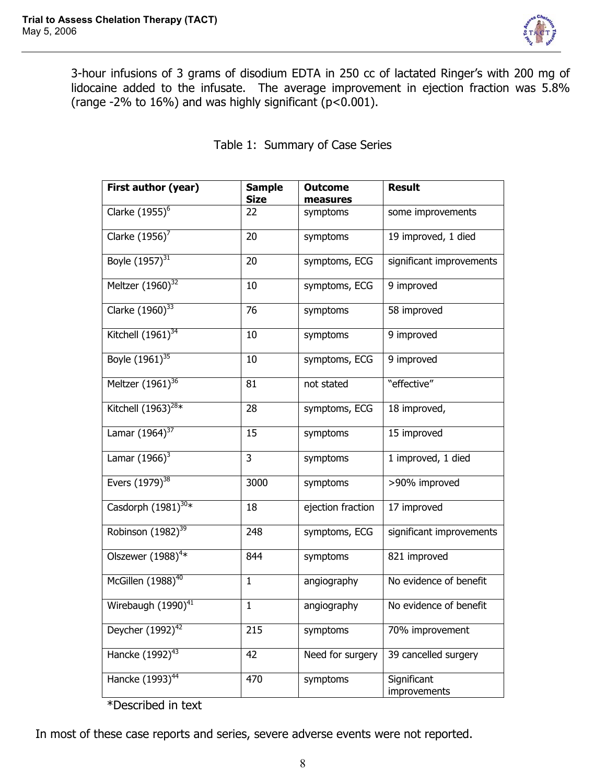

3-hour infusions of 3 grams of disodium EDTA in 250 cc of lactated Ringer's with 200 mg of lidocaine added to the infusate. The average improvement in ejection fraction was 5.8% (range -2% to 16%) and was highly significant ( $p$ <0.001).

| <b>First author (year)</b>     | <b>Sample</b><br><b>Size</b> | <b>Outcome</b><br>measures | <b>Result</b>               |
|--------------------------------|------------------------------|----------------------------|-----------------------------|
| Clarke $(1955)^6$              | 22                           | symptoms                   | some improvements           |
| Clarke $(1956)^7$              | 20                           | symptoms                   | 19 improved, 1 died         |
| Boyle (1957) <sup>31</sup>     | 20                           | symptoms, ECG              | significant improvements    |
| Meltzer (1960) <sup>32</sup>   | 10                           | symptoms, ECG              | 9 improved                  |
| Clarke (1960) <sup>33</sup>    | 76                           | symptoms                   | 58 improved                 |
| Kitchell $(1961)^{34}$         | 10                           | symptoms                   | 9 improved                  |
| Boyle (1961) <sup>35</sup>     | 10                           | symptoms, ECG              | 9 improved                  |
| Meltzer $(1961)^{36}$          | 81                           | not stated                 | "effective"                 |
| Kitchell $(1963)^{28*}$        | 28                           | symptoms, ECG              | 18 improved,                |
| Lamar $(1964)^{37}$            | 15                           | symptoms                   | 15 improved                 |
| Lamar $(1966)^3$               | 3                            | symptoms                   | 1 improved, 1 died          |
| Evers (1979) <sup>38</sup>     | 3000                         | symptoms                   | >90% improved               |
| Casdorph (1981) <sup>30*</sup> | 18                           | ejection fraction          | 17 improved                 |
| Robinson $(1982)^{39}$         | 248                          | symptoms, ECG              | significant improvements    |
| Olszewer $(1988)^{4*}$         | 844                          | symptoms                   | 821 improved                |
| McGillen (1988) <sup>40</sup>  | $\mathbf{1}$                 | angiography                | No evidence of benefit      |
| Wirebaugh (1990) <sup>41</sup> | $\mathbf{1}$                 | angiography                | No evidence of benefit      |
| Deycher $(1992)^{42}$          | 215                          | symptoms                   | 70% improvement             |
| Hancke $(1992)^{43}$           | 42                           | Need for surgery           | 39 cancelled surgery        |
| Hancke (1993) <sup>44</sup>    | 470                          | symptoms                   | Significant<br>improvements |

#### Table 1: Summary of Case Series

\*Described in text

In most of these case reports and series, severe adverse events were not reported.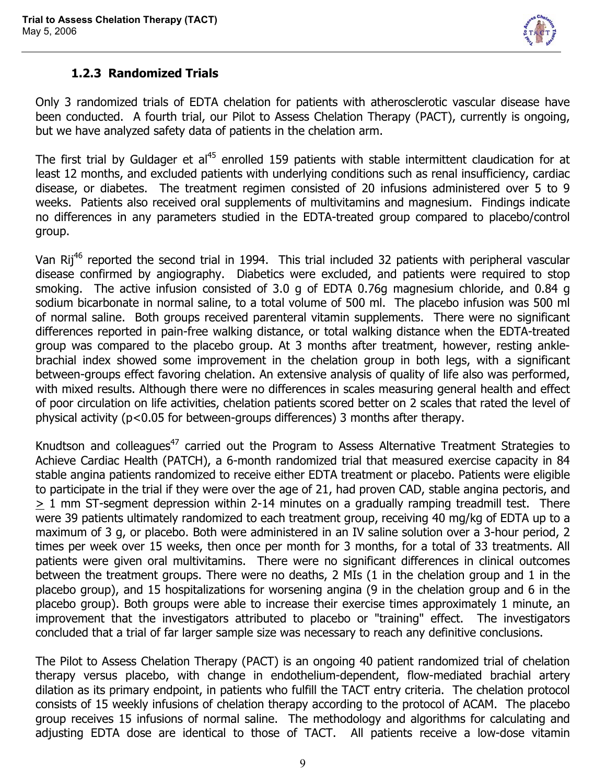

## <span id="page-8-0"></span>**1.2.3 Randomized Trials**

Only 3 randomized trials of EDTA chelation for patients with atherosclerotic vascular disease have been conducted. A fourth trial, our Pilot to Assess Chelation Therapy (PACT), currently is ongoing, but we have analyzed safety data of patients in the chelation arm.

The first trial by Guldager et al<sup>45</sup> enrolled 159 patients with stable intermittent claudication for at least 12 months, and excluded patients with underlying conditions such as renal insufficiency, cardiac disease, or diabetes. The treatment regimen consisted of 20 infusions administered over 5 to 9 weeks. Patients also received oral supplements of multivitamins and magnesium. Findings indicate no differences in any parameters studied in the EDTA-treated group compared to placebo/control group.

Van Rij<sup>46</sup> reported the second trial in 1994. This trial included 32 patients with peripheral vascular disease confirmed by angiography. Diabetics were excluded, and patients were required to stop smoking. The active infusion consisted of 3.0 g of EDTA 0.76g magnesium chloride, and 0.84 g sodium bicarbonate in normal saline, to a total volume of 500 ml. The placebo infusion was 500 ml of normal saline. Both groups received parenteral vitamin supplements. There were no significant differences reported in pain-free walking distance, or total walking distance when the EDTA-treated group was compared to the placebo group. At 3 months after treatment, however, resting anklebrachial index showed some improvement in the chelation group in both legs, with a significant between-groups effect favoring chelation. An extensive analysis of quality of life also was performed, with mixed results. Although there were no differences in scales measuring general health and effect of poor circulation on life activities, chelation patients scored better on 2 scales that rated the level of physical activity (p<0.05 for between-groups differences) 3 months after therapy.

concluded that a trial of far larger sample size was necessary to reach any definitive conclusions. Knudtson and colleagues<sup>47</sup> carried out the Program to Assess Alternative Treatment Strategies to Achieve Cardiac Health (PATCH), a 6-month randomized trial that measured exercise capacity in 84 stable angina patients randomized to receive either EDTA treatment or placebo. Patients were eligible to participate in the trial if they were over the age of 21, had proven CAD, stable angina pectoris, and > 1 mm ST-segment depression within 2-14 minutes on a gradually ramping treadmill test. There were 39 patients ultimately randomized to each treatment group, receiving 40 mg/kg of EDTA up to a maximum of 3 g, or placebo. Both were administered in an IV saline solution over a 3-hour period, 2 times per week over 15 weeks, then once per month for 3 months, for a total of 33 treatments. All patients were given oral multivitamins. There were no significant differences in clinical outcomes between the treatment groups. There were no deaths, 2 MIs (1 in the chelation group and 1 in the placebo group), and 15 hospitalizations for worsening angina (9 in the chelation group and 6 in the placebo group). Both groups were able to increase their exercise times approximately 1 minute, an improvement that the investigators attributed to placebo or "training" effect. The investigators

The Pilot to Assess Chelation Therapy (PACT) is an ongoing 40 patient randomized trial of chelation therapy versus placebo, with change in endothelium-dependent, flow-mediated brachial artery dilation as its primary endpoint, in patients who fulfill the TACT entry criteria. The chelation protocol consists of 15 weekly infusions of chelation therapy according to the protocol of ACAM. The placebo group receives 15 infusions of normal saline. The methodology and algorithms for calculating and adjusting EDTA dose are identical to those of TACT. All patients receive a low-dose vitamin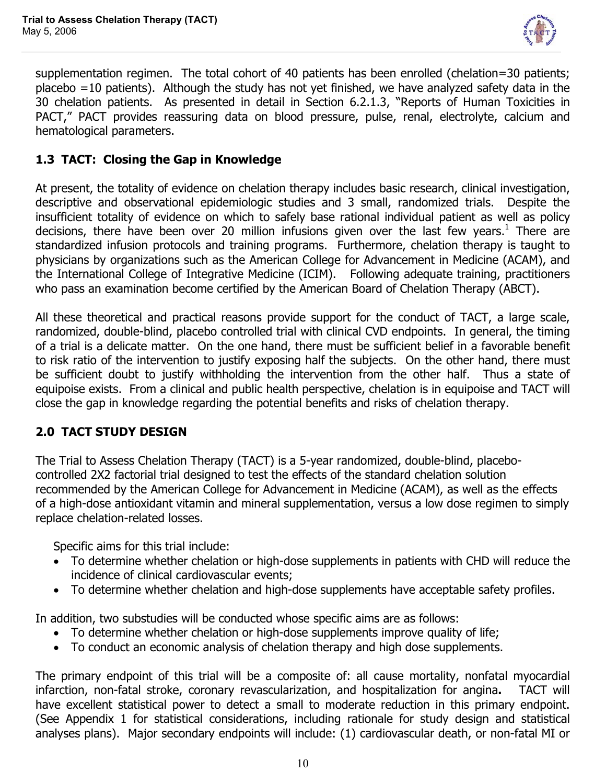

<span id="page-9-0"></span>supplementation regimen. The total cohort of 40 patients has been enrolled (chelation=30 patients; placebo =10 patients). Although the study has not yet finished, we have analyzed safety data in the 30 chelation patients. As presented in detail in Section 6.2.1.3, "Reports of Human Toxicities in PACT," PACT provides reassuring data on blood pressure, pulse, renal, electrolyte, calcium and hematological parameters.

### **1.3 TACT: Closing the Gap in Knowledge**

At present, the totality of evidence on chelation therapy includes basic research, clinical investigation, descriptive and observational epidemiologic studies and 3 small, randomized trials. Despite the insufficient totality of evidence on which to safely base rational individual patient as well as policy decisions, there have been over 20 million infusions given over the last few years.<sup>1</sup> There are standardized infusion protocols and training programs. Furthermore, chelation therapy is taught to physicians by organizations such as the American College for Advancement in Medicine (ACAM), and the International College of Integrative Medicine (ICIM). Following adequate training, practitioners who pass an examination become certified by the American Board of Chelation Therapy (ABCT).

All these theoretical and practical reasons provide support for the conduct of TACT, a large scale, randomized, double-blind, placebo controlled trial with clinical CVD endpoints. In general, the timing of a trial is a delicate matter. On the one hand, there must be sufficient belief in a favorable benefit to risk ratio of the intervention to justify exposing half the subjects. On the other hand, there must be sufficient doubt to justify withholding the intervention from the other half. Thus a state of equipoise exists. From a clinical and public health perspective, chelation is in equipoise and TACT will close the gap in knowledge regarding the potential benefits and risks of chelation therapy.

#### **2.0 TACT STUDY DESIGN**

The Trial to Assess Chelation Therapy (TACT) is a 5-year randomized, double-blind, placebocontrolled 2X2 factorial trial designed to test the effects of the standard chelation solution recommended by the American College for Advancement in Medicine (ACAM), as well as the effects of a high-dose antioxidant vitamin and mineral supplementation, versus a low dose regimen to simply replace chelation-related losses.

Specific aims for this trial include:

- To determine whether chelation or high-dose supplements in patients with CHD will reduce the incidence of clinical cardiovascular events;
- To determine whether chelation and high-dose supplements have acceptable safety profiles.

In addition, two substudies will be conducted whose specific aims are as follows:

- To determine whether chelation or high-dose supplements improve quality of life;
- To conduct an economic analysis of chelation therapy and high dose supplements.

have excellent statistical power to detect a small to moderate reduction in this primary endpoint. The primary endpoint of this trial will be a composite of: all cause mortality, nonfatal myocardial infarction, non-fatal stroke, coronary revascularization, and hospitalization for angina**.** TACT will (See Appendix 1 for statistical considerations, including rationale for study design and statistical analyses plans). Major secondary endpoints will include: (1) cardiovascular death, or non-fatal MI or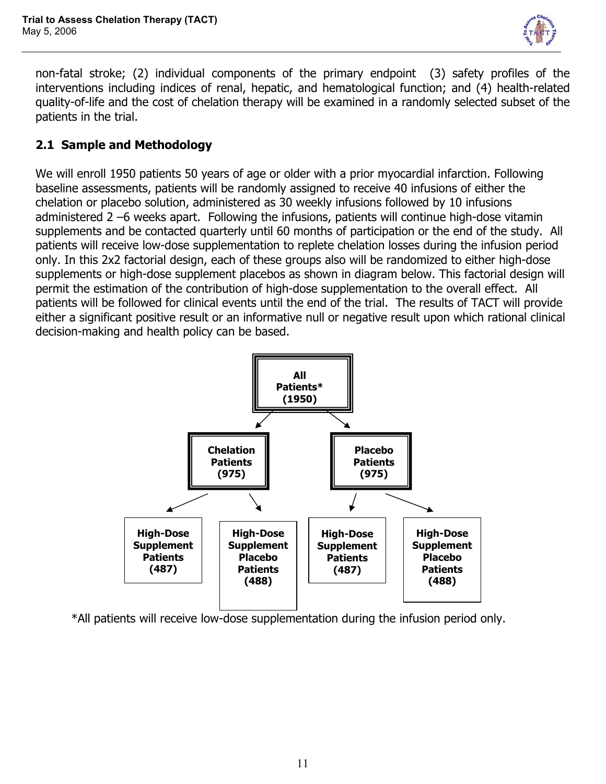

<span id="page-10-0"></span>non-fatal stroke; (2) individual components of the primary endpoint (3) safety profiles of the interventions including indices of renal, hepatic, and hematological function; and (4) health-related quality-of-life and the cost of chelation therapy will be examined in a randomly selected subset of the patients in the trial.

## **2.1 Sample and Methodology**

We will enroll 1950 patients 50 years of age or older with a prior myocardial infarction. Following baseline assessments, patients will be randomly assigned to receive 40 infusions of either the chelation or placebo solution, administered as 30 weekly infusions followed by 10 infusions administered 2 –6 weeks apart. Following the infusions, patients will continue high-dose vitamin supplements and be contacted quarterly until 60 months of participation or the end of the study. All patients will receive low-dose supplementation to replete chelation losses during the infusion period only. In this 2x2 factorial design, each of these groups also will be randomized to either high-dose supplements or high-dose supplement placebos as shown in diagram below. This factorial design will permit the estimation of the contribution of high-dose supplementation to the overall effect. All patients will be followed for clinical events until the end of the trial. The results of TACT will provide either a significant positive result or an informative null or negative result upon which rational clinical decision-making and health policy can be based.



\*All patients will receive low-dose supplementation during the infusion period only.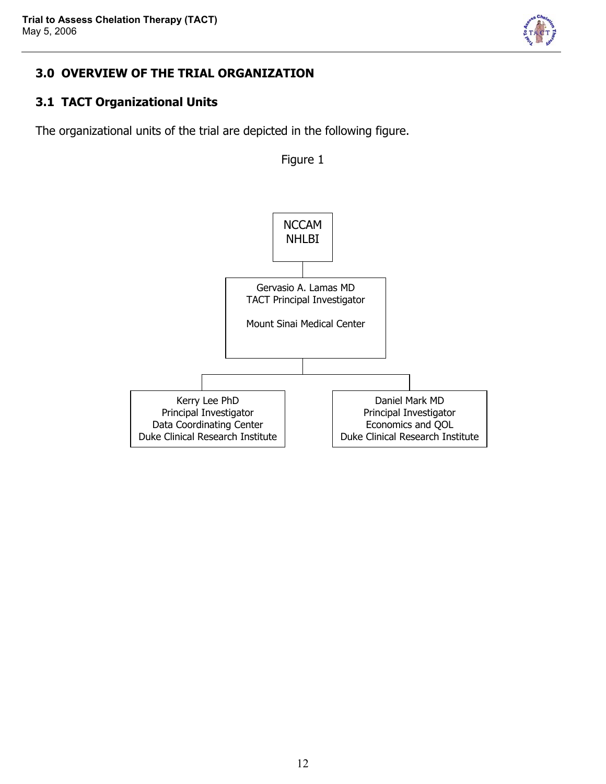

#### <span id="page-11-0"></span>**3.0 OVERVIEW OF THE TRIAL ORGANIZATION**

### **3.1 TACT Organizational Units**

The organizational units of the trial are depicted in the following figure.

Figure 1

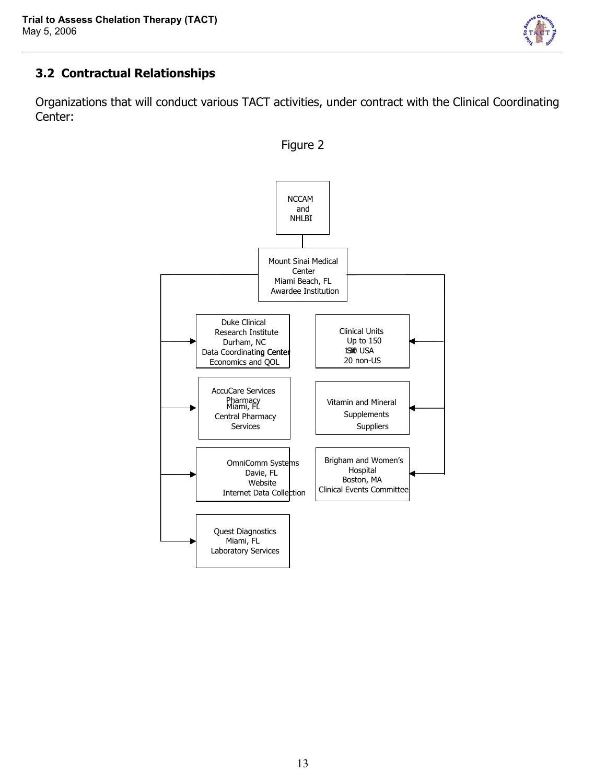

### <span id="page-12-0"></span>**3.2 Contractual Relationships**

Organizations that will conduct various TACT activities, under contract with the Clinical Coordinating Center:

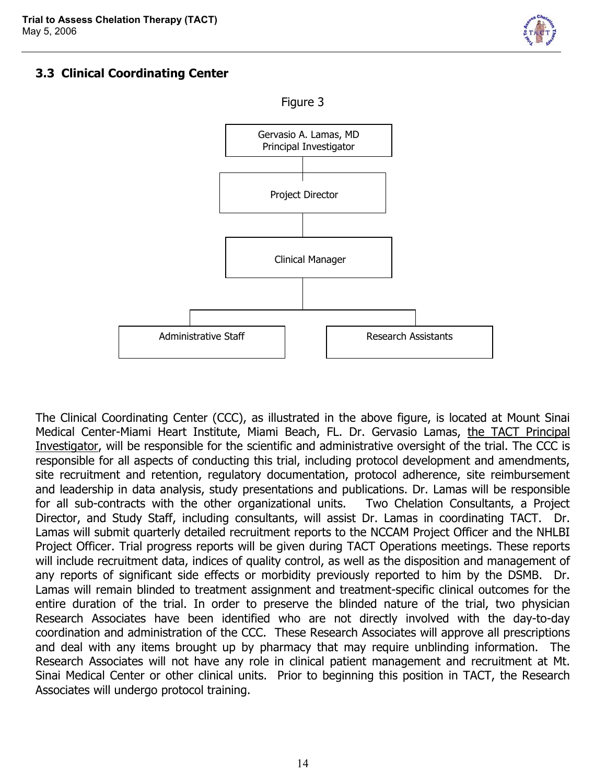

#### <span id="page-13-0"></span>**3.3 Clinical Coordinating Center**





The Clinical Coordinating Center (CCC), as illustrated in the above figure, is located at Mount Sinai Medical Center-Miami Heart Institute, Miami Beach, FL. Dr. Gervasio Lamas, the TACT Principal Investigator, will be responsible for the scientific and administrative oversight of the trial. The CCC is responsible for all aspects of conducting this trial, including protocol development and amendments, site recruitment and retention, regulatory documentation, protocol adherence, site reimbursement and leadership in data analysis, study presentations and publications. Dr. Lamas will be responsible for all sub-contracts with the other organizational units. Two Chelation Consultants, a Project Director, and Study Staff, including consultants, will assist Dr. Lamas in coordinating TACT. Dr. Lamas will submit quarterly detailed recruitment reports to the NCCAM Project Officer and the NHLBI Project Officer. Trial progress reports will be given during TACT Operations meetings. These reports will include recruitment data, indices of quality control, as well as the disposition and management of any reports of significant side effects or morbidity previously reported to him by the DSMB. Dr. Lamas will remain blinded to treatment assignment and treatment-specific clinical outcomes for the entire duration of the trial. In order to preserve the blinded nature of the trial, two physician Research Associates have been identified who are not directly involved with the day-to-day coordination and administration of the CCC. These Research Associates will approve all prescriptions and deal with any items brought up by pharmacy that may require unblinding information. The Research Associates will not have any role in clinical patient management and recruitment at Mt. Sinai Medical Center or other clinical units. Prior to beginning this position in TACT, the Research Associates will undergo protocol training.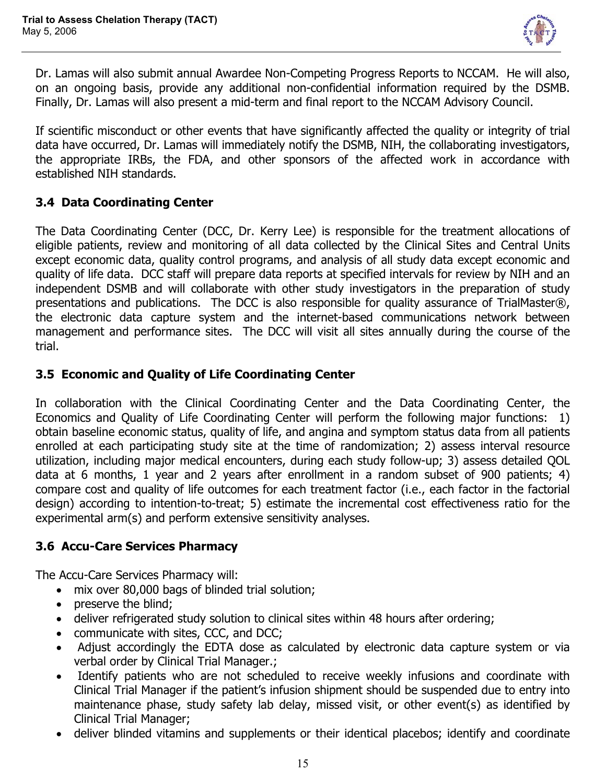

<span id="page-14-0"></span>Dr. Lamas will also submit annual Awardee Non-Competing Progress Reports to NCCAM. He will also, on an ongoing basis, provide any additional non-confidential information required by the DSMB. Finally, Dr. Lamas will also present a mid-term and final report to the NCCAM Advisory Council.

If scientific misconduct or other events that have significantly affected the quality or integrity of trial data have occurred, Dr. Lamas will immediately notify the DSMB, NIH, the collaborating investigators, the appropriate IRBs, the FDA, and other sponsors of the affected work in accordance with established NIH standards.

## **3.4 Data Coordinating Center**

The Data Coordinating Center (DCC, Dr. Kerry Lee) is responsible for the treatment allocations of eligible patients, review and monitoring of all data collected by the Clinical Sites and Central Units except economic data, quality control programs, and analysis of all study data except economic and quality of life data. DCC staff will prepare data reports at specified intervals for review by NIH and an independent DSMB and will collaborate with other study investigators in the preparation of study presentations and publications. The DCC is also responsible for quality assurance of TrialMaster®, the electronic data capture system and the internet-based communications network between management and performance sites. The DCC will visit all sites annually during the course of the trial.

### **3.5 Economic and Quality of Life Coordinating Center**

In collaboration with the Clinical Coordinating Center and the Data Coordinating Center, the Economics and Quality of Life Coordinating Center will perform the following major functions: 1) obtain baseline economic status, quality of life, and angina and symptom status data from all patients enrolled at each participating study site at the time of randomization; 2) assess interval resource utilization, including major medical encounters, during each study follow-up; 3) assess detailed QOL data at 6 months, 1 year and 2 years after enrollment in a random subset of 900 patients; 4) compare cost and quality of life outcomes for each treatment factor (i.e., each factor in the factorial design) according to intention-to-treat; 5) estimate the incremental cost effectiveness ratio for the experimental arm(s) and perform extensive sensitivity analyses.

#### **3.6 Accu-Care Services Pharmacy**

The Accu-Care Services Pharmacy will:

- • mix over 80,000 bags of blinded trial solution;
- preserve the blind;
- deliver refrigerated study solution to clinical sites within 48 hours after ordering;
- communicate with sites, CCC, and DCC;
- • Adjust accordingly the EDTA dose as calculated by electronic data capture system or via verbal order by Clinical Trial Manager.;
- Identify patients who are not scheduled to receive weekly infusions and coordinate with Clinical Trial Manager if the patient's infusion shipment should be suspended due to entry into maintenance phase, study safety lab delay, missed visit, or other event(s) as identified by Clinical Trial Manager;
- deliver blinded vitamins and supplements or their identical placebos; identify and coordinate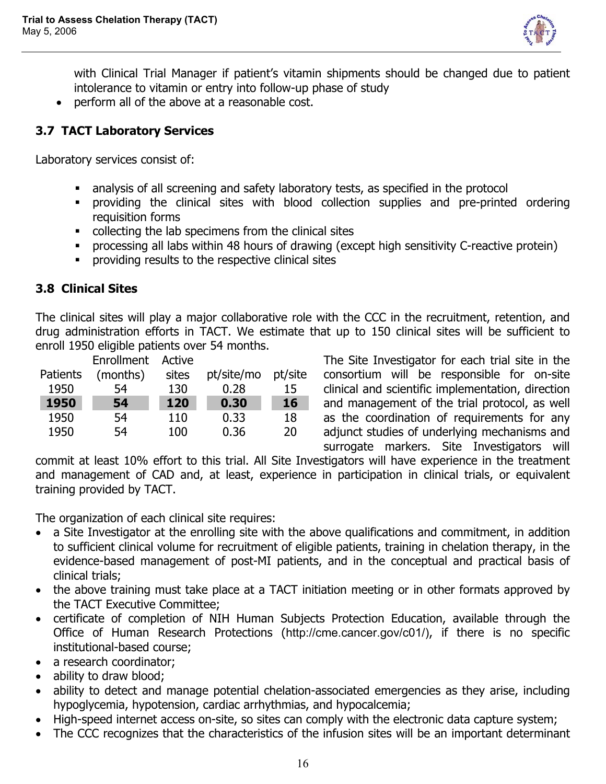

<span id="page-15-0"></span>with Clinical Trial Manager if patient's vitamin shipments should be changed due to patient intolerance to vitamin or entry into follow-up phase of study

• perform all of the above at a reasonable cost.

## **3.7 TACT Laboratory Services**

Laboratory services consist of:

- analysis of all screening and safety laboratory tests, as specified in the protocol
- providing the clinical sites with blood collection supplies and pre-printed ordering requisition forms
- collecting the lab specimens from the clinical sites
- processing all labs within 48 hours of drawing (except high sensitivity C-reactive protein)
- **Peroviding results to the respective clinical sites**

### **3.8 Clinical Sites**

The clinical sites will play a major collaborative role with the CCC in the recruitment, retention, and drug administration efforts in TACT. We estimate that up to 150 clinical sites will be sufficient to enroll 1950 eligible patients over 54 months.

|          | Enrollment | Active |            |         |
|----------|------------|--------|------------|---------|
| Patients | (months)   | sites  | pt/site/mo | pt/site |
| 1950     | 54         | 130    | 0.28       | 15      |
| 1950     | 54         | 120    | 0.30       | 16      |
| 1950     | 54         | 110    | 0.33       | 18      |
| 1950     | 54         | 100    | 0.36       | 20      |
|          |            |        |            |         |

The Site Investigator for each trial site in the consortium will be responsible for on-site clinical and scientific implementation, direction and management of the trial protocol, as well as the coordination of requirements for any adjunct studies of underlying mechanisms and surrogate markers. Site Investigators will

commit at least 10% effort to this trial. All Site Investigators will have experience in the treatment and management of CAD and, at least, experience in participation in clinical trials, or equivalent training provided by TACT.

The organization of each clinical site requires:

- a Site Investigator at the enrolling site with the above qualifications and commitment, in addition to sufficient clinical volume for recruitment of eligible patients, training in chelation therapy, in the evidence-based management of post-MI patients, and in the conceptual and practical basis of clinical trials;
- the above training must take place at a TACT initiation meeting or in other formats approved by the TACT Executive Committee;
- certificate of completion of NIH Human Subjects Protection Education, available through the Office of Human Research Protections (http://cme.cancer.gov/c01/), if there is no specific institutional-based course; •
- a research coordinator;
- ability to draw blood; •
- ability to detect and manage potential chelation-associated emergencies as they arise, including hypoglycemia, hypotension, cardiac arrhythmias, and hypocalcemia; •
- High-speed internet access on-site, so sites can comply with the electronic data capture system; •
- The CCC recognizes that the characteristics of the infusion sites will be an important determinant •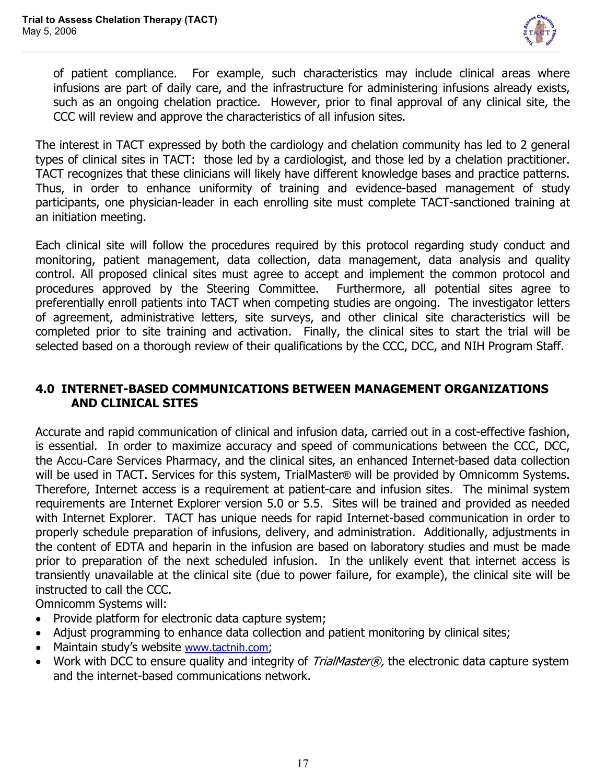

<span id="page-16-0"></span>of patient compliance. For example, such characteristics may include clinical areas where infusions are part of daily care, and the infrastructure for administering infusions already exists, such as an ongoing chelation practice. However, prior to final approval of any clinical site, the CCC will review and approve the characteristics of all infusion sites.

TACT recognizes that these clinicians will likely have different knowledge bases and practice patterns. an initiation meeting. The interest in TACT expressed by both the cardiology and chelation community has led to 2 general types of clinical sites in TACT: those led by a cardiologist, and those led by a chelation practitioner. Thus, in order to enhance uniformity of training and evidence-based management of study participants, one physician-leader in each enrolling site must complete TACT-sanctioned training at

 selected based on a thorough review of their qualifications by the CCC, DCC, and NIH Program Staff. Each clinical site will follow the procedures required by this protocol regarding study conduct and monitoring, patient management, data collection, data management, data analysis and quality control. All proposed clinical sites must agree to accept and implement the common protocol and procedures approved by the Steering Committee. Furthermore, all potential sites agree to preferentially enroll patients into TACT when competing studies are ongoing. The investigator letters of agreement, administrative letters, site surveys, and other clinical site characteristics will be completed prior to site training and activation. Finally, the clinical sites to start the trial will be

#### **4.0 INTERNET-BASED COMMUNICATIONS BETWEEN MANAGEMENT ORGANIZATIONS AND CLINICAL SITES**

Accurate and rapid communication of clinical and infusion data, carried out in a cost-effective fashion, is essential. In order to maximize accuracy and speed of communications between the CCC, DCC, the Accu-Care Services Pharmacy, and the clinical sites, an enhanced Internet-based data collection will be used in TACT. Services for this system, TrialMaster® will be provided by Omnicomm Systems. Therefore, Internet access is a requirement at patient-care and infusion sites. The minimal system requirements are Internet Explorer version 5.0 or 5.5. Sites will be trained and provided as needed with Internet Explorer. TACT has unique needs for rapid Internet-based communication in order to properly schedule preparation of infusions, delivery, and administration. Additionally, adjustments in the content of EDTA and heparin in the infusion are based on laboratory studies and must be made prior to preparation of the next scheduled infusion. In the unlikely event that internet access is transiently unavailable at the clinical site (due to power failure, for example), the clinical site will be instructed to call the CCC.

Omnicomm Systems will:

- • Provide platform for electronic data capture system;
- Adjust programming to enhance data collection and patient monitoring by clinical sites;
- Maintain study's website www.tactnih.com;
- • Work with DCC to ensure quality and integrity of TrialMaster®, the electronic data capture system and the internet-based communications network.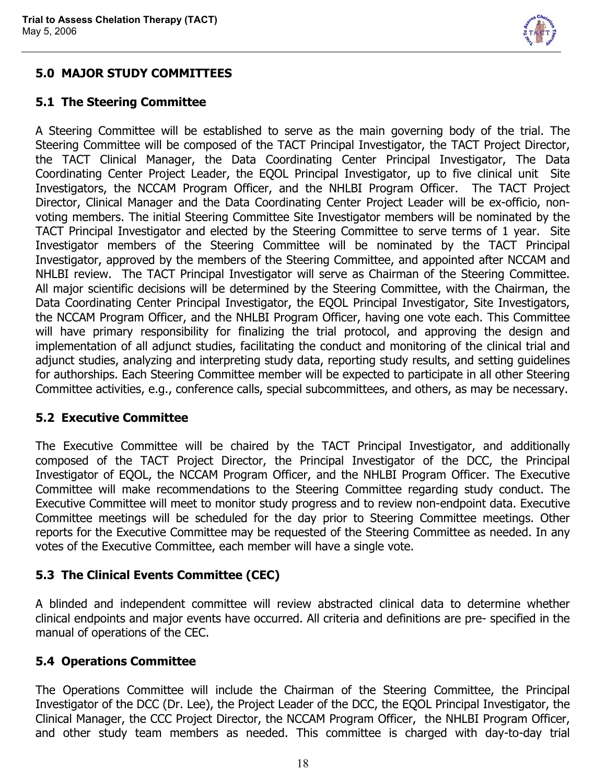

### <span id="page-17-0"></span>**5.0 MAJOR STUDY COMMITTEES**

#### **5.1 The Steering Committee**

Investigators, the NCCAM Program Officer, and the NHLBI Program Officer. The TACT Project NHLBI review. The TACT Principal Investigator will serve as Chairman of the Steering Committee. A Steering Committee will be established to serve as the main governing body of the trial. The Steering Committee will be composed of the TACT Principal Investigator, the TACT Project Director, the TACT Clinical Manager, the Data Coordinating Center Principal Investigator, The Data Coordinating Center Project Leader, the EQOL Principal Investigator, up to five clinical unit Site Director, Clinical Manager and the Data Coordinating Center Project Leader will be ex-officio, nonvoting members. The initial Steering Committee Site Investigator members will be nominated by the TACT Principal Investigator and elected by the Steering Committee to serve terms of 1 year. Site Investigator members of the Steering Committee will be nominated by the TACT Principal Investigator, approved by the members of the Steering Committee, and appointed after NCCAM and All major scientific decisions will be determined by the Steering Committee, with the Chairman, the Data Coordinating Center Principal Investigator, the EQOL Principal Investigator, Site Investigators, the NCCAM Program Officer, and the NHLBI Program Officer, having one vote each. This Committee will have primary responsibility for finalizing the trial protocol, and approving the design and implementation of all adjunct studies, facilitating the conduct and monitoring of the clinical trial and adjunct studies, analyzing and interpreting study data, reporting study results, and setting guidelines for authorships. Each Steering Committee member will be expected to participate in all other Steering Committee activities, e.g., conference calls, special subcommittees, and others, as may be necessary.

#### **5.2 Executive Committee**

The Executive Committee will be chaired by the TACT Principal Investigator, and additionally composed of the TACT Project Director, the Principal Investigator of the DCC, the Principal Investigator of EQOL, the NCCAM Program Officer, and the NHLBI Program Officer. The Executive Committee will make recommendations to the Steering Committee regarding study conduct. The Executive Committee will meet to monitor study progress and to review non-endpoint data. Executive Committee meetings will be scheduled for the day prior to Steering Committee meetings. Other reports for the Executive Committee may be requested of the Steering Committee as needed. In any votes of the Executive Committee, each member will have a single vote.

## **5.3 The Clinical Events Committee (CEC)**

 manual of operations of the CEC. A blinded and independent committee will review abstracted clinical data to determine whether clinical endpoints and major events have occurred. All criteria and definitions are pre- specified in the

#### **5.4 Operations Committee**

The Operations Committee will include the Chairman of the Steering Committee, the Principal Investigator of the DCC (Dr. Lee), the Project Leader of the DCC, the EQOL Principal Investigator, the Clinical Manager, the CCC Project Director, the NCCAM Program Officer, the NHLBI Program Officer, and other study team members as needed. This committee is charged with day-to-day trial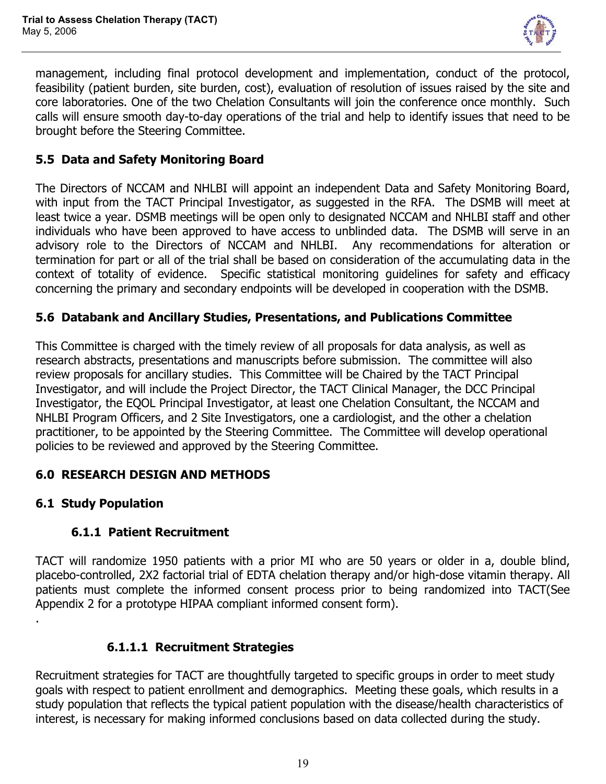

<span id="page-18-0"></span>management, including final protocol development and implementation, conduct of the protocol, feasibility (patient burden, site burden, cost), evaluation of resolution of issues raised by the site and core laboratories. One of the two Chelation Consultants will join the conference once monthly. Such calls will ensure smooth day-to-day operations of the trial and help to identify issues that need to be brought before the Steering Committee.

## **5.5 Data and Safety Monitoring Board**

The Directors of NCCAM and NHLBI will appoint an independent Data and Safety Monitoring Board, with input from the TACT Principal Investigator, as suggested in the RFA. The DSMB will meet at least twice a year. DSMB meetings will be open only to designated NCCAM and NHLBI staff and other individuals who have been approved to have access to unblinded data. The DSMB will serve in an advisory role to the Directors of NCCAM and NHLBI. Any recommendations for alteration or termination for part or all of the trial shall be based on consideration of the accumulating data in the context of totality of evidence. Specific statistical monitoring guidelines for safety and efficacy concerning the primary and secondary endpoints will be developed in cooperation with the DSMB.

#### **5.6 Databank and Ancillary Studies, Presentations, and Publications Committee**

This Committee is charged with the timely review of all proposals for data analysis, as well as research abstracts, presentations and manuscripts before submission. The committee will also review proposals for ancillary studies. This Committee will be Chaired by the TACT Principal Investigator, and will include the Project Director, the TACT Clinical Manager, the DCC Principal Investigator, the EQOL Principal Investigator, at least one Chelation Consultant, the NCCAM and NHLBI Program Officers, and 2 Site Investigators, one a cardiologist, and the other a chelation practitioner, to be appointed by the Steering Committee. The Committee will develop operational policies to be reviewed and approved by the Steering Committee.

## **6.0 RESEARCH DESIGN AND METHODS**

## **6.1 Study Population**

.

## **6.1.1 Patient Recruitment**

TACT will randomize 1950 patients with a prior MI who are 50 years or older in a, double blind, placebo-controlled, 2X2 factorial trial of EDTA chelation therapy and/or high-dose vitamin therapy. All patients must complete the informed consent process prior to being randomized into TACT(See Appendix 2 for a prototype HIPAA compliant informed consent form).

## **6.1.1.1 Recruitment Strategies**

Recruitment strategies for TACT are thoughtfully targeted to specific groups in order to meet study goals with respect to patient enrollment and demographics. Meeting these goals, which results in a study population that reflects the typical patient population with the disease/health characteristics of interest, is necessary for making informed conclusions based on data collected during the study.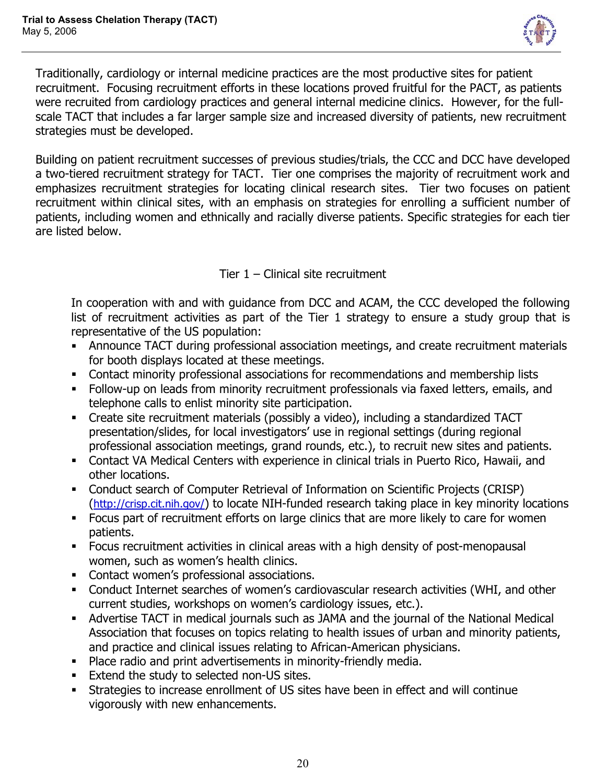

Traditionally, cardiology or internal medicine practices are the most productive sites for patient recruitment. Focusing recruitment efforts in these locations proved fruitful for the PACT, as patients were recruited from cardiology practices and general internal medicine clinics. However, for the fullscale TACT that includes a far larger sample size and increased diversity of patients, new recruitment strategies must be developed.

Building on patient recruitment successes of previous studies/trials, the CCC and DCC have developed a two-tiered recruitment strategy for TACT. Tier one comprises the majority of recruitment work and emphasizes recruitment strategies for locating clinical research sites. Tier two focuses on patient recruitment within clinical sites, with an emphasis on strategies for enrolling a sufficient number of patients, including women and ethnically and racially diverse patients. Specific strategies for each tier are listed below.

#### Tier 1 – Clinical site recruitment

In cooperation with and with guidance from DCC and ACAM, the CCC developed the following list of recruitment activities as part of the Tier 1 strategy to ensure a study group that is representative of the US population:

- Announce TACT during professional association meetings, and create recruitment materials for booth displays located at these meetings.
- Contact minority professional associations for recommendations and membership lists
- Follow-up on leads from minority recruitment professionals via faxed letters, emails, and telephone calls to enlist minority site participation.
- Create site recruitment materials (possibly a video), including a standardized TACT presentation/slides, for local investigators' use in regional settings (during regional professional association meetings, grand rounds, etc.), to recruit new sites and patients.
- Contact VA Medical Centers with experience in clinical trials in Puerto Rico, Hawaii, and other locations.
- Conduct search of Computer Retrieval of Information on Scientific Projects (CRISP) (http://crisp.cit.nih.gov/) to locate NIH-funded research taking place in key minority locations
- Focus part of recruitment efforts on large clinics that are more likely to care for women patients.
- Focus recruitment activities in clinical areas with a high density of post-menopausal women, such as women's health clinics.
- **Contact women's professional associations.**
- Conduct Internet searches of women's cardiovascular research activities (WHI, and other current studies, workshops on women's cardiology issues, etc.).
- Advertise TACT in medical journals such as JAMA and the journal of the National Medical Association that focuses on topics relating to health issues of urban and minority patients, and practice and clinical issues relating to African-American physicians.
- . Place radio and print advertisements in minority-friendly media.
- **Extend the study to selected non-US sites.**
- . Strategies to increase enrollment of US sites have been in effect and will continue vigorously with new enhancements.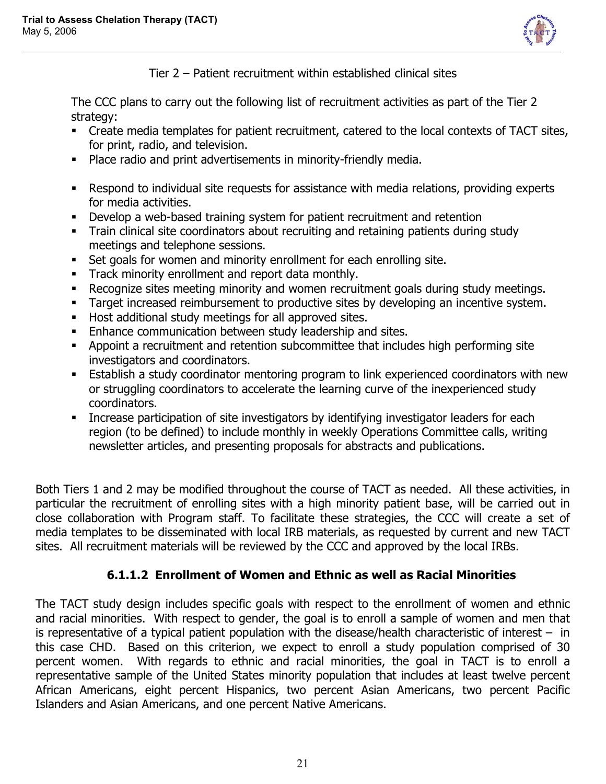

Tier 2 – Patient recruitment within established clinical sites

<span id="page-20-0"></span>The CCC plans to carry out the following list of recruitment activities as part of the Tier 2 strategy:

- **Create media templates for patient recruitment, catered to the local contexts of TACT sites,** for print, radio, and television.
- **Place radio and print advertisements in minority-friendly media.**
- Respond to individual site requests for assistance with media relations, providing experts for media activities.
- . Develop a web-based training system for patient recruitment and retention
- . Train clinical site coordinators about recruiting and retaining patients during study meetings and telephone sessions.
- **Set goals for women and minority enrollment for each enrolling site.**
- $\blacksquare$ Track minority enrollment and report data monthly.
- $\blacksquare$ Recognize sites meeting minority and women recruitment goals during study meetings.
- $\blacksquare$ Target increased reimbursement to productive sites by developing an incentive system.
- . Host additional study meetings for all approved sites.
- $\blacksquare$ Enhance communication between study leadership and sites.
- Appoint a recruitment and retention subcommittee that includes high performing site investigators and coordinators.
- $\blacksquare$  . Establish a study coordinator mentoring program to link experienced coordinators with new or struggling coordinators to accelerate the learning curve of the inexperienced study coordinators.
- . Increase participation of site investigators by identifying investigator leaders for each region (to be defined) to include monthly in weekly Operations Committee calls, writing newsletter articles, and presenting proposals for abstracts and publications.

Both Tiers 1 and 2 may be modified throughout the course of TACT as needed. All these activities, in particular the recruitment of enrolling sites with a high minority patient base, will be carried out in close collaboration with Program staff. To facilitate these strategies, the CCC will create a set of media templates to be disseminated with local IRB materials, as requested by current and new TACT sites. All recruitment materials will be reviewed by the CCC and approved by the local IRBs.

## **6.1.1.2 Enrollment of Women and Ethnic as well as Racial Minorities**

The TACT study design includes specific goals with respect to the enrollment of women and ethnic and racial minorities. With respect to gender, the goal is to enroll a sample of women and men that is representative of a typical patient population with the disease/health characteristic of interest  $-$  in this case CHD. Based on this criterion, we expect to enroll a study population comprised of 30 percent women. With regards to ethnic and racial minorities, the goal in TACT is to enroll a representative sample of the United States minority population that includes at least twelve percent African Americans, eight percent Hispanics, two percent Asian Americans, two percent Pacific Islanders and Asian Americans, and one percent Native Americans.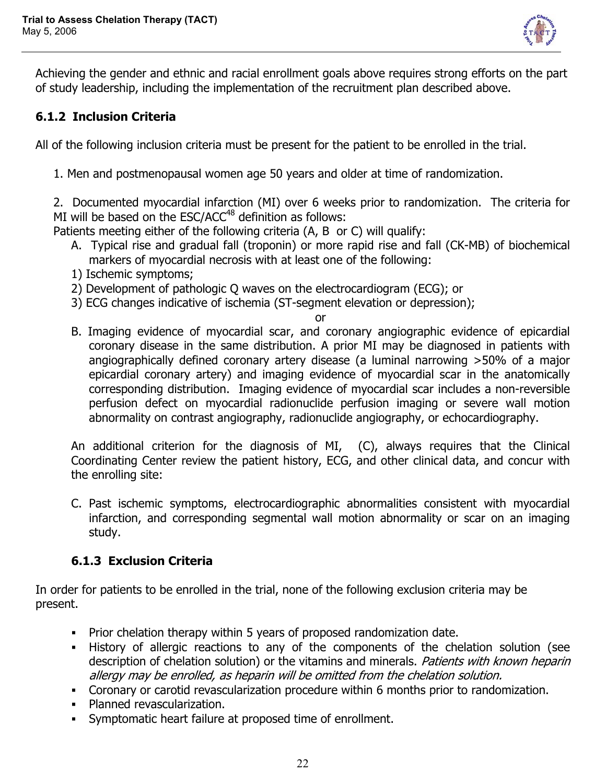

<span id="page-21-0"></span>Achieving the gender and ethnic and racial enrollment goals above requires strong efforts on the part of study leadership, including the implementation of the recruitment plan described above.

# **6.1.2 Inclusion Criteria**

All of the following inclusion criteria must be present for the patient to be enrolled in the trial.

1. Men and postmenopausal women age 50 years and older at time of randomization.

2. Documented myocardial infarction (MI) over 6 weeks prior to randomization. The criteria for MI will be based on the  $ESC/ACC^{48}$  definition as follows:

Patients meeting either of the following criteria (A, B or C) will qualify:

- A. Typical rise and gradual fall (troponin) or more rapid rise and fall (CK-MB) of biochemical markers of myocardial necrosis with at least one of the following:
- 1) Ischemic symptoms;
- 2) Development of pathologic Q waves on the electrocardiogram (ECG); or
- 3) ECG changes indicative of ischemia (ST-segment elevation or depression);

or

B. Imaging evidence of myocardial scar, and coronary angiographic evidence of epicardial coronary disease in the same distribution. A prior MI may be diagnosed in patients with angiographically defined coronary artery disease (a luminal narrowing >50% of a major epicardial coronary artery) and imaging evidence of myocardial scar in the anatomically corresponding distribution. Imaging evidence of myocardial scar includes a non-reversible perfusion defect on myocardial radionuclide perfusion imaging or severe wall motion abnormality on contrast angiography, radionuclide angiography, or echocardiography.

An additional criterion for the diagnosis of MI, (C), always requires that the Clinical Coordinating Center review the patient history, ECG, and other clinical data, and concur with the enrolling site:

C. Past ischemic symptoms, electrocardiographic abnormalities consistent with myocardial infarction, and corresponding segmental wall motion abnormality or scar on an imaging study.

## **6.1.3 Exclusion Criteria**

In order for patients to be enrolled in the trial, none of the following exclusion criteria may be present.

- Prior chelation therapy within 5 years of proposed randomization date.
- allergy may be enrolled, as heparin will be omitted from the chelation solution. History of allergic reactions to any of the components of the chelation solution (see description of chelation solution) or the vitamins and minerals. Patients with known heparin
- Coronary or carotid revascularization procedure within 6 months prior to randomization.
- **Planned revascularization.**
- Symptomatic heart failure at proposed time of enrollment.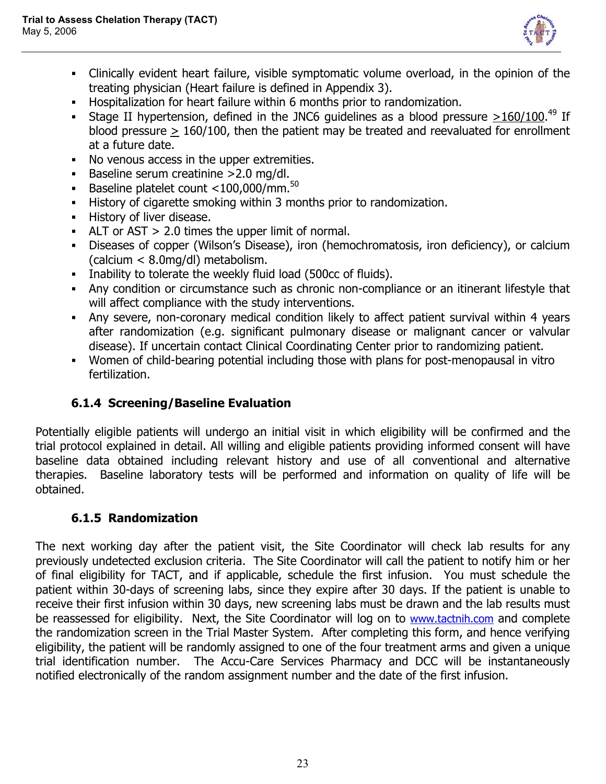

- <span id="page-22-0"></span> Clinically evident heart failure, visible symptomatic volume overload, in the opinion of the treating physician (Heart failure is defined in Appendix 3).
- Hospitalization for heart failure within 6 months prior to randomization.
- . Stage II hypertension, defined in the JNC6 guidelines as a blood pressure  $>160/100$ .<sup>49</sup> If blood pressure > 160/100, then the patient may be treated and reevaluated for enrollment at a future date.
- . No venous access in the upper extremities.
- $\mathbf{r}$ Baseline serum creatinine >2.0 mg/dl.
- . Baseline platelet count <100,000/mm.50
- . History of cigarette smoking within 3 months prior to randomization.
- $\blacksquare$ History of liver disease.
- . ALT or AST > 2.0 times the upper limit of normal.
- Diseases of copper (Wilson's Disease), iron (hemochromatosis, iron deficiency), or calcium (calcium < 8.0mg/dl) metabolism.
- Inability to tolerate the weekly fluid load (500cc of fluids).
- $\mathbf{r}$ Any condition or circumstance such as chronic non-compliance or an itinerant lifestyle that will affect compliance with the study interventions.
- Any severe, non-coronary medical condition likely to affect patient survival within 4 years after randomization (e.g. significant pulmonary disease or malignant cancer or valvular disease). If uncertain contact Clinical Coordinating Center prior to randomizing patient.
- Women of child-bearing potential including those with plans for post-menopausal in vitro fertilization.

## **6.1.4 Screening/Baseline Evaluation**

Potentially eligible patients will undergo an initial visit in which eligibility will be confirmed and the trial protocol explained in detail. All willing and eligible patients providing informed consent will have baseline data obtained including relevant history and use of all conventional and alternative therapies. Baseline laboratory tests will be performed and information on quality of life will be obtained.

## **6.1.5 Randomization**

The next working day after the patient visit, the Site Coordinator will check lab results for any previously undetected exclusion criteria. The Site Coordinator will call the patient to notify him or her of final eligibility for TACT, and if applicable, schedule the first infusion. You must schedule the patient within 30-days of screening labs, since they expire after 30 days. If the patient is unable to receive their first infusion within 30 days, new screening labs must be drawn and the lab results must be reassessed for eligibility. Next, the Site Coordinator will log on to www.tactnih.com and complete the randomization screen in the Trial Master System. After completing this form, and hence verifying eligibility, the patient will be randomly assigned to one of the four treatment arms and given a unique trial identification number. The Accu-Care Services Pharmacy and DCC will be instantaneously notified electronically of the random assignment number and the date of the first infusion.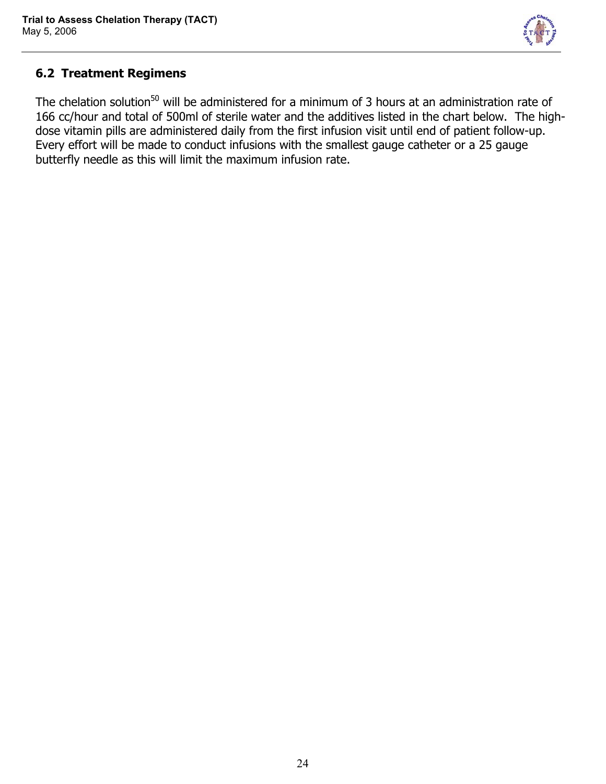

### <span id="page-23-0"></span>**6.2 Treatment Regimens**

The chelation solution<sup>50</sup> will be administered for a minimum of 3 hours at an administration rate of 166 cc/hour and total of 500ml of sterile water and the additives listed in the chart below. The highdose vitamin pills are administered daily from the first infusion visit until end of patient follow-up. Every effort will be made to conduct infusions with the smallest gauge catheter or a 25 gauge butterfly needle as this will limit the maximum infusion rate.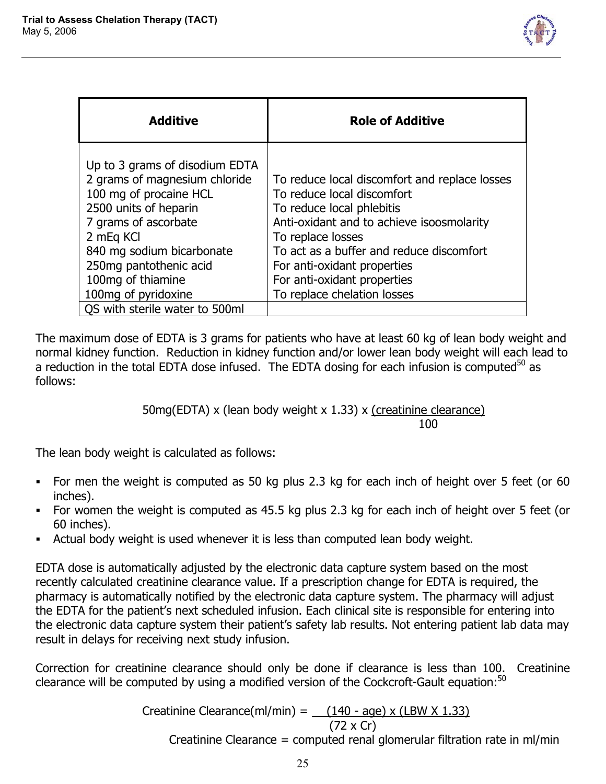

| <b>Additive</b>                                                                                                                                                                                                                                            | <b>Role of Additive</b>                                                                                                                                                                                                                                                                                             |
|------------------------------------------------------------------------------------------------------------------------------------------------------------------------------------------------------------------------------------------------------------|---------------------------------------------------------------------------------------------------------------------------------------------------------------------------------------------------------------------------------------------------------------------------------------------------------------------|
| Up to 3 grams of disodium EDTA<br>2 grams of magnesium chloride<br>100 mg of procaine HCL<br>2500 units of heparin<br>7 grams of ascorbate<br>2 mEq KCl<br>840 mg sodium bicarbonate<br>250mg pantothenic acid<br>100mg of thiamine<br>100mg of pyridoxine | To reduce local discomfort and replace losses<br>To reduce local discomfort<br>To reduce local phlebitis<br>Anti-oxidant and to achieve isoosmolarity<br>To replace losses<br>To act as a buffer and reduce discomfort<br>For anti-oxidant properties<br>For anti-oxidant properties<br>To replace chelation losses |
| QS with sterile water to 500ml                                                                                                                                                                                                                             |                                                                                                                                                                                                                                                                                                                     |

The maximum dose of EDTA is 3 grams for patients who have at least 60 kg of lean body weight and normal kidney function. Reduction in kidney function and/or lower lean body weight will each lead to a reduction in the total EDTA dose infused. The EDTA dosing for each infusion is computed<sup>50</sup> as follows:

> 50mg(EDTA) x (lean body weight x 1.33) x (creatinine clearance) 100

The lean body weight is calculated as follows:

- For men the weight is computed as 50 kg plus 2.3 kg for each inch of height over 5 feet (or 60 inches).
- For women the weight is computed as 45.5 kg plus 2.3 kg for each inch of height over 5 feet (or 60 inches).
- . Actual body weight is used whenever it is less than computed lean body weight.

EDTA dose is automatically adjusted by the electronic data capture system based on the most recently calculated creatinine clearance value. If a prescription change for EDTA is required, the pharmacy is automatically notified by the electronic data capture system. The pharmacy will adjust the EDTA for the patient's next scheduled infusion. Each clinical site is responsible for entering into the electronic data capture system their patient's safety lab results. Not entering patient lab data may result in delays for receiving next study infusion.

Correction for creatinine clearance should only be done if clearance is less than 100. Creatinine clearance will be computed by using a modified version of the Cockcroft-Gault equation:<sup>50</sup>

> Creatinine Clearance(ml/min) =  $(140 - aqe) \times (LBW \times 1.33)$ (72 x Cr) Creatinine Clearance = computed renal glomerular filtration rate in ml/min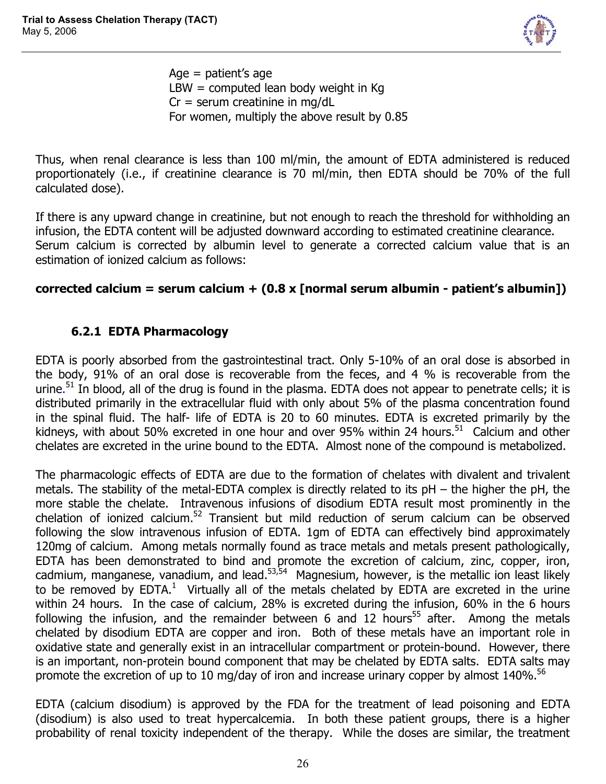

Age = patient's age LBW = computed lean body weight in Kg  $Cr =$  serum creatinine in mg/dL For women, multiply the above result by 0.85

<span id="page-25-0"></span>Thus, when renal clearance is less than 100 ml/min, the amount of EDTA administered is reduced proportionately (i.e., if creatinine clearance is 70 ml/min, then EDTA should be 70% of the full calculated dose).

If there is any upward change in creatinine, but not enough to reach the threshold for withholding an infusion, the EDTA content will be adjusted downward according to estimated creatinine clearance. Serum calcium is corrected by albumin level to generate a corrected calcium value that is an estimation of ionized calcium as follows:

#### **corrected calcium = serum calcium + (0.8 x [normal serum albumin - patient's albumin])**

### **6.2.1 EDTA Pharmacology**

EDTA is poorly absorbed from the gastrointestinal tract. Only 5-10% of an oral dose is absorbed in the body, 91% of an oral dose is recoverable from the feces, and 4 % is recoverable from the urine.<sup>51</sup> In blood, all of the drug is found in the plasma. EDTA does not appear to penetrate cells; it is distributed primarily in the extracellular fluid with only about 5% of the plasma concentration found in the spinal fluid. The half- life of EDTA is 20 to 60 minutes. EDTA is excreted primarily by the kidneys, with about 50% excreted in one hour and over 95% within 24 hours.<sup>51</sup> Calcium and other chelates are excreted in the urine bound to the EDTA. Almost none of the compound is metabolized.

to be removed by EDTA.<sup>1</sup> Virtually all of the metals chelated by EDTA are excreted in the urine The pharmacologic effects of EDTA are due to the formation of chelates with divalent and trivalent metals. The stability of the metal-EDTA complex is directly related to its pH – the higher the pH, the more stable the chelate. Intravenous infusions of disodium EDTA result most prominently in the chelation of ionized calcium.<sup>52</sup> Transient but mild reduction of serum calcium can be observed following the slow intravenous infusion of EDTA. 1gm of EDTA can effectively bind approximately 120mg of calcium. Among metals normally found as trace metals and metals present pathologically, EDTA has been demonstrated to bind and promote the excretion of calcium, zinc, copper, iron, cadmium, manganese, vanadium, and lead.<sup>53,54</sup> Magnesium, however, is the metallic ion least likely within 24 hours. In the case of calcium, 28% is excreted during the infusion, 60% in the 6 hours following the infusion, and the remainder between 6 and 12 hours<sup>55</sup> after. Among the metals chelated by disodium EDTA are copper and iron. Both of these metals have an important role in oxidative state and generally exist in an intracellular compartment or protein-bound. However, there is an important, non-protein bound component that may be chelated by EDTA salts. EDTA salts may promote the excretion of up to 10 mg/day of iron and increase urinary copper by almost 140%.<sup>56</sup>

EDTA (calcium disodium) is approved by the FDA for the treatment of lead poisoning and EDTA (disodium) is also used to treat hypercalcemia. In both these patient groups, there is a higher probability of renal toxicity independent of the therapy. While the doses are similar, the treatment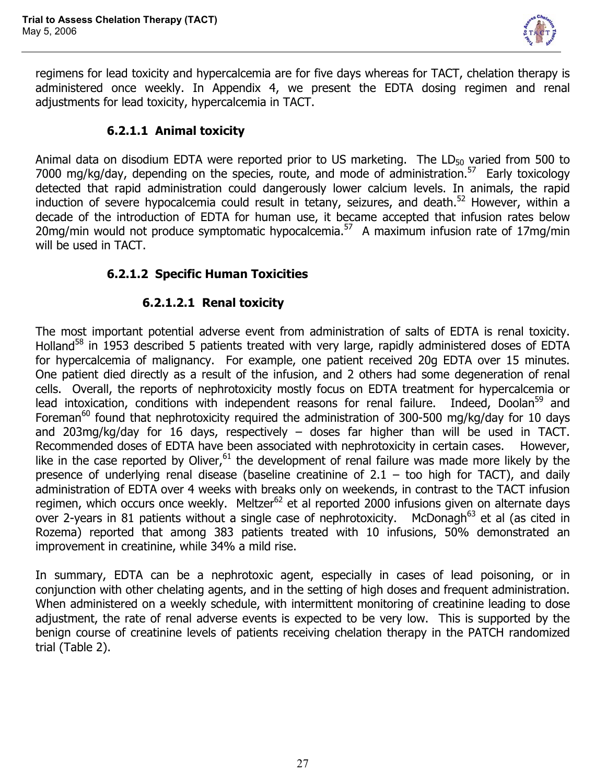

<span id="page-26-0"></span>regimens for lead toxicity and hypercalcemia are for five days whereas for TACT, chelation therapy is administered once weekly. In Appendix 4, we present the EDTA dosing regimen and renal adjustments for lead toxicity, hypercalcemia in TACT.

#### **6.2.1.1 Animal toxicity**

20mg/min would not produce symptomatic hypocalcemia.<sup>57</sup> A maximum infusion rate of 17mg/min Animal data on disodium EDTA were reported prior to US marketing. The  $LD_{50}$  varied from 500 to 7000 mg/kg/day, depending on the species, route, and mode of administration.<sup>57</sup> Early toxicology detected that rapid administration could dangerously lower calcium levels. In animals, the rapid induction of severe hypocalcemia could result in tetany, seizures, and death.<sup>52</sup> However, within a decade of the introduction of EDTA for human use, it became accepted that infusion rates below will be used in TACT.

# **6.2.1.2 Specific Human Toxicities**

## **6.2.1.2.1 Renal toxicity**

The most important potential adverse event from administration of salts of EDTA is renal toxicity. Holland<sup>58</sup> in 1953 described 5 patients treated with very large, rapidly administered doses of EDTA for hypercalcemia of malignancy. For example, one patient received 20g EDTA over 15 minutes. One patient died directly as a result of the infusion, and 2 others had some degeneration of renal cells. Overall, the reports of nephrotoxicity mostly focus on EDTA treatment for hypercalcemia or lead intoxication, conditions with independent reasons for renal failure. Indeed, Doolan<sup>59</sup> and Foreman<sup>60</sup> found that nephrotoxicity required the administration of 300-500 mg/kg/day for 10 days and 203mg/kg/day for 16 days, respectively  $-$  doses far higher than will be used in TACT. Recommended doses of EDTA have been associated with nephrotoxicity in certain cases. However, like in the case reported by Oliver,<sup>61</sup> the development of renal failure was made more likely by the presence of underlying renal disease (baseline creatinine of 2.1 – too high for TACT), and daily administration of EDTA over 4 weeks with breaks only on weekends, in contrast to the TACT infusion regimen, which occurs once weekly. Meltzer<sup>62</sup> et al reported 2000 infusions given on alternate days<br>over 2-years in 81 patients without a single case of nephrotoxicity. McDonagh<sup>63</sup> et al (as cited in over 2-years in 81 patients without a single case of nephrotoxicity. Rozema) reported that among 383 patients treated with 10 infusions, 50% demonstrated an improvement in creatinine, while 34% a mild rise.

In summary, EDTA can be a nephrotoxic agent, especially in cases of lead poisoning, or in conjunction with other chelating agents, and in the setting of high doses and frequent administration. When administered on a weekly schedule, with intermittent monitoring of creatinine leading to dose adjustment, the rate of renal adverse events is expected to be very low. This is supported by the benign course of creatinine levels of patients receiving chelation therapy in the PATCH randomized trial (Table 2).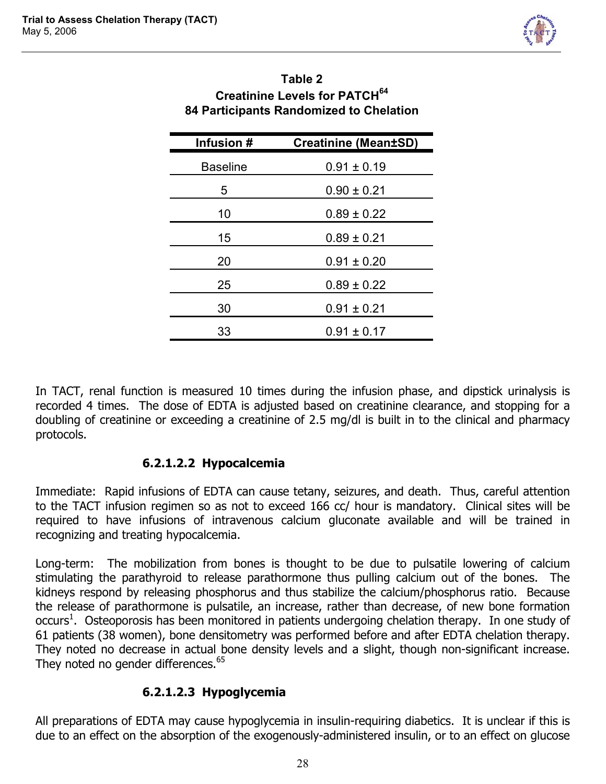

| Table 2                                         |
|-------------------------------------------------|
| <b>Creatinine Levels for PATCH<sup>64</sup></b> |
| 84 Participants Randomized to Chelation         |

| Infusion #      | <b>Creatinine (Mean±SD)</b> |
|-----------------|-----------------------------|
| <b>Baseline</b> | $0.91 \pm 0.19$             |
| 5               | $0.90 \pm 0.21$             |
| 10              | $0.89 \pm 0.22$             |
| 15              | $0.89 \pm 0.21$             |
| 20              | $0.91 \pm 0.20$             |
| 25              | $0.89 \pm 0.22$             |
| 30              | $0.91 \pm 0.21$             |
| 33              | $0.91 \pm 0.17$             |

In TACT, renal function is measured 10 times during the infusion phase, and dipstick urinalysis is recorded 4 times. The dose of EDTA is adjusted based on creatinine clearance, and stopping for a doubling of creatinine or exceeding a creatinine of 2.5 mg/dl is built in to the clinical and pharmacy protocols.

#### **6.2.1.2.2 Hypocalcemia**

Immediate: Rapid infusions of EDTA can cause tetany, seizures, and death. Thus, careful attention to the TACT infusion regimen so as not to exceed 166 cc/ hour is mandatory. Clinical sites will be required to have infusions of intravenous calcium gluconate available and will be trained in recognizing and treating hypocalcemia.

Long-term: The mobilization from bones is thought to be due to pulsatile lowering of calcium stimulating the parathyroid to release parathormone thus pulling calcium out of the bones. The kidneys respond by releasing phosphorus and thus stabilize the calcium/phosphorus ratio. Because the release of parathormone is pulsatile, an increase, rather than decrease, of new bone formation occurs<sup>1</sup>. Osteoporosis has been monitored in patients undergoing chelation therapy. In one study of 61 patients (38 women), bone densitometry was performed before and after EDTA chelation therapy. They noted no decrease in actual bone density levels and a slight, though non-significant increase. They noted no gender differences.<sup>65</sup>

#### **6.2.1.2.3 Hypoglycemia**

All preparations of EDTA may cause hypoglycemia in insulin-requiring diabetics. It is unclear if this is due to an effect on the absorption of the exogenously-administered insulin, or to an effect on glucose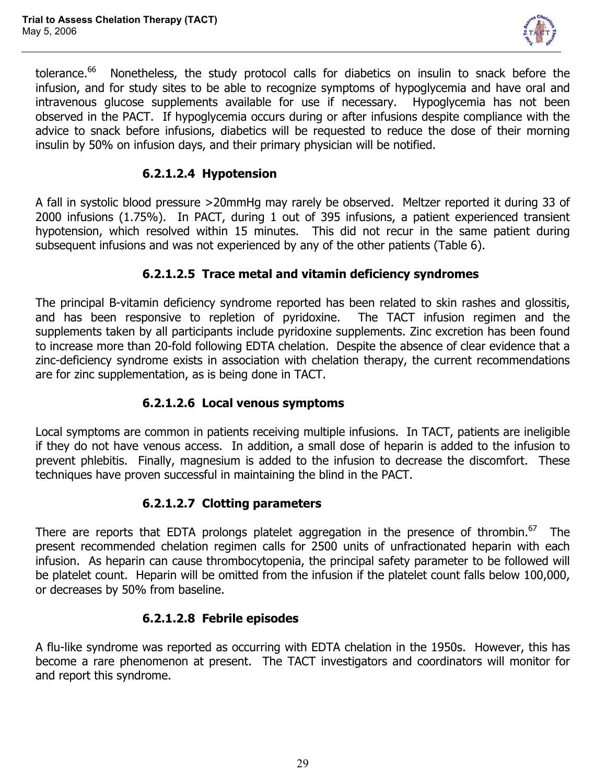

<span id="page-28-0"></span>tolerance.<sup>66</sup> Nonetheless, the study protocol calls for diabetics on insulin to snack before the infusion, and for study sites to be able to recognize symptoms of hypoglycemia and have oral and intravenous glucose supplements available for use if necessary. Hypoglycemia has not been observed in the PACT. If hypoglycemia occurs during or after infusions despite compliance with the advice to snack before infusions, diabetics will be requested to reduce the dose of their morning insulin by 50% on infusion days, and their primary physician will be notified.

## **6.2.1.2.4 Hypotension**

A fall in systolic blood pressure >20mmHg may rarely be observed. Meltzer reported it during 33 of 2000 infusions (1.75%). In PACT, during 1 out of 395 infusions, a patient experienced transient hypotension, which resolved within 15 minutes. This did not recur in the same patient during subsequent infusions and was not experienced by any of the other patients (Table 6).

### **6.2.1.2.5 Trace metal and vitamin deficiency syndromes**

The principal B-vitamin deficiency syndrome reported has been related to skin rashes and glossitis, and has been responsive to repletion of pyridoxine. The TACT infusion regimen and the supplements taken by all participants include pyridoxine supplements. Zinc excretion has been found to increase more than 20-fold following EDTA chelation. Despite the absence of clear evidence that a zinc-deficiency syndrome exists in association with chelation therapy, the current recommendations are for zinc supplementation, as is being done in TACT.

#### **6.2.1.2.6 Local venous symptoms**

 Local symptoms are common in patients receiving multiple infusions. In TACT, patients are ineligible techniques have proven successful in maintaining the blind in the PACT. if they do not have venous access. In addition, a small dose of heparin is added to the infusion to prevent phlebitis. Finally, magnesium is added to the infusion to decrease the discomfort. These

## **6.2.1.2.7 Clotting parameters**

There are reports that EDTA prolongs platelet aggregation in the presence of thrombin.<sup>67</sup> The present recommended chelation regimen calls for 2500 units of unfractionated heparin with each infusion. As heparin can cause thrombocytopenia, the principal safety parameter to be followed will be platelet count. Heparin will be omitted from the infusion if the platelet count falls below 100,000, or decreases by 50% from baseline.

## **6.2.1.2.8 Febrile episodes**

A flu-like syndrome was reported as occurring with EDTA chelation in the 1950s. However, this has become a rare phenomenon at present. The TACT investigators and coordinators will monitor for and report this syndrome.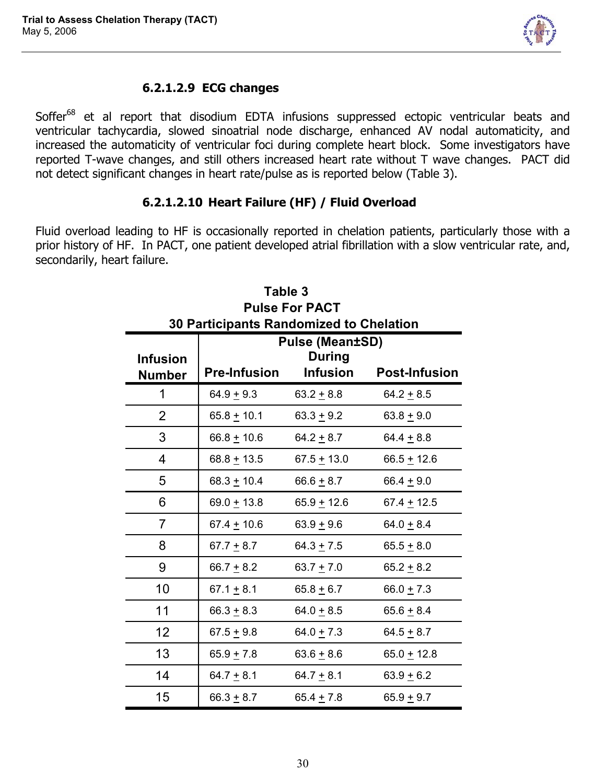

#### **6.2.1.2.9 ECG changes**

Soffer<sup>68</sup> et al report that disodium EDTA infusions suppressed ectopic ventricular beats and ventricular tachycardia, slowed sinoatrial node discharge, enhanced AV nodal automaticity, and increased the automaticity of ventricular foci during complete heart block. Some investigators have reported T-wave changes, and still others increased heart rate without T wave changes. PACT did not detect significant changes in heart rate/pulse as is reported below (Table 3).

## **6.2.1.2.10 Heart Failure (HF) / Fluid Overload**

**Table 3 Pulse For PACT** 

Fluid overload leading to HF is occasionally reported in chelation patients, particularly those with a prior history of HF. In PACT, one patient developed atrial fibrillation with a slow ventricular rate, and, secondarily, heart failure.

| 30 Participants Randomized to Chelation |                        |                                                          |                 |  |  |  |  |
|-----------------------------------------|------------------------|----------------------------------------------------------|-----------------|--|--|--|--|
|                                         | <b>Pulse (Mean±SD)</b> |                                                          |                 |  |  |  |  |
| <b>Infusion</b><br><b>Number</b>        | <b>Pre-Infusion</b>    | <b>During</b><br><b>Infusion</b><br><b>Post-Infusion</b> |                 |  |  |  |  |
| 1                                       | $64.9 + 9.3$           | $63.2 + 8.8$                                             | $64.2 + 8.5$    |  |  |  |  |
| $\overline{2}$                          | $65.8 + 10.1$          | $63.3 + 9.2$                                             | $63.8 + 9.0$    |  |  |  |  |
| 3                                       | $66.8 + 10.6$          | $64.2 + 8.7$                                             | $64.4 + 8.8$    |  |  |  |  |
| 4                                       | $68.8 + 13.5$          | $67.5 + 13.0$                                            | $66.5 + 12.6$   |  |  |  |  |
| 5                                       | $68.3 + 10.4$          | $66.6 + 8.7$                                             | $66.4 + 9.0$    |  |  |  |  |
| 6                                       | $69.0 + 13.8$          | $65.9 + 12.6$                                            | $67.4 \pm 12.5$ |  |  |  |  |
| 7                                       | $67.4 \pm 10.6$        | $63.9 + 9.6$                                             | $64.0 + 8.4$    |  |  |  |  |
| 8                                       | $67.7 + 8.7$           | $64.3 + 7.5$                                             | $65.5 + 8.0$    |  |  |  |  |
| 9                                       | $66.7 + 8.2$           | $63.7 + 7.0$                                             | $65.2 + 8.2$    |  |  |  |  |
| 10                                      | $67.1 + 8.1$           | $65.8 + 6.7$                                             | 66.0 $+$ 7.3    |  |  |  |  |
| 11                                      | $66.3 + 8.3$           | $64.0 + 8.5$                                             | $65.6 + 8.4$    |  |  |  |  |
| 12                                      | $67.5 + 9.8$           | 64.0 $+$ 7.3                                             | $64.5 + 8.7$    |  |  |  |  |
| 13                                      | $65.9 + 7.8$           | $63.6 + 8.6$                                             | $65.0 + 12.8$   |  |  |  |  |
| 14                                      | $64.7 + 8.1$           | $64.7 + 8.1$                                             | $63.9 + 6.2$    |  |  |  |  |
| 15                                      | $66.3 + 8.7$           | $65.4 + 7.8$                                             | $65.9 + 9.7$    |  |  |  |  |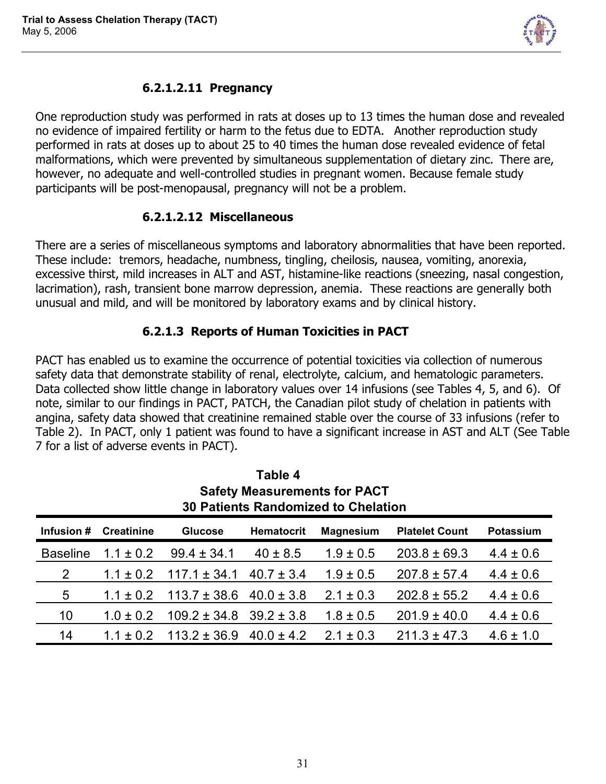

### **6.2.1.2.11 Pregnancy**

One reproduction study was performed in rats at doses up to 13 times the human dose and revealed no evidence of impaired fertility or harm to the fetus due to EDTA. Another reproduction study performed in rats at doses up to about 25 to 40 times the human dose revealed evidence of fetal malformations, which were prevented by simultaneous supplementation of dietary zinc. There are, however, no adequate and well-controlled studies in pregnant women. Because female study participants will be post-menopausal, pregnancy will not be a problem.

### **6.2.1.2.12 Miscellaneous**

There are a series of miscellaneous symptoms and laboratory abnormalities that have been reported. These include: tremors, headache, numbness, tingling, cheilosis, nausea, vomiting, anorexia, excessive thirst, mild increases in ALT and AST, histamine-like reactions (sneezing, nasal congestion, lacrimation), rash, transient bone marrow depression, anemia. These reactions are generally both unusual and mild, and will be monitored by laboratory exams and by clinical history.

# **6.2.1.3 Reports of Human Toxicities in PACT**

PACT has enabled us to examine the occurrence of potential toxicities via collection of numerous safety data that demonstrate stability of renal, electrolyte, calcium, and hematologic parameters. Data collected show little change in laboratory values over 14 infusions (see Tables 4, 5, and 6). Of note, similar to our findings in PACT, PATCH, the Canadian pilot study of chelation in patients with angina, safety data showed that creatinine remained stable over the course of 33 infusions (refer to Table 2). In PACT, only 1 patient was found to have a significant increase in AST and ALT (See Table 7 for a list of adverse events in PACT).

| Table 4<br><b>Safety Measurements for PACT</b><br><b>30 Patients Randomized to Chelation</b>                                     |               |                  |                |               |                  |               |
|----------------------------------------------------------------------------------------------------------------------------------|---------------|------------------|----------------|---------------|------------------|---------------|
| Infusion #<br><b>Creatinine</b><br><b>Glucose</b><br>Potassium<br><b>Magnesium</b><br><b>Platelet Count</b><br><b>Hematocrit</b> |               |                  |                |               |                  |               |
| <b>Baseline</b>                                                                                                                  | $1.1 \pm 0.2$ | $99.4 \pm 34.1$  | $40 \pm 8.5$   | $1.9 \pm 0.5$ | $203.8 \pm 69.3$ | $4.4 \pm 0.6$ |
| $\overline{2}$                                                                                                                   | $1.1 \pm 0.2$ | $117.1 \pm 34.1$ | $40.7 \pm 3.4$ | $1.9 \pm 0.5$ | $207.8 \pm 57.4$ | $4.4 \pm 0.6$ |
| 5                                                                                                                                | $1.1 \pm 0.2$ | $113.7 \pm 38.6$ | $40.0 \pm 3.8$ | $2.1 \pm 0.3$ | $202.8 \pm 55.2$ | $4.4 \pm 0.6$ |
| 10                                                                                                                               | $1.0 \pm 0.2$ | $109.2 \pm 34.8$ | $39.2 \pm 3.8$ | $1.8 \pm 0.5$ | $201.9 \pm 40.0$ | $4.4 \pm 0.6$ |
| 14                                                                                                                               | $\pm 0.2$     | $113.2 \pm 36.9$ | $40.0 \pm 4.2$ | $2.1 \pm 0.3$ | $211.3 \pm 47.3$ | $4.6 \pm 1.0$ |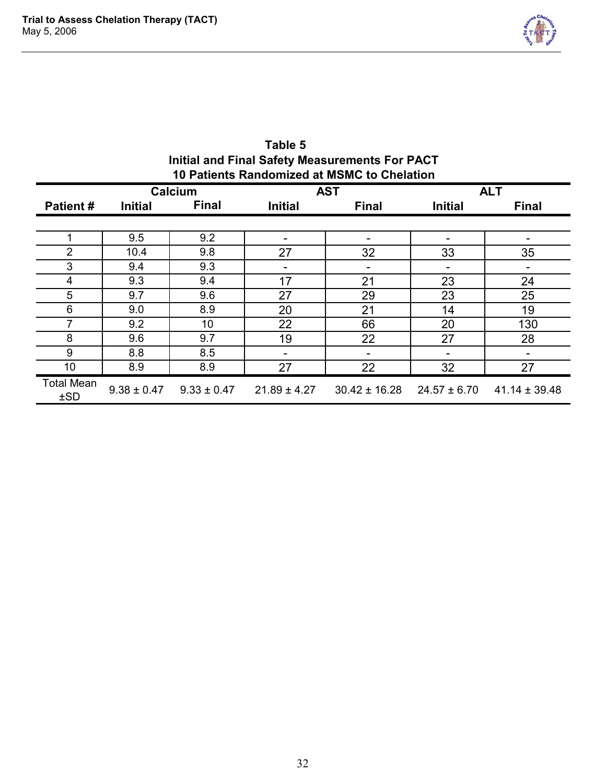

| <b>10 Patients Randomized at MSMC to Chelation</b> |                 |                 |                  |                          |                  |                   |  |  |
|----------------------------------------------------|-----------------|-----------------|------------------|--------------------------|------------------|-------------------|--|--|
| <b>ALT</b><br>Calcium<br><b>AST</b>                |                 |                 |                  |                          |                  |                   |  |  |
| Patient#                                           | <b>Initial</b>  | <b>Final</b>    | <b>Initial</b>   | <b>Final</b>             | <b>Initial</b>   | <b>Final</b>      |  |  |
|                                                    |                 |                 |                  |                          |                  |                   |  |  |
|                                                    | 9.5             | 9.2             |                  | $\overline{\phantom{a}}$ |                  |                   |  |  |
| $\overline{2}$                                     | 10.4            | 9.8             | 27               | 32                       | 33               | 35                |  |  |
| 3                                                  | 9.4             | 9.3             |                  | $\overline{\phantom{a}}$ |                  |                   |  |  |
| 4                                                  | 9.3             | 9.4             | 17               | 21                       | 23               | 24                |  |  |
| 5                                                  | 9.7             | 9.6             | 27               | 29                       | 23               | 25                |  |  |
| 6                                                  | 9.0             | 8.9             | 20               | 21                       | 14               | 19                |  |  |
| 7                                                  | 9.2             | 10              | 22               | 66                       | 20               | 130               |  |  |
| 8                                                  | 9.6             | 9.7             | 19               | 22                       | 27               | 28                |  |  |
| 9                                                  | 8.8             | 8.5             |                  | $\overline{\phantom{a}}$ |                  |                   |  |  |
| 10                                                 | 8.9             | 8.9             | 27               | 22                       | 32               | 27                |  |  |
| <b>Total Mean</b><br>±SD                           | $9.38 \pm 0.47$ | $9.33 \pm 0.47$ | $21.89 \pm 4.27$ | $30.42 \pm 16.28$        | $24.57 \pm 6.70$ | $41.14 \pm 39.48$ |  |  |

**Table 5 Initial and Final Safety Measurements For PACT**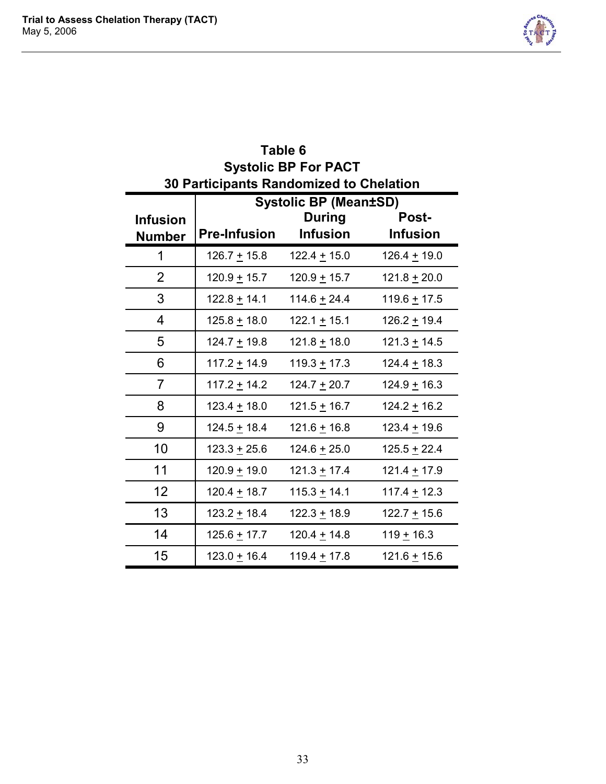

| Table 6<br><b>Systolic BP For PACT</b>  |                                                                                                                     |                  |                  |  |  |  |  |  |  |
|-----------------------------------------|---------------------------------------------------------------------------------------------------------------------|------------------|------------------|--|--|--|--|--|--|
| 30 Participants Randomized to Chelation |                                                                                                                     |                  |                  |  |  |  |  |  |  |
| <b>Infusion</b><br><b>Number</b>        | <b>Systolic BP (Mean±SD)</b><br><b>During</b><br>Post-<br><b>Infusion</b><br><b>Pre-Infusion</b><br><b>Infusion</b> |                  |                  |  |  |  |  |  |  |
| 1                                       | $126.7 + 15.8$                                                                                                      | $122.4 + 15.0$   | $126.4 + 19.0$   |  |  |  |  |  |  |
| $\overline{2}$                          | $120.9 + 15.7$                                                                                                      | $120.9 + 15.7$   | $121.8 + 20.0$   |  |  |  |  |  |  |
| 3                                       | $122.8 + 14.1$                                                                                                      | $114.6 \pm 24.4$ | $119.6 + 17.5$   |  |  |  |  |  |  |
| 4                                       | $125.8 + 18.0$                                                                                                      | 122.1 ± 15.1     | $126.2 + 19.4$   |  |  |  |  |  |  |
| 5                                       | $124.7 + 19.8$                                                                                                      | 121.8 ± 18.0     | $121.3 + 14.5$   |  |  |  |  |  |  |
| 6                                       | 117.2 $\pm$ 14.9                                                                                                    | $119.3 \pm 17.3$ | $124.4 \pm 18.3$ |  |  |  |  |  |  |
| $\overline{7}$                          | $117.2 + 14.2$                                                                                                      | $124.7 + 20.7$   | $124.9 + 16.3$   |  |  |  |  |  |  |
| 8                                       | $123.4 \pm 18.0$                                                                                                    | $121.5 + 16.7$   | $124.2 + 16.2$   |  |  |  |  |  |  |
| 9                                       | $124.5 + 18.4$                                                                                                      | $121.6 + 16.8$   | $123.4 + 19.6$   |  |  |  |  |  |  |
| 10                                      | $123.3 \pm 25.6$                                                                                                    | 124.6 ± 25.0     | $125.5 + 22.4$   |  |  |  |  |  |  |
| 11                                      | 120.9 ± 19.0                                                                                                        | $121.3 \pm 17.4$ | $121.4 + 17.9$   |  |  |  |  |  |  |
| 12                                      | $120.4 \pm 18.7$                                                                                                    | $115.3 \pm 14.1$ | 117.4 $\pm$ 12.3 |  |  |  |  |  |  |
| 13                                      | $123.2 + 18.4$                                                                                                      | $122.3 + 18.9$   | $122.7 + 15.6$   |  |  |  |  |  |  |
| 14                                      | 125.6 ± 17.7                                                                                                        | $120.4 + 14.8$   | $119 + 16.3$     |  |  |  |  |  |  |
| 15                                      | $123.0 + 16.4$                                                                                                      | $119.4 + 17.8$   | $121.6 + 15.6$   |  |  |  |  |  |  |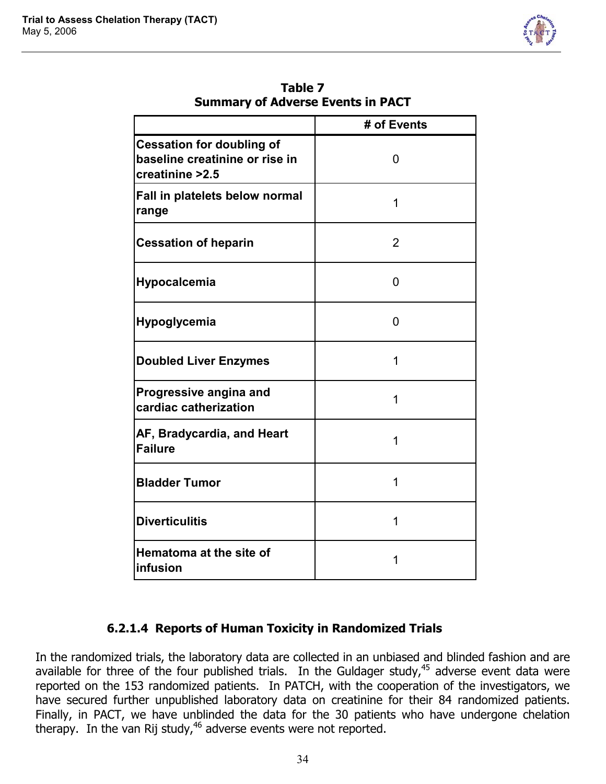

|                                                                                       | # of Events |
|---------------------------------------------------------------------------------------|-------------|
| <b>Cessation for doubling of</b><br>baseline creatinine or rise in<br>creatinine >2.5 | 0           |
| Fall in platelets below normal<br>range                                               | 1           |
| <b>Cessation of heparin</b>                                                           | 2           |
| Hypocalcemia                                                                          | 0           |
| Hypoglycemia                                                                          | 0           |
| <b>Doubled Liver Enzymes</b>                                                          | 1           |
| Progressive angina and<br>cardiac catherization                                       | 1           |
| AF, Bradycardia, and Heart<br><b>Failure</b>                                          | 1           |
| <b>Bladder Tumor</b>                                                                  | 1           |
| <b>Diverticulitis</b>                                                                 | 1           |
| Hematoma at the site of<br>infusion                                                   | 1           |

**Table 7 Summary of Adverse Events in PACT**

## **6.2.1.4 Reports of Human Toxicity in Randomized Trials**

In the randomized trials, the laboratory data are collected in an unbiased and blinded fashion and are available for three of the four published trials. In the Guldager study,<sup>45</sup> adverse event data were reported on the 153 randomized patients. In PATCH, with the cooperation of the investigators, we have secured further unpublished laboratory data on creatinine for their 84 randomized patients. Finally, in PACT, we have unblinded the data for the 30 patients who have undergone chelation therapy. In the van Rij study,46 adverse events were not reported.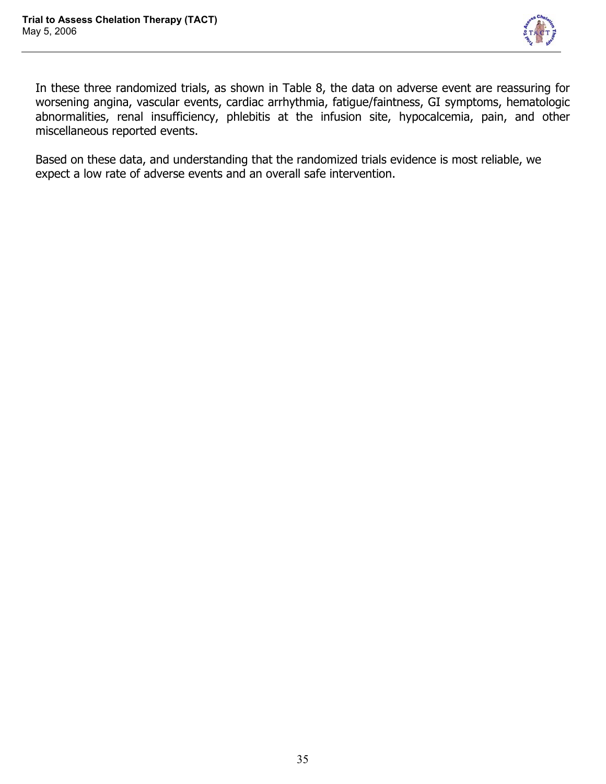

In these three randomized trials, as shown in Table 8, the data on adverse event are reassuring for worsening angina, vascular events, cardiac arrhythmia, fatigue/faintness, GI symptoms, hematologic abnormalities, renal insufficiency, phlebitis at the infusion site, hypocalcemia, pain, and other miscellaneous reported events.

Based on these data, and understanding that the randomized trials evidence is most reliable, we expect a low rate of adverse events and an overall safe intervention.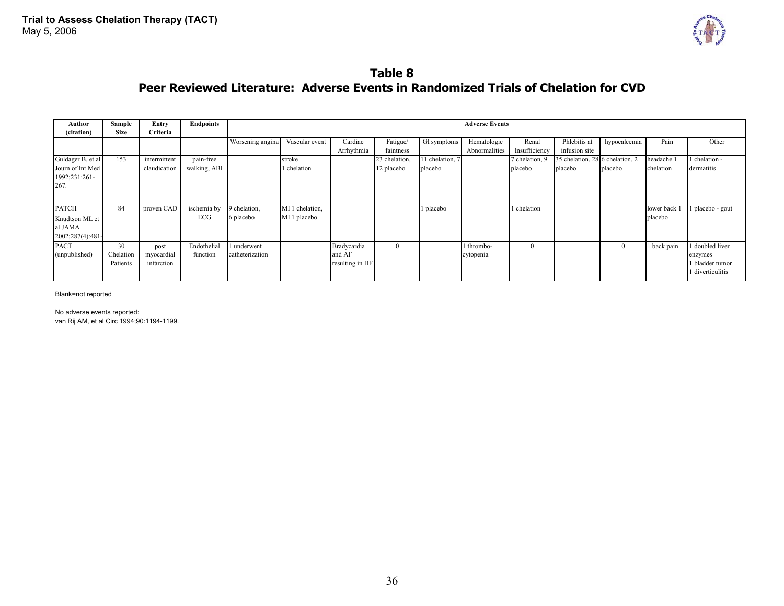

**Table 8 Peer Reviewed Literature: Adverse Events in Randomized Trials of Chelation for CVD** 

| Author<br>(citation)                                           | Sample<br><b>Size</b>       | Entry<br>Criteria                | <b>Endpoints</b>          | <b>Adverse Events</b>        |                                 |                                          |                             |                            |                              |                           |                                            |              |                         |                                                                   |
|----------------------------------------------------------------|-----------------------------|----------------------------------|---------------------------|------------------------------|---------------------------------|------------------------------------------|-----------------------------|----------------------------|------------------------------|---------------------------|--------------------------------------------|--------------|-------------------------|-------------------------------------------------------------------|
|                                                                |                             |                                  |                           | Worsening angina             | Vascular event                  | Cardiac<br>Arrhythmia                    | Fatigue/<br>faintness       | GI symptoms                | Hematologic<br>Abnormalities | Renal<br>Insufficiency    | Phlebitis at<br>infusion site              | hypocalcemia | Pain                    | Other                                                             |
| Guldager B, et al<br>Journ of Int Med<br>1992;231:261-<br>267. | 153                         | intermittent<br>claudication     | pain-free<br>walking, ABI |                              | stroke<br>I chelation           |                                          | 23 chelation,<br>12 placebo | 11 chelation, 7<br>placebo |                              | 7 chelation, 9<br>placebo | 35 chelation, 28 6 chelation, 2<br>placebo | placebo      | headache 1<br>chelation | 1 chelation -<br>dermatitis                                       |
| <b>PATCH</b><br>Knudtson ML et<br>al JAMA<br>2002;287(4):481-  | 84                          | proven CAD                       | ischemia by<br>ECG        | 9 chelation,<br>6 placebo    | MI 1 chelation,<br>MI 1 placebo |                                          |                             | 1 placebo                  |                              | 1 chelation               |                                            |              | lower back<br>placebo   | 1 placebo - gout                                                  |
| <b>PACT</b><br>(unpublished)                                   | 30<br>Chelation<br>Patients | post<br>myocardial<br>infarction | Endothelial<br>function   | underwent<br>catheterization |                                 | Bradycardia<br>and AF<br>resulting in HF | $\Omega$                    |                            | thrombo-<br>cytopenia        | $\mathbf{0}$              |                                            | $\mathbf{0}$ | 1 back pain             | 1 doubled liver<br>enzymes<br>1 bladder tumor<br>1 diverticulitis |

Blank=not reported

No adverse events reported:

van Rij AM, et al Circ 1994;90:1194-1199.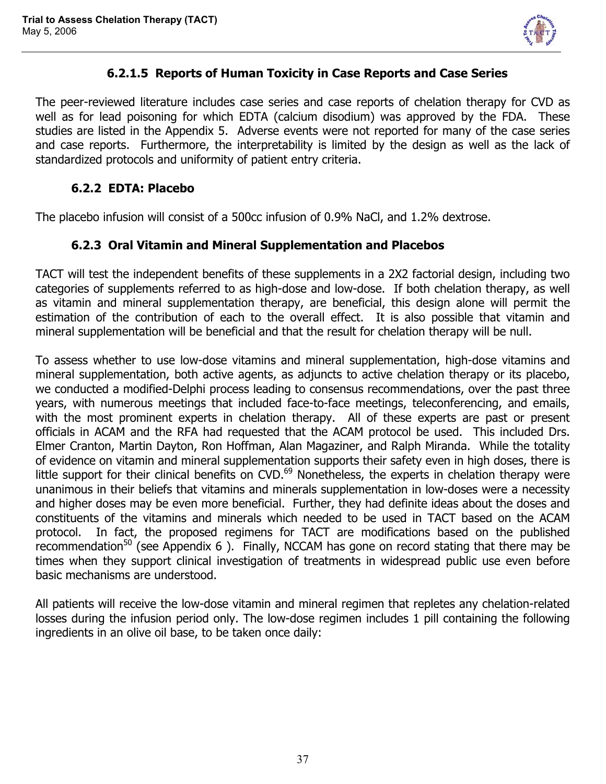

### **6.2.1.5 Reports of Human Toxicity in Case Reports and Case Series**

The peer-reviewed literature includes case series and case reports of chelation therapy for CVD as well as for lead poisoning for which EDTA (calcium disodium) was approved by the FDA. These studies are listed in the Appendix 5. Adverse events were not reported for many of the case series and case reports. Furthermore, the interpretability is limited by the design as well as the lack of standardized protocols and uniformity of patient entry criteria.

#### **6.2.2 EDTA: Placebo**

The placebo infusion will consist of a 500cc infusion of 0.9% NaCl, and 1.2% dextrose.

#### **6.2.3 Oral Vitamin and Mineral Supplementation and Placebos**

mineral supplementation will be beneficial and that the result for chelation therapy will be null. TACT will test the independent benefits of these supplements in a 2X2 factorial design, including two categories of supplements referred to as high-dose and low-dose. If both chelation therapy, as well as vitamin and mineral supplementation therapy, are beneficial, this design alone will permit the estimation of the contribution of each to the overall effect. It is also possible that vitamin and

To assess whether to use low-dose vitamins and mineral supplementation, high-dose vitamins and mineral supplementation, both active agents, as adjuncts to active chelation therapy or its placebo, we conducted a modified-Delphi process leading to consensus recommendations, over the past three years, with numerous meetings that included face-to-face meetings, teleconferencing, and emails, with the most prominent experts in chelation therapy. All of these experts are past or present officials in ACAM and the RFA had requested that the ACAM protocol be used. This included Drs. Elmer Cranton, Martin Dayton, Ron Hoffman, Alan Magaziner, and Ralph Miranda. While the totality of evidence on vitamin and mineral supplementation supports their safety even in high doses, there is Ittle support for their clinical benefits on CVD.<sup>69</sup> Nonetheless, the experts in chelation therapy were unanimous in their beliefs that vitamins and minerals supplementation in low-doses were a necessity and higher doses may be even more beneficial. Further, they had definite ideas about the doses and constituents of the vitamins and minerals which needed to be used in TACT based on the ACAM protocol. In fact, the proposed regimens for TACT are modifications based on the published recommendation<sup>50</sup> (see Appendix 6). Finally, NCCAM has gone on record stating that there may be times when they support clinical investigation of treatments in widespread public use even before basic mechanisms are understood.

All patients will receive the low-dose vitamin and mineral regimen that repletes any chelation-related losses during the infusion period only. The low-dose regimen includes 1 pill containing the following ingredients in an olive oil base, to be taken once daily: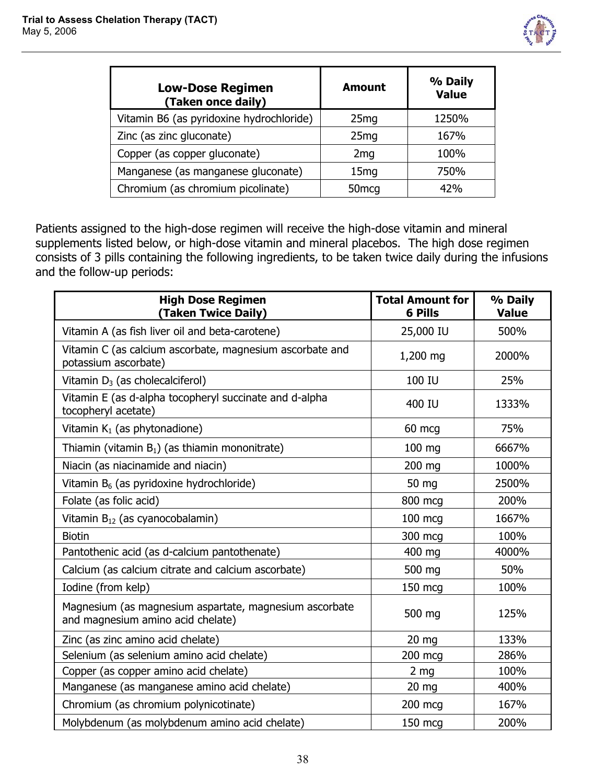

| <b>Low-Dose Regimen</b><br>(Taken once daily) | Amount            | % Daily<br><b>Value</b> |  |
|-----------------------------------------------|-------------------|-------------------------|--|
| Vitamin B6 (as pyridoxine hydrochloride)      | 25mg              | 1250%                   |  |
| Zinc (as zinc gluconate)                      | 25mg              | 167%                    |  |
| Copper (as copper gluconate)                  | 2mg               | 100%                    |  |
| Manganese (as manganese gluconate)            | 15 <sub>mg</sub>  | 750%                    |  |
| Chromium (as chromium picolinate)             | 50 <sub>mcq</sub> | 42%                     |  |

Patients assigned to the high-dose regimen will receive the high-dose vitamin and mineral supplements listed below, or high-dose vitamin and mineral placebos. The high dose regimen consists of 3 pills containing the following ingredients, to be taken twice daily during the infusions and the follow-up periods:

| <b>High Dose Regimen</b><br>(Taken Twice Daily)                                             | <b>Total Amount for</b><br>6 Pills | % Daily<br><b>Value</b> |
|---------------------------------------------------------------------------------------------|------------------------------------|-------------------------|
| Vitamin A (as fish liver oil and beta-carotene)                                             | 25,000 IU                          | 500%                    |
| Vitamin C (as calcium ascorbate, magnesium ascorbate and<br>potassium ascorbate)            | 1,200 mg                           | 2000%                   |
| Vitamin $D_3$ (as cholecalciferol)                                                          | 100 IU                             | 25%                     |
| Vitamin E (as d-alpha tocopheryl succinate and d-alpha<br>tocopheryl acetate)               | 400 IU                             | 1333%                   |
| Vitamin $K_1$ (as phytonadione)                                                             | 60 mcg                             | 75%                     |
| Thiamin (vitamin $B_1$ ) (as thiamin mononitrate)                                           | $100$ mg                           | 6667%                   |
| Niacin (as niacinamide and niacin)                                                          | 200 mg                             | 1000%                   |
| Vitamin $B_6$ (as pyridoxine hydrochloride)                                                 | 50 mg                              | 2500%                   |
| Folate (as folic acid)                                                                      | 800 mcg                            | 200%                    |
| Vitamin B <sub>12</sub> (as cyanocobalamin)                                                 | $100$ mcg                          | 1667%                   |
| <b>Biotin</b>                                                                               | 300 mcg                            | 100%                    |
| Pantothenic acid (as d-calcium pantothenate)                                                | 400 mg                             | 4000%                   |
| Calcium (as calcium citrate and calcium ascorbate)                                          | 500 mg                             | 50%                     |
| Iodine (from kelp)                                                                          | 150 mcg                            | 100%                    |
| Magnesium (as magnesium aspartate, magnesium ascorbate<br>and magnesium amino acid chelate) | 500 mg                             | 125%                    |
| Zinc (as zinc amino acid chelate)                                                           | $20$ mg                            | 133%                    |
| Selenium (as selenium amino acid chelate)                                                   | 200 mcg                            | 286%                    |
| Copper (as copper amino acid chelate)                                                       | 2 <sub>mq</sub>                    | 100%                    |
| Manganese (as manganese amino acid chelate)                                                 | 20 mg                              | 400%                    |
| Chromium (as chromium polynicotinate)                                                       | 200 mcg                            | 167%                    |
| Molybdenum (as molybdenum amino acid chelate)                                               | 150 mcg                            | 200%                    |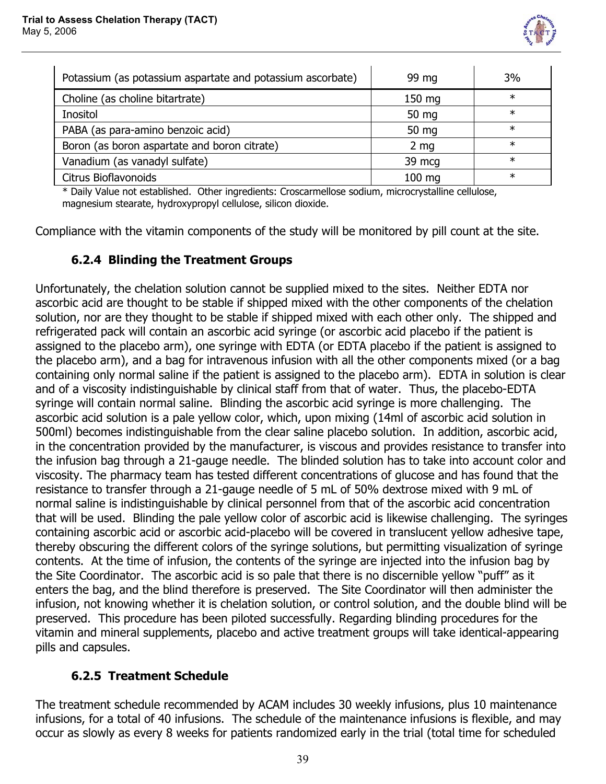

| Potassium (as potassium aspartate and potassium ascorbate) | 99 mg            | 3%     |
|------------------------------------------------------------|------------------|--------|
| Choline (as choline bitartrate)                            | 150 mg           | $\ast$ |
| <b>Inositol</b>                                            | 50 mg            | $\ast$ |
| PABA (as para-amino benzoic acid)                          | 50 mg            | $\ast$ |
| Boron (as boron aspartate and boron citrate)               | $2 \, \text{mg}$ | $\ast$ |
| Vanadium (as vanadyl sulfate)                              | 39 mcg           | $\ast$ |
| Citrus Bioflavonoids                                       | $100 \text{ mg}$ | $\ast$ |

\* Daily Value not established. Other ingredients: Croscarmellose sodium, microcrystalline cellulose, magnesium stearate, hydroxypropyl cellulose, silicon dioxide.

Compliance with the vitamin components of the study will be monitored by pill count at the site.

#### **6.2.4 Blinding the Treatment Groups**

Unfortunately, the chelation solution cannot be supplied mixed to the sites. Neither EDTA nor ascorbic acid are thought to be stable if shipped mixed with the other components of the chelation solution, nor are they thought to be stable if shipped mixed with each other only. The shipped and refrigerated pack will contain an ascorbic acid syringe (or ascorbic acid placebo if the patient is assigned to the placebo arm), one syringe with EDTA (or EDTA placebo if the patient is assigned to the placebo arm), and a bag for intravenous infusion with all the other components mixed (or a bag containing only normal saline if the patient is assigned to the placebo arm). EDTA in solution is clear and of a viscosity indistinguishable by clinical staff from that of water. Thus, the placebo-EDTA syringe will contain normal saline. Blinding the ascorbic acid syringe is more challenging. The ascorbic acid solution is a pale yellow color, which, upon mixing (14ml of ascorbic acid solution in 500ml) becomes indistinguishable from the clear saline placebo solution. In addition, ascorbic acid, in the concentration provided by the manufacturer, is viscous and provides resistance to transfer into the infusion bag through a 21-gauge needle. The blinded solution has to take into account color and viscosity. The pharmacy team has tested different concentrations of glucose and has found that the resistance to transfer through a 21-gauge needle of 5 mL of 50% dextrose mixed with 9 mL of normal saline is indistinguishable by clinical personnel from that of the ascorbic acid concentration that will be used. Blinding the pale yellow color of ascorbic acid is likewise challenging. The syringes containing ascorbic acid or ascorbic acid-placebo will be covered in translucent yellow adhesive tape, thereby obscuring the different colors of the syringe solutions, but permitting visualization of syringe contents. At the time of infusion, the contents of the syringe are injected into the infusion bag by the Site Coordinator. The ascorbic acid is so pale that there is no discernible yellow "puff" as it enters the bag, and the blind therefore is preserved. The Site Coordinator will then administer the infusion, not knowing whether it is chelation solution, or control solution, and the double blind will be preserved. This procedure has been piloted successfully. Regarding blinding procedures for the vitamin and mineral supplements, placebo and active treatment groups will take identical-appearing pills and capsules.

#### **6.2.5 Treatment Schedule**

The treatment schedule recommended by ACAM includes 30 weekly infusions, plus 10 maintenance infusions, for a total of 40 infusions. The schedule of the maintenance infusions is flexible, and may occur as slowly as every 8 weeks for patients randomized early in the trial (total time for scheduled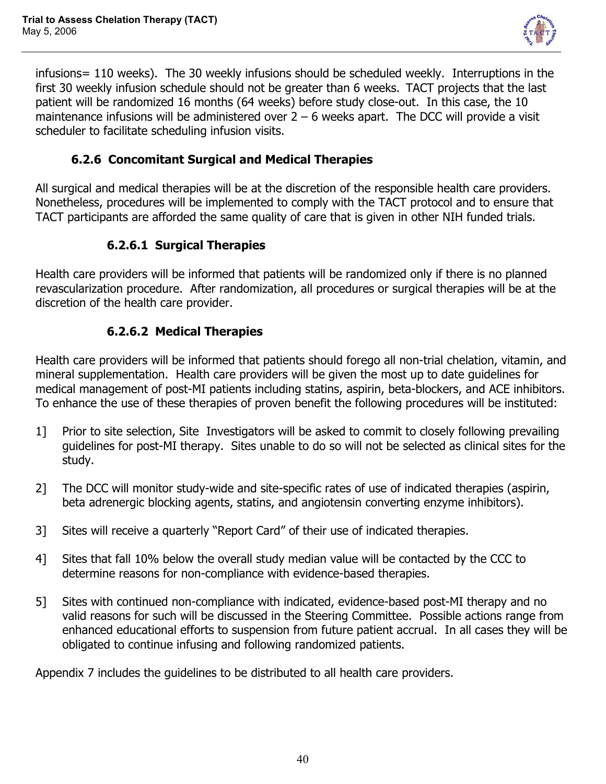

 first 30 weekly infusion schedule should not be greater than 6 weeks. TACT projects that the last infusions= 110 weeks). The 30 weekly infusions should be scheduled weekly. Interruptions in the patient will be randomized 16 months (64 weeks) before study close-out. In this case, the 10 maintenance infusions will be administered over  $2 - 6$  weeks apart. The DCC will provide a visit scheduler to facilitate scheduling infusion visits.

## **6.2.6 Concomitant Surgical and Medical Therapies**

All surgical and medical therapies will be at the discretion of the responsible health care providers. Nonetheless, procedures will be implemented to comply with the TACT protocol and to ensure that TACT participants are afforded the same quality of care that is given in other NIH funded trials.

## **6.2.6.1 Surgical Therapies**

Health care providers will be informed that patients will be randomized only if there is no planned revascularization procedure. After randomization, all procedures or surgical therapies will be at the discretion of the health care provider.

## **6.2.6.2 Medical Therapies**

Health care providers will be informed that patients should forego all non-trial chelation, vitamin, and mineral supplementation. Health care providers will be given the most up to date guidelines for medical management of post-MI patients including statins, aspirin, beta-blockers, and ACE inhibitors. To enhance the use of these therapies of proven benefit the following procedures will be instituted:

- 1] Prior to site selection, Site Investigators will be asked to commit to closely following prevailing guidelines for post-MI therapy. Sites unable to do so will not be selected as clinical sites for the study.
- 2] The DCC will monitor study-wide and site-specific rates of use of indicated therapies (aspirin, beta adrenergic blocking agents, statins, and angiotensin converting enzyme inhibitors).
- 3] Sites will receive a quarterly "Report Card" of their use of indicated therapies.
- 4] Sites that fall 10% below the overall study median value will be contacted by the CCC to determine reasons for non-compliance with evidence-based therapies.
- 5] Sites with continued non-compliance with indicated, evidence-based post-MI therapy and no valid reasons for such will be discussed in the Steering Committee. Possible actions range from enhanced educational efforts to suspension from future patient accrual. In all cases they will be obligated to continue infusing and following randomized patients.

Appendix 7 includes the guidelines to be distributed to all health care providers.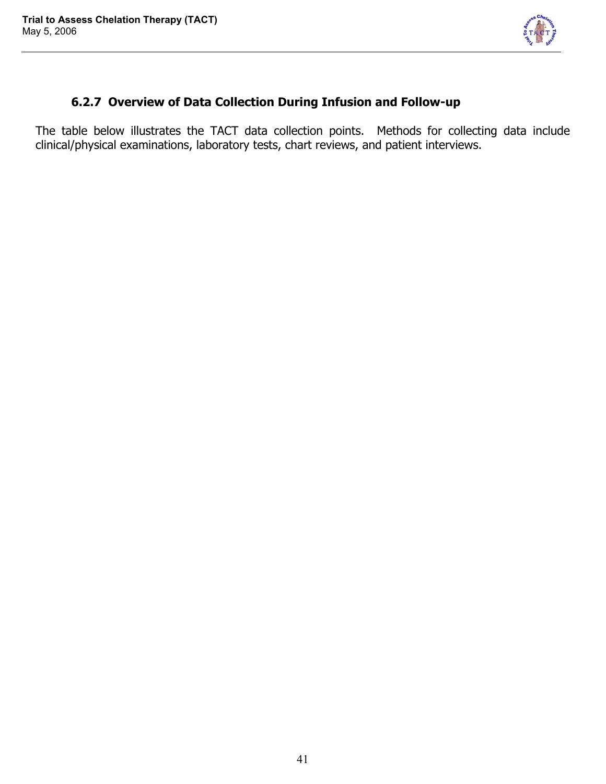

## **6.2.7 Overview of Data Collection During Infusion and Follow-up**

The table below illustrates the TACT data collection points. Methods for collecting data include clinical/physical examinations, laboratory tests, chart reviews, and patient interviews.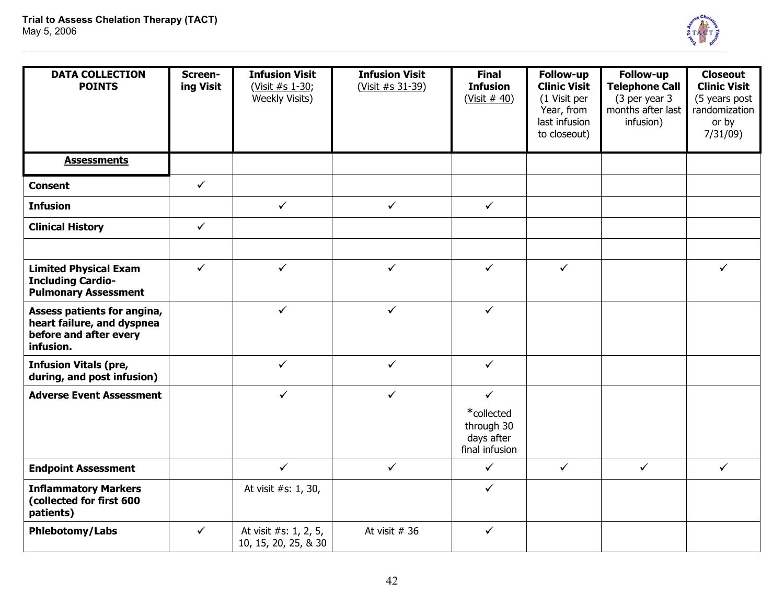

| <b>DATA COLLECTION</b><br><b>POINTS</b>                                                          | Screen-<br>ing Visit | <b>Infusion Visit</b><br>(Visit #s 1-30;<br>Weekly Visits) | <b>Infusion Visit</b><br>(Visit #s 31-39) | <b>Final</b><br><b>Infusion</b><br>(Visit # 40)          | Follow-up<br><b>Clinic Visit</b><br>(1 Visit per<br>Year, from<br>last infusion<br>to closeout) | Follow-up<br><b>Telephone Call</b><br>(3 per year 3<br>months after last<br>infusion) | <b>Closeout</b><br><b>Clinic Visit</b><br>(5 years post<br>randomization<br>or by<br>7/31/09 |
|--------------------------------------------------------------------------------------------------|----------------------|------------------------------------------------------------|-------------------------------------------|----------------------------------------------------------|-------------------------------------------------------------------------------------------------|---------------------------------------------------------------------------------------|----------------------------------------------------------------------------------------------|
| <b>Assessments</b>                                                                               |                      |                                                            |                                           |                                                          |                                                                                                 |                                                                                       |                                                                                              |
| <b>Consent</b>                                                                                   | $\checkmark$         |                                                            |                                           |                                                          |                                                                                                 |                                                                                       |                                                                                              |
| <b>Infusion</b>                                                                                  |                      | $\checkmark$                                               | $\checkmark$                              | $\checkmark$                                             |                                                                                                 |                                                                                       |                                                                                              |
| <b>Clinical History</b>                                                                          | $\checkmark$         |                                                            |                                           |                                                          |                                                                                                 |                                                                                       |                                                                                              |
|                                                                                                  |                      |                                                            |                                           |                                                          |                                                                                                 |                                                                                       |                                                                                              |
| <b>Limited Physical Exam</b><br><b>Including Cardio-</b><br><b>Pulmonary Assessment</b>          | $\checkmark$         | $\checkmark$                                               | $\checkmark$                              | $\checkmark$                                             | $\checkmark$                                                                                    |                                                                                       | ✓                                                                                            |
| Assess patients for angina,<br>heart failure, and dyspnea<br>before and after every<br>infusion. |                      | $\checkmark$                                               | $\checkmark$                              | $\checkmark$                                             |                                                                                                 |                                                                                       |                                                                                              |
| <b>Infusion Vitals (pre,</b><br>during, and post infusion)                                       |                      | $\checkmark$                                               | $\checkmark$                              | $\checkmark$                                             |                                                                                                 |                                                                                       |                                                                                              |
| <b>Adverse Event Assessment</b>                                                                  |                      | $\checkmark$                                               | $\checkmark$                              | $\checkmark$                                             |                                                                                                 |                                                                                       |                                                                                              |
|                                                                                                  |                      |                                                            |                                           | *collected<br>through 30<br>days after<br>final infusion |                                                                                                 |                                                                                       |                                                                                              |
| <b>Endpoint Assessment</b>                                                                       |                      | $\checkmark$                                               | $\checkmark$                              | $\checkmark$                                             | $\checkmark$                                                                                    | $\checkmark$                                                                          | $\checkmark$                                                                                 |
| <b>Inflammatory Markers</b><br>(collected for first 600<br>patients)                             |                      | At visit #s: 1, 30,                                        |                                           | $\checkmark$                                             |                                                                                                 |                                                                                       |                                                                                              |
| <b>Phlebotomy/Labs</b>                                                                           | $\checkmark$         | At visit #s: 1, 2, 5,<br>10, 15, 20, 25, & 30              | At visit $# 36$                           | $\checkmark$                                             |                                                                                                 |                                                                                       |                                                                                              |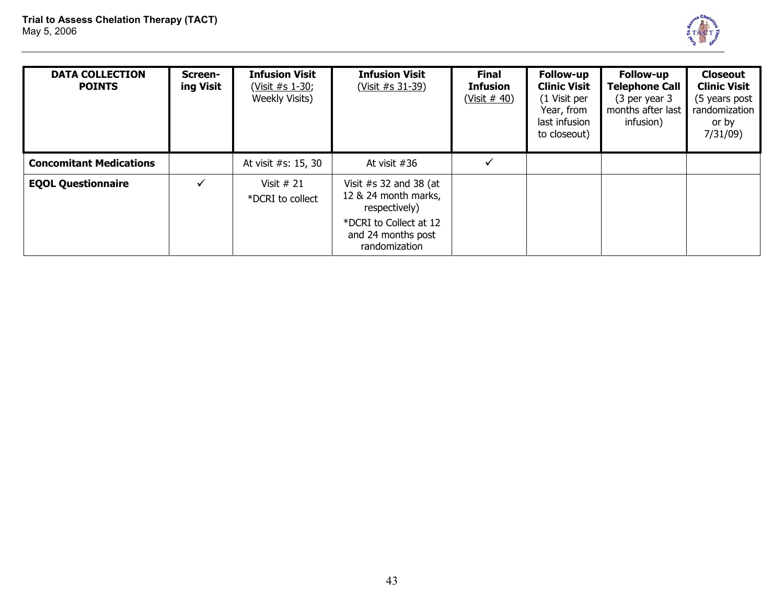

| <b>DATA COLLECTION</b><br><b>POINTS</b> | Screen-<br>ing Visit | <b>Infusion Visit</b><br>(Visit #s 1-30;<br>Weekly Visits) | <b>Infusion Visit</b><br>(Visit #s 31-39)                                                                                          | <b>Final</b><br><b>Infusion</b><br>(Visit # 40) | Follow-up<br><b>Clinic Visit</b><br>(1 Visit per<br>Year, from<br>last infusion<br>to closeout) | Follow-up<br><b>Telephone Call</b><br>(3 per year 3<br>months after last<br>infusion) | <b>Closeout</b><br><b>Clinic Visit</b><br>(5 years post<br>randomization<br>or by<br>7/31/09) |
|-----------------------------------------|----------------------|------------------------------------------------------------|------------------------------------------------------------------------------------------------------------------------------------|-------------------------------------------------|-------------------------------------------------------------------------------------------------|---------------------------------------------------------------------------------------|-----------------------------------------------------------------------------------------------|
| <b>Concomitant Medications</b>          |                      | At visit #s: 15, 30                                        | At visit $#36$                                                                                                                     | ✓                                               |                                                                                                 |                                                                                       |                                                                                               |
| <b>EQOL Questionnaire</b>               |                      | Visit $#21$<br>*DCRI to collect                            | Visit $#s$ 32 and 38 (at<br>12 & 24 month marks,<br>respectively)<br>*DCRI to Collect at 12<br>and 24 months post<br>randomization |                                                 |                                                                                                 |                                                                                       |                                                                                               |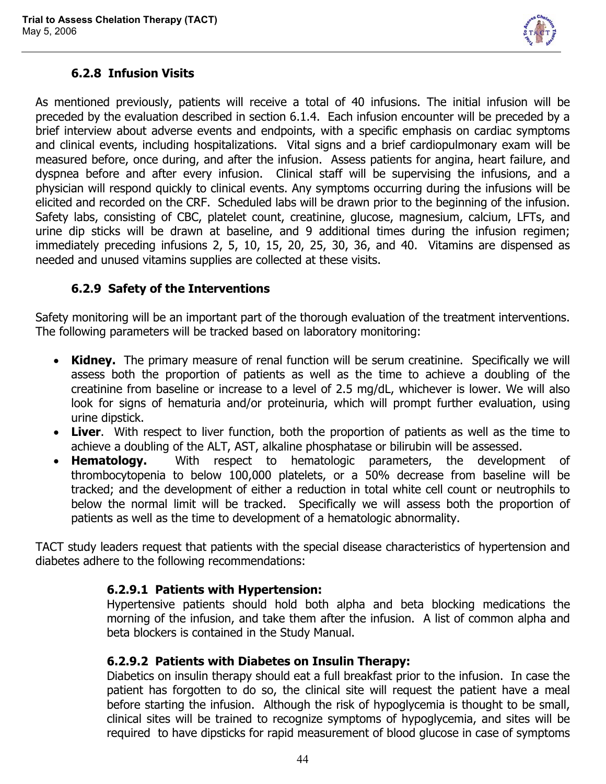

### **6.2.8 Infusion Visits**

As mentioned previously, patients will receive a total of 40 infusions. The initial infusion will be preceded by the evaluation described in section 6.1.4. Each infusion encounter will be preceded by a brief interview about adverse events and endpoints, with a specific emphasis on cardiac symptoms and clinical events, including hospitalizations. Vital signs and a brief cardiopulmonary exam will be measured before, once during, and after the infusion. Assess patients for angina, heart failure, and dyspnea before and after every infusion. Clinical staff will be supervising the infusions, and a physician will respond quickly to clinical events. Any symptoms occurring during the infusions will be elicited and recorded on the CRF. Scheduled labs will be drawn prior to the beginning of the infusion. Safety labs, consisting of CBC, platelet count, creatinine, glucose, magnesium, calcium, LFTs, and urine dip sticks will be drawn at baseline, and 9 additional times during the infusion regimen; immediately preceding infusions 2, 5, 10, 15, 20, 25, 30, 36, and 40. Vitamins are dispensed as needed and unused vitamins supplies are collected at these visits.

#### **6.2.9 Safety of the Interventions**

Safety monitoring will be an important part of the thorough evaluation of the treatment interventions. The following parameters will be tracked based on laboratory monitoring:

- • **Kidney.** The primary measure of renal function will be serum creatinine. Specifically we will assess both the proportion of patients as well as the time to achieve a doubling of the creatinine from baseline or increase to a level of 2.5 mg/dL, whichever is lower. We will also look for signs of hematuria and/or proteinuria, which will prompt further evaluation, using urine dipstick.
- Liver. With respect to liver function, both the proportion of patients as well as the time to achieve a doubling of the ALT, AST, alkaline phosphatase or bilirubin will be assessed.
- • **Hematology.** With respect to hematologic parameters, the development of thrombocytopenia to below 100,000 platelets, or a 50% decrease from baseline will be tracked; and the development of either a reduction in total white cell count or neutrophils to below the normal limit will be tracked. Specifically we will assess both the proportion of patients as well as the time to development of a hematologic abnormality.

TACT study leaders request that patients with the special disease characteristics of hypertension and diabetes adhere to the following recommendations:

#### **6.2.9.1 Patients with Hypertension:**

 beta blockers is contained in the Study Manual. Hypertensive patients should hold both alpha and beta blocking medications the morning of the infusion, and take them after the infusion. A list of common alpha and

#### **6.2.9.2 Patients with Diabetes on Insulin Therapy:**

Diabetics on insulin therapy should eat a full breakfast prior to the infusion. In case the patient has forgotten to do so, the clinical site will request the patient have a meal before starting the infusion. Although the risk of hypoglycemia is thought to be small, clinical sites will be trained to recognize symptoms of hypoglycemia, and sites will be required to have dipsticks for rapid measurement of blood glucose in case of symptoms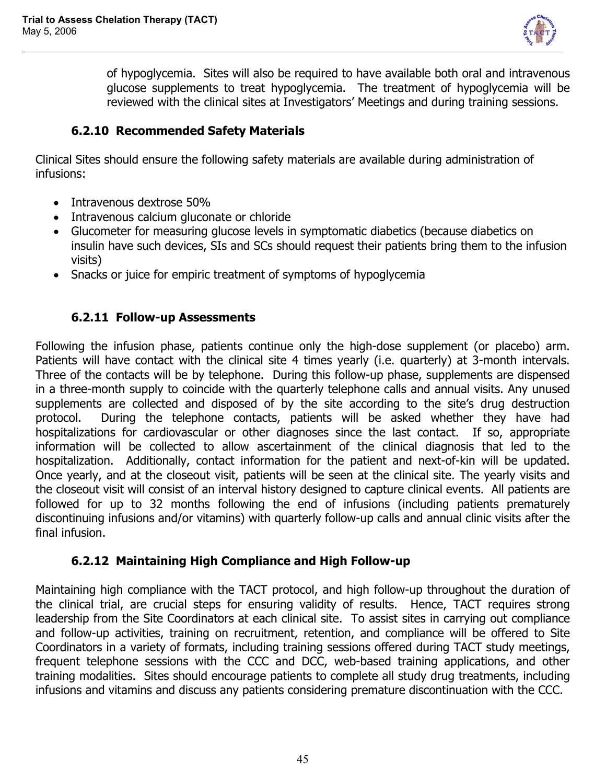

of hypoglycemia. Sites will also be required to have available both oral and intravenous glucose supplements to treat hypoglycemia. The treatment of hypoglycemia will be reviewed with the clinical sites at Investigators' Meetings and during training sessions.

### **6.2.10 Recommended Safety Materials**

Clinical Sites should ensure the following safety materials are available during administration of infusions:

- • Intravenous dextrose 50%
- • Intravenous calcium gluconate or chloride
- Glucometer for measuring glucose levels in symptomatic diabetics (because diabetics on insulin have such devices, SIs and SCs should request their patients bring them to the infusion visits)
- Snacks or juice for empiric treatment of symptoms of hypoglycemia

## **6.2.11 Follow-up Assessments**

Following the infusion phase, patients continue only the high-dose supplement (or placebo) arm. Patients will have contact with the clinical site 4 times yearly (i.e. quarterly) at 3-month intervals. Three of the contacts will be by telephone. During this follow-up phase, supplements are dispensed in a three-month supply to coincide with the quarterly telephone calls and annual visits. Any unused supplements are collected and disposed of by the site according to the site's drug destruction protocol. During the telephone contacts, patients will be asked whether they have had hospitalizations for cardiovascular or other diagnoses since the last contact. If so, appropriate information will be collected to allow ascertainment of the clinical diagnosis that led to the hospitalization. Additionally, contact information for the patient and next-of-kin will be updated. Once yearly, and at the closeout visit, patients will be seen at the clinical site. The yearly visits and the closeout visit will consist of an interval history designed to capture clinical events. All patients are followed for up to 32 months following the end of infusions (including patients prematurely discontinuing infusions and/or vitamins) with quarterly follow-up calls and annual clinic visits after the final infusion.

#### **6.2.12 Maintaining High Compliance and High Follow-up**

Maintaining high compliance with the TACT protocol, and high follow-up throughout the duration of the clinical trial, are crucial steps for ensuring validity of results. Hence, TACT requires strong leadership from the Site Coordinators at each clinical site. To assist sites in carrying out compliance and follow-up activities, training on recruitment, retention, and compliance will be offered to Site Coordinators in a variety of formats, including training sessions offered during TACT study meetings, frequent telephone sessions with the CCC and DCC, web-based training applications, and other training modalities. Sites should encourage patients to complete all study drug treatments, including infusions and vitamins and discuss any patients considering premature discontinuation with the CCC.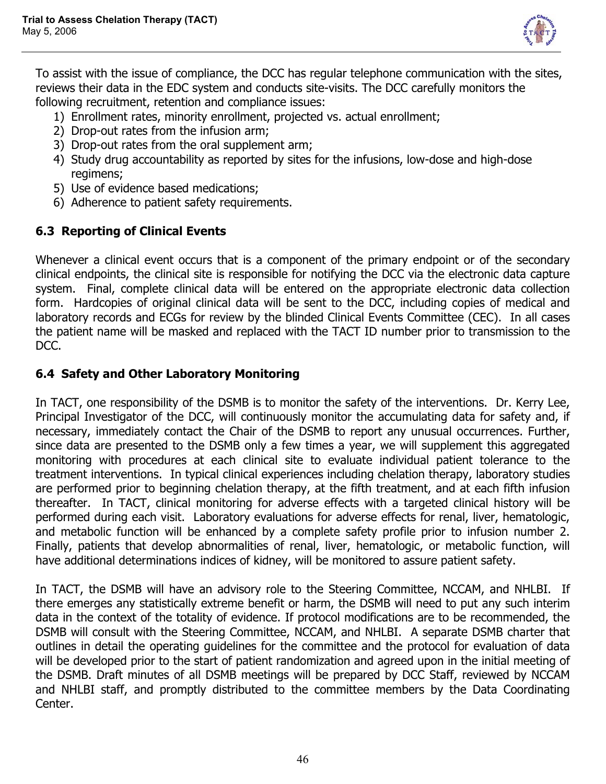

To assist with the issue of compliance, the DCC has regular telephone communication with the sites, reviews their data in the EDC system and conducts site-visits. The DCC carefully monitors the following recruitment, retention and compliance issues:

- 1) Enrollment rates, minority enrollment, projected vs. actual enrollment;
- 2) Drop-out rates from the infusion arm;
- 3) Drop-out rates from the oral supplement arm;
- 4) Study drug accountability as reported by sites for the infusions, low-dose and high-dose regimens;
- 5) Use of evidence based medications;
- 6) Adherence to patient safety requirements.

## **6.3 Reporting of Clinical Events**

Whenever a clinical event occurs that is a component of the primary endpoint or of the secondary clinical endpoints, the clinical site is responsible for notifying the DCC via the electronic data capture system. Final, complete clinical data will be entered on the appropriate electronic data collection form. Hardcopies of original clinical data will be sent to the DCC, including copies of medical and laboratory records and ECGs for review by the blinded Clinical Events Committee (CEC). In all cases the patient name will be masked and replaced with the TACT ID number prior to transmission to the DCC.

## **6.4 Safety and Other Laboratory Monitoring**

and metabolic function will be enhanced by a complete safety profile prior to infusion number 2. In TACT, one responsibility of the DSMB is to monitor the safety of the interventions. Dr. Kerry Lee, Principal Investigator of the DCC, will continuously monitor the accumulating data for safety and, if necessary, immediately contact the Chair of the DSMB to report any unusual occurrences. Further, since data are presented to the DSMB only a few times a year, we will supplement this aggregated monitoring with procedures at each clinical site to evaluate individual patient tolerance to the treatment interventions. In typical clinical experiences including chelation therapy, laboratory studies are performed prior to beginning chelation therapy, at the fifth treatment, and at each fifth infusion thereafter. In TACT, clinical monitoring for adverse effects with a targeted clinical history will be performed during each visit. Laboratory evaluations for adverse effects for renal, liver, hematologic, Finally, patients that develop abnormalities of renal, liver, hematologic, or metabolic function, will have additional determinations indices of kidney, will be monitored to assure patient safety.

In TACT, the DSMB will have an advisory role to the Steering Committee, NCCAM, and NHLBI. If there emerges any statistically extreme benefit or harm, the DSMB will need to put any such interim data in the context of the totality of evidence. If protocol modifications are to be recommended, the DSMB will consult with the Steering Committee, NCCAM, and NHLBI. A separate DSMB charter that outlines in detail the operating guidelines for the committee and the protocol for evaluation of data will be developed prior to the start of patient randomization and agreed upon in the initial meeting of the DSMB. Draft minutes of all DSMB meetings will be prepared by DCC Staff, reviewed by NCCAM and NHLBI staff, and promptly distributed to the committee members by the Data Coordinating Center.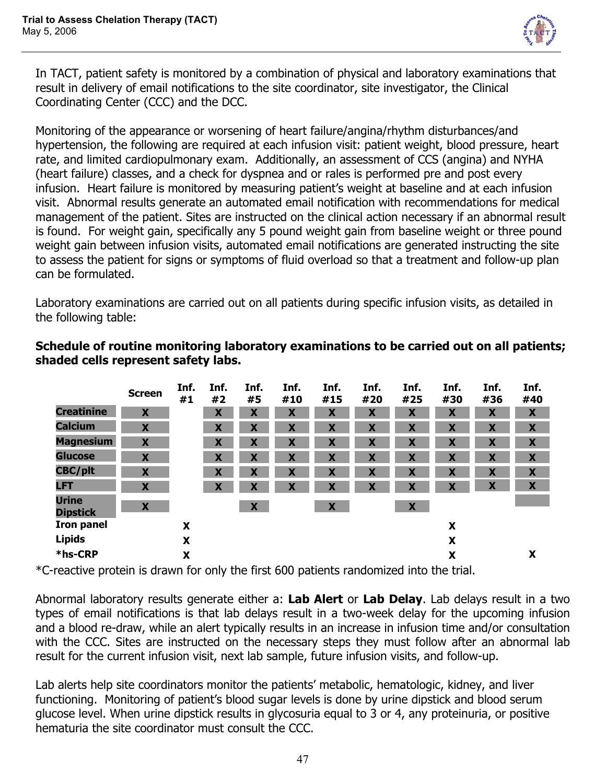

In TACT, patient safety is monitored by a combination of physical and laboratory examinations that result in delivery of email notifications to the site coordinator, site investigator, the Clinical Coordinating Center (CCC) and the DCC.

Monitoring of the appearance or worsening of heart failure/angina/rhythm disturbances/and hypertension, the following are required at each infusion visit: patient weight, blood pressure, heart rate, and limited cardiopulmonary exam. Additionally, an assessment of CCS (angina) and NYHA (heart failure) classes, and a check for dyspnea and or rales is performed pre and post every infusion. Heart failure is monitored by measuring patient's weight at baseline and at each infusion visit. Abnormal results generate an automated email notification with recommendations for medical management of the patient. Sites are instructed on the clinical action necessary if an abnormal result is found. For weight gain, specifically any 5 pound weight gain from baseline weight or three pound weight gain between infusion visits, automated email notifications are generated instructing the site to assess the patient for signs or symptoms of fluid overload so that a treatment and follow-up plan can be formulated.

Laboratory examinations are carried out on all patients during specific infusion visits, as detailed in the following table:



**Schedule of routine monitoring laboratory examinations to be carried out on all patients; shaded cells represent safety labs.** 

\*C-reactive protein is drawn for only the first 600 patients randomized into the trial.

Abnormal laboratory results generate either a: **Lab Alert** or **Lab Delay**. Lab delays result in a two types of email notifications is that lab delays result in a two-week delay for the upcoming infusion and a blood re-draw, while an alert typically results in an increase in infusion time and/or consultation with the CCC. Sites are instructed on the necessary steps they must follow after an abnormal lab result for the current infusion visit, next lab sample, future infusion visits, and follow-up.

Lab alerts help site coordinators monitor the patients' metabolic, hematologic, kidney, and liver functioning. Monitoring of patient's blood sugar levels is done by urine dipstick and blood serum glucose level. When urine dipstick results in glycosuria equal to 3 or 4, any proteinuria, or positive hematuria the site coordinator must consult the CCC.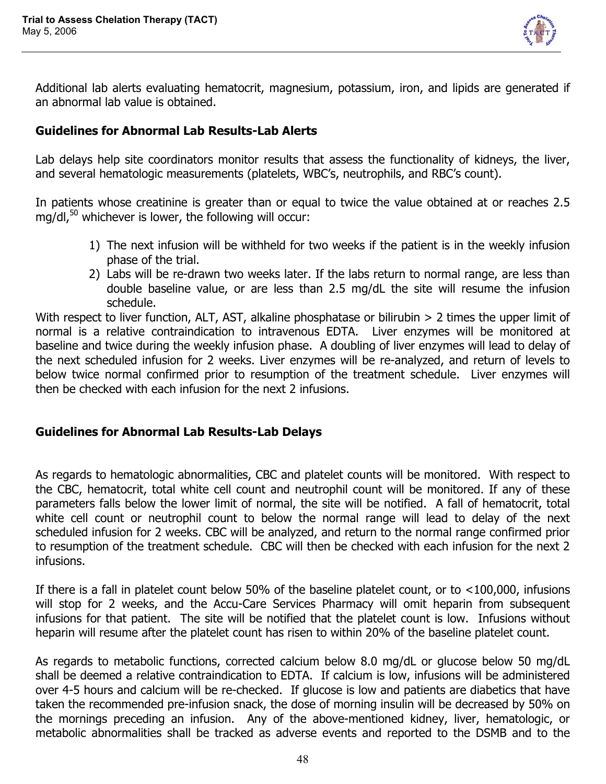

Additional lab alerts evaluating hematocrit, magnesium, potassium, iron, and lipids are generated if an abnormal lab value is obtained.

#### **Guidelines for Abnormal Lab Results-Lab Alerts**

Lab delays help site coordinators monitor results that assess the functionality of kidneys, the liver, and several hematologic measurements (platelets, WBC's, neutrophils, and RBC's count).

In patients whose creatinine is greater than or equal to twice the value obtained at or reaches 2.5  $mg/dl$ ,<sup>50</sup> whichever is lower, the following will occur:

- 1) The next infusion will be withheld for two weeks if the patient is in the weekly infusion phase of the trial.
- 2) Labs will be re-drawn two weeks later. If the labs return to normal range, are less than double baseline value, or are less than 2.5 mg/dL the site will resume the infusion schedule.

With respect to liver function, ALT, AST, alkaline phosphatase or bilirubin > 2 times the upper limit of normal is a relative contraindication to intravenous EDTA. Liver enzymes will be monitored at baseline and twice during the weekly infusion phase. A doubling of liver enzymes will lead to delay of the next scheduled infusion for 2 weeks. Liver enzymes will be re-analyzed, and return of levels to below twice normal confirmed prior to resumption of the treatment schedule. Liver enzymes will then be checked with each infusion for the next 2 infusions.

#### **Guidelines for Abnormal Lab Results-Lab Delays**

As regards to hematologic abnormalities, CBC and platelet counts will be monitored. With respect to the CBC, hematocrit, total white cell count and neutrophil count will be monitored. If any of these parameters falls below the lower limit of normal, the site will be notified. A fall of hematocrit, total white cell count or neutrophil count to below the normal range will lead to delay of the next scheduled infusion for 2 weeks. CBC will be analyzed, and return to the normal range confirmed prior to resumption of the treatment schedule. CBC will then be checked with each infusion for the next 2 infusions.

If there is a fall in platelet count below 50% of the baseline platelet count, or to <100,000, infusions will stop for 2 weeks, and the Accu-Care Services Pharmacy will omit heparin from subsequent infusions for that patient. The site will be notified that the platelet count is low. Infusions without heparin will resume after the platelet count has risen to within 20% of the baseline platelet count.

As regards to metabolic functions, corrected calcium below 8.0 mg/dL or glucose below 50 mg/dL shall be deemed a relative contraindication to EDTA. If calcium is low, infusions will be administered over 4-5 hours and calcium will be re-checked. If glucose is low and patients are diabetics that have taken the recommended pre-infusion snack, the dose of morning insulin will be decreased by 50% on the mornings preceding an infusion. Any of the above-mentioned kidney, liver, hematologic, or metabolic abnormalities shall be tracked as adverse events and reported to the DSMB and to the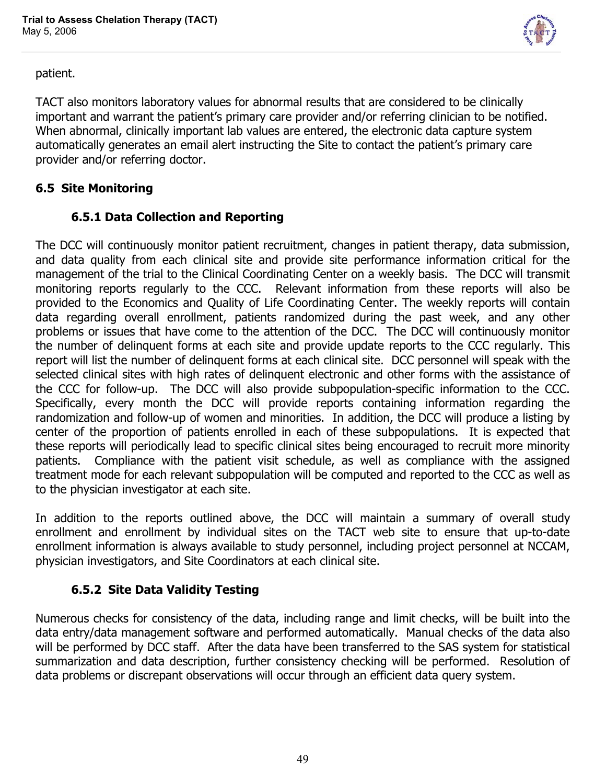patient.

TACT also monitors laboratory values for abnormal results that are considered to be clinically important and warrant the patient's primary care provider and/or referring clinician to be notified. When abnormal, clinically important lab values are entered, the electronic data capture system automatically generates an email alert instructing the Site to contact the patient's primary care provider and/or referring doctor.

## **6.5 Site Monitoring**

# **6.5.1 Data Collection and Reporting**

The DCC will continuously monitor patient recruitment, changes in patient therapy, data submission, and data quality from each clinical site and provide site performance information critical for the management of the trial to the Clinical Coordinating Center on a weekly basis. The DCC will transmit monitoring reports regularly to the CCC. Relevant information from these reports will also be provided to the Economics and Quality of Life Coordinating Center. The weekly reports will contain data regarding overall enrollment, patients randomized during the past week, and any other problems or issues that have come to the attention of the DCC. The DCC will continuously monitor the number of delinquent forms at each site and provide update reports to the CCC regularly. This report will list the number of delinquent forms at each clinical site. DCC personnel will speak with the selected clinical sites with high rates of delinquent electronic and other forms with the assistance of the CCC for follow-up. The DCC will also provide subpopulation-specific information to the CCC. Specifically, every month the DCC will provide reports containing information regarding the randomization and follow-up of women and minorities. In addition, the DCC will produce a listing by center of the proportion of patients enrolled in each of these subpopulations. It is expected that these reports will periodically lead to specific clinical sites being encouraged to recruit more minority patients. Compliance with the patient visit schedule, as well as compliance with the assigned treatment mode for each relevant subpopulation will be computed and reported to the CCC as well as to the physician investigator at each site.

In addition to the reports outlined above, the DCC will maintain a summary of overall study enrollment and enrollment by individual sites on the TACT web site to ensure that up-to-date enrollment information is always available to study personnel, including project personnel at NCCAM, physician investigators, and Site Coordinators at each clinical site.

# **6.5.2 Site Data Validity Testing**

Numerous checks for consistency of the data, including range and limit checks, will be built into the data entry/data management software and performed automatically. Manual checks of the data also will be performed by DCC staff. After the data have been transferred to the SAS system for statistical summarization and data description, further consistency checking will be performed. Resolution of data problems or discrepant observations will occur through an efficient data query system.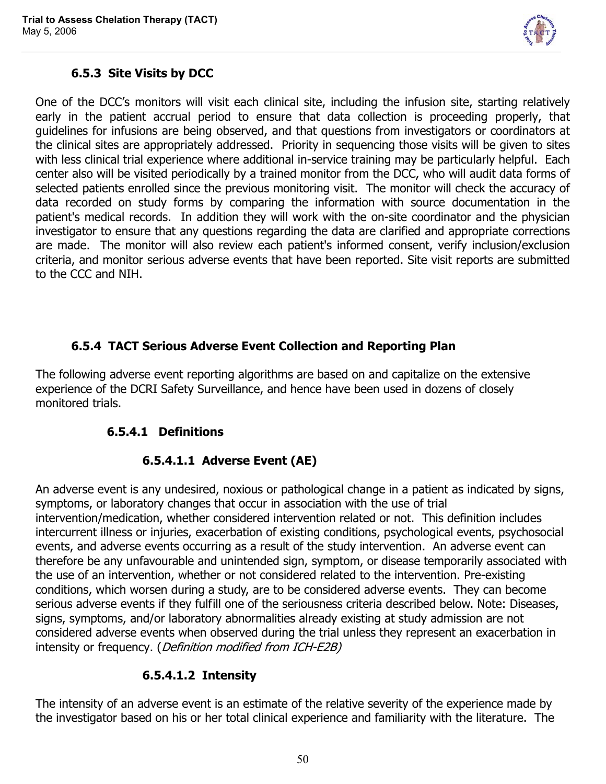

### **6.5.3 Site Visits by DCC**

One of the DCC's monitors will visit each clinical site, including the infusion site, starting relatively early in the patient accrual period to ensure that data collection is proceeding properly, that guidelines for infusions are being observed, and that questions from investigators or coordinators at the clinical sites are appropriately addressed. Priority in sequencing those visits will be given to sites with less clinical trial experience where additional in-service training may be particularly helpful. Each center also will be visited periodically by a trained monitor from the DCC, who will audit data forms of selected patients enrolled since the previous monitoring visit. The monitor will check the accuracy of data recorded on study forms by comparing the information with source documentation in the patient's medical records. In addition they will work with the on-site coordinator and the physician investigator to ensure that any questions regarding the data are clarified and appropriate corrections are made. The monitor will also review each patient's informed consent, verify inclusion/exclusion criteria, and monitor serious adverse events that have been reported. Site visit reports are submitted to the CCC and NIH.

#### **6.5.4 TACT Serious Adverse Event Collection and Reporting Plan**

The following adverse event reporting algorithms are based on and capitalize on the extensive experience of the DCRI Safety Surveillance, and hence have been used in dozens of closely monitored trials.

#### **6.5.4.1 Definitions**

## **6.5.4.1.1 Adverse Event (AE)**

An adverse event is any undesired, noxious or pathological change in a patient as indicated by signs, symptoms, or laboratory changes that occur in association with the use of trial intervention/medication, whether considered intervention related or not. This definition includes intercurrent illness or injuries, exacerbation of existing conditions, psychological events, psychosocial events, and adverse events occurring as a result of the study intervention. An adverse event can therefore be any unfavourable and unintended sign, symptom, or disease temporarily associated with the use of an intervention, whether or not considered related to the intervention. Pre-existing conditions, which worsen during a study, are to be considered adverse events. They can become serious adverse events if they fulfill one of the seriousness criteria described below. Note: Diseases, signs, symptoms, and/or laboratory abnormalities already existing at study admission are not considered adverse events when observed during the trial unless they represent an exacerbation in intensity or frequency. (Definition modified from ICH-E2B)

## **6.5.4.1.2 Intensity**

The intensity of an adverse event is an estimate of the relative severity of the experience made by the investigator based on his or her total clinical experience and familiarity with the literature. The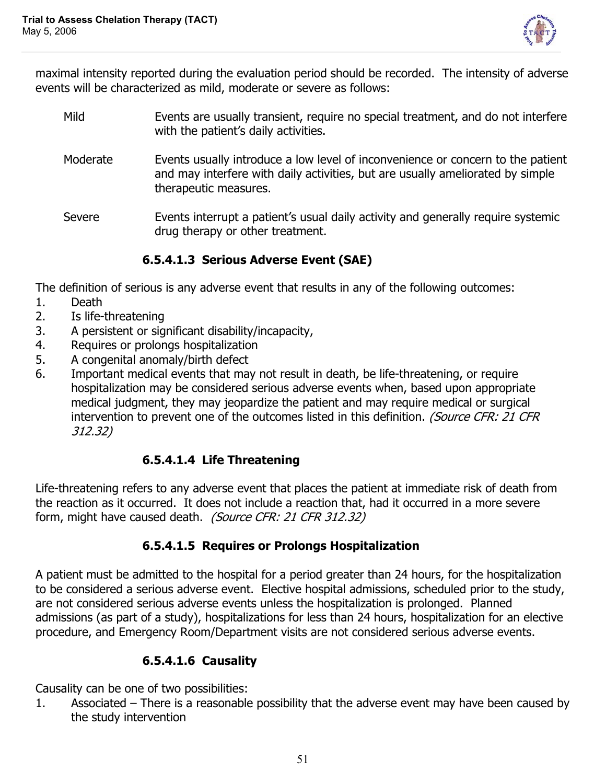

maximal intensity reported during the evaluation period should be recorded. The intensity of adverse events will be characterized as mild, moderate or severe as follows:

- Mild Events are usually transient, require no special treatment, and do not interfere with the patient's daily activities.
- Moderate Events usually introduce a low level of inconvenience or concern to the patient and may interfere with daily activities, but are usually ameliorated by simple therapeutic measures.
- Severe Events interrupt a patient's usual daily activity and generally require systemic drug therapy or other treatment.

# **6.5.4.1.3 Serious Adverse Event (SAE)**

The definition of serious is any adverse event that results in any of the following outcomes:

- 1. Death
- 2. Is life-threatening
- 3. A persistent or significant disability/incapacity,
- 4. Requires or prolongs hospitalization
- 5. A congenital anomaly/birth defect
- 6. Important medical events that may not result in death, be life-threatening, or require hospitalization may be considered serious adverse events when, based upon appropriate medical judgment, they may jeopardize the patient and may require medical or surgical intervention to prevent one of the outcomes listed in this definition. *(Source CFR: 21 CFR* 312.32)

## **6.5.4.1.4 Life Threatening**

Life-threatening refers to any adverse event that places the patient at immediate risk of death from the reaction as it occurred. It does not include a reaction that, had it occurred in a more severe form, might have caused death. (Source CFR: 21 CFR 312.32)

## **6.5.4.1.5 Requires or Prolongs Hospitalization**

A patient must be admitted to the hospital for a period greater than 24 hours, for the hospitalization to be considered a serious adverse event. Elective hospital admissions, scheduled prior to the study, are not considered serious adverse events unless the hospitalization is prolonged. Planned admissions (as part of a study), hospitalizations for less than 24 hours, hospitalization for an elective procedure, and Emergency Room/Department visits are not considered serious adverse events.

## **6.5.4.1.6 Causality**

Causality can be one of two possibilities:

1. Associated – There is a reasonable possibility that the adverse event may have been caused by the study intervention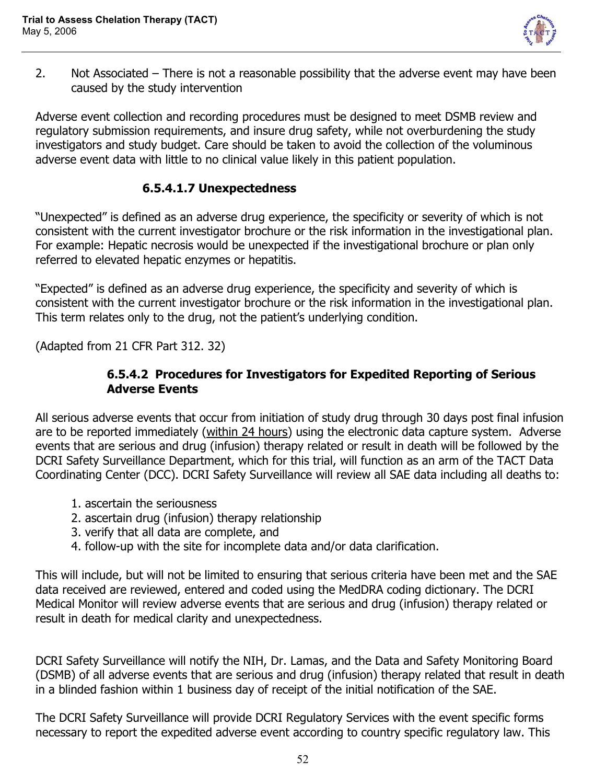

2. Not Associated – There is not a reasonable possibility that the adverse event may have been caused by the study intervention

Adverse event collection and recording procedures must be designed to meet DSMB review and regulatory submission requirements, and insure drug safety, while not overburdening the study investigators and study budget. Care should be taken to avoid the collection of the voluminous adverse event data with little to no clinical value likely in this patient population.

## **6.5.4.1.7 Unexpectedness**

"Unexpected" is defined as an adverse drug experience, the specificity or severity of which is not consistent with the current investigator brochure or the risk information in the investigational plan. For example: Hepatic necrosis would be unexpected if the investigational brochure or plan only referred to elevated hepatic enzymes or hepatitis.

"Expected" is defined as an adverse drug experience, the specificity and severity of which is consistent with the current investigator brochure or the risk information in the investigational plan. This term relates only to the drug, not the patient's underlying condition.

(Adapted from 21 CFR Part 312. 32)

## **6.5.4.2 Procedures for Investigators for Expedited Reporting of Serious Adverse Events**

events that are serious and drug (infusion) therapy related or result in death will be followed by the All serious adverse events that occur from initiation of study drug through 30 days post final infusion are to be reported immediately (within 24 hours) using the electronic data capture system. Adverse DCRI Safety Surveillance Department, which for this trial, will function as an arm of the TACT Data Coordinating Center (DCC). DCRI Safety Surveillance will review all SAE data including all deaths to:

- 1. ascertain the seriousness
- 2. ascertain drug (infusion) therapy relationship
- 3. verify that all data are complete, and
- 4. follow-up with the site for incomplete data and/or data clarification.

This will include, but will not be limited to ensuring that serious criteria have been met and the SAE data received are reviewed, entered and coded using the MedDRA coding dictionary. The DCRI Medical Monitor will review adverse events that are serious and drug (infusion) therapy related or result in death for medical clarity and unexpectedness.

DCRI Safety Surveillance will notify the NIH, Dr. Lamas, and the Data and Safety Monitoring Board (DSMB) of all adverse events that are serious and drug (infusion) therapy related that result in death in a blinded fashion within 1 business day of receipt of the initial notification of the SAE.

The DCRI Safety Surveillance will provide DCRI Regulatory Services with the event specific forms necessary to report the expedited adverse event according to country specific regulatory law. This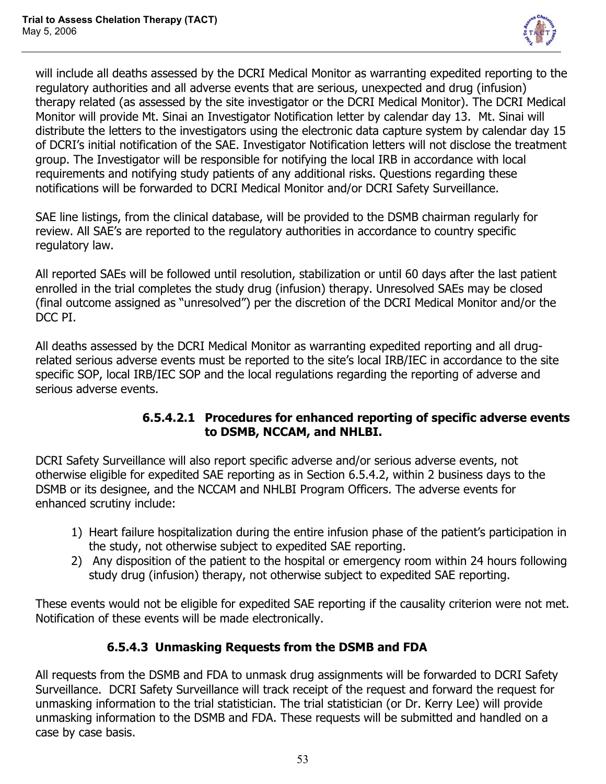

will include all deaths assessed by the DCRI Medical Monitor as warranting expedited reporting to the regulatory authorities and all adverse events that are serious, unexpected and drug (infusion) therapy related (as assessed by the site investigator or the DCRI Medical Monitor). The DCRI Medical Monitor will provide Mt. Sinai an Investigator Notification letter by calendar day 13. Mt. Sinai will distribute the letters to the investigators using the electronic data capture system by calendar day 15 of DCRI's initial notification of the SAE. Investigator Notification letters will not disclose the treatment group. The Investigator will be responsible for notifying the local IRB in accordance with local requirements and notifying study patients of any additional risks. Questions regarding these notifications will be forwarded to DCRI Medical Monitor and/or DCRI Safety Surveillance.

SAE line listings, from the clinical database, will be provided to the DSMB chairman regularly for review. All SAE's are reported to the regulatory authorities in accordance to country specific regulatory law.

All reported SAEs will be followed until resolution, stabilization or until 60 days after the last patient enrolled in the trial completes the study drug (infusion) therapy. Unresolved SAEs may be closed (final outcome assigned as "unresolved") per the discretion of the DCRI Medical Monitor and/or the DCC PI.

All deaths assessed by the DCRI Medical Monitor as warranting expedited reporting and all drugrelated serious adverse events must be reported to the site's local IRB/IEC in accordance to the site specific SOP, local IRB/IEC SOP and the local regulations regarding the reporting of adverse and serious adverse events.

#### **6.5.4.2.1 Procedures for enhanced reporting of specific adverse events to DSMB, NCCAM, and NHLBI.**

DCRI Safety Surveillance will also report specific adverse and/or serious adverse events, not otherwise eligible for expedited SAE reporting as in Section 6.5.4.2, within 2 business days to the DSMB or its designee, and the NCCAM and NHLBI Program Officers. The adverse events for enhanced scrutiny include:

- 1) Heart failure hospitalization during the entire infusion phase of the patient's participation in the study, not otherwise subject to expedited SAE reporting.
- 2) Any disposition of the patient to the hospital or emergency room within 24 hours following study drug (infusion) therapy, not otherwise subject to expedited SAE reporting.

These events would not be eligible for expedited SAE reporting if the causality criterion were not met. Notification of these events will be made electronically.

## **6.5.4.3 Unmasking Requests from the DSMB and FDA**

All requests from the DSMB and FDA to unmask drug assignments will be forwarded to DCRI Safety Surveillance. DCRI Safety Surveillance will track receipt of the request and forward the request for unmasking information to the trial statistician. The trial statistician (or Dr. Kerry Lee) will provide unmasking information to the DSMB and FDA. These requests will be submitted and handled on a case by case basis.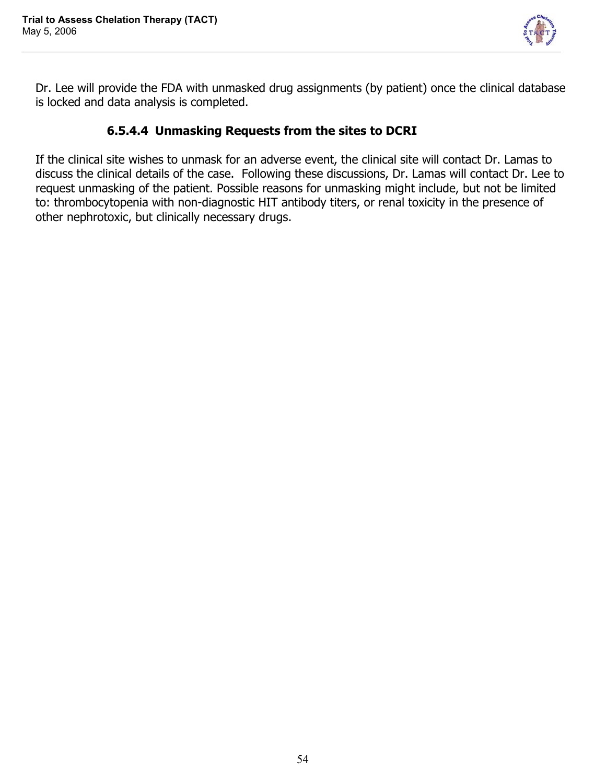

Dr. Lee will provide the FDA with unmasked drug assignments (by patient) once the clinical database is locked and data analysis is completed.

### **6.5.4.4 Unmasking Requests from the sites to DCRI**

If the clinical site wishes to unmask for an adverse event, the clinical site will contact Dr. Lamas to discuss the clinical details of the case. Following these discussions, Dr. Lamas will contact Dr. Lee to request unmasking of the patient. Possible reasons for unmasking might include, but not be limited to: thrombocytopenia with non-diagnostic HIT antibody titers, or renal toxicity in the presence of other nephrotoxic, but clinically necessary drugs.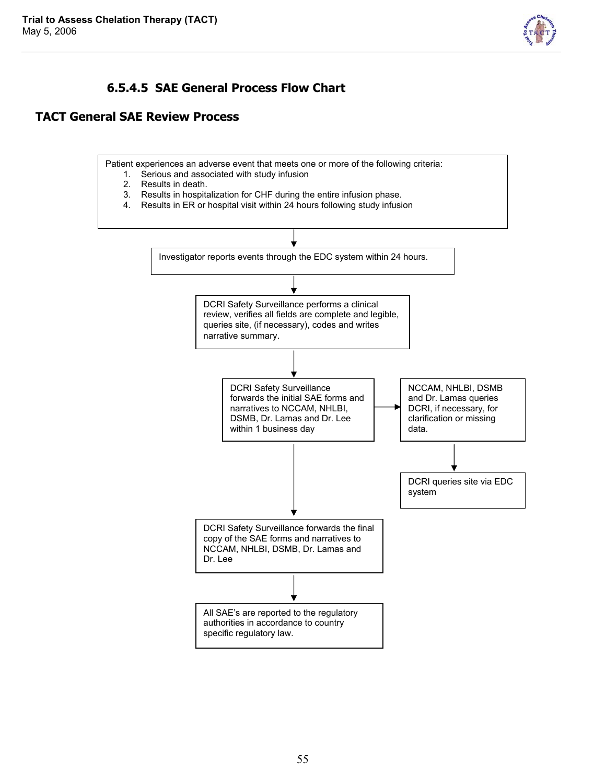

#### **6.5.4.5 SAE General Process Flow Chart**

#### **TACT General SAE Review Process**

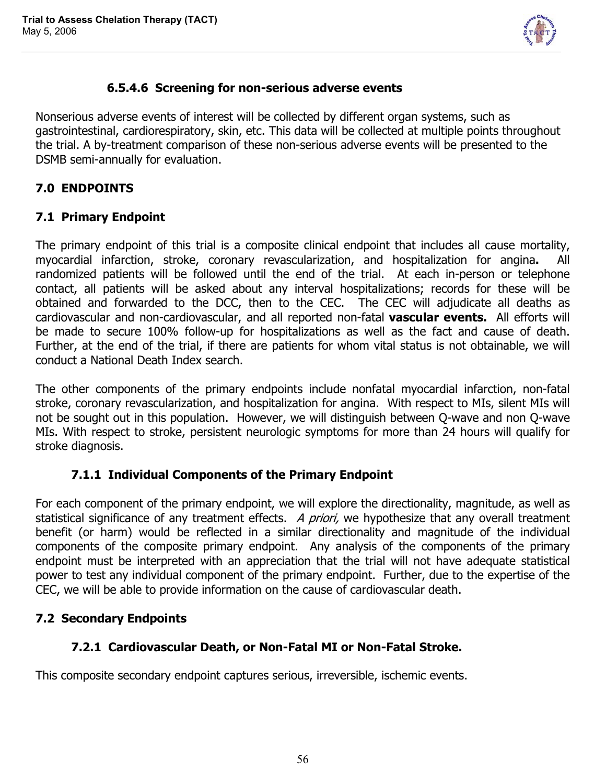

#### **6.5.4.6 Screening for non-serious adverse events**

Nonserious adverse events of interest will be collected by different organ systems, such as gastrointestinal, cardiorespiratory, skin, etc. This data will be collected at multiple points throughout the trial. A by-treatment comparison of these non-serious adverse events will be presented to the DSMB semi-annually for evaluation.

### **7.0 ENDPOINTS**

#### **7.1 Primary Endpoint**

The primary endpoint of this trial is a composite clinical endpoint that includes all cause mortality, myocardial infarction, stroke, coronary revascularization, and hospitalization for angina**.** All randomized patients will be followed until the end of the trial. At each in-person or telephone contact, all patients will be asked about any interval hospitalizations; records for these will be obtained and forwarded to the DCC, then to the CEC. The CEC will adjudicate all deaths as cardiovascular and non-cardiovascular, and all reported non-fatal **vascular events.** All efforts will be made to secure 100% follow-up for hospitalizations as well as the fact and cause of death. Further, at the end of the trial, if there are patients for whom vital status is not obtainable, we will conduct a National Death Index search.

The other components of the primary endpoints include nonfatal myocardial infarction, non-fatal stroke, coronary revascularization, and hospitalization for angina. With respect to MIs, silent MIs will not be sought out in this population. However, we will distinguish between Q-wave and non Q-wave MIs. With respect to stroke, persistent neurologic symptoms for more than 24 hours will qualify for stroke diagnosis.

#### **7.1.1 Individual Components of the Primary Endpoint**

For each component of the primary endpoint, we will explore the directionality, magnitude, as well as statistical significance of any treatment effects. A priori, we hypothesize that any overall treatment benefit (or harm) would be reflected in a similar directionality and magnitude of the individual components of the composite primary endpoint. Any analysis of the components of the primary endpoint must be interpreted with an appreciation that the trial will not have adequate statistical power to test any individual component of the primary endpoint. Further, due to the expertise of the CEC, we will be able to provide information on the cause of cardiovascular death.

#### **7.2 Secondary Endpoints**

#### **7.2.1 Cardiovascular Death, or Non-Fatal MI or Non-Fatal Stroke.**

This composite secondary endpoint captures serious, irreversible, ischemic events.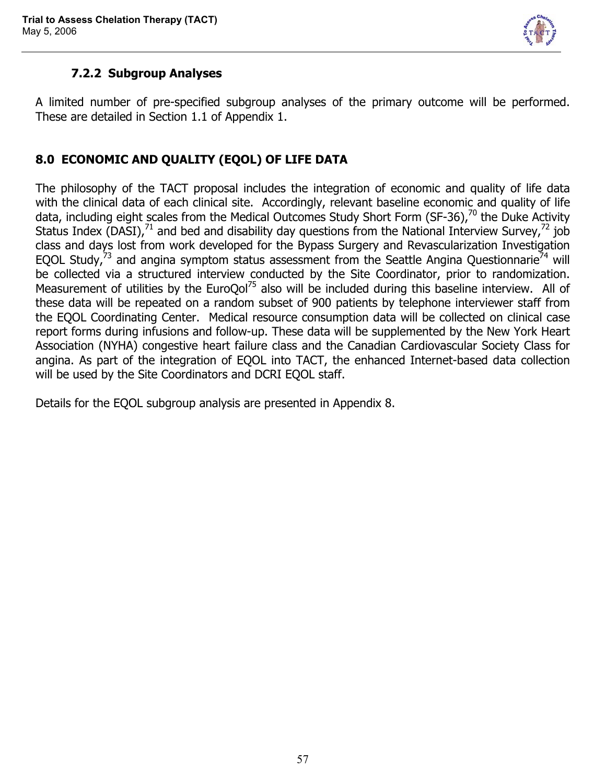

## **7.2.2 Subgroup Analyses**

A limited number of pre-specified subgroup analyses of the primary outcome will be performed. These are detailed in Section 1.1 of Appendix 1.

# **8.0 ECONOMIC AND QUALITY (EQOL) OF LIFE DATA**

The philosophy of the TACT proposal includes the integration of economic and quality of life data with the clinical data of each clinical site. Accordingly, relevant baseline economic and quality of life data, including eight scales from the Medical Outcomes Study Short Form (SF-36), $^{70}$  the Duke Activity Status Index (DASI),<sup>71</sup> and bed and disability day questions from the National Interview Survey,<sup>72</sup> job class and days lost from work developed for the Bypass Surgery and Revascularization Investigation EQOL Study,  $73$  and angina symptom status assessment from the Seattle Angina Questionnarie  $\frac{7}{4}$  will be collected via a structured interview conducted by the Site Coordinator, prior to randomization. Measurement of utilities by the EuroQol<sup>75</sup> also will be included during this baseline interview. All of these data will be repeated on a random subset of 900 patients by telephone interviewer staff from the EQOL Coordinating Center. Medical resource consumption data will be collected on clinical case report forms during infusions and follow-up. These data will be supplemented by the New York Heart Association (NYHA) congestive heart failure class and the Canadian Cardiovascular Society Class for angina. As part of the integration of EQOL into TACT, the enhanced Internet-based data collection will be used by the Site Coordinators and DCRI EQOL staff.

Details for the EQOL subgroup analysis are presented in Appendix 8.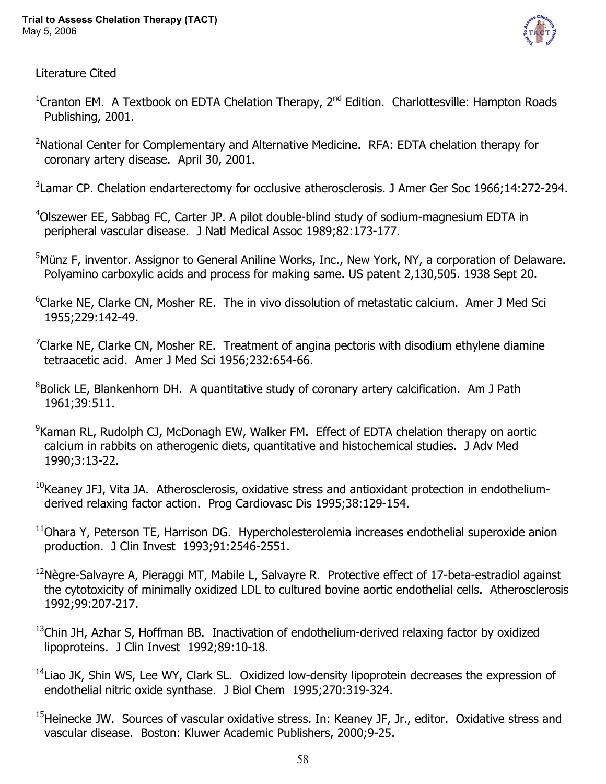

Literature Cited

- <sup>1</sup>Cranton EM. A Textbook on EDTA Chelation Therapy, 2<sup>nd</sup> Edition. Charlottesville: Hampton Roads Publishing, 2001.
- <sup>2</sup>National Center for Complementary and Alternative Medicine. RFA: EDTA chelation therapy for coronary artery disease. April 30, 2001.
- $3$ Lamar CP. Chelation endarterectomy for occlusive atherosclerosis. J Amer Ger Soc 1966;14:272-294.
- <sup>4</sup>Olszewer EE, Sabbag FC, Carter JP. A pilot double-blind study of sodium-magnesium EDTA in peripheral vascular disease. J Natl Medical Assoc 1989;82:173-177.
- <sup>5</sup>Münz F, inventor. Assignor to General Aniline Works, Inc., New York, NY, a corporation of Delaware. Polyamino carboxylic acids and process for making same. US patent 2,130,505. 1938 Sept 20.
- <sup>6</sup>Clarke NE, Clarke CN, Mosher RE. The in vivo dissolution of metastatic calcium. Amer J Med Sci 1955;229:142-49.
- <sup>7</sup>Clarke NE, Clarke CN, Mosher RE. Treatment of angina pectoris with disodium ethylene diamine tetraacetic acid. Amer J Med Sci 1956;232:654-66.
- <sup>8</sup>Bolick LE, Blankenhorn DH. A quantitative study of coronary artery calcification. Am J Path 1961;39:511.
- <sup>9</sup> Kaman RL, Rudolph CJ, McDonagh EW, Walker FM. Effect of EDTA chelation therapy on aortic calcium in rabbits on atherogenic diets, quantitative and histochemical studies. J Adv Med 1990;3:13-22.
- $10$ Keaney JFJ, Vita JA. Atherosclerosis, oxidative stress and antioxidant protection in endotheliumderived relaxing factor action. Prog Cardiovasc Dis 1995;38:129-154.
- <sup>11</sup>Ohara Y, Peterson TE, Harrison DG. Hypercholesterolemia increases endothelial superoxide anion production. J Clin Invest 1993;91:2546-2551.
- <sup>12</sup>Nègre-Salvayre A, Pieraggi MT, Mabile L, Salvayre R. Protective effect of 17-beta-estradiol against the cytotoxicity of minimally oxidized LDL to cultured bovine aortic endothelial cells. Atherosclerosis 1992;99:207-217.
- lipoproteins. J Clin Invest 1992;89:10-18.  $13$ Chin JH, Azhar S, Hoffman BB. Inactivation of endothelium-derived relaxing factor by oxidized
- $14$ Liao JK, Shin WS, Lee WY, Clark SL. Oxidized low-density lipoprotein decreases the expression of endothelial nitric oxide synthase. J Biol Chem 1995;270:319-324.
- <sup>15</sup>Heinecke JW. Sources of vascular oxidative stress. In: Keaney JF, Jr., editor. Oxidative stress and vascular disease. Boston: Kluwer Academic Publishers, 2000;9-25.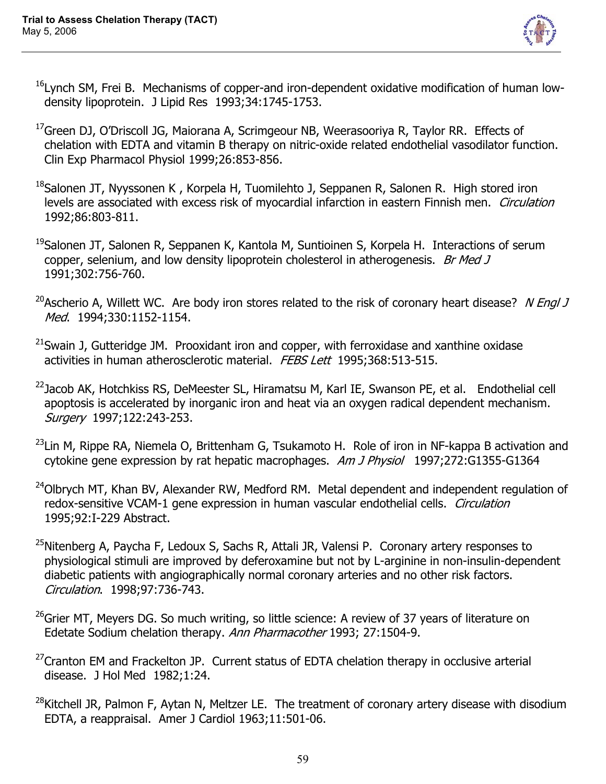

- $16$ Lynch SM, Frei B. Mechanisms of copper-and iron-dependent oxidative modification of human lowdensity lipoprotein. J Lipid Res 1993;34:1745-1753.
- $17$ Green DJ, O'Driscoll JG, Maiorana A, Scrimgeour NB, Weerasooriya R, Taylor RR. Effects of chelation with EDTA and vitamin B therapy on nitric-oxide related endothelial vasodilator function. Clin Exp Pharmacol Physiol 1999;26:853-856.
- levels are associated with excess risk of myocardial infarction in eastern Finnish men. *Circulation*  $18$ Salonen JT, Nyyssonen K, Korpela H, Tuomilehto J, Seppanen R, Salonen R. High stored iron 1992;86:803-811.
- copper, selenium, and low density lipoprotein cholesterol in atherogenesis. *Br Med J*  $19$ Salonen JT, Salonen R, Seppanen K, Kantola M, Suntioinen S, Korpela H. Interactions of serum 1991;302:756-760.
- <sup>20</sup>Ascherio A, Willett WC. Are body iron stores related to the risk of coronary heart disease? N Engl J Med. 1994;330:1152-1154.
- $21$ Swain J, Gutteridge JM. Prooxidant iron and copper, with ferroxidase and xanthine oxidase activities in human atherosclerotic material. FEBS Lett 1995:368:513-515.
- $^{22}$ Jacob AK, Hotchkiss RS, DeMeester SL, Hiramatsu M, Karl IE, Swanson PE, et al. Endothelial cell apoptosis is accelerated by inorganic iron and heat via an oxygen radical dependent mechanism. Surgery 1997;122:243-253.
- <sup>23</sup>Lin M, Rippe RA, Niemela O, Brittenham G, Tsukamoto H. Role of iron in NF-kappa B activation and cytokine gene expression by rat hepatic macrophages. Am J Physiol 1997;272:G1355-G1364
- redox-sensitive VCAM-1 gene expression in human vascular endothelial cells. *Circulation*  $24$ Olbrych MT, Khan BV, Alexander RW, Medford RM. Metal dependent and independent regulation of 1995;92:I-229 Abstract.
- diabetic patients with angiographically normal coronary arteries and no other risk factors.  $^{25}$ Nitenberg A, Paycha F, Ledoux S, Sachs R, Attali JR, Valensi P. Coronary artery responses to physiological stimuli are improved by deferoxamine but not by L-arginine in non-insulin-dependent Circulation. 1998;97:736-743.
- $^{26}$ Grier MT, Meyers DG. So much writing, so little science: A review of 37 years of literature on Edetate Sodium chelation therapy. Ann Pharmacother 1993; 27:1504-9.
- $27$ Cranton EM and Frackelton JP. Current status of EDTA chelation therapy in occlusive arterial disease. J Hol Med 1982;1:24.
- $^{28}$ Kitchell JR, Palmon F, Aytan N, Meltzer LE. The treatment of coronary artery disease with disodium EDTA, a reappraisal. Amer J Cardiol 1963;11:501-06.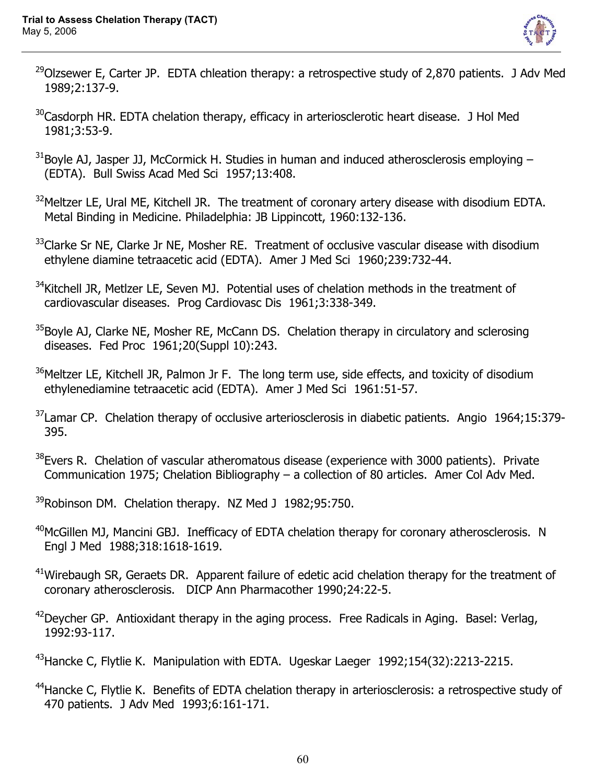

- <sup>29</sup>Olzsewer E, Carter JP. EDTA chleation therapy: a retrospective study of 2,870 patients. J Adv Med 1989;2:137-9.
- $30$ Casdorph HR. EDTA chelation therapy, efficacy in arteriosclerotic heart disease. J Hol Med 1981;3:53-9.
- $31$ Boyle AJ, Jasper JJ, McCormick H. Studies in human and induced atherosclerosis employing  $-$ (EDTA). Bull Swiss Acad Med Sci 1957;13:408.
- $32$ Meltzer LE, Ural ME, Kitchell JR. The treatment of coronary artery disease with disodium EDTA. Metal Binding in Medicine. Philadelphia: JB Lippincott, 1960:132-136.
- $33$ Clarke Sr NE, Clarke Jr NE, Mosher RE. Treatment of occlusive vascular disease with disodium ethylene diamine tetraacetic acid (EDTA). Amer J Med Sci 1960;239:732-44.
- $34$ Kitchell JR, Metlzer LE, Seven MJ. Potential uses of chelation methods in the treatment of cardiovascular diseases. Prog Cardiovasc Dis 1961;3:338-349.
- $35$ Boyle AJ, Clarke NE, Mosher RE, McCann DS. Chelation therapy in circulatory and sclerosing diseases. Fed Proc 1961;20(Suppl 10):243.
- <sup>36</sup>Meltzer LE, Kitchell JR, Palmon Jr F. The long term use, side effects, and toxicity of disodium ethylenediamine tetraacetic acid (EDTA). Amer J Med Sci 1961:51-57.
- $37$ Lamar CP. Chelation therapy of occlusive arteriosclerosis in diabetic patients. Angio 1964;15:379-395.
- $38$ Evers R. Chelation of vascular atheromatous disease (experience with 3000 patients). Private Communication 1975; Chelation Bibliography – a collection of 80 articles. Amer Col Adv Med.
- <sup>39</sup>Robinson DM. Chelation therapy. NZ Med J 1982;95:750.
- <sup>40</sup>McGillen MJ, Mancini GBJ. Inefficacy of EDTA chelation therapy for coronary atherosclerosis. N Engl J Med 1988;318:1618-1619.
- <sup>41</sup>Wirebaugh SR, Geraets DR. Apparent failure of edetic acid chelation therapy for the treatment of coronary atherosclerosis. DICP Ann Pharmacother 1990;24:22-5.
- $42$ Deycher GP. Antioxidant therapy in the aging process. Free Radicals in Aging. Basel: Verlag, 1992:93-117.
- <sup>43</sup> Hancke C, Flytlie K. Manipulation with EDTA. Ugeskar Laeger 1992;154(32):2213-2215.
- <sup>44</sup>Hancke C, Flytlie K. Benefits of EDTA chelation therapy in arteriosclerosis: a retrospective study of 470 patients. J Adv Med 1993;6:161-171.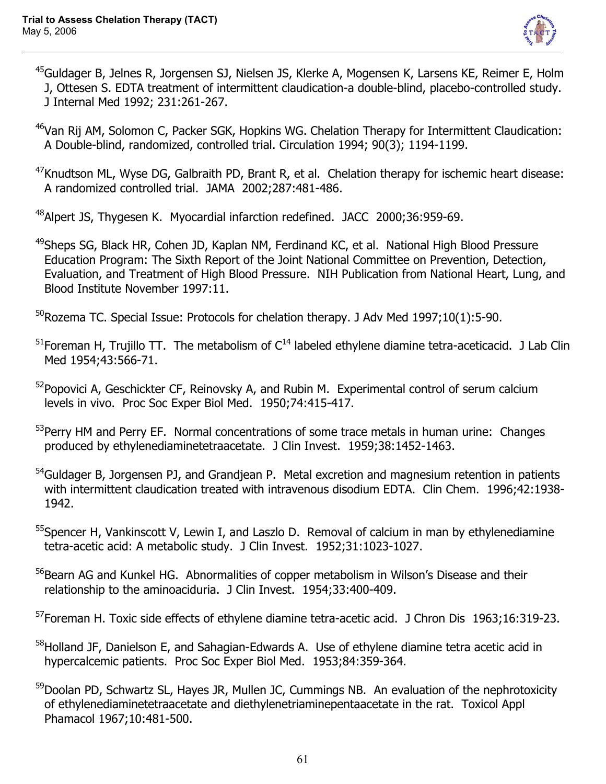

- <sup>45</sup>Guldager B, Jelnes R, Jorgensen SJ, Nielsen JS, Klerke A, Mogensen K, Larsens KE, Reimer E, Holm J, Ottesen S. EDTA treatment of intermittent claudication-a double-blind, placebo-controlled study. J Internal Med 1992; 231:261-267.
- <sup>46</sup>Van Rij AM, Solomon C, Packer SGK, Hopkins WG. Chelation Therapy for Intermittent Claudication: A Double-blind, randomized, controlled trial. Circulation 1994; 90(3); 1194-1199.
- $47$ Knudtson ML, Wyse DG, Galbraith PD, Brant R, et al. Chelation therapy for ischemic heart disease: A randomized controlled trial. JAMA 2002;287:481-486.
- <sup>48</sup> Alpert JS, Thygesen K. Myocardial infarction redefined. JACC 2000;36:959-69.
- <sup>49</sup>Sheps SG, Black HR, Cohen JD, Kaplan NM, Ferdinand KC, et al. National High Blood Pressure Education Program: The Sixth Report of the Joint National Committee on Prevention, Detection, Evaluation, and Treatment of High Blood Pressure. NIH Publication from National Heart, Lung, and Blood Institute November 1997:11.
- $50R$ ozema TC. Special Issue: Protocols for chelation therapy. J Adv Med 1997;10(1):5-90.
- $51$ Foreman H, Trujillo TT. The metabolism of  $C^{14}$  labeled ethylene diamine tetra-aceticacid. J Lab Clin Med 1954;43:566-71.
- $52$ Popovici A, Geschickter CF, Reinovsky A, and Rubin M. Experimental control of serum calcium levels in vivo. Proc Soc Exper Biol Med. 1950;74:415-417.
- $53$ Perry HM and Perry EF. Normal concentrations of some trace metals in human urine: Changes produced by ethylenediaminetetraacetate. J Clin Invest. 1959;38:1452-1463.
- <sup>54</sup>Guldager B, Jorgensen PJ, and Grandiean P. Metal excretion and magnesium retention in patients with intermittent claudication treated with intravenous disodium EDTA. Clin Chem. 1996;42:1938-1942.
- 55Spencer H, Vankinscott V, Lewin I, and Laszlo D. Removal of calcium in man by ethylenediamine tetra-acetic acid: A metabolic study. J Clin Invest. 1952;31:1023-1027.
- <sup>56</sup>Bearn AG and Kunkel HG. Abnormalities of copper metabolism in Wilson's Disease and their relationship to the aminoaciduria. J Clin Invest. 1954;33:400-409.
- <sup>57</sup>Foreman H. Toxic side effects of ethylene diamine tetra-acetic acid. J Chron Dis 1963;16:319-23.
- <sup>58</sup>Holland JF, Danielson E, and Sahagian-Edwards A. Use of ethylene diamine tetra acetic acid in hypercalcemic patients. Proc Soc Exper Biol Med. 1953;84:359-364.
- <sup>59</sup>Doolan PD, Schwartz SL, Hayes JR, Mullen JC, Cummings NB. An evaluation of the nephrotoxicity of ethylenediaminetetraacetate and diethylenetriaminepentaacetate in the rat. Toxicol Appl Phamacol 1967;10:481-500.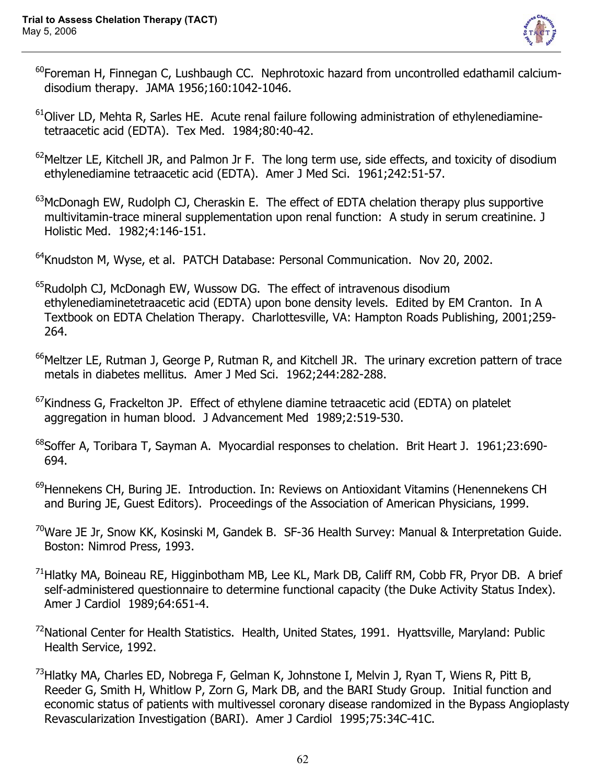

- $60$ Foreman H, Finnegan C, Lushbaugh CC. Nephrotoxic hazard from uncontrolled edathamil calciumdisodium therapy. JAMA 1956;160:1042-1046.
- <sup>61</sup>Oliver LD, Mehta R, Sarles HE. Acute renal failure following administration of ethylenediaminetetraacetic acid (EDTA). Tex Med. 1984;80:40-42.
- $62$ Meltzer LE, Kitchell JR, and Palmon Jr F. The long term use, side effects, and toxicity of disodium ethylenediamine tetraacetic acid (EDTA). Amer J Med Sci. 1961;242:51-57.
- $63$ McDonagh EW, Rudolph CJ, Cheraskin E. The effect of EDTA chelation therapy plus supportive multivitamin-trace mineral supplementation upon renal function: A study in serum creatinine. J Holistic Med. 1982;4:146-151.
- <sup>64</sup>Knudston M, Wyse, et al. PATCH Database: Personal Communication. Nov 20, 2002.
- $65$ Rudolph CJ, McDonagh EW, Wussow DG. The effect of intravenous disodium ethylenediaminetetraacetic acid (EDTA) upon bone density levels. Edited by EM Cranton. In A Textbook on EDTA Chelation Therapy. Charlottesville, VA: Hampton Roads Publishing, 2001;259 264.
- $66$ Meltzer LE, Rutman J, George P, Rutman R, and Kitchell JR. The urinary excretion pattern of trace metals in diabetes mellitus. Amer J Med Sci. 1962;244:282-288.
- $67$ Kindness G, Frackelton JP. Effect of ethylene diamine tetraacetic acid (EDTA) on platelet aggregation in human blood. J Advancement Med 1989;2:519-530.
- <sup>68</sup>Soffer A, Toribara T, Sayman A. Myocardial responses to chelation. Brit Heart J. 1961;23:690-694.
- <sup>69</sup>Hennekens CH, Buring JE. Introduction. In: Reviews on Antioxidant Vitamins (Henennekens CH and Buring JE, Guest Editors). Proceedings of the Association of American Physicians, 1999.
- $70$ Ware JE Jr, Snow KK, Kosinski M, Gandek B. SF-36 Health Survey: Manual & Interpretation Guide. Boston: Nimrod Press, 1993.
- $71$ Hlatky MA, Boineau RE, Higginbotham MB, Lee KL, Mark DB, Califf RM, Cobb FR, Pryor DB. A brief self-administered questionnaire to determine functional capacity (the Duke Activity Status Index). Amer J Cardiol 1989;64:651-4.
- <sup>72</sup>National Center for Health Statistics. Health, United States, 1991. Hyattsville, Maryland: Public Health Service, 1992.
- $^{73}$ Hlatky MA, Charles ED, Nobrega F, Gelman K, Johnstone I, Melvin J, Ryan T, Wiens R, Pitt B, Reeder G, Smith H, Whitlow P, Zorn G, Mark DB, and the BARI Study Group. Initial function and economic status of patients with multivessel coronary disease randomized in the Bypass Angioplasty Revascularization Investigation (BARI). Amer J Cardiol 1995;75:34C-41C.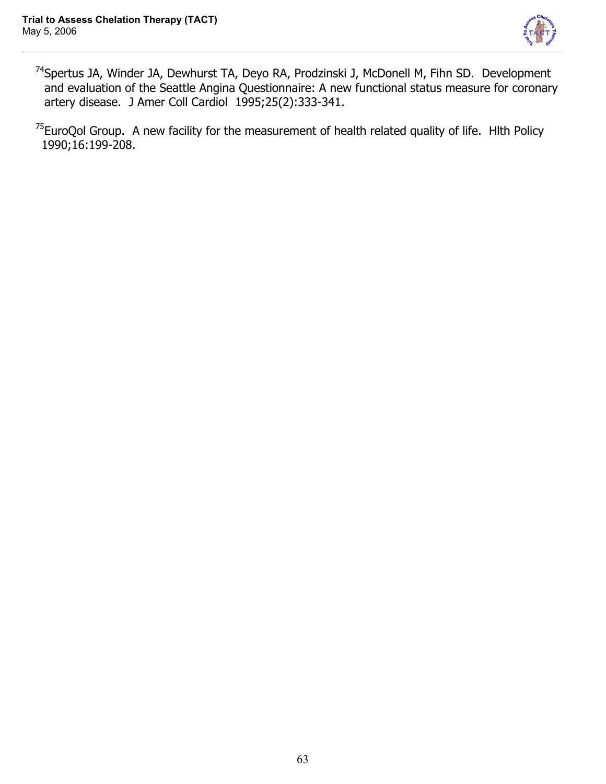

<sup>74</sup>Spertus JA, Winder JA, Dewhurst TA, Deyo RA, Prodzinski J, McDonell M, Fihn SD. Development and evaluation of the Seattle Angina Questionnaire: A new functional status measure for coronary artery disease. J Amer Coll Cardiol 1995;25(2):333-341.

 $75$ EuroQol Group. A new facility for the measurement of health related quality of life. Hith Policy 1990;16:199-208.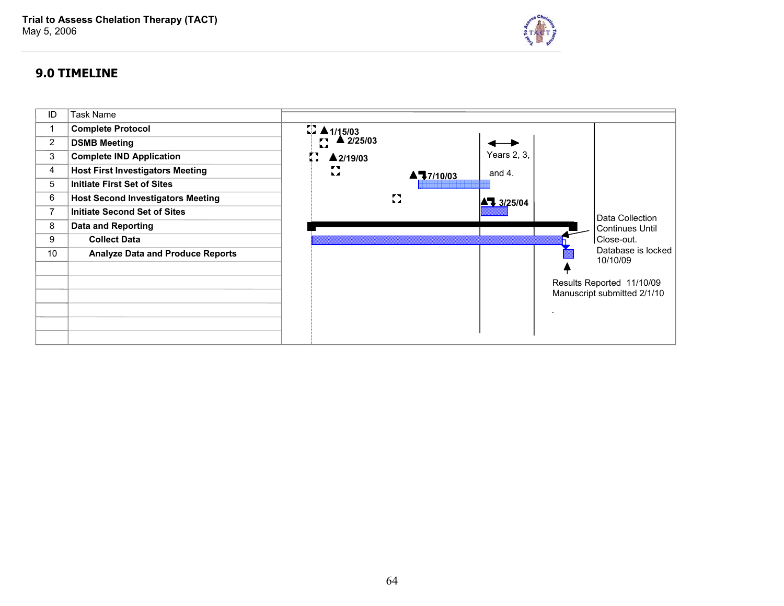**Trial to Assess Chelation Therapy (TACT)**  May 5, 2006



#### **9.0 TIMELINE**

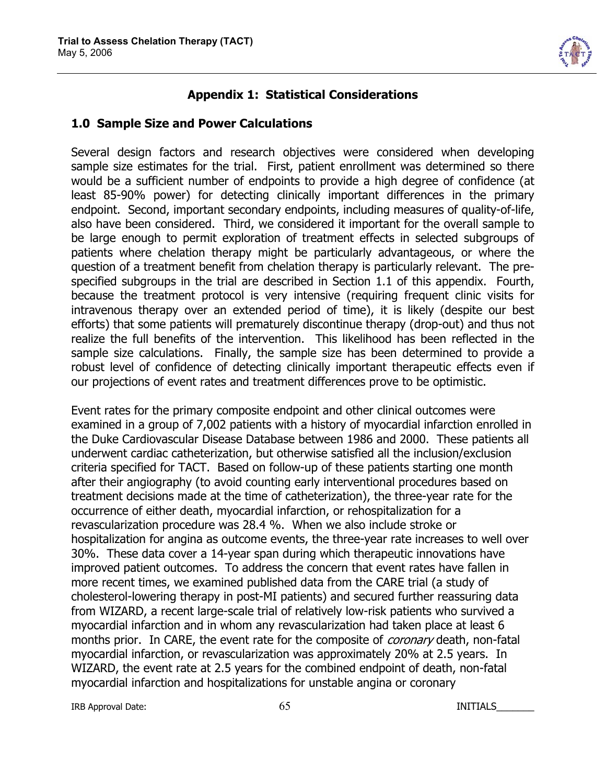

### **Appendix 1: Statistical Considerations**

#### **1.0 Sample Size and Power Calculations**

Several design factors and research objectives were considered when developing sample size estimates for the trial. First, patient enrollment was determined so there would be a sufficient number of endpoints to provide a high degree of confidence (at least 85-90% power) for detecting clinically important differences in the primary endpoint. Second, important secondary endpoints, including measures of quality-of-life, also have been considered. Third, we considered it important for the overall sample to be large enough to permit exploration of treatment effects in selected subgroups of patients where chelation therapy might be particularly advantageous, or where the question of a treatment benefit from chelation therapy is particularly relevant. The prespecified subgroups in the trial are described in Section 1.1 of this appendix. Fourth, because the treatment protocol is very intensive (requiring frequent clinic visits for intravenous therapy over an extended period of time), it is likely (despite our best efforts) that some patients will prematurely discontinue therapy (drop-out) and thus not realize the full benefits of the intervention. This likelihood has been reflected in the sample size calculations. Finally, the sample size has been determined to provide a robust level of confidence of detecting clinically important therapeutic effects even if our projections of event rates and treatment differences prove to be optimistic.

Event rates for the primary composite endpoint and other clinical outcomes were examined in a group of 7,002 patients with a history of myocardial infarction enrolled in the Duke Cardiovascular Disease Database between 1986 and 2000. These patients all underwent cardiac catheterization, but otherwise satisfied all the inclusion/exclusion criteria specified for TACT. Based on follow-up of these patients starting one month after their angiography (to avoid counting early interventional procedures based on treatment decisions made at the time of catheterization), the three-year rate for the occurrence of either death, myocardial infarction, or rehospitalization for a revascularization procedure was 28.4 %. When we also include stroke or hospitalization for angina as outcome events, the three-year rate increases to well over 30%. These data cover a 14-year span during which therapeutic innovations have improved patient outcomes. To address the concern that event rates have fallen in more recent times, we examined published data from the CARE trial (a study of cholesterol-lowering therapy in post-MI patients) and secured further reassuring data from WIZARD, a recent large-scale trial of relatively low-risk patients who survived a myocardial infarction and in whom any revascularization had taken place at least 6 months prior. In CARE, the event rate for the composite of *coronary* death, non-fatal myocardial infarction, or revascularization was approximately 20% at 2.5 years. In WIZARD, the event rate at 2.5 years for the combined endpoint of death, non-fatal myocardial infarction and hospitalizations for unstable angina or coronary

IRB Approval Date:  $65$  in the set of the set of the set of the set of the set of the set of the set of the set of the set of the set of the set of the set of the set of the set of the set of the set of the set of the set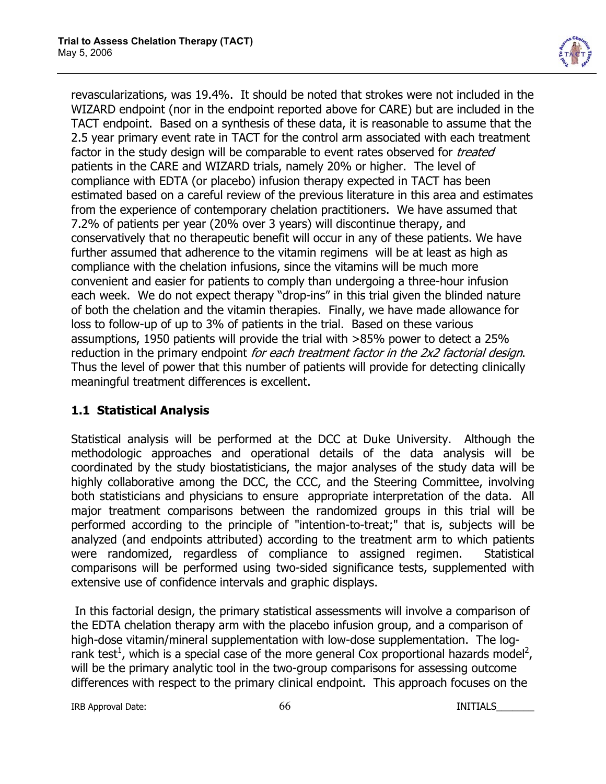

revascularizations, was 19.4%. It should be noted that strokes were not included in the WIZARD endpoint (nor in the endpoint reported above for CARE) but are included in the TACT endpoint. Based on a synthesis of these data, it is reasonable to assume that the 2.5 year primary event rate in TACT for the control arm associated with each treatment factor in the study design will be comparable to event rates observed for *treated* patients in the CARE and WIZARD trials, namely 20% or higher. The level of compliance with EDTA (or placebo) infusion therapy expected in TACT has been estimated based on a careful review of the previous literature in this area and estimates from the experience of contemporary chelation practitioners. We have assumed that 7.2% of patients per year (20% over 3 years) will discontinue therapy, and conservatively that no therapeutic benefit will occur in any of these patients. We have further assumed that adherence to the vitamin regimens will be at least as high as compliance with the chelation infusions, since the vitamins will be much more convenient and easier for patients to comply than undergoing a three-hour infusion each week. We do not expect therapy "drop-ins" in this trial given the blinded nature of both the chelation and the vitamin therapies. Finally, we have made allowance for loss to follow-up of up to 3% of patients in the trial. Based on these various assumptions, 1950 patients will provide the trial with >85% power to detect a 25% reduction in the primary endpoint for each treatment factor in the 2x2 factorial design. Thus the level of power that this number of patients will provide for detecting clinically meaningful treatment differences is excellent.

## **1.1 Statistical Analysis**

Statistical analysis will be performed at the DCC at Duke University. Although the methodologic approaches and operational details of the data analysis will be coordinated by the study biostatisticians, the major analyses of the study data will be highly collaborative among the DCC, the CCC, and the Steering Committee, involving both statisticians and physicians to ensure appropriate interpretation of the data. All major treatment comparisons between the randomized groups in this trial will be performed according to the principle of "intention-to-treat;" that is, subjects will be analyzed (and endpoints attributed) according to the treatment arm to which patients were randomized, regardless of compliance to assigned regimen. Statistical comparisons will be performed using two-sided significance tests, supplemented with extensive use of confidence intervals and graphic displays.

 In this factorial design, the primary statistical assessments will involve a comparison of the EDTA chelation therapy arm with the placebo infusion group, and a comparison of high-dose vitamin/mineral supplementation with low-dose supplementation. The logrank test<sup>1</sup>, which is a special case of the more general Cox proportional hazards model<sup>2</sup>, will be the primary analytic tool in the two-group comparisons for assessing outcome differences with respect to the primary clinical endpoint. This approach focuses on the

IRB Approval Date:  $\begin{array}{ccc} 66 & \phantom{100} & \phantom{100} & \phantom{100} & \phantom{100} & \phantom{100} & \phantom{100} & \phantom{100} & \phantom{100} & \phantom{100} & \phantom{100} & \phantom{100} & \phantom{100} & \phantom{100} & \phantom{100} & \phantom{100} & \phantom{100} & \phantom{100} & \phantom{100} & \phantom{100} & \phantom{100} & \phantom{100} & \phant$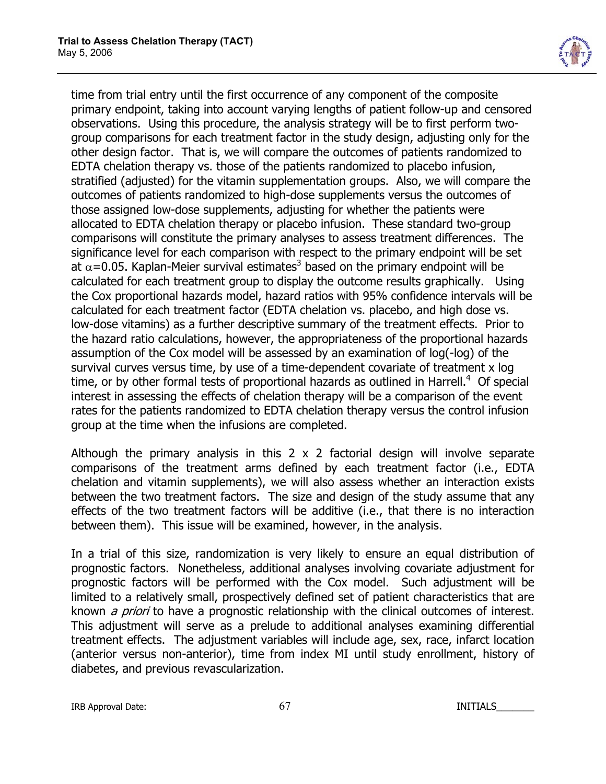

 allocated to EDTA chelation therapy or placebo infusion. These standard two-group time from trial entry until the first occurrence of any component of the composite primary endpoint, taking into account varying lengths of patient follow-up and censored observations. Using this procedure, the analysis strategy will be to first perform twogroup comparisons for each treatment factor in the study design, adjusting only for the other design factor. That is, we will compare the outcomes of patients randomized to EDTA chelation therapy vs. those of the patients randomized to placebo infusion, stratified (adjusted) for the vitamin supplementation groups. Also, we will compare the outcomes of patients randomized to high-dose supplements versus the outcomes of those assigned low-dose supplements, adjusting for whether the patients were comparisons will constitute the primary analyses to assess treatment differences. The significance level for each comparison with respect to the primary endpoint will be set at  $\alpha$ =0.05. Kaplan-Meier survival estimates<sup>3</sup> based on the primary endpoint will be calculated for each treatment group to display the outcome results graphically. Using the Cox proportional hazards model, hazard ratios with 95% confidence intervals will be calculated for each treatment factor (EDTA chelation vs. placebo, and high dose vs. low-dose vitamins) as a further descriptive summary of the treatment effects. Prior to the hazard ratio calculations, however, the appropriateness of the proportional hazards assumption of the Cox model will be assessed by an examination of log(-log) of the survival curves versus time, by use of a time-dependent covariate of treatment x log time, or by other formal tests of proportional hazards as outlined in Harrell. $4$  Of special interest in assessing the effects of chelation therapy will be a comparison of the event rates for the patients randomized to EDTA chelation therapy versus the control infusion group at the time when the infusions are completed.

Although the primary analysis in this  $2 \times 2$  factorial design will involve separate comparisons of the treatment arms defined by each treatment factor (i.e., EDTA chelation and vitamin supplements), we will also assess whether an interaction exists between the two treatment factors. The size and design of the study assume that any effects of the two treatment factors will be additive (i.e., that there is no interaction between them). This issue will be examined, however, in the analysis.

In a trial of this size, randomization is very likely to ensure an equal distribution of prognostic factors. Nonetheless, additional analyses involving covariate adjustment for prognostic factors will be performed with the Cox model. Such adjustment will be limited to a relatively small, prospectively defined set of patient characteristics that are known *a priori* to have a prognostic relationship with the clinical outcomes of interest. This adjustment will serve as a prelude to additional analyses examining differential treatment effects. The adjustment variables will include age, sex, race, infarct location (anterior versus non-anterior), time from index MI until study enrollment, history of diabetes, and previous revascularization.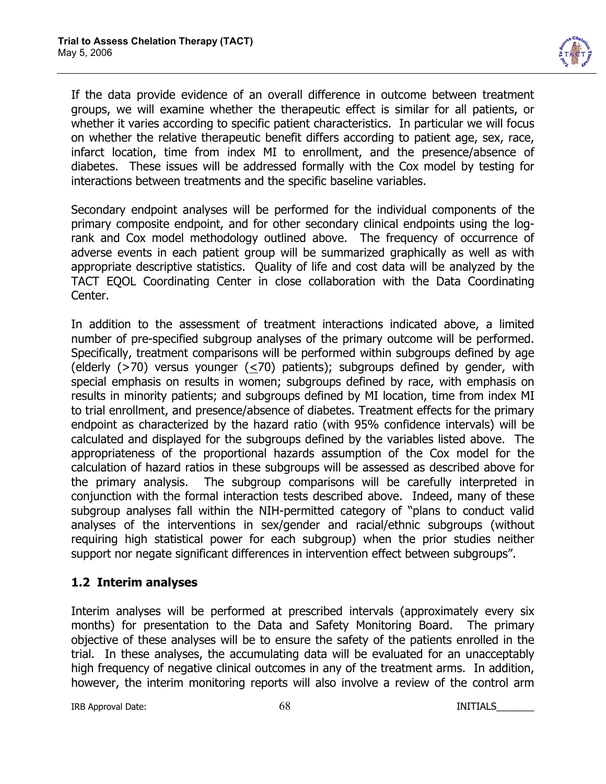

If the data provide evidence of an overall difference in outcome between treatment groups, we will examine whether the therapeutic effect is similar for all patients, or whether it varies according to specific patient characteristics. In particular we will focus on whether the relative therapeutic benefit differs according to patient age, sex, race, infarct location, time from index MI to enrollment, and the presence/absence of diabetes. These issues will be addressed formally with the Cox model by testing for interactions between treatments and the specific baseline variables.

Secondary endpoint analyses will be performed for the individual components of the primary composite endpoint, and for other secondary clinical endpoints using the logrank and Cox model methodology outlined above. The frequency of occurrence of adverse events in each patient group will be summarized graphically as well as with appropriate descriptive statistics. Quality of life and cost data will be analyzed by the TACT EQOL Coordinating Center in close collaboration with the Data Coordinating Center.

In addition to the assessment of treatment interactions indicated above, a limited number of pre-specified subgroup analyses of the primary outcome will be performed. Specifically, treatment comparisons will be performed within subgroups defined by age (elderly (>70) versus younger ( $\leq$ 70) patients); subgroups defined by gender, with special emphasis on results in women; subgroups defined by race, with emphasis on results in minority patients; and subgroups defined by MI location, time from index MI to trial enrollment, and presence/absence of diabetes. Treatment effects for the primary endpoint as characterized by the hazard ratio (with 95% confidence intervals) will be calculated and displayed for the subgroups defined by the variables listed above. The appropriateness of the proportional hazards assumption of the Cox model for the calculation of hazard ratios in these subgroups will be assessed as described above for the primary analysis. The subgroup comparisons will be carefully interpreted in conjunction with the formal interaction tests described above. Indeed, many of these subgroup analyses fall within the NIH-permitted category of "plans to conduct valid analyses of the interventions in sex/gender and racial/ethnic subgroups (without requiring high statistical power for each subgroup) when the prior studies neither support nor negate significant differences in intervention effect between subgroups".

#### **1.2 Interim analyses**

Interim analyses will be performed at prescribed intervals (approximately every six months) for presentation to the Data and Safety Monitoring Board. The primary objective of these analyses will be to ensure the safety of the patients enrolled in the trial. In these analyses, the accumulating data will be evaluated for an unacceptably high frequency of negative clinical outcomes in any of the treatment arms. In addition, however, the interim monitoring reports will also involve a review of the control arm

IRB Approval Date:  $\sim$  68 in the set of the set of the INITIALS in the INITIALS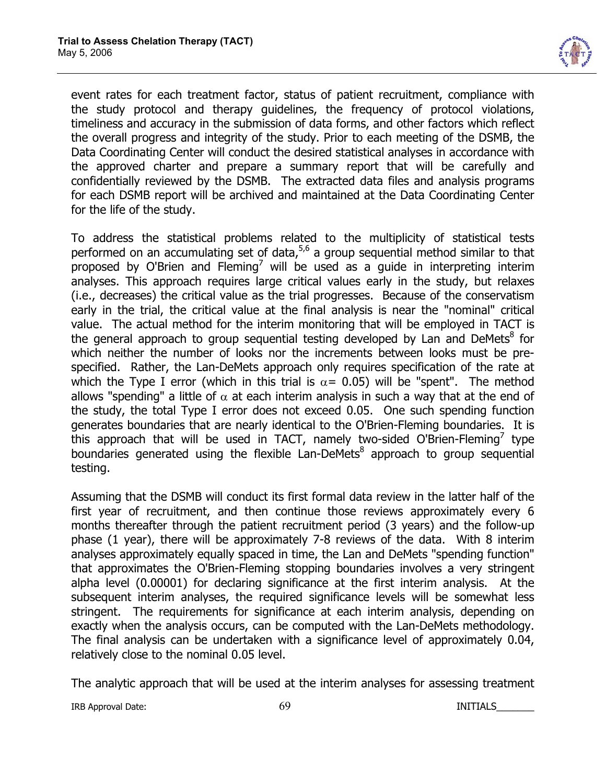

event rates for each treatment factor, status of patient recruitment, compliance with the study protocol and therapy guidelines, the frequency of protocol violations, timeliness and accuracy in the submission of data forms, and other factors which reflect the overall progress and integrity of the study. Prior to each meeting of the DSMB, the Data Coordinating Center will conduct the desired statistical analyses in accordance with the approved charter and prepare a summary report that will be carefully and confidentially reviewed by the DSMB. The extracted data files and analysis programs for each DSMB report will be archived and maintained at the Data Coordinating Center for the life of the study.

testing. To address the statistical problems related to the multiplicity of statistical tests performed on an accumulating set of data, $5.6$  a group sequential method similar to that proposed by O'Brien and Fleming<sup>7</sup> will be used as a guide in interpreting interim analyses. This approach requires large critical values early in the study, but relaxes (i.e., decreases) the critical value as the trial progresses. Because of the conservatism early in the trial, the critical value at the final analysis is near the "nominal" critical value. The actual method for the interim monitoring that will be employed in TACT is the general approach to group sequential testing developed by Lan and DeMets<sup>8</sup> for which neither the number of looks nor the increments between looks must be prespecified. Rather, the Lan-DeMets approach only requires specification of the rate at which the Type I error (which in this trial is  $\alpha$  = 0.05) will be "spent". The method allows "spending" a little of  $\alpha$  at each interim analysis in such a way that at the end of the study, the total Type I error does not exceed 0.05. One such spending function generates boundaries that are nearly identical to the O'Brien-Fleming boundaries. It is this approach that will be used in TACT, namely two-sided O'Brien-Fleming<sup>7</sup> type boundaries generated using the flexible Lan-DeMets<sup>8</sup> approach to group sequential

exactly when the analysis occurs, can be computed with the Lan-DeMets methodology. Assuming that the DSMB will conduct its first formal data review in the latter half of the first year of recruitment, and then continue those reviews approximately every 6 months thereafter through the patient recruitment period (3 years) and the follow-up phase (1 year), there will be approximately 7-8 reviews of the data. With 8 interim analyses approximately equally spaced in time, the Lan and DeMets "spending function" that approximates the O'Brien-Fleming stopping boundaries involves a very stringent alpha level (0.00001) for declaring significance at the first interim analysis. At the subsequent interim analyses, the required significance levels will be somewhat less stringent. The requirements for significance at each interim analysis, depending on The final analysis can be undertaken with a significance level of approximately 0.04, relatively close to the nominal 0.05 level.

The analytic approach that will be used at the interim analyses for assessing treatment

IRB Approval Date:  $\begin{array}{ccc} 69 & \hspace{1.5cm} & \hspace{1.5cm} & \hspace{1.5cm} & \hspace{1.5cm} & \hspace{1.5cm} & \hspace{1.5cm} & \hspace{1.5cm} & \hspace{1.5cm} & \hspace{1.5cm} & \hspace{1.5cm} & \hspace{1.5cm} & \hspace{1.5cm} & \hspace{1.5cm} & \hspace{1.5cm} & \hspace{1.5cm} & \hspace{1.5cm} & \hspace{1.5cm} & \hspace{1.5cm} & \hspace{1.5cm} & \$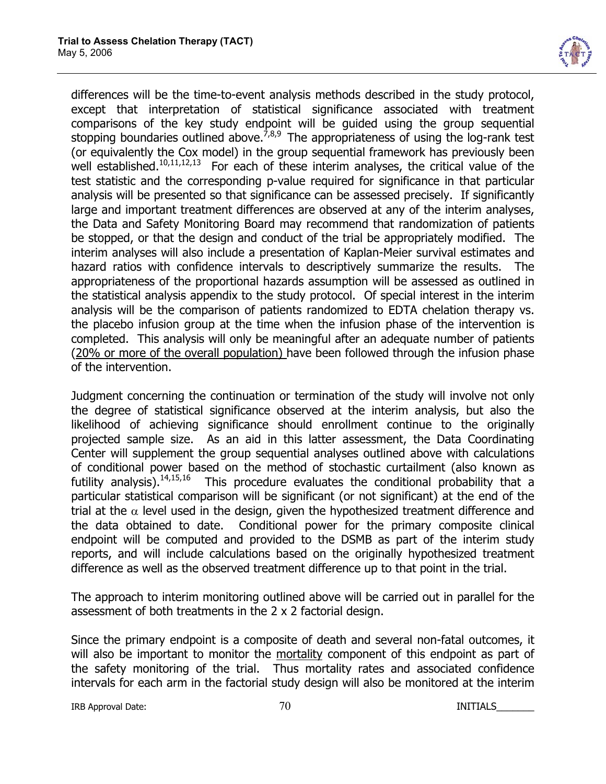

differences will be the time-to-event analysis methods described in the study protocol, except that interpretation of statistical significance associated with treatment comparisons of the key study endpoint will be guided using the group sequential stopping boundaries outlined above.<sup>7,8,9</sup> The appropriateness of using the log-rank test (or equivalently the Cox model) in the group sequential framework has previously been well established.<sup>10,11,12,13</sup> For each of these interim analyses, the critical value of the test statistic and the corresponding p-value required for significance in that particular analysis will be presented so that significance can be assessed precisely. If significantly large and important treatment differences are observed at any of the interim analyses, the Data and Safety Monitoring Board may recommend that randomization of patients be stopped, or that the design and conduct of the trial be appropriately modified. The interim analyses will also include a presentation of Kaplan-Meier survival estimates and hazard ratios with confidence intervals to descriptively summarize the results. The appropriateness of the proportional hazards assumption will be assessed as outlined in the statistical analysis appendix to the study protocol. Of special interest in the interim analysis will be the comparison of patients randomized to EDTA chelation therapy vs. the placebo infusion group at the time when the infusion phase of the intervention is completed. This analysis will only be meaningful after an adequate number of patients (20% or more of the overall population) have been followed through the infusion phase of the intervention.

Judgment concerning the continuation or termination of the study will involve not only the degree of statistical significance observed at the interim analysis, but also the likelihood of achieving significance should enrollment continue to the originally projected sample size. As an aid in this latter assessment, the Data Coordinating Center will supplement the group sequential analyses outlined above with calculations of conditional power based on the method of stochastic curtailment (also known as futility analysis).<sup>14,15,16</sup> This procedure evaluates the conditional probability that a particular statistical comparison will be significant (or not significant) at the end of the trial at the  $\alpha$  level used in the design, given the hypothesized treatment difference and the data obtained to date. Conditional power for the primary composite clinical endpoint will be computed and provided to the DSMB as part of the interim study reports, and will include calculations based on the originally hypothesized treatment difference as well as the observed treatment difference up to that point in the trial.

The approach to interim monitoring outlined above will be carried out in parallel for the assessment of both treatments in the 2 x 2 factorial design.

Since the primary endpoint is a composite of death and several non-fatal outcomes, it will also be important to monitor the mortality component of this endpoint as part of the safety monitoring of the trial. Thus mortality rates and associated confidence intervals for each arm in the factorial study design will also be monitored at the interim

IRB Approval Date:  $\overline{70}$  and  $\overline{101}$  initial Date: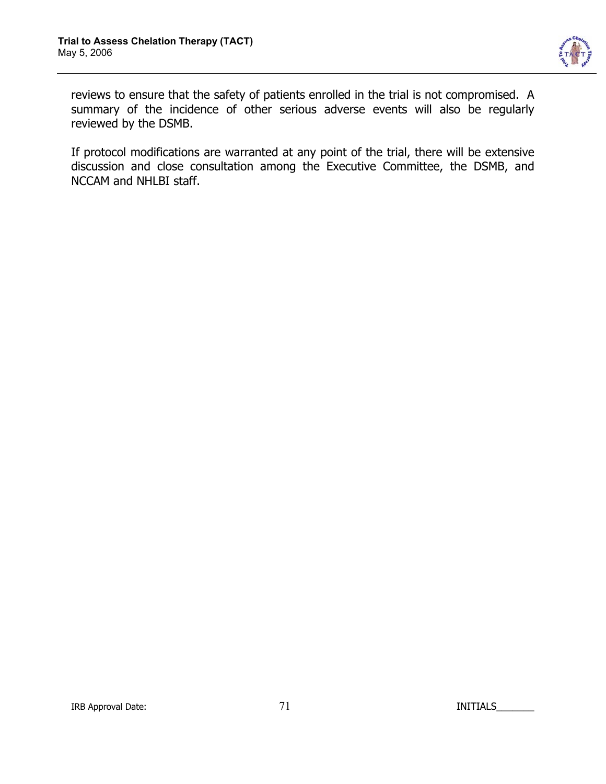

reviews to ensure that the safety of patients enrolled in the trial is not compromised. A summary of the incidence of other serious adverse events will also be regularly reviewed by the DSMB.

If protocol modifications are warranted at any point of the trial, there will be extensive discussion and close consultation among the Executive Committee, the DSMB, and NCCAM and NHLBI staff.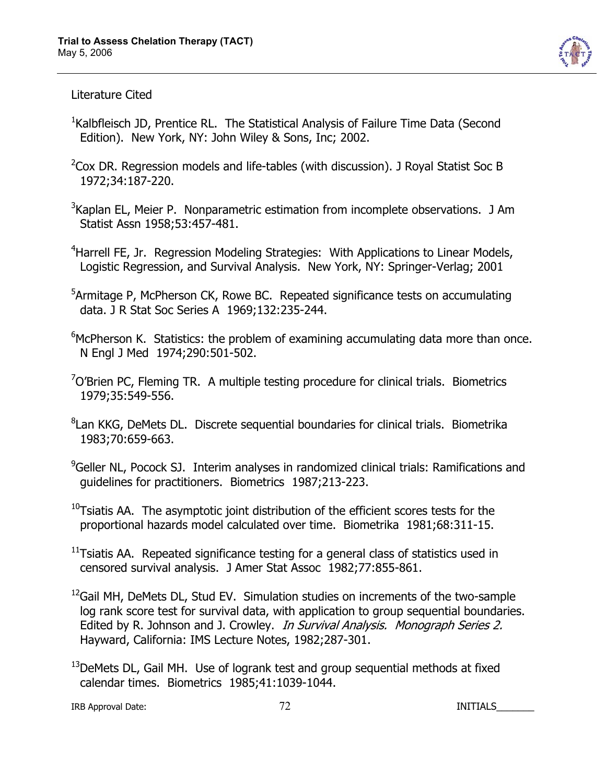

#### Literature Cited

- <sup>1</sup>Kalbfleisch JD, Prentice RL. The Statistical Analysis of Failure Time Data (Second Edition). New York, NY: John Wiley & Sons, Inc; 2002.
- $2$ Cox DR. Regression models and life-tables (with discussion). J Royal Statist Soc B 1972;34:187-220.
- $3$ Kaplan EL, Meier P. Nonparametric estimation from incomplete observations. J Am Statist Assn 1958;53:457-481.
- <sup>4</sup> Harrell FE, Jr. Regression Modeling Strategies: With Applications to Linear Models, Logistic Regression, and Survival Analysis. New York, NY: Springer-Verlag; 2001
- <sup>5</sup>Armitage P, McPherson CK, Rowe BC. Repeated significance tests on accumulating data. J R Stat Soc Series A 1969;132:235-244.
- $6$ McPherson K. Statistics: the problem of examining accumulating data more than once. N Engl J Med 1974;290:501-502.
- $7$ O'Brien PC, Fleming TR. A multiple testing procedure for clinical trials. Biometrics 1979;35:549-556.
- <sup>8</sup> Lan KKG, DeMets DL. Discrete sequential boundaries for clinical trials. Biometrika 1983;70:659-663.
- <sup>9</sup>Geller NL, Pocock SJ. Interim analyses in randomized clinical trials: Ramifications and guidelines for practitioners. Biometrics 1987;213-223.
- $10$ Tsiatis AA. The asymptotic joint distribution of the efficient scores tests for the proportional hazards model calculated over time. Biometrika 1981;68:311-15.
- $11$ Tsiatis AA. Repeated significance testing for a general class of statistics used in censored survival analysis. J Amer Stat Assoc 1982;77:855-861.
- Edited by R. Johnson and J. Crowley. In Survival Analysis. Monograph Series 2.  $12$ Gail MH, DeMets DL, Stud EV. Simulation studies on increments of the two-sample log rank score test for survival data, with application to group sequential boundaries. Hayward, California: IMS Lecture Notes, 1982;287-301.
- <sup>13</sup>DeMets DL, Gail MH. Use of logrank test and group sequential methods at fixed calendar times. Biometrics 1985;41:1039-1044.

IRB Approval Date:  $\frac{72}{2}$  72 INITIALS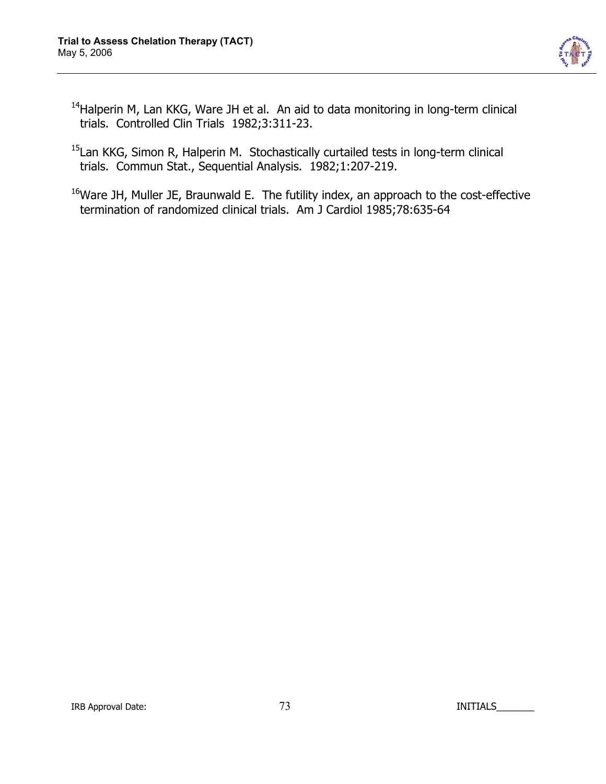

- $<sup>14</sup>$ Halperin M, Lan KKG, Ware JH et al. An aid to data monitoring in long-term clinical</sup> trials. Controlled Clin Trials 1982;3:311-23.
- <sup>15</sup>Lan KKG, Simon R, Halperin M. Stochastically curtailed tests in long-term clinical trials. Commun Stat., Sequential Analysis. 1982;1:207-219.
- $16$ Ware JH, Muller JE, Braunwald E. The futility index, an approach to the cost-effective termination of randomized clinical trials. Am J Cardiol 1985;78:635-64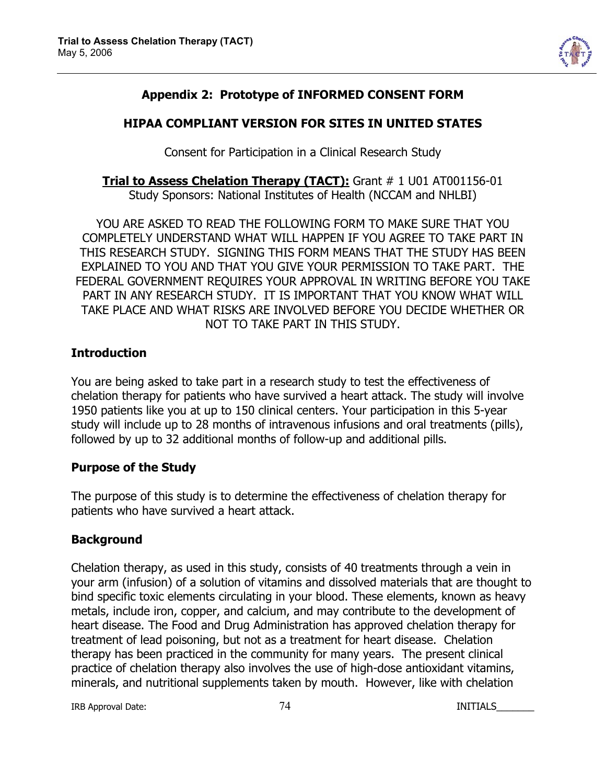

# **Appendix 2: Prototype of INFORMED CONSENT FORM**

# **HIPAA COMPLIANT VERSION FOR SITES IN UNITED STATES**

Consent for Participation in a Clinical Research Study

**Trial to Assess Chelation Therapy (TACT):** Grant # 1 U01 AT001156-01 Study Sponsors: National Institutes of Health (NCCAM and NHLBI)

YOU ARE ASKED TO READ THE FOLLOWING FORM TO MAKE SURE THAT YOU COMPLETELY UNDERSTAND WHAT WILL HAPPEN IF YOU AGREE TO TAKE PART IN THIS RESEARCH STUDY. SIGNING THIS FORM MEANS THAT THE STUDY HAS BEEN EXPLAINED TO YOU AND THAT YOU GIVE YOUR PERMISSION TO TAKE PART. THE FEDERAL GOVERNMENT REQUIRES YOUR APPROVAL IN WRITING BEFORE YOU TAKE PART IN ANY RESEARCH STUDY. IT IS IMPORTANT THAT YOU KNOW WHAT WILL TAKE PLACE AND WHAT RISKS ARE INVOLVED BEFORE YOU DECIDE WHETHER OR NOT TO TAKE PART IN THIS STUDY.

# **Introduction**

You are being asked to take part in a research study to test the effectiveness of chelation therapy for patients who have survived a heart attack. The study will involve 1950 patients like you at up to 150 clinical centers. Your participation in this 5-year study will include up to 28 months of intravenous infusions and oral treatments (pills), followed by up to 32 additional months of follow-up and additional pills.

# **Purpose of the Study**

The purpose of this study is to determine the effectiveness of chelation therapy for patients who have survived a heart attack.

# **Background**

Chelation therapy, as used in this study, consists of 40 treatments through a vein in your arm (infusion) of a solution of vitamins and dissolved materials that are thought to bind specific toxic elements circulating in your blood. These elements, known as heavy metals, include iron, copper, and calcium, and may contribute to the development of heart disease. The Food and Drug Administration has approved chelation therapy for treatment of lead poisoning, but not as a treatment for heart disease. Chelation therapy has been practiced in the community for many years. The present clinical practice of chelation therapy also involves the use of high-dose antioxidant vitamins, minerals, and nutritional supplements taken by mouth. However, like with chelation

IRB Approval Date:  $\frac{74}{2}$  and  $\frac{74}{2}$  in the set of  $\frac{1}{2}$  in  $\frac{1}{2}$  in  $\frac{1}{2}$  in  $\frac{1}{2}$  in  $\frac{1}{2}$  in  $\frac{1}{2}$  in  $\frac{1}{2}$  in  $\frac{1}{2}$  in  $\frac{1}{2}$  in  $\frac{1}{2}$  in  $\frac{1}{2}$  in  $\frac{1}{2}$  in  $\frac{1}{2$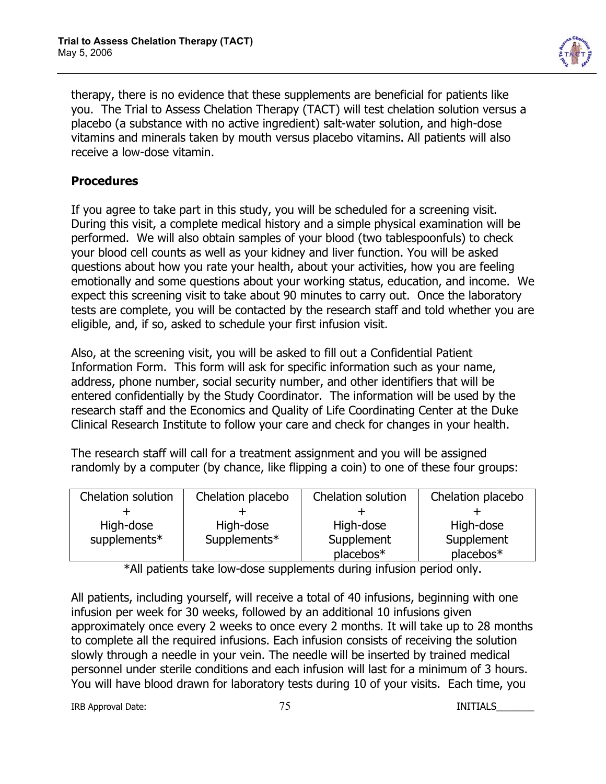

therapy, there is no evidence that these supplements are beneficial for patients like you. The Trial to Assess Chelation Therapy (TACT) will test chelation solution versus a placebo (a substance with no active ingredient) salt-water solution, and high-dose vitamins and minerals taken by mouth versus placebo vitamins. All patients will also receive a low-dose vitamin.

# **Procedures**

If you agree to take part in this study, you will be scheduled for a screening visit. During this visit, a complete medical history and a simple physical examination will be performed. We will also obtain samples of your blood (two tablespoonfuls) to check your blood cell counts as well as your kidney and liver function. You will be asked questions about how you rate your health, about your activities, how you are feeling emotionally and some questions about your working status, education, and income. We expect this screening visit to take about 90 minutes to carry out. Once the laboratory tests are complete, you will be contacted by the research staff and told whether you are eligible, and, if so, asked to schedule your first infusion visit.

Also, at the screening visit, you will be asked to fill out a Confidential Patient Information Form. This form will ask for specific information such as your name, address, phone number, social security number, and other identifiers that will be entered confidentially by the Study Coordinator. The information will be used by the research staff and the Economics and Quality of Life Coordinating Center at the Duke Clinical Research Institute to follow your care and check for changes in your health.

The research staff will call for a treatment assignment and you will be assigned randomly by a computer (by chance, like flipping a coin) to one of these four groups:

| Chelation solution           | Chelation placebo | Chelation solution | Chelation placebo |  |  |
|------------------------------|-------------------|--------------------|-------------------|--|--|
|                              |                   |                    |                   |  |  |
| High-dose                    | High-dose         | High-dose          | High-dose         |  |  |
| Supplements*<br>supplements* |                   | Supplement         | Supplement        |  |  |
|                              |                   | placebos*          | placebos*         |  |  |

\*All patients take low-dose supplements during infusion period only.

All patients, including yourself, will receive a total of 40 infusions, beginning with one infusion per week for 30 weeks, followed by an additional 10 infusions given approximately once every 2 weeks to once every 2 months. It will take up to 28 months to complete all the required infusions. Each infusion consists of receiving the solution slowly through a needle in your vein. The needle will be inserted by trained medical personnel under sterile conditions and each infusion will last for a minimum of 3 hours. You will have blood drawn for laboratory tests during 10 of your visits. Each time, you

IRB Approval Date:  $\begin{array}{ccc} 75 & \hspace{1.5cm} & \hspace{1.5cm} & \hspace{1.5cm} \text{INITIALS} \end{array}$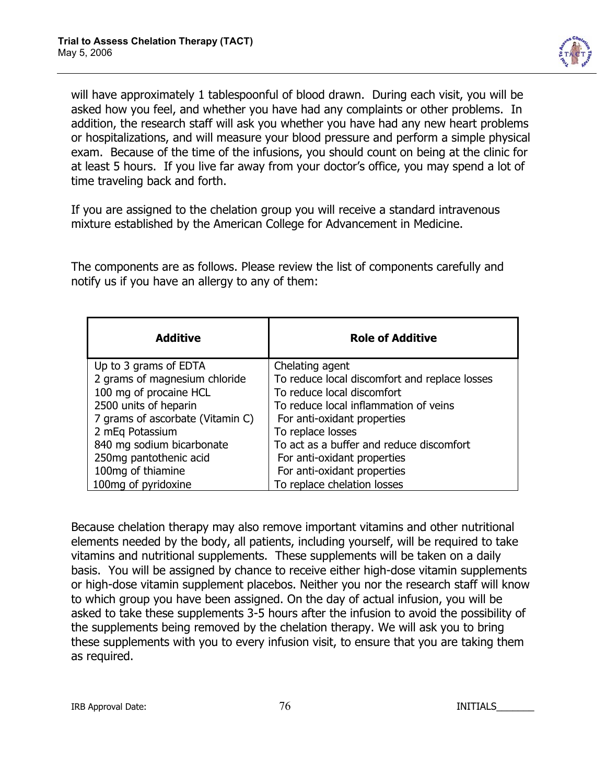

will have approximately 1 tablespoonful of blood drawn. During each visit, you will be asked how you feel, and whether you have had any complaints or other problems. In addition, the research staff will ask you whether you have had any new heart problems or hospitalizations, and will measure your blood pressure and perform a simple physical exam. Because of the time of the infusions, you should count on being at the clinic for at least 5 hours. If you live far away from your doctor's office, you may spend a lot of time traveling back and forth.

If you are assigned to the chelation group you will receive a standard intravenous mixture established by the American College for Advancement in Medicine.

The components are as follows. Please review the list of components carefully and notify us if you have an allergy to any of them:

| <b>Additive</b>                  | <b>Role of Additive</b>                       |
|----------------------------------|-----------------------------------------------|
| Up to 3 grams of EDTA            | Chelating agent                               |
| 2 grams of magnesium chloride    | To reduce local discomfort and replace losses |
| 100 mg of procaine HCL           | To reduce local discomfort                    |
| 2500 units of heparin            | To reduce local inflammation of veins         |
| 7 grams of ascorbate (Vitamin C) | For anti-oxidant properties                   |
| 2 mEq Potassium                  | To replace losses                             |
| 840 mg sodium bicarbonate        | To act as a buffer and reduce discomfort      |
| 250mg pantothenic acid           | For anti-oxidant properties                   |
| 100mg of thiamine                | For anti-oxidant properties                   |
| 100mg of pyridoxine              | To replace chelation losses                   |

Because chelation therapy may also remove important vitamins and other nutritional elements needed by the body, all patients, including yourself, will be required to take vitamins and nutritional supplements. These supplements will be taken on a daily basis. You will be assigned by chance to receive either high-dose vitamin supplements or high-dose vitamin supplement placebos. Neither you nor the research staff will know to which group you have been assigned. On the day of actual infusion, you will be asked to take these supplements 3-5 hours after the infusion to avoid the possibility of the supplements being removed by the chelation therapy. We will ask you to bring these supplements with you to every infusion visit, to ensure that you are taking them as required.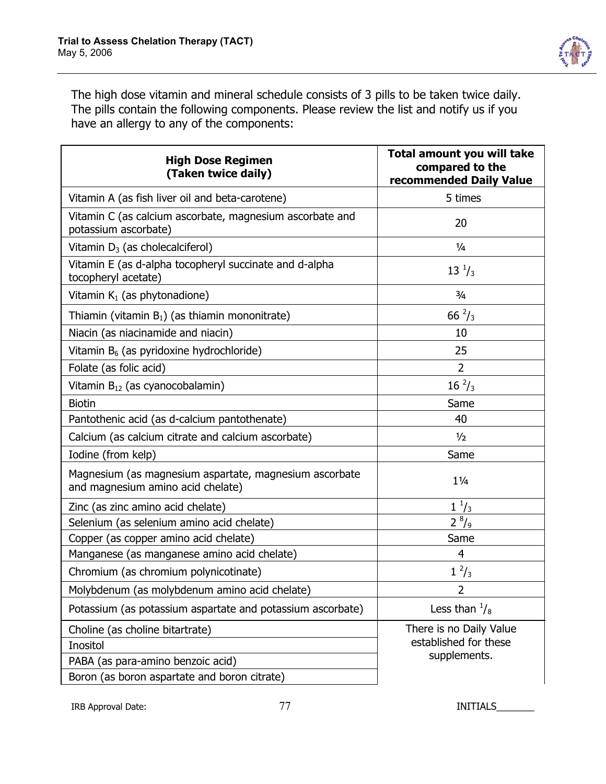

The high dose vitamin and mineral schedule consists of 3 pills to be taken twice daily. The pills contain the following components. Please review the list and notify us if you have an allergy to any of the components:

| <b>High Dose Regimen</b><br>(Taken twice daily)                                             | Total amount you will take<br>compared to the<br>recommended Daily Value |
|---------------------------------------------------------------------------------------------|--------------------------------------------------------------------------|
| Vitamin A (as fish liver oil and beta-carotene)                                             | 5 times                                                                  |
| Vitamin C (as calcium ascorbate, magnesium ascorbate and<br>potassium ascorbate)            | 20                                                                       |
| Vitamin $D_3$ (as cholecalciferol)                                                          | $\frac{1}{4}$                                                            |
| Vitamin E (as d-alpha tocopheryl succinate and d-alpha<br>tocopheryl acetate)               | $13^{1}/_{3}$                                                            |
| Vitamin $K_1$ (as phytonadione)                                                             | $\frac{3}{4}$                                                            |
| Thiamin (vitamin $B_1$ ) (as thiamin mononitrate)                                           | 66 $^{2}/_{3}$                                                           |
| Niacin (as niacinamide and niacin)                                                          | 10                                                                       |
| Vitamin $B_6$ (as pyridoxine hydrochloride)                                                 | 25                                                                       |
| Folate (as folic acid)                                                                      | $\overline{2}$                                                           |
| Vitamin $B_{12}$ (as cyanocobalamin)                                                        | $16^{2}/_{3}$                                                            |
| <b>Biotin</b>                                                                               | Same                                                                     |
| Pantothenic acid (as d-calcium pantothenate)                                                | 40                                                                       |
| Calcium (as calcium citrate and calcium ascorbate)                                          | $\frac{1}{2}$                                                            |
| Iodine (from kelp)                                                                          | Same                                                                     |
| Magnesium (as magnesium aspartate, magnesium ascorbate<br>and magnesium amino acid chelate) | $1\frac{1}{4}$                                                           |
| Zinc (as zinc amino acid chelate)                                                           | $1^{1/3}$                                                                |
| Selenium (as selenium amino acid chelate)                                                   | $2^{8}/9$                                                                |
| Copper (as copper amino acid chelate)                                                       | Same                                                                     |
| Manganese (as manganese amino acid chelate)                                                 | 4                                                                        |
| Chromium (as chromium polynicotinate)                                                       | $1^{2}/_{3}$                                                             |
| Molybdenum (as molybdenum amino acid chelate)                                               | 2                                                                        |
| Potassium (as potassium aspartate and potassium ascorbate)                                  | Less than $\frac{1}{8}$                                                  |
| Choline (as choline bitartrate)                                                             | There is no Daily Value                                                  |
| Inositol                                                                                    | established for these                                                    |
| PABA (as para-amino benzoic acid)                                                           | supplements.                                                             |
| Boron (as boron aspartate and boron citrate)                                                |                                                                          |

IRB Approval Date:  $\frac{77}{2}$  and  $\frac{77}{2}$  initial of  $\frac{1}{2}$  initial  $\frac{77}{2}$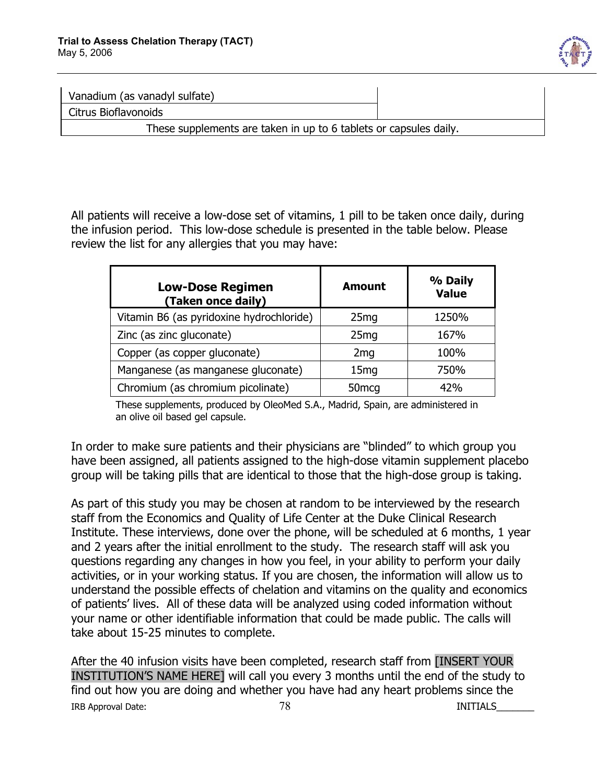

Vanadium (as vanadyl sulfate)

#### Citrus Bioflavonoids

These supplements are taken in up to 6 tablets or capsules daily.

All patients will receive a low-dose set of vitamins, 1 pill to be taken once daily, during the infusion period. This low-dose schedule is presented in the table below. Please review the list for any allergies that you may have:

| <b>Low-Dose Regimen</b><br>(Taken once daily) | <b>Amount</b>     | % Daily<br><b>Value</b> |
|-----------------------------------------------|-------------------|-------------------------|
| Vitamin B6 (as pyridoxine hydrochloride)      | 25mg              | 1250%                   |
| Zinc (as zinc gluconate)                      | 25mg              | 167%                    |
| Copper (as copper gluconate)                  | 2 <sub>mq</sub>   | 100%                    |
| Manganese (as manganese gluconate)            | 15 <sub>mq</sub>  | 750%                    |
| Chromium (as chromium picolinate)             | 50 <sub>mcq</sub> | 42%                     |

These supplements, produced by OleoMed S.A., Madrid, Spain, are administered in an olive oil based gel capsule.

In order to make sure patients and their physicians are "blinded" to which group you have been assigned, all patients assigned to the high-dose vitamin supplement placebo group will be taking pills that are identical to those that the high-dose group is taking.

As part of this study you may be chosen at random to be interviewed by the research staff from the Economics and Quality of Life Center at the Duke Clinical Research Institute. These interviews, done over the phone, will be scheduled at 6 months, 1 year and 2 years after the initial enrollment to the study. The research staff will ask you questions regarding any changes in how you feel, in your ability to perform your daily activities, or in your working status. If you are chosen, the information will allow us to understand the possible effects of chelation and vitamins on the quality and economics of patients' lives. All of these data will be analyzed using coded information without your name or other identifiable information that could be made public. The calls will take about 15-25 minutes to complete.

IRB Approval Date:  $78$  78 INITIALS After the 40 infusion visits have been completed, research staff from [INSERT YOUR INSTITUTION'S NAME HERE] will call you every 3 months until the end of the study to find out how you are doing and whether you have had any heart problems since the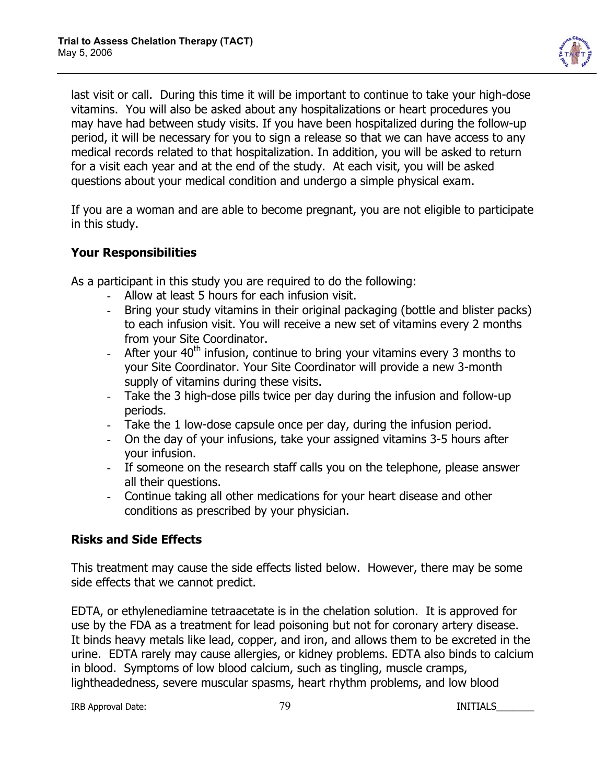

last visit or call. During this time it will be important to continue to take your high-dose vitamins. You will also be asked about any hospitalizations or heart procedures you may have had between study visits. If you have been hospitalized during the follow-up period, it will be necessary for you to sign a release so that we can have access to any medical records related to that hospitalization. In addition, you will be asked to return for a visit each year and at the end of the study. At each visit, you will be asked questions about your medical condition and undergo a simple physical exam.

If you are a woman and are able to become pregnant, you are not eligible to participate in this study.

# **Your Responsibilities**

As a participant in this study you are required to do the following:

- Allow at least 5 hours for each infusion visit.
- Bring your study vitamins in their original packaging (bottle and blister packs) to each infusion visit. You will receive a new set of vitamins every 2 months from your Site Coordinator.
- After your  $40<sup>th</sup>$  infusion, continue to bring your vitamins every 3 months to your Site Coordinator. Your Site Coordinator will provide a new 3-month supply of vitamins during these visits.
- Take the 3 high-dose pills twice per day during the infusion and follow-up periods.
- Take the 1 low-dose capsule once per day, during the infusion period.
- On the day of your infusions, take your assigned vitamins 3-5 hours after your infusion.
- If someone on the research staff calls you on the telephone, please answer all their questions.
- Continue taking all other medications for your heart disease and other conditions as prescribed by your physician.

# **Risks and Side Effects**

This treatment may cause the side effects listed below. However, there may be some side effects that we cannot predict.

EDTA, or ethylenediamine tetraacetate is in the chelation solution. It is approved for use by the FDA as a treatment for lead poisoning but not for coronary artery disease. It binds heavy metals like lead, copper, and iron, and allows them to be excreted in the urine. EDTA rarely may cause allergies, or kidney problems. EDTA also binds to calcium in blood. Symptoms of low blood calcium, such as tingling, muscle cramps, lightheadedness, severe muscular spasms, heart rhythm problems, and low blood

IRB Approval Date: The Contract of the Contract of the Contract of Testam in the INITIALS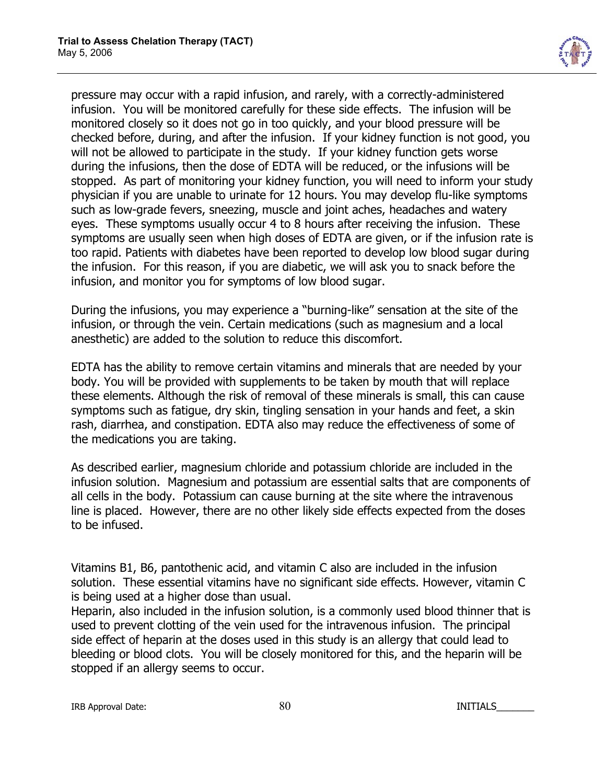

pressure may occur with a rapid infusion, and rarely, with a correctly-administered infusion. You will be monitored carefully for these side effects. The infusion will be monitored closely so it does not go in too quickly, and your blood pressure will be checked before, during, and after the infusion. If your kidney function is not good, you will not be allowed to participate in the study. If your kidney function gets worse during the infusions, then the dose of EDTA will be reduced, or the infusions will be stopped. As part of monitoring your kidney function, you will need to inform your study physician if you are unable to urinate for 12 hours. You may develop flu-like symptoms such as low-grade fevers, sneezing, muscle and joint aches, headaches and watery eyes. These symptoms usually occur 4 to 8 hours after receiving the infusion. These symptoms are usually seen when high doses of EDTA are given, or if the infusion rate is too rapid. Patients with diabetes have been reported to develop low blood sugar during the infusion. For this reason, if you are diabetic, we will ask you to snack before the infusion, and monitor you for symptoms of low blood sugar.

During the infusions, you may experience a "burning-like" sensation at the site of the infusion, or through the vein. Certain medications (such as magnesium and a local anesthetic) are added to the solution to reduce this discomfort.

EDTA has the ability to remove certain vitamins and minerals that are needed by your body. You will be provided with supplements to be taken by mouth that will replace these elements. Although the risk of removal of these minerals is small, this can cause symptoms such as fatigue, dry skin, tingling sensation in your hands and feet, a skin rash, diarrhea, and constipation. EDTA also may reduce the effectiveness of some of the medications you are taking.

As described earlier, magnesium chloride and potassium chloride are included in the infusion solution. Magnesium and potassium are essential salts that are components of all cells in the body. Potassium can cause burning at the site where the intravenous line is placed. However, there are no other likely side effects expected from the doses to be infused.

Vitamins B1, B6, pantothenic acid, and vitamin C also are included in the infusion solution. These essential vitamins have no significant side effects. However, vitamin C is being used at a higher dose than usual.

Heparin, also included in the infusion solution, is a commonly used blood thinner that is used to prevent clotting of the vein used for the intravenous infusion. The principal side effect of heparin at the doses used in this study is an allergy that could lead to bleeding or blood clots. You will be closely monitored for this, and the heparin will be stopped if an allergy seems to occur.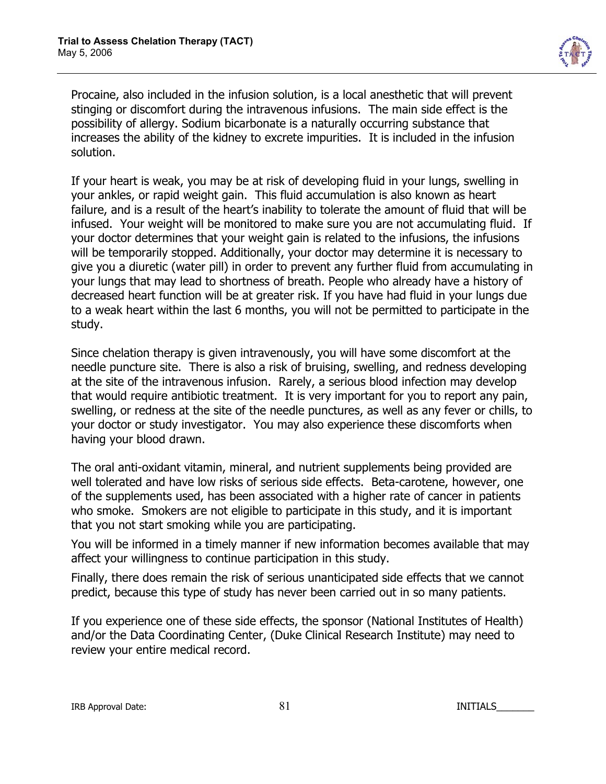

Procaine, also included in the infusion solution, is a local anesthetic that will prevent stinging or discomfort during the intravenous infusions. The main side effect is the possibility of allergy. Sodium bicarbonate is a naturally occurring substance that increases the ability of the kidney to excrete impurities. It is included in the infusion solution.

If your heart is weak, you may be at risk of developing fluid in your lungs, swelling in your ankles, or rapid weight gain. This fluid accumulation is also known as heart failure, and is a result of the heart's inability to tolerate the amount of fluid that will be infused. Your weight will be monitored to make sure you are not accumulating fluid. If your doctor determines that your weight gain is related to the infusions, the infusions will be temporarily stopped. Additionally, your doctor may determine it is necessary to give you a diuretic (water pill) in order to prevent any further fluid from accumulating in your lungs that may lead to shortness of breath. People who already have a history of decreased heart function will be at greater risk. If you have had fluid in your lungs due to a weak heart within the last 6 months, you will not be permitted to participate in the study.

Since chelation therapy is given intravenously, you will have some discomfort at the needle puncture site. There is also a risk of bruising, swelling, and redness developing at the site of the intravenous infusion. Rarely, a serious blood infection may develop that would require antibiotic treatment. It is very important for you to report any pain, swelling, or redness at the site of the needle punctures, as well as any fever or chills, to your doctor or study investigator. You may also experience these discomforts when having your blood drawn.

The oral anti-oxidant vitamin, mineral, and nutrient supplements being provided are well tolerated and have low risks of serious side effects. Beta-carotene, however, one of the supplements used, has been associated with a higher rate of cancer in patients who smoke. Smokers are not eligible to participate in this study, and it is important that you not start smoking while you are participating.

You will be informed in a timely manner if new information becomes available that may affect your willingness to continue participation in this study.

Finally, there does remain the risk of serious unanticipated side effects that we cannot predict, because this type of study has never been carried out in so many patients.

If you experience one of these side effects, the sponsor (National Institutes of Health) and/or the Data Coordinating Center, (Duke Clinical Research Institute) may need to review your entire medical record.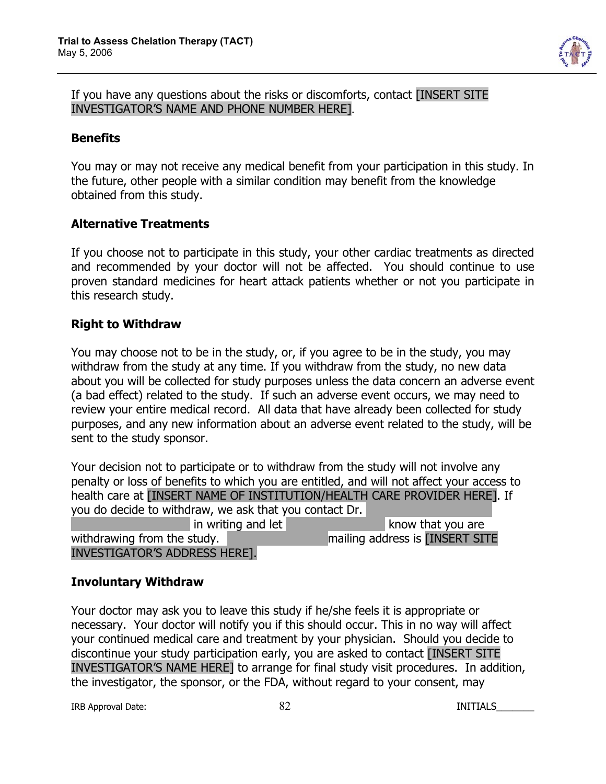

If you have any questions about the risks or discomforts, contact [INSERT SITE INVESTIGATOR'S NAME AND PHONE NUMBER HERE].

# **Benefits**

You may or may not receive any medical benefit from your participation in this study. In the future, other people with a similar condition may benefit from the knowledge obtained from this study.

# **Alternative Treatments**

 this research study. If you choose not to participate in this study, your other cardiac treatments as directed and recommended by your doctor will not be affected. You should continue to use proven standard medicines for heart attack patients whether or not you participate in

# **Right to Withdraw**

You may choose not to be in the study, or, if you agree to be in the study, you may withdraw from the study at any time. If you withdraw from the study, no new data about you will be collected for study purposes unless the data concern an adverse event (a bad effect) related to the study. If such an adverse event occurs, we may need to review your entire medical record. All data that have already been collected for study purposes, and any new information about an adverse event related to the study, will be sent to the study sponsor.

Your decision not to participate or to withdraw from the study will not involve any penalty or loss of benefits to which you are entitled, and will not affect your access to health care at [INSERT NAME OF INSTITUTION/HEALTH CARE PROVIDER HERE]. If you do decide to withdraw, we ask that you contact Dr.

INVESTIGATOR HERE] in writing and let [CHOOSE him/her] know that you are withdrawing from the study. The study is a mailing address is **[INSERT SITE** INVESTIGATOR'S ADDRESS HERE].

# **Involuntary Withdraw**

Your doctor may ask you to leave this study if he/she feels it is appropriate or necessary. Your doctor will notify you if this should occur. This in no way will affect your continued medical care and treatment by your physician. Should you decide to discontinue your study participation early, you are asked to contact [INSERT SITE INVESTIGATOR'S NAME HERE] to arrange for final study visit procedures. In addition, the investigator, the sponsor, or the FDA, without regard to your consent, may

IRB Approval Date:  $82$  in the set of the Second Date:  $82$  in the INITIALS in the Second Date: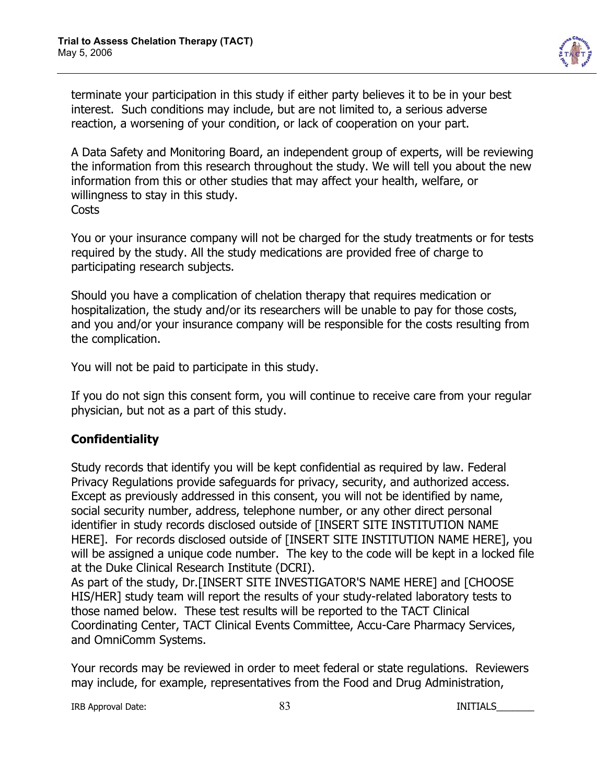

terminate your participation in this study if either party believes it to be in your best interest. Such conditions may include, but are not limited to, a serious adverse reaction, a worsening of your condition, or lack of cooperation on your part.

 information from this or other studies that may affect your health, welfare, or A Data Safety and Monitoring Board, an independent group of experts, will be reviewing the information from this research throughout the study. We will tell you about the new willingness to stay in this study. Costs

You or your insurance company will not be charged for the study treatments or for tests required by the study. All the study medications are provided free of charge to participating research subjects.

Should you have a complication of chelation therapy that requires medication or hospitalization, the study and/or its researchers will be unable to pay for those costs, and you and/or your insurance company will be responsible for the costs resulting from the complication.

You will not be paid to participate in this study.

If you do not sign this consent form, you will continue to receive care from your regular physician, but not as a part of this study.

# **Confidentiality**

Study records that identify you will be kept confidential as required by law. Federal Privacy Regulations provide safeguards for privacy, security, and authorized access. Except as previously addressed in this consent, you will not be identified by name, social security number, address, telephone number, or any other direct personal identifier in study records disclosed outside of [INSERT SITE INSTITUTION NAME HERE]. For records disclosed outside of [INSERT SITE INSTITUTION NAME HERE], you will be assigned a unique code number. The key to the code will be kept in a locked file at the Duke Clinical Research Institute (DCRI).

As part of the study, Dr.[INSERT SITE INVESTIGATOR'S NAME HERE] and [CHOOSE HIS/HER] study team will report the results of your study-related laboratory tests to those named below. These test results will be reported to the TACT Clinical Coordinating Center, TACT Clinical Events Committee, Accu-Care Pharmacy Services, and OmniComm Systems.

Your records may be reviewed in order to meet federal or state regulations. Reviewers may include, for example, representatives from the Food and Drug Administration,

IRB Approval Date:  $83$  and  $83$  in the set of the set of the set of the set of the set of the set of the set of the set of the set of the set of the set of the set of the set of the set of the set of the set of the set of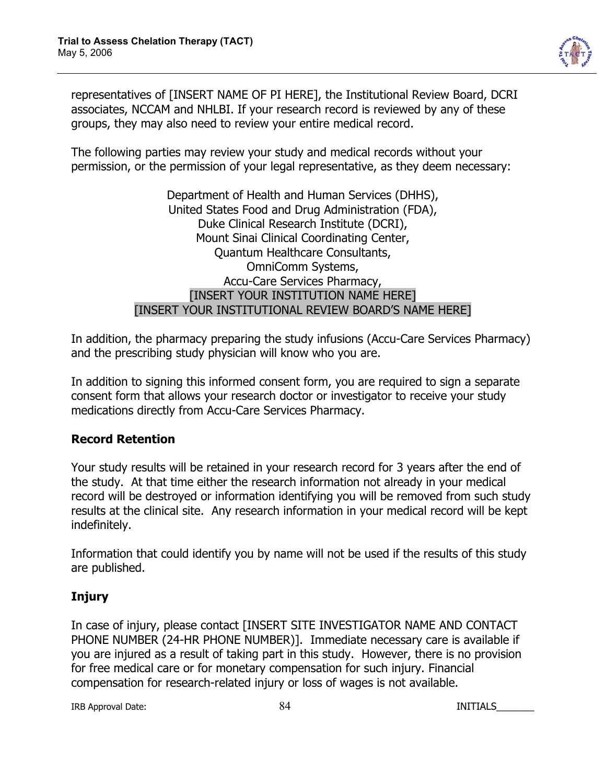

representatives of [INSERT NAME OF PI HERE], the Institutional Review Board, DCRI associates, NCCAM and NHLBI. If your research record is reviewed by any of these groups, they may also need to review your entire medical record.

The following parties may review your study and medical records without your permission, or the permission of your legal representative, as they deem necessary:

> Department of Health and Human Services (DHHS), United States Food and Drug Administration (FDA), Duke Clinical Research Institute (DCRI), Mount Sinai Clinical Coordinating Center, Quantum Healthcare Consultants, OmniComm Systems, Accu-Care Services Pharmacy, [INSERT YOUR INSTITUTION NAME HERE] [INSERT YOUR INSTITUTIONAL REVIEW BOARD'S NAME HERE]

In addition, the pharmacy preparing the study infusions (Accu-Care Services Pharmacy) and the prescribing study physician will know who you are.

In addition to signing this informed consent form, you are required to sign a separate consent form that allows your research doctor or investigator to receive your study medications directly from Accu-Care Services Pharmacy.

# **Record Retention**

Your study results will be retained in your research record for 3 years after the end of the study. At that time either the research information not already in your medical record will be destroyed or information identifying you will be removed from such study results at the clinical site. Any research information in your medical record will be kept indefinitely.

Information that could identify you by name will not be used if the results of this study are published.

# **Injury**

In case of injury, please contact [INSERT SITE INVESTIGATOR NAME AND CONTACT PHONE NUMBER (24-HR PHONE NUMBER)]. Immediate necessary care is available if you are injured as a result of taking part in this study. However, there is no provision for free medical care or for monetary compensation for such injury. Financial compensation for research-related injury or loss of wages is not available.

IRB Approval Date:  $84$  and  $84$  in the set of the set of the set of the set of the set of the set of the set of the set of the set of the set of the set of the set of the set of the set of the set of the set of the set of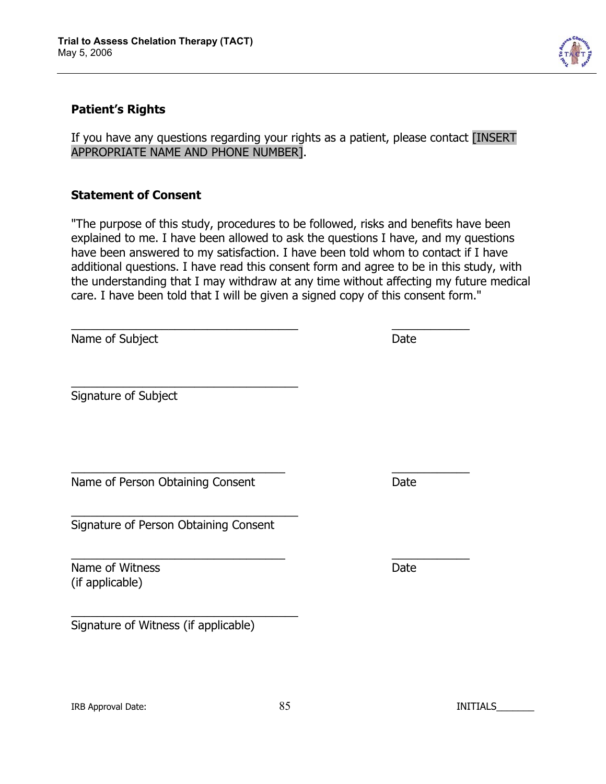# **Patient's Rights**

If you have any questions regarding your rights as a patient, please contact [INSERT APPROPRIATE NAME AND PHONE NUMBER].

# **Statement of Consent**

"The purpose of this study, procedures to be followed, risks and benefits have been explained to me. I have been allowed to ask the questions I have, and my questions have been answered to my satisfaction. I have been told whom to contact if I have additional questions. I have read this consent form and agree to be in this study, with the understanding that I may withdraw at any time without affecting my future medical care. I have been told that I will be given a signed copy of this consent form."

| Name of Subject                       | Date |
|---------------------------------------|------|
| Signature of Subject                  |      |
| Name of Person Obtaining Consent      | Date |
| Signature of Person Obtaining Consent |      |
| Name of Witness<br>(if applicable)    | Date |

Signature of Witness (if applicable)

 $\overline{\phantom{a}}$  , and the set of the set of the set of the set of the set of the set of the set of the set of the set of the set of the set of the set of the set of the set of the set of the set of the set of the set of the s



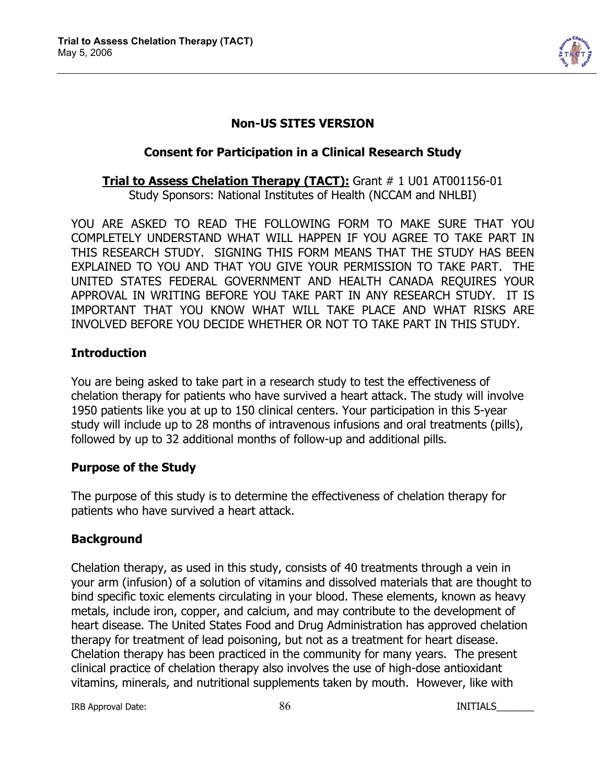

#### **Non-US SITES VERSION**

#### **Consent for Participation in a Clinical Research Study**

**Trial to Assess Chelation Therapy (TACT):** Grant # 1 U01 AT001156-01 Study Sponsors: National Institutes of Health (NCCAM and NHLBI)

YOU ARE ASKED TO READ THE FOLLOWING FORM TO MAKE SURE THAT YOU COMPLETELY UNDERSTAND WHAT WILL HAPPEN IF YOU AGREE TO TAKE PART IN THIS RESEARCH STUDY. SIGNING THIS FORM MEANS THAT THE STUDY HAS BEEN EXPLAINED TO YOU AND THAT YOU GIVE YOUR PERMISSION TO TAKE PART. THE UNITED STATES FEDERAL GOVERNMENT AND HEALTH CANADA REQUIRES YOUR APPROVAL IN WRITING BEFORE YOU TAKE PART IN ANY RESEARCH STUDY. IT IS IMPORTANT THAT YOU KNOW WHAT WILL TAKE PLACE AND WHAT RISKS ARE INVOLVED BEFORE YOU DECIDE WHETHER OR NOT TO TAKE PART IN THIS STUDY.

#### **Introduction**

You are being asked to take part in a research study to test the effectiveness of chelation therapy for patients who have survived a heart attack. The study will involve 1950 patients like you at up to 150 clinical centers. Your participation in this 5-year study will include up to 28 months of intravenous infusions and oral treatments (pills), followed by up to 32 additional months of follow-up and additional pills.

# **Purpose of the Study**

The purpose of this study is to determine the effectiveness of chelation therapy for patients who have survived a heart attack.

# **Background**

Chelation therapy, as used in this study, consists of 40 treatments through a vein in your arm (infusion) of a solution of vitamins and dissolved materials that are thought to bind specific toxic elements circulating in your blood. These elements, known as heavy metals, include iron, copper, and calcium, and may contribute to the development of heart disease. The United States Food and Drug Administration has approved chelation therapy for treatment of lead poisoning, but not as a treatment for heart disease. Chelation therapy has been practiced in the community for many years. The present clinical practice of chelation therapy also involves the use of high-dose antioxidant vitamins, minerals, and nutritional supplements taken by mouth. However, like with

IRB Approval Date:  $86$  and  $86$  in the set of the set of the set of the set of the set of the set of the set of the set of the set of the set of the set of the set of the set of the set of the set of the set of the set of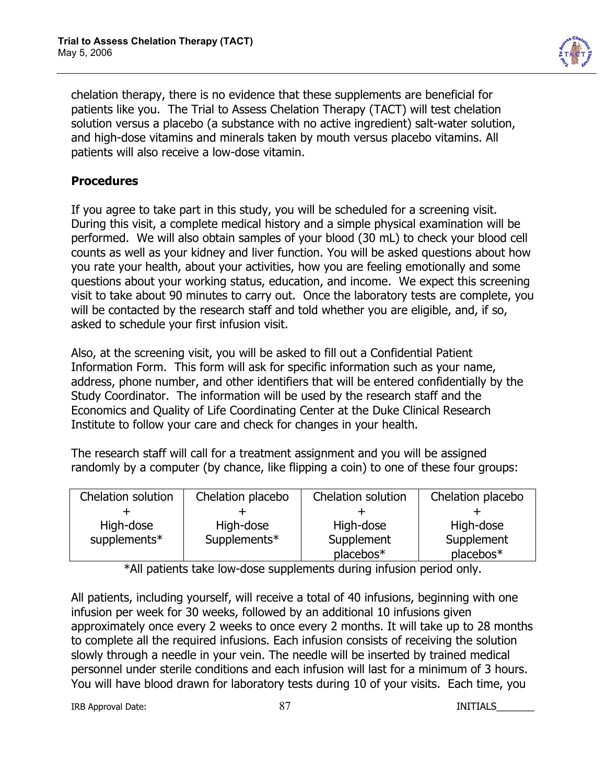

chelation therapy, there is no evidence that these supplements are beneficial for patients like you. The Trial to Assess Chelation Therapy (TACT) will test chelation solution versus a placebo (a substance with no active ingredient) salt-water solution, and high-dose vitamins and minerals taken by mouth versus placebo vitamins. All patients will also receive a low-dose vitamin.

# **Procedures**

If you agree to take part in this study, you will be scheduled for a screening visit. During this visit, a complete medical history and a simple physical examination will be performed. We will also obtain samples of your blood (30 mL) to check your blood cell counts as well as your kidney and liver function. You will be asked questions about how you rate your health, about your activities, how you are feeling emotionally and some questions about your working status, education, and income. We expect this screening visit to take about 90 minutes to carry out. Once the laboratory tests are complete, you will be contacted by the research staff and told whether you are eligible, and, if so, asked to schedule your first infusion visit.

Also, at the screening visit, you will be asked to fill out a Confidential Patient Information Form. This form will ask for specific information such as your name, address, phone number, and other identifiers that will be entered confidentially by the Study Coordinator. The information will be used by the research staff and the Economics and Quality of Life Coordinating Center at the Duke Clinical Research Institute to follow your care and check for changes in your health.

The research staff will call for a treatment assignment and you will be assigned randomly by a computer (by chance, like flipping a coin) to one of these four groups:

| Chelation solution | Chelation placebo | Chelation solution | Chelation placebo |
|--------------------|-------------------|--------------------|-------------------|
|                    |                   |                    |                   |
| High-dose          | High-dose         | High-dose          | High-dose         |
| supplements*       | Supplements*      | Supplement         | Supplement        |
|                    |                   | placebos*          | placebos*         |

\*All patients take low-dose supplements during infusion period only.

All patients, including yourself, will receive a total of 40 infusions, beginning with one infusion per week for 30 weeks, followed by an additional 10 infusions given approximately once every 2 weeks to once every 2 months. It will take up to 28 months to complete all the required infusions. Each infusion consists of receiving the solution slowly through a needle in your vein. The needle will be inserted by trained medical personnel under sterile conditions and each infusion will last for a minimum of 3 hours. You will have blood drawn for laboratory tests during 10 of your visits. Each time, you

IRB Approval Date:  $87$  and  $87$  in the set of the set of the set of the set of the set of the set of the set of the set of the set of the set of the set of the set of the set of the set of the set of the set of the set of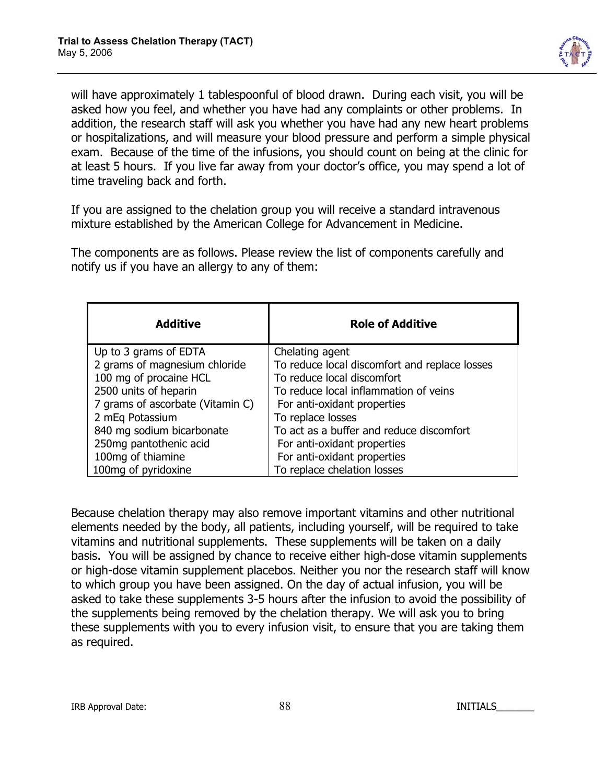

will have approximately 1 tablespoonful of blood drawn. During each visit, you will be asked how you feel, and whether you have had any complaints or other problems. In addition, the research staff will ask you whether you have had any new heart problems or hospitalizations, and will measure your blood pressure and perform a simple physical exam. Because of the time of the infusions, you should count on being at the clinic for at least 5 hours. If you live far away from your doctor's office, you may spend a lot of time traveling back and forth.

If you are assigned to the chelation group you will receive a standard intravenous mixture established by the American College for Advancement in Medicine.

The components are as follows. Please review the list of components carefully and notify us if you have an allergy to any of them:

| <b>Additive</b>                  | <b>Role of Additive</b>                       |
|----------------------------------|-----------------------------------------------|
| Up to 3 grams of EDTA            | Chelating agent                               |
| 2 grams of magnesium chloride    | To reduce local discomfort and replace losses |
| 100 mg of procaine HCL           | To reduce local discomfort                    |
| 2500 units of heparin            | To reduce local inflammation of veins         |
| 7 grams of ascorbate (Vitamin C) | For anti-oxidant properties                   |
| 2 mEq Potassium                  | To replace losses                             |
| 840 mg sodium bicarbonate        | To act as a buffer and reduce discomfort      |
| 250mg pantothenic acid           | For anti-oxidant properties                   |
| 100mg of thiamine                | For anti-oxidant properties                   |
| 100mg of pyridoxine              | To replace chelation losses                   |

Because chelation therapy may also remove important vitamins and other nutritional elements needed by the body, all patients, including yourself, will be required to take vitamins and nutritional supplements. These supplements will be taken on a daily basis. You will be assigned by chance to receive either high-dose vitamin supplements or high-dose vitamin supplement placebos. Neither you nor the research staff will know to which group you have been assigned. On the day of actual infusion, you will be asked to take these supplements 3-5 hours after the infusion to avoid the possibility of the supplements being removed by the chelation therapy. We will ask you to bring these supplements with you to every infusion visit, to ensure that you are taking them as required.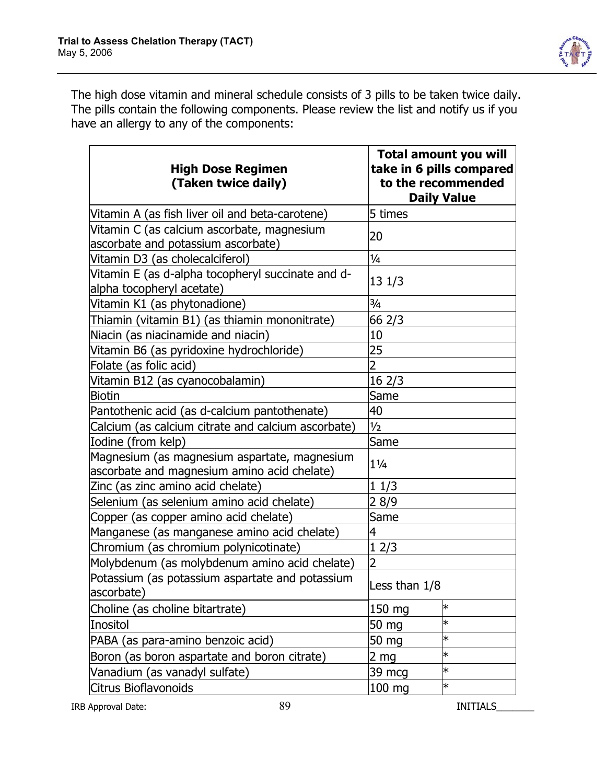

The high dose vitamin and mineral schedule consists of 3 pills to be taken twice daily. The pills contain the following components. Please review the list and notify us if you have an allergy to any of the components:

| <b>High Dose Regimen</b><br>(Taken twice daily)                                                               | <b>Total amount you will</b><br>take in 6 pills compared<br>to the recommended<br><b>Daily Value</b> |        |  |  |  |  |  |
|---------------------------------------------------------------------------------------------------------------|------------------------------------------------------------------------------------------------------|--------|--|--|--|--|--|
| Vitamin A (as fish liver oil and beta-carotene)                                                               | 5 times                                                                                              |        |  |  |  |  |  |
| Vitamin C (as calcium ascorbate, magnesium<br>ascorbate and potassium ascorbate)                              | 20                                                                                                   |        |  |  |  |  |  |
| Vitamin D3 (as cholecalciferol)                                                                               | $\frac{1}{4}$                                                                                        |        |  |  |  |  |  |
| Vitamin E (as d-alpha tocopheryl succinate and d-<br>alpha tocopheryl acetate)                                | 13 1/3                                                                                               |        |  |  |  |  |  |
| Vitamin K1 (as phytonadione)                                                                                  | $\frac{3}{4}$                                                                                        |        |  |  |  |  |  |
| Thiamin (vitamin B1) (as thiamin mononitrate)                                                                 | 66 2/3                                                                                               |        |  |  |  |  |  |
| Niacin (as niacinamide and niacin)                                                                            | 10                                                                                                   |        |  |  |  |  |  |
| Vitamin B6 (as pyridoxine hydrochloride)                                                                      | 25                                                                                                   |        |  |  |  |  |  |
| Folate (as folic acid)                                                                                        | $\overline{2}$                                                                                       |        |  |  |  |  |  |
| Vitamin B12 (as cyanocobalamin)                                                                               | 16 2/3                                                                                               |        |  |  |  |  |  |
| <b>Biotin</b>                                                                                                 | Same                                                                                                 |        |  |  |  |  |  |
| Pantothenic acid (as d-calcium pantothenate)                                                                  | 40                                                                                                   |        |  |  |  |  |  |
| Calcium (as calcium citrate and calcium ascorbate)                                                            | $\frac{1}{2}$                                                                                        |        |  |  |  |  |  |
| Iodine (from kelp)                                                                                            | Same                                                                                                 |        |  |  |  |  |  |
| Magnesium (as magnesium aspartate, magnesium<br>$1\frac{1}{4}$<br>ascorbate and magnesium amino acid chelate) |                                                                                                      |        |  |  |  |  |  |
| Zinc (as zinc amino acid chelate)                                                                             | 11/3                                                                                                 |        |  |  |  |  |  |
| Selenium (as selenium amino acid chelate)                                                                     | 2 8/9                                                                                                |        |  |  |  |  |  |
| Copper (as copper amino acid chelate)                                                                         | Same                                                                                                 |        |  |  |  |  |  |
| Manganese (as manganese amino acid chelate)                                                                   | 4                                                                                                    |        |  |  |  |  |  |
| Chromium (as chromium polynicotinate)                                                                         | 12/3                                                                                                 |        |  |  |  |  |  |
| Molybdenum (as molybdenum amino acid chelate)                                                                 | $\overline{2}$                                                                                       |        |  |  |  |  |  |
| Potassium (as potassium aspartate and potassium<br>ascorbate)                                                 | Less than 1/8                                                                                        |        |  |  |  |  |  |
| Choline (as choline bitartrate)                                                                               | 150 mg                                                                                               | ∗      |  |  |  |  |  |
| Inositol                                                                                                      | 50 mg                                                                                                | $\ast$ |  |  |  |  |  |
| PABA (as para-amino benzoic acid)                                                                             | 50 mg                                                                                                | $\ast$ |  |  |  |  |  |
| Boron (as boron aspartate and boron citrate)                                                                  | 2 mg                                                                                                 | ∗      |  |  |  |  |  |
| Vanadium (as vanadyl sulfate)                                                                                 | 39 mcg                                                                                               | ∗      |  |  |  |  |  |
| Citrus Bioflavonoids                                                                                          | $100$ mg                                                                                             | ∗      |  |  |  |  |  |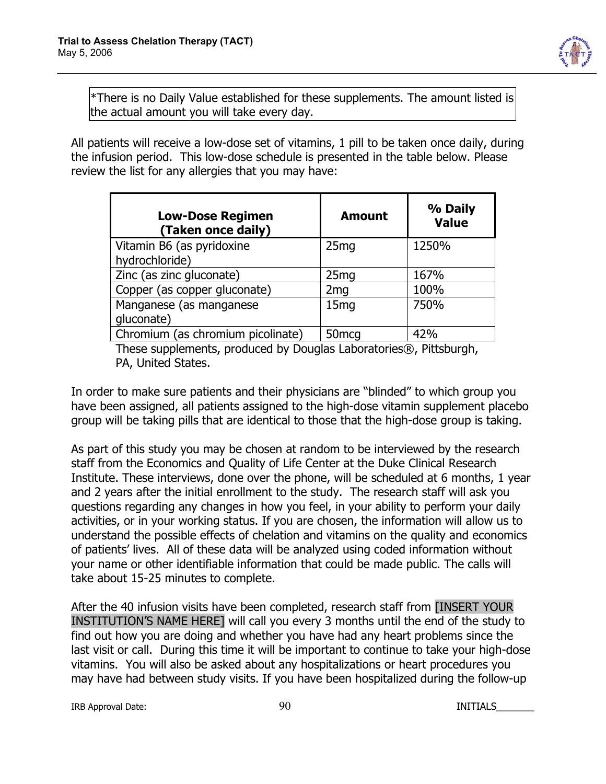

\*There is no Daily Value established for these supplements. The amount listed is the actual amount you will take every day.

All patients will receive a low-dose set of vitamins, 1 pill to be taken once daily, during the infusion period. This low-dose schedule is presented in the table below. Please review the list for any allergies that you may have:

| <b>Low-Dose Regimen</b><br>(Taken once daily) | <b>Amount</b>     | % Daily<br><b>Value</b> |
|-----------------------------------------------|-------------------|-------------------------|
| Vitamin B6 (as pyridoxine                     | 25mg              | 1250%                   |
| hydrochloride)                                |                   |                         |
| Zinc (as zinc gluconate)                      | 25 <sub>mg</sub>  | 167%                    |
| Copper (as copper gluconate)                  | 2 <sub>mq</sub>   | 100%                    |
| Manganese (as manganese                       | 15 <sub>mg</sub>  | 750%                    |
| gluconate)                                    |                   |                         |
| Chromium (as chromium picolinate)             | 50 <sub>mcq</sub> | 42%                     |

These supplements, produced by Douglas Laboratories®, Pittsburgh, PA, United States.

In order to make sure patients and their physicians are "blinded" to which group you have been assigned, all patients assigned to the high-dose vitamin supplement placebo group will be taking pills that are identical to those that the high-dose group is taking.

As part of this study you may be chosen at random to be interviewed by the research staff from the Economics and Quality of Life Center at the Duke Clinical Research Institute. These interviews, done over the phone, will be scheduled at 6 months, 1 year and 2 years after the initial enrollment to the study. The research staff will ask you questions regarding any changes in how you feel, in your ability to perform your daily activities, or in your working status. If you are chosen, the information will allow us to understand the possible effects of chelation and vitamins on the quality and economics of patients' lives. All of these data will be analyzed using coded information without your name or other identifiable information that could be made public. The calls will take about 15-25 minutes to complete.

After the 40 infusion visits have been completed, research staff from [INSERT YOUR INSTITUTION'S NAME HERE] will call you every 3 months until the end of the study to find out how you are doing and whether you have had any heart problems since the last visit or call. During this time it will be important to continue to take your high-dose vitamins. You will also be asked about any hospitalizations or heart procedures you may have had between study visits. If you have been hospitalized during the follow-up

IRB Approval Date:  $90$  and the set of the set of the set of the set of the set of the set of the set of the set of the set of the set of the set of the set of the set of the set of the set of the set of the set of the set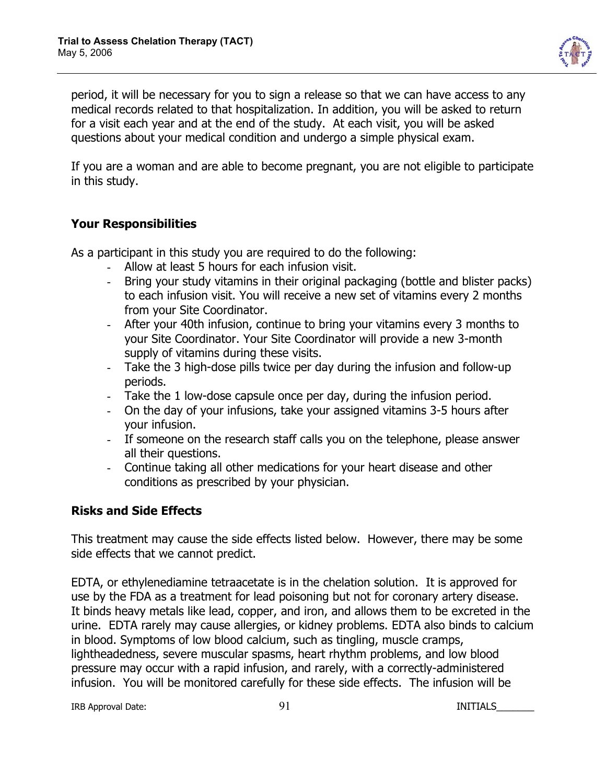

period, it will be necessary for you to sign a release so that we can have access to any medical records related to that hospitalization. In addition, you will be asked to return for a visit each year and at the end of the study. At each visit, you will be asked questions about your medical condition and undergo a simple physical exam.

If you are a woman and are able to become pregnant, you are not eligible to participate in this study.

# **Your Responsibilities**

As a participant in this study you are required to do the following:

- Allow at least 5 hours for each infusion visit.
- Bring your study vitamins in their original packaging (bottle and blister packs) to each infusion visit. You will receive a new set of vitamins every 2 months from your Site Coordinator.
- After your 40th infusion, continue to bring your vitamins every 3 months to your Site Coordinator. Your Site Coordinator will provide a new 3-month supply of vitamins during these visits.
- Take the 3 high-dose pills twice per day during the infusion and follow-up periods.
- Take the 1 low-dose capsule once per day, during the infusion period.
- On the day of your infusions, take your assigned vitamins 3-5 hours after your infusion.
- If someone on the research staff calls you on the telephone, please answer all their questions.
- Continue taking all other medications for your heart disease and other conditions as prescribed by your physician.

# **Risks and Side Effects**

This treatment may cause the side effects listed below. However, there may be some side effects that we cannot predict.

EDTA, or ethylenediamine tetraacetate is in the chelation solution. It is approved for use by the FDA as a treatment for lead poisoning but not for coronary artery disease. It binds heavy metals like lead, copper, and iron, and allows them to be excreted in the urine. EDTA rarely may cause allergies, or kidney problems. EDTA also binds to calcium in blood. Symptoms of low blood calcium, such as tingling, muscle cramps, lightheadedness, severe muscular spasms, heart rhythm problems, and low blood pressure may occur with a rapid infusion, and rarely, with a correctly-administered infusion. You will be monitored carefully for these side effects. The infusion will be

IRB Approval Date:  $91$  and  $91$  in the set of  $1$ NITIALS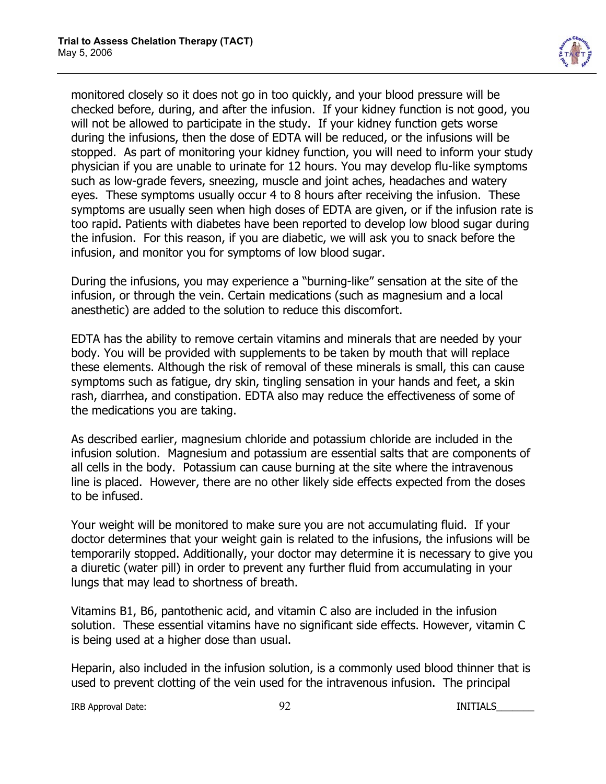

monitored closely so it does not go in too quickly, and your blood pressure will be checked before, during, and after the infusion. If your kidney function is not good, you will not be allowed to participate in the study. If your kidney function gets worse during the infusions, then the dose of EDTA will be reduced, or the infusions will be stopped. As part of monitoring your kidney function, you will need to inform your study physician if you are unable to urinate for 12 hours. You may develop flu-like symptoms such as low-grade fevers, sneezing, muscle and joint aches, headaches and watery eyes. These symptoms usually occur 4 to 8 hours after receiving the infusion. These symptoms are usually seen when high doses of EDTA are given, or if the infusion rate is too rapid. Patients with diabetes have been reported to develop low blood sugar during the infusion. For this reason, if you are diabetic, we will ask you to snack before the infusion, and monitor you for symptoms of low blood sugar.

During the infusions, you may experience a "burning-like" sensation at the site of the infusion, or through the vein. Certain medications (such as magnesium and a local anesthetic) are added to the solution to reduce this discomfort.

EDTA has the ability to remove certain vitamins and minerals that are needed by your body. You will be provided with supplements to be taken by mouth that will replace these elements. Although the risk of removal of these minerals is small, this can cause symptoms such as fatigue, dry skin, tingling sensation in your hands and feet, a skin rash, diarrhea, and constipation. EDTA also may reduce the effectiveness of some of the medications you are taking.

As described earlier, magnesium chloride and potassium chloride are included in the infusion solution. Magnesium and potassium are essential salts that are components of all cells in the body. Potassium can cause burning at the site where the intravenous line is placed. However, there are no other likely side effects expected from the doses to be infused.

Your weight will be monitored to make sure you are not accumulating fluid. If your doctor determines that your weight gain is related to the infusions, the infusions will be temporarily stopped. Additionally, your doctor may determine it is necessary to give you a diuretic (water pill) in order to prevent any further fluid from accumulating in your lungs that may lead to shortness of breath.

Vitamins B1, B6, pantothenic acid, and vitamin C also are included in the infusion solution. These essential vitamins have no significant side effects. However, vitamin C is being used at a higher dose than usual.

Heparin, also included in the infusion solution, is a commonly used blood thinner that is used to prevent clotting of the vein used for the intravenous infusion. The principal

IRB Approval Date:  $92$  and  $92$  in the INITIALS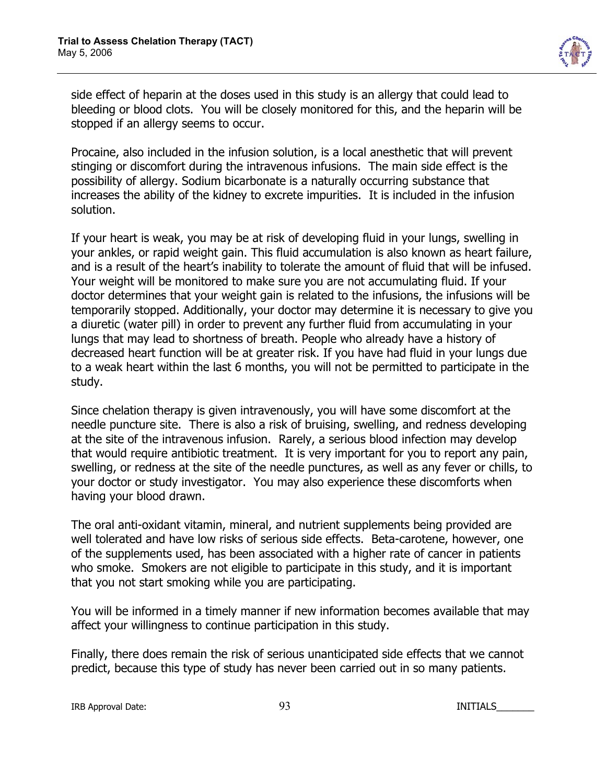

side effect of heparin at the doses used in this study is an allergy that could lead to bleeding or blood clots. You will be closely monitored for this, and the heparin will be stopped if an allergy seems to occur.

Procaine, also included in the infusion solution, is a local anesthetic that will prevent stinging or discomfort during the intravenous infusions. The main side effect is the possibility of allergy. Sodium bicarbonate is a naturally occurring substance that increases the ability of the kidney to excrete impurities. It is included in the infusion solution.

 and is a result of the heart's inability to tolerate the amount of fluid that will be infused. If your heart is weak, you may be at risk of developing fluid in your lungs, swelling in your ankles, or rapid weight gain. This fluid accumulation is also known as heart failure, Your weight will be monitored to make sure you are not accumulating fluid. If your doctor determines that your weight gain is related to the infusions, the infusions will be temporarily stopped. Additionally, your doctor may determine it is necessary to give you a diuretic (water pill) in order to prevent any further fluid from accumulating in your lungs that may lead to shortness of breath. People who already have a history of decreased heart function will be at greater risk. If you have had fluid in your lungs due to a weak heart within the last 6 months, you will not be permitted to participate in the study.

Since chelation therapy is given intravenously, you will have some discomfort at the needle puncture site. There is also a risk of bruising, swelling, and redness developing at the site of the intravenous infusion. Rarely, a serious blood infection may develop that would require antibiotic treatment. It is very important for you to report any pain, swelling, or redness at the site of the needle punctures, as well as any fever or chills, to your doctor or study investigator. You may also experience these discomforts when having your blood drawn.

The oral anti-oxidant vitamin, mineral, and nutrient supplements being provided are well tolerated and have low risks of serious side effects. Beta-carotene, however, one of the supplements used, has been associated with a higher rate of cancer in patients who smoke. Smokers are not eligible to participate in this study, and it is important that you not start smoking while you are participating.

You will be informed in a timely manner if new information becomes available that may affect your willingness to continue participation in this study.

Finally, there does remain the risk of serious unanticipated side effects that we cannot predict, because this type of study has never been carried out in so many patients.

IRB Approval Date:  $93$  and  $93$  in the set of  $1$ NITIALS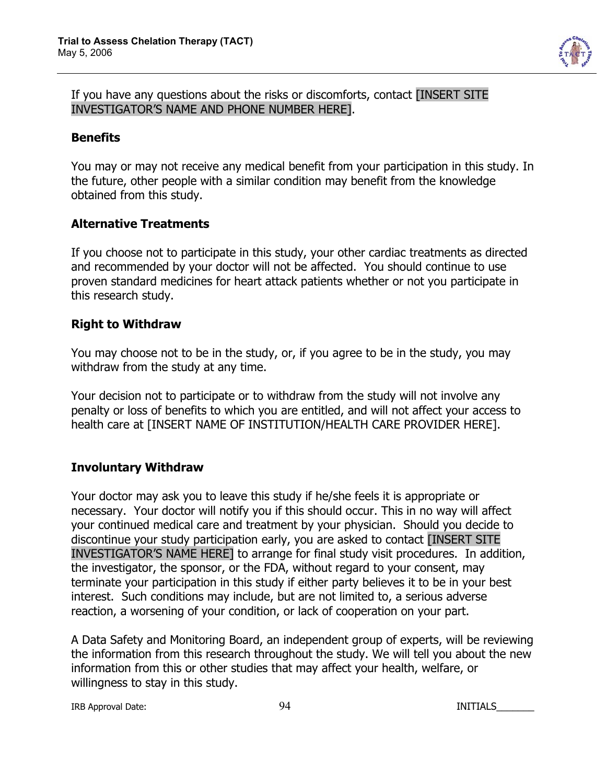

If you have any questions about the risks or discomforts, contact [INSERT SITE INVESTIGATOR'S NAME AND PHONE NUMBER HERE].

# **Benefits**

You may or may not receive any medical benefit from your participation in this study. In the future, other people with a similar condition may benefit from the knowledge obtained from this study.

# **Alternative Treatments**

 this research study. If you choose not to participate in this study, your other cardiac treatments as directed and recommended by your doctor will not be affected. You should continue to use proven standard medicines for heart attack patients whether or not you participate in

#### **Right to Withdraw**

You may choose not to be in the study, or, if you agree to be in the study, you may withdraw from the study at any time.

Your decision not to participate or to withdraw from the study will not involve any penalty or loss of benefits to which you are entitled, and will not affect your access to health care at [INSERT NAME OF INSTITUTION/HEALTH CARE PROVIDER HERE].

# **Involuntary Withdraw**

Your doctor may ask you to leave this study if he/she feels it is appropriate or necessary. Your doctor will notify you if this should occur. This in no way will affect your continued medical care and treatment by your physician. Should you decide to discontinue your study participation early, you are asked to contact [INSERT SITE INVESTIGATOR'S NAME HERE] to arrange for final study visit procedures. In addition, the investigator, the sponsor, or the FDA, without regard to your consent, may terminate your participation in this study if either party believes it to be in your best interest. Such conditions may include, but are not limited to, a serious adverse reaction, a worsening of your condition, or lack of cooperation on your part.

 information from this or other studies that may affect your health, welfare, or A Data Safety and Monitoring Board, an independent group of experts, will be reviewing the information from this research throughout the study. We will tell you about the new willingness to stay in this study.

IRB Approval Date:  $94$  94 INITIALS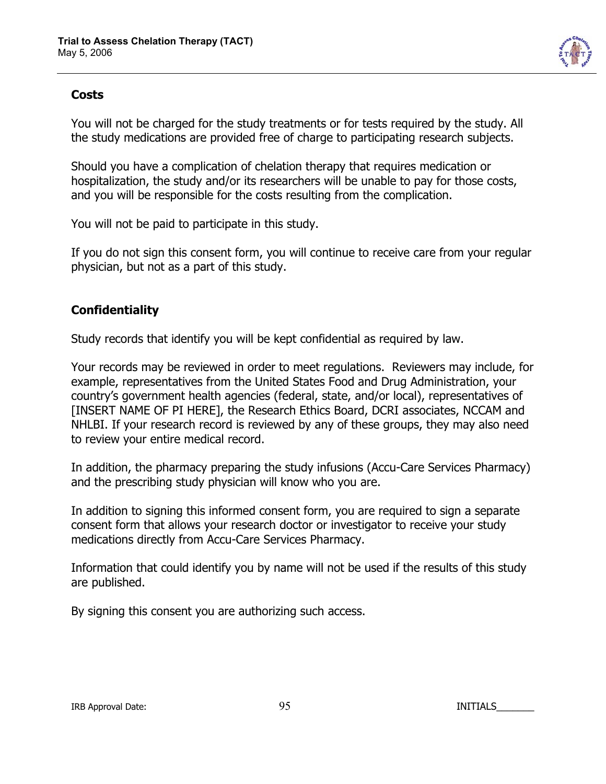

# **Costs**

You will not be charged for the study treatments or for tests required by the study. All the study medications are provided free of charge to participating research subjects.

Should you have a complication of chelation therapy that requires medication or hospitalization, the study and/or its researchers will be unable to pay for those costs, and you will be responsible for the costs resulting from the complication.

You will not be paid to participate in this study.

If you do not sign this consent form, you will continue to receive care from your regular physician, but not as a part of this study.

# **Confidentiality**

Study records that identify you will be kept confidential as required by law.

Your records may be reviewed in order to meet regulations. Reviewers may include, for example, representatives from the United States Food and Drug Administration, your country's government health agencies (federal, state, and/or local), representatives of [INSERT NAME OF PI HERE], the Research Ethics Board, DCRI associates, NCCAM and NHLBI. If your research record is reviewed by any of these groups, they may also need to review your entire medical record.

In addition, the pharmacy preparing the study infusions (Accu-Care Services Pharmacy) and the prescribing study physician will know who you are.

In addition to signing this informed consent form, you are required to sign a separate consent form that allows your research doctor or investigator to receive your study medications directly from Accu-Care Services Pharmacy.

Information that could identify you by name will not be used if the results of this study are published.

By signing this consent you are authorizing such access.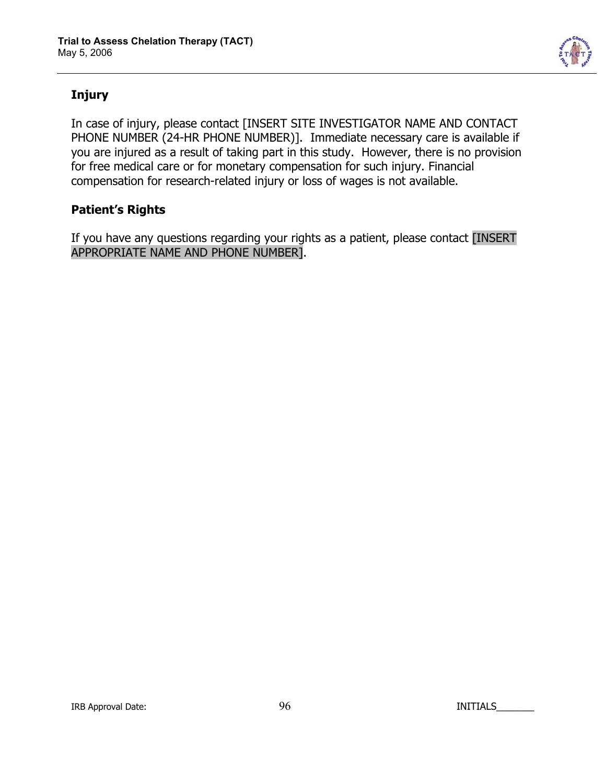

# **Injury**

In case of injury, please contact [INSERT SITE INVESTIGATOR NAME AND CONTACT PHONE NUMBER (24-HR PHONE NUMBER)]. Immediate necessary care is available if you are injured as a result of taking part in this study. However, there is no provision for free medical care or for monetary compensation for such injury. Financial compensation for research-related injury or loss of wages is not available.

# **Patient's Rights**

If you have any questions regarding your rights as a patient, please contact [INSERT APPROPRIATE NAME AND PHONE NUMBER].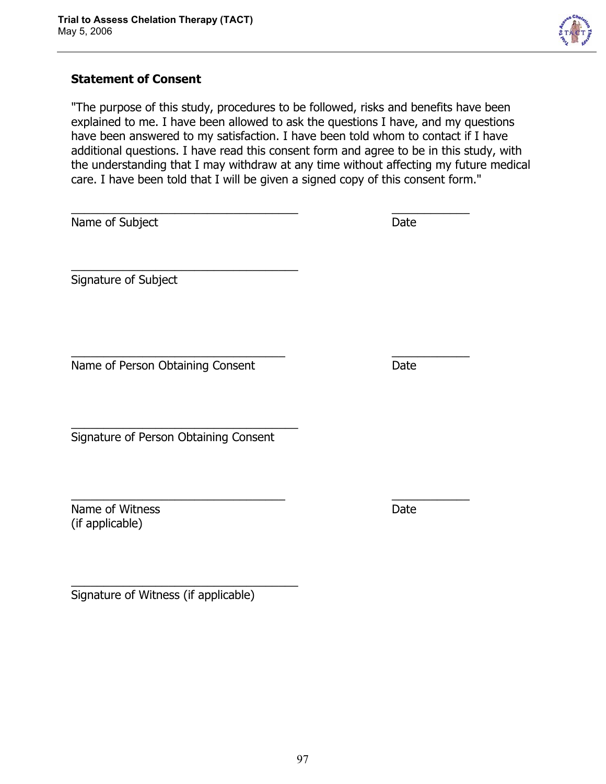

#### **Statement of Consent**

"The purpose of this study, procedures to be followed, risks and benefits have been explained to me. I have been allowed to ask the questions I have, and my questions have been answered to my satisfaction. I have been told whom to contact if I have additional questions. I have read this consent form and agree to be in this study, with the understanding that I may withdraw at any time without affecting my future medical care. I have been told that I will be given a signed copy of this consent form."

| Name of Subject                       | Date |
|---------------------------------------|------|
| Signature of Subject                  |      |
| Name of Person Obtaining Consent      | Date |
| Signature of Person Obtaining Consent |      |
| Name of Witness<br>(if applicable)    | Date |

Signature of Witness (if applicable)

 $\frac{1}{2}$  ,  $\frac{1}{2}$  ,  $\frac{1}{2}$  ,  $\frac{1}{2}$  ,  $\frac{1}{2}$  ,  $\frac{1}{2}$  ,  $\frac{1}{2}$  ,  $\frac{1}{2}$  ,  $\frac{1}{2}$  ,  $\frac{1}{2}$  ,  $\frac{1}{2}$  ,  $\frac{1}{2}$  ,  $\frac{1}{2}$  ,  $\frac{1}{2}$  ,  $\frac{1}{2}$  ,  $\frac{1}{2}$  ,  $\frac{1}{2}$  ,  $\frac{1}{2}$  ,  $\frac{1$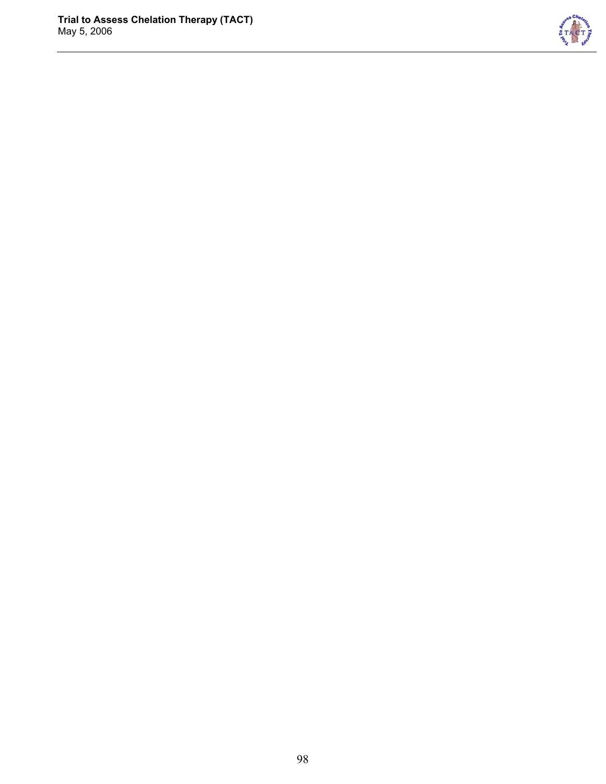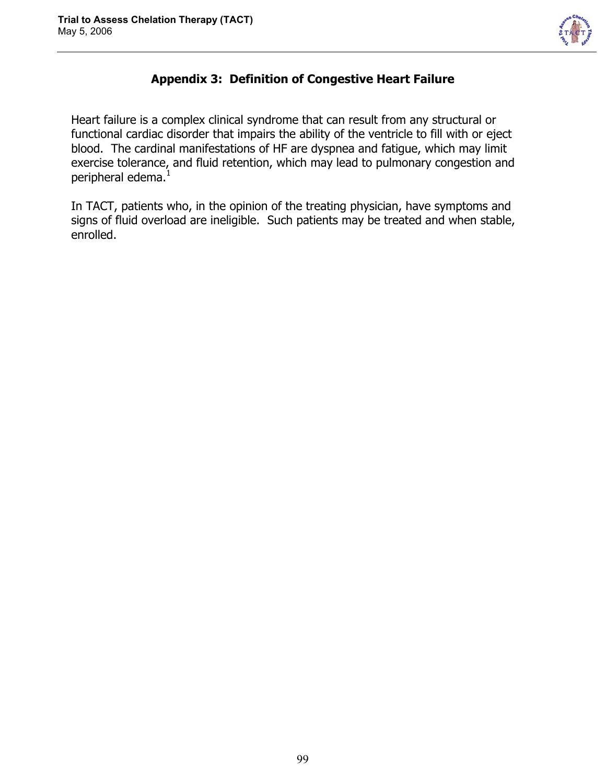

# **Appendix 3: Definition of Congestive Heart Failure**

peripheral edema. $^1$ Heart failure is a complex clinical syndrome that can result from any structural or functional cardiac disorder that impairs the ability of the ventricle to fill with or eject blood. The cardinal manifestations of HF are dyspnea and fatigue, which may limit exercise tolerance, and fluid retention, which may lead to pulmonary congestion and

In TACT, patients who, in the opinion of the treating physician, have symptoms and signs of fluid overload are ineligible. Such patients may be treated and when stable, enrolled.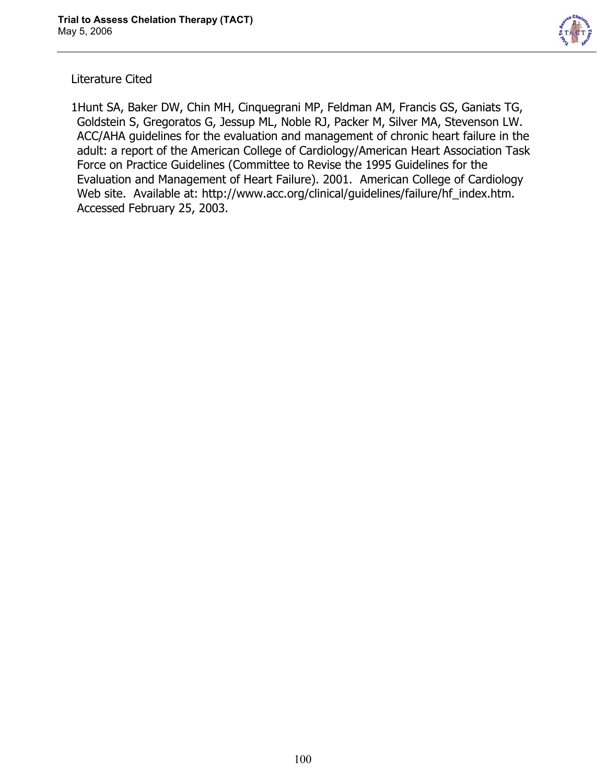

Literature Cited

1Hunt SA, Baker DW, Chin MH, Cinquegrani MP, Feldman AM, Francis GS, Ganiats TG, Goldstein S, Gregoratos G, Jessup ML, Noble RJ, Packer M, Silver MA, Stevenson LW. ACC/AHA guidelines for the evaluation and management of chronic heart failure in the adult: a report of the American College of Cardiology/American Heart Association Task Force on Practice Guidelines (Committee to Revise the 1995 Guidelines for the Evaluation and Management of Heart Failure). 2001. American College of Cardiology Web site. Available at: http://www.acc.org/clinical/guidelines/failure/hf\_index.htm. Accessed February 25, 2003.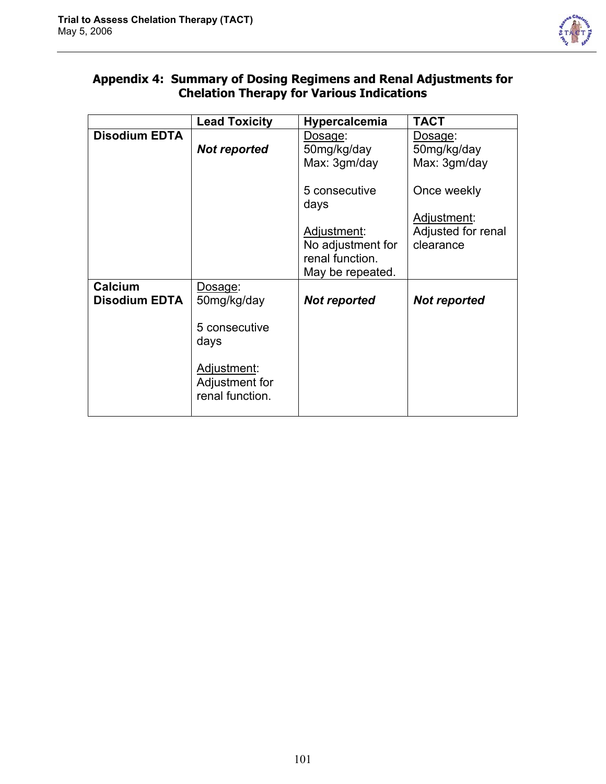

# **Appendix 4: Summary of Dosing Regimens and Renal Adjustments for Chelation Therapy for Various Indications**

|                                 | <b>Lead Toxicity</b>                             | <b>Hypercalcemia</b>                                                    | <b>TACT</b>                                           |  |  |  |
|---------------------------------|--------------------------------------------------|-------------------------------------------------------------------------|-------------------------------------------------------|--|--|--|
| <b>Disodium EDTA</b>            | <b>Not reported</b>                              | Dosage:<br>50mg/kg/day<br>Max: 3gm/day                                  | Dosage:<br>50mg/kg/day<br>Max: 3gm/day<br>Once weekly |  |  |  |
|                                 |                                                  | 5 consecutive<br>days                                                   |                                                       |  |  |  |
|                                 |                                                  | Adjustment:<br>No adjustment for<br>renal function.<br>May be repeated. | Adjustment:<br>Adjusted for renal<br>clearance        |  |  |  |
| Calcium<br><b>Disodium EDTA</b> | Dosage:<br>50mg/kg/day                           | <b>Not reported</b>                                                     | <b>Not reported</b>                                   |  |  |  |
|                                 | 5 consecutive<br>days                            |                                                                         |                                                       |  |  |  |
|                                 | Adjustment:<br>Adjustment for<br>renal function. |                                                                         |                                                       |  |  |  |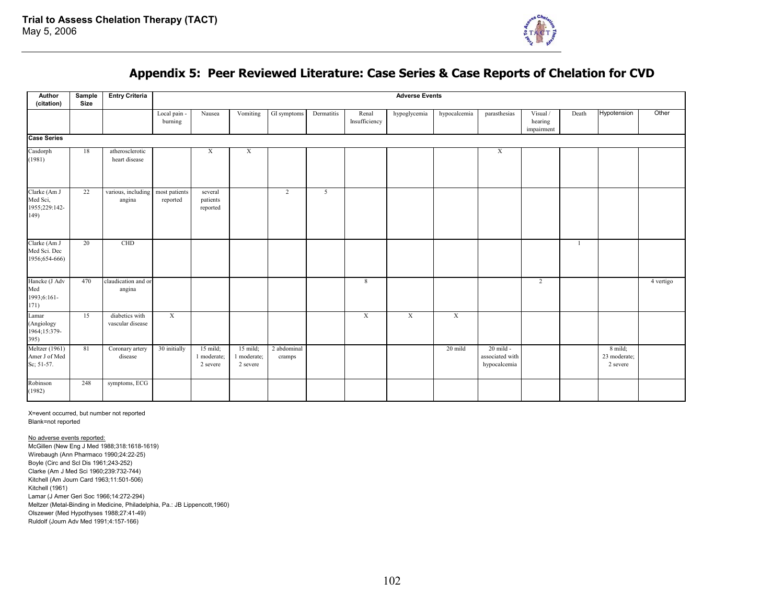

# **Appendix 5: Peer Reviewed Literature: Case Series & Case Reports of Chelation for CVD**

| Author<br>(citation)                              | Sample<br>Size | <b>Entry Criteria</b>                      |                         | <b>Adverse Events</b>                 |                                       |                       |                |                        |              |              |                                              |                                   |       |                                     |           |
|---------------------------------------------------|----------------|--------------------------------------------|-------------------------|---------------------------------------|---------------------------------------|-----------------------|----------------|------------------------|--------------|--------------|----------------------------------------------|-----------------------------------|-------|-------------------------------------|-----------|
|                                                   |                |                                            | Local pain -<br>burning | Nausea                                | Vomiting                              | GI symptoms           | Dermatitis     | Renal<br>Insufficiency | hypoglycemia | hypocalcemia | parasthesias                                 | Visual /<br>hearing<br>impairment | Death | Hypotension                         | Other     |
| <b>Case Series</b>                                |                |                                            |                         |                                       |                                       |                       |                |                        |              |              |                                              |                                   |       |                                     |           |
| Casdorph<br>(1981)                                | 18             | atherosclerotic<br>heart disease           |                         | $\mathbf X$                           | X                                     |                       |                |                        |              |              | X                                            |                                   |       |                                     |           |
| Clarke (Am J<br>Med Sci,<br>1955;229:142-<br>149) | 22             | various, including most patients<br>angina | reported                | several<br>patients<br>reported       |                                       | 2                     | 5 <sup>5</sup> |                        |              |              |                                              |                                   |       |                                     |           |
| Clarke (Am J<br>Med Sci. Dec<br>1956;654-666)     | 20             | <b>CHD</b>                                 |                         |                                       |                                       |                       |                |                        |              |              |                                              |                                   | -1    |                                     |           |
| Hancke (J Adv<br>Med<br>1993;6:161-<br>171)       | 470            | claudication and or<br>angina              |                         |                                       |                                       |                       |                | 8                      |              |              |                                              | 2                                 |       |                                     | 4 vertigo |
| Lamar<br>(Angiology<br>1964;15:379-<br>395)       | 15             | diabetics with<br>vascular disease         | X                       |                                       |                                       |                       |                | X                      | $\mathbf x$  | X            |                                              |                                   |       |                                     |           |
| Meltzer (1961)<br>Amer J of Med<br>Sc; 51-57.     | 81             | Coronary artery<br>disease                 | 30 initially            | $15$ mild;<br>1 moderate;<br>2 severe | $15$ mild;<br>1 moderate;<br>2 severe | 2 abdominal<br>cramps |                |                        |              | 20 mild      | 20 mild -<br>associated with<br>hypocalcemia |                                   |       | 8 mild;<br>23 moderate;<br>2 severe |           |
| Robinson<br>(1982)                                | 248            | symptoms, ECG                              |                         |                                       |                                       |                       |                |                        |              |              |                                              |                                   |       |                                     |           |

X=event occurred, but number not reported Blank=not reported

No adverse events reported:

McGillen (New Eng J Med 1988;318:1618-1619) Wirebaugh (Ann Pharmaco 1990;24:22-25) Boyle (Circ and Scl Dis 1961;243-252) Clarke (Am J Med Sci 1960;239:732-744) Kitchell (Am Journ Card 1963;11:501-506) Kitchell (1961) Lamar (J Amer Geri Soc 1966;14:272-294) Meltzer (Metal-Binding in Medicine, Philadelphia, Pa.: JB Lippencott,1960) Olszewer (Med Hypothyses 1988;27:41-49) Ruldolf (Journ Adv Med 1991;4:157-166)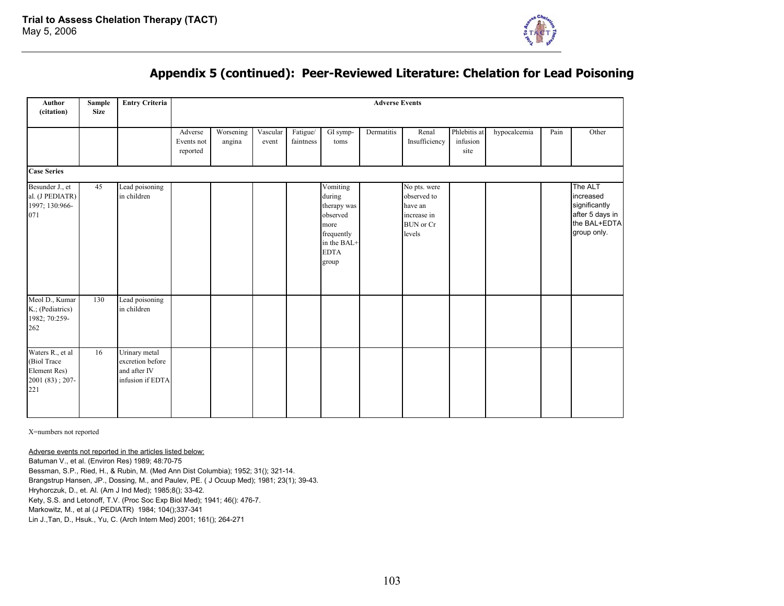

# **Appendix 5 (continued): Peer-Reviewed Literature: Chelation for Lead Poisoning**

| Author<br>(citation)                                                      | Sample<br><b>Size</b> | <b>Entry Criteria</b>                                                 | <b>Adverse Events</b>             |                     |                   |                       |                                                                                                            |            |                                                                                     |                                  |              |      |                                                                                         |
|---------------------------------------------------------------------------|-----------------------|-----------------------------------------------------------------------|-----------------------------------|---------------------|-------------------|-----------------------|------------------------------------------------------------------------------------------------------------|------------|-------------------------------------------------------------------------------------|----------------------------------|--------------|------|-----------------------------------------------------------------------------------------|
|                                                                           |                       |                                                                       | Adverse<br>Events not<br>reported | Worsening<br>angina | Vascular<br>event | Fatigue/<br>faintness | GI symp-<br>toms                                                                                           | Dermatitis | Renal<br>Insufficiency                                                              | Phlebitis at<br>infusion<br>site | hypocalcemia | Pain | Other                                                                                   |
| <b>Case Series</b>                                                        |                       |                                                                       |                                   |                     |                   |                       |                                                                                                            |            |                                                                                     |                                  |              |      |                                                                                         |
| Besunder J., et<br>al. (J PEDIATR)<br>1997; 130:966-<br>071               | 45                    | Lead poisoning<br>in children                                         |                                   |                     |                   |                       | Vomiting<br>during<br>therapy was<br>observed<br>more<br>frequently<br>in the BAL+<br><b>EDTA</b><br>group |            | No pts. were<br>observed to<br>have an<br>increase in<br><b>BUN</b> or Cr<br>levels |                                  |              |      | The ALT<br>increased<br>significantly<br>after 5 days in<br>the BAL+EDTA<br>group only. |
| Meol D., Kumar<br>K.; (Pediatrics)<br>1982; 70:259-<br>262                | 130                   | Lead poisoning<br>in children                                         |                                   |                     |                   |                       |                                                                                                            |            |                                                                                     |                                  |              |      |                                                                                         |
| Waters R., et al<br>(Biol Trace<br>Element Res)<br>2001 (83); 207-<br>221 | 16                    | Urinary metal<br>excretion before<br>and after IV<br>infusion if EDTA |                                   |                     |                   |                       |                                                                                                            |            |                                                                                     |                                  |              |      |                                                                                         |

X=numbers not reported

Adverse events not reported in the articles listed below: Batuman V., et al. (Environ Res) 1989; 48:70-75 Bessman, S.P., Ried, H., & Rubin, M. (Med Ann Dist Columbia); 1952; 31(); 321-14. Brangstrup Hansen, JP., Dossing, M., and Paulev, PE. ( J Ocuup Med); 1981; 23(1); 39-43. Hryhorczuk, D., et. Al. (Am J Ind Med); 1985;8(); 33-42. Kety, S.S. and Letonoff, T.V. (Proc Soc Exp Biol Med); 1941; 46(): 476-7. Markowitz, M., et al (J PEDIATR) 1984; 104();337-341 Lin J.,Tan, D., Hsuk., Yu, C. (Arch Intern Med) 2001; 161(); 264-271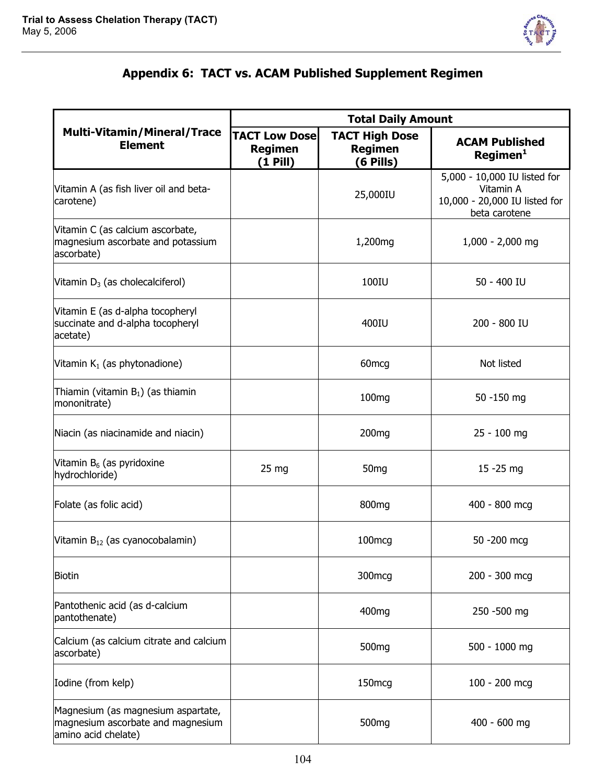

# **Appendix 6: TACT vs. ACAM Published Supplement Regimen**

|                                                                                                | <b>Total Daily Amount</b>                            |                                                        |                                                                                             |  |  |  |  |  |
|------------------------------------------------------------------------------------------------|------------------------------------------------------|--------------------------------------------------------|---------------------------------------------------------------------------------------------|--|--|--|--|--|
| <b>Multi-Vitamin/Mineral/Trace</b><br><b>Element</b>                                           | <b>TACT Low Dose</b><br><b>Regimen</b><br>$(1$ Pill) | <b>TACT High Dose</b><br><b>Regimen</b><br>$(6$ Pills) | <b>ACAM Published</b><br>Regimen <sup>1</sup>                                               |  |  |  |  |  |
| Vitamin A (as fish liver oil and beta-<br>carotene)                                            |                                                      | 25,000IU                                               | 5,000 - 10,000 IU listed for<br>Vitamin A<br>10,000 - 20,000 IU listed for<br>beta carotene |  |  |  |  |  |
| Vitamin C (as calcium ascorbate,<br>magnesium ascorbate and potassium<br>ascorbate)            |                                                      | 1,200mg                                                | $1,000 - 2,000$ mg                                                                          |  |  |  |  |  |
| Vitamin $D_3$ (as cholecalciferol)                                                             |                                                      | 100IU                                                  | 50 - 400 IU                                                                                 |  |  |  |  |  |
| Vitamin E (as d-alpha tocopheryl<br>succinate and d-alpha tocopheryl<br>acetate)               |                                                      | 400IU                                                  | 200 - 800 IU                                                                                |  |  |  |  |  |
| Vitamin $K_1$ (as phytonadione)                                                                |                                                      | 60 <sub>mcg</sub>                                      | Not listed                                                                                  |  |  |  |  |  |
| Thiamin (vitamin $B_1$ ) (as thiamin<br>mononitrate)                                           |                                                      | 100 <sub>mg</sub>                                      | $50 - 150$ mg                                                                               |  |  |  |  |  |
| Niacin (as niacinamide and niacin)                                                             |                                                      | 200 <sub>mg</sub>                                      | 25 - 100 mg                                                                                 |  |  |  |  |  |
| Vitamin $B_6$ (as pyridoxine<br>hydrochloride)                                                 | 25 mg                                                | 50 <sub>mg</sub>                                       | $15 - 25$ mg                                                                                |  |  |  |  |  |
| Folate (as folic acid)                                                                         |                                                      | 800 <sub>mg</sub>                                      | 400 - 800 mcg                                                                               |  |  |  |  |  |
| Vitamin $B_{12}$ (as cyanocobalamin)                                                           |                                                      | 100mcg                                                 | 50 -200 mcg                                                                                 |  |  |  |  |  |
| <b>Biotin</b>                                                                                  |                                                      | 300mcg                                                 | 200 - 300 mcg                                                                               |  |  |  |  |  |
| Pantothenic acid (as d-calcium<br>pantothenate)                                                |                                                      | 400mg                                                  | 250 - 500 mg                                                                                |  |  |  |  |  |
| Calcium (as calcium citrate and calcium<br>ascorbate)                                          |                                                      | 500 <sub>mg</sub>                                      | 500 - 1000 mg                                                                               |  |  |  |  |  |
| Iodine (from kelp)                                                                             |                                                      | 150mcg                                                 | 100 - 200 mcg                                                                               |  |  |  |  |  |
| Magnesium (as magnesium aspartate,<br>magnesium ascorbate and magnesium<br>amino acid chelate) |                                                      | 500 <sub>mg</sub>                                      | 400 - 600 mg                                                                                |  |  |  |  |  |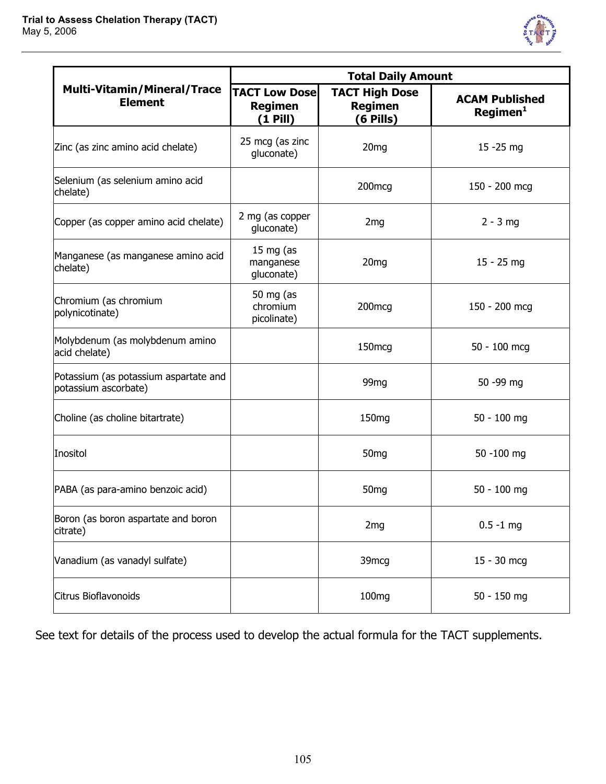

|                                                               | <b>Total Daily Amount</b>                            |                                                        |                                               |  |  |  |  |  |
|---------------------------------------------------------------|------------------------------------------------------|--------------------------------------------------------|-----------------------------------------------|--|--|--|--|--|
| <b>Multi-Vitamin/Mineral/Trace</b><br><b>Element</b>          | <b>TACT Low Dose</b><br><b>Regimen</b><br>$(1$ Pill) | <b>TACT High Dose</b><br><b>Regimen</b><br>$(6$ Pills) | <b>ACAM Published</b><br>Regimen <sup>1</sup> |  |  |  |  |  |
| Zinc (as zinc amino acid chelate)                             | 25 mcg (as zinc<br>gluconate)                        | 20mg                                                   | 15 - 25 mg                                    |  |  |  |  |  |
| Selenium (as selenium amino acid<br>chelate)                  |                                                      | 200mcg                                                 | 150 - 200 mcg                                 |  |  |  |  |  |
| Copper (as copper amino acid chelate)                         | 2 mg (as copper<br>gluconate)                        | 2 <sub>mg</sub>                                        | $2 - 3$ mg                                    |  |  |  |  |  |
| Manganese (as manganese amino acid<br>chelate)                | $15 \text{ mg}$ (as<br>manganese<br>gluconate)       | 20mg                                                   | $15 - 25$ mg                                  |  |  |  |  |  |
| Chromium (as chromium<br>polynicotinate)                      | 50 mg (as<br>chromium<br>picolinate)                 | 200mcg                                                 | 150 - 200 mcg                                 |  |  |  |  |  |
| Molybdenum (as molybdenum amino<br>acid chelate)              |                                                      | 150mcg                                                 | 50 - 100 mcg                                  |  |  |  |  |  |
| Potassium (as potassium aspartate and<br>potassium ascorbate) |                                                      | 99 <sub>mg</sub>                                       | 50 -99 mg                                     |  |  |  |  |  |
| Choline (as choline bitartrate)                               |                                                      | 150 <sub>mg</sub>                                      | 50 - 100 mg                                   |  |  |  |  |  |
| Inositol                                                      |                                                      | 50 <sub>mg</sub>                                       | 50 -100 mg                                    |  |  |  |  |  |
| PABA (as para-amino benzoic acid)                             |                                                      | 50 <sub>mg</sub>                                       | 50 - 100 mg                                   |  |  |  |  |  |
| Boron (as boron aspartate and boron<br>citrate)               |                                                      | 2 <sub>mg</sub>                                        | $0.5 - 1$ mg                                  |  |  |  |  |  |
| Vanadium (as vanadyl sulfate)                                 |                                                      | 39mcg                                                  | 15 - 30 mcg                                   |  |  |  |  |  |
| Citrus Bioflavonoids                                          |                                                      | 100mg                                                  | 50 - 150 mg                                   |  |  |  |  |  |

See text for details of the process used to develop the actual formula for the TACT supplements.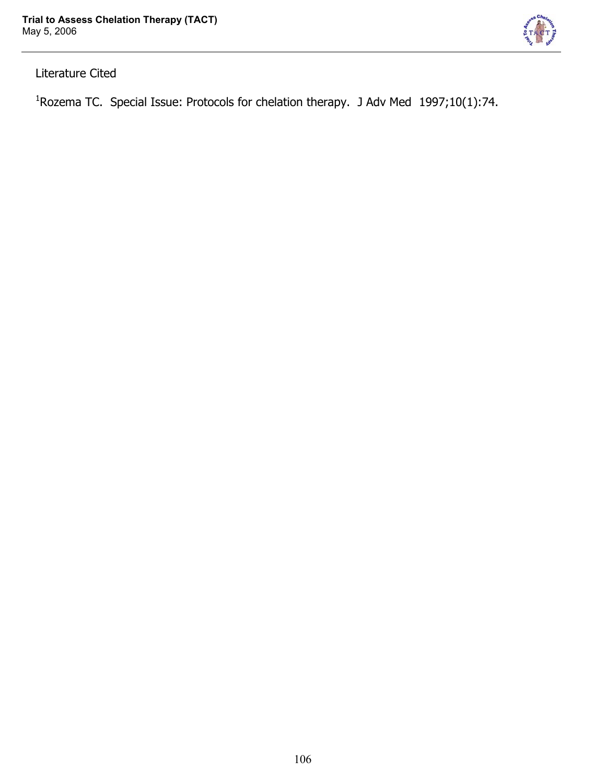

Literature Cited

<sup>1</sup>Rozema TC. Special Issue: Protocols for chelation therapy. J Adv Med  $1997;10(1):74$ .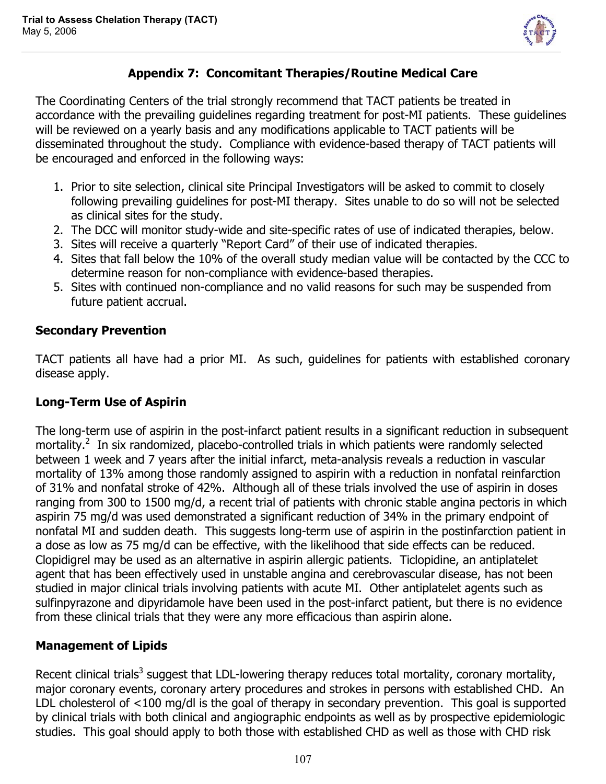

# **Appendix 7: Concomitant Therapies/Routine Medical Care**

The Coordinating Centers of the trial strongly recommend that TACT patients be treated in accordance with the prevailing guidelines regarding treatment for post-MI patients. These guidelines will be reviewed on a yearly basis and any modifications applicable to TACT patients will be disseminated throughout the study. Compliance with evidence-based therapy of TACT patients will be encouraged and enforced in the following ways:

- 1. Prior to site selection, clinical site Principal Investigators will be asked to commit to closely following prevailing guidelines for post-MI therapy. Sites unable to do so will not be selected as clinical sites for the study.
- 2. The DCC will monitor study-wide and site-specific rates of use of indicated therapies, below.
- 3. Sites will receive a quarterly "Report Card" of their use of indicated therapies.
- 4. Sites that fall below the 10% of the overall study median value will be contacted by the CCC to determine reason for non-compliance with evidence-based therapies.
- 5. Sites with continued non-compliance and no valid reasons for such may be suspended from future patient accrual.

# **Secondary Prevention**

TACT patients all have had a prior MI. As such, guidelines for patients with established coronary disease apply.

# **Long-Term Use of Aspirin**

The long-term use of aspirin in the post-infarct patient results in a significant reduction in subsequent mortality. $2$  In six randomized, placebo-controlled trials in which patients were randomly selected between 1 week and 7 years after the initial infarct, meta-analysis reveals a reduction in vascular mortality of 13% among those randomly assigned to aspirin with a reduction in nonfatal reinfarction of 31% and nonfatal stroke of 42%. Although all of these trials involved the use of aspirin in doses ranging from 300 to 1500 mg/d, a recent trial of patients with chronic stable angina pectoris in which aspirin 75 mg/d was used demonstrated a significant reduction of 34% in the primary endpoint of nonfatal MI and sudden death. This suggests long-term use of aspirin in the postinfarction patient in a dose as low as 75 mg/d can be effective, with the likelihood that side effects can be reduced. Clopidigrel may be used as an alternative in aspirin allergic patients. Ticlopidine, an antiplatelet agent that has been effectively used in unstable angina and cerebrovascular disease, has not been studied in major clinical trials involving patients with acute MI. Other antiplatelet agents such as sulfinpyrazone and dipyridamole have been used in the post-infarct patient, but there is no evidence from these clinical trials that they were any more efficacious than aspirin alone.

# **Management of Lipids**

Recent clinical trials<sup>3</sup> suggest that LDL-lowering therapy reduces total mortality, coronary mortality, major coronary events, coronary artery procedures and strokes in persons with established CHD. An LDL cholesterol of <100 mg/dl is the goal of therapy in secondary prevention. This goal is supported by clinical trials with both clinical and angiographic endpoints as well as by prospective epidemiologic studies. This goal should apply to both those with established CHD as well as those with CHD risk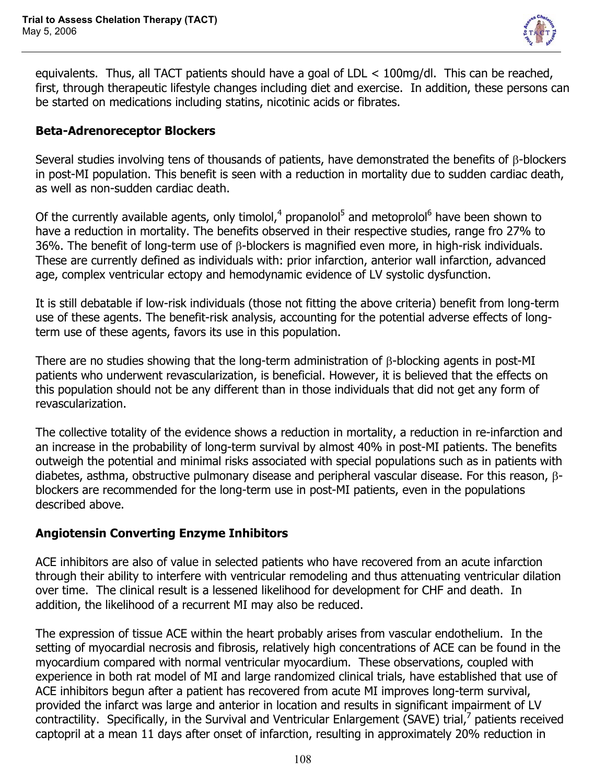

equivalents. Thus, all TACT patients should have a goal of LDL < 100mg/dl. This can be reached, first, through therapeutic lifestyle changes including diet and exercise. In addition, these persons can be started on medications including statins, nicotinic acids or fibrates.

# **Beta-Adrenoreceptor Blockers**

Several studies involving tens of thousands of patients, have demonstrated the benefits of β-blockers in post-MI population. This benefit is seen with a reduction in mortality due to sudden cardiac death, as well as non-sudden cardiac death.

Of the currently available agents, only timolol,<sup>4</sup> propanolol<sup>5</sup> and metoprolol<sup>6</sup> have been shown to have a reduction in mortality. The benefits observed in their respective studies, range fro 27% to 36%. The benefit of long-term use of β-blockers is magnified even more, in high-risk individuals. These are currently defined as individuals with: prior infarction, anterior wall infarction, advanced age, complex ventricular ectopy and hemodynamic evidence of LV systolic dysfunction.

It is still debatable if low-risk individuals (those not fitting the above criteria) benefit from long-term use of these agents. The benefit-risk analysis, accounting for the potential adverse effects of longterm use of these agents, favors its use in this population.

There are no studies showing that the long-term administration of β-blocking agents in post-MI patients who underwent revascularization, is beneficial. However, it is believed that the effects on this population should not be any different than in those individuals that did not get any form of revascularization.

The collective totality of the evidence shows a reduction in mortality, a reduction in re-infarction and an increase in the probability of long-term survival by almost 40% in post-MI patients. The benefits outweigh the potential and minimal risks associated with special populations such as in patients with diabetes, asthma, obstructive pulmonary disease and peripheral vascular disease. For this reason, βblockers are recommended for the long-term use in post-MI patients, even in the populations described above.

# **Angiotensin Converting Enzyme Inhibitors**

ACE inhibitors are also of value in selected patients who have recovered from an acute infarction through their ability to interfere with ventricular remodeling and thus attenuating ventricular dilation over time. The clinical result is a lessened likelihood for development for CHF and death. In addition, the likelihood of a recurrent MI may also be reduced.

The expression of tissue ACE within the heart probably arises from vascular endothelium. In the setting of myocardial necrosis and fibrosis, relatively high concentrations of ACE can be found in the myocardium compared with normal ventricular myocardium. These observations, coupled with experience in both rat model of MI and large randomized clinical trials, have established that use of ACE inhibitors begun after a patient has recovered from acute MI improves long-term survival, provided the infarct was large and anterior in location and results in significant impairment of LV contractility. Specifically, in the Survival and Ventricular Enlargement (SAVE) trial, patients received captopril at a mean 11 days after onset of infarction, resulting in approximately 20% reduction in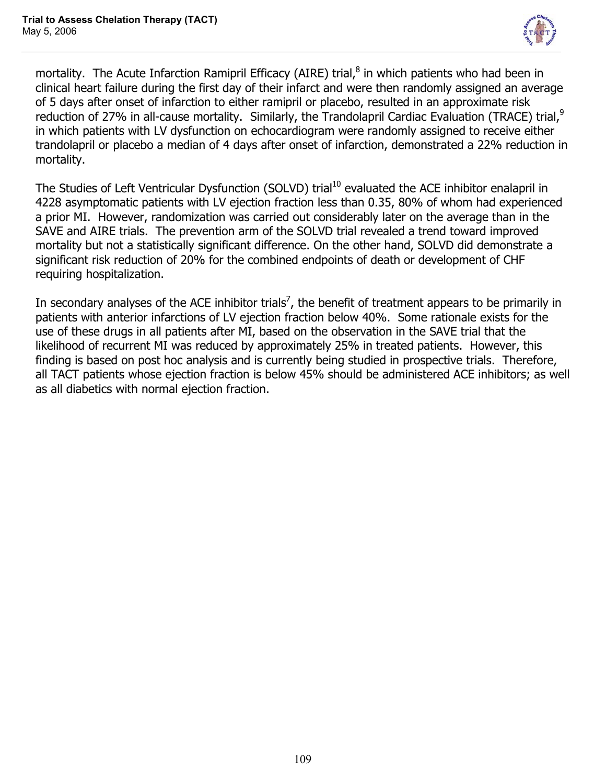

mortality. The Acute Infarction Ramipril Efficacy (AIRE) trial,<sup>8</sup> in which patients who had been in clinical heart failure during the first day of their infarct and were then randomly assigned an average of 5 days after onset of infarction to either ramipril or placebo, resulted in an approximate risk reduction of 27% in all-cause mortality. Similarly, the Trandolapril Cardiac Evaluation (TRACE) trial,<sup>9</sup> in which patients with LV dysfunction on echocardiogram were randomly assigned to receive either trandolapril or placebo a median of 4 days after onset of infarction, demonstrated a 22% reduction in mortality.

The Studies of Left Ventricular Dysfunction (SOLVD) trial<sup>10</sup> evaluated the ACE inhibitor enalapril in 4228 asymptomatic patients with LV ejection fraction less than 0.35, 80% of whom had experienced a prior MI. However, randomization was carried out considerably later on the average than in the SAVE and AIRE trials. The prevention arm of the SOLVD trial revealed a trend toward improved mortality but not a statistically significant difference. On the other hand, SOLVD did demonstrate a significant risk reduction of 20% for the combined endpoints of death or development of CHF requiring hospitalization.

In secondary analyses of the ACE inhibitor trials<sup>7</sup>, the benefit of treatment appears to be primarily in patients with anterior infarctions of LV ejection fraction below 40%. Some rationale exists for the use of these drugs in all patients after MI, based on the observation in the SAVE trial that the likelihood of recurrent MI was reduced by approximately 25% in treated patients. However, this finding is based on post hoc analysis and is currently being studied in prospective trials. Therefore, all TACT patients whose ejection fraction is below 45% should be administered ACE inhibitors; as well as all diabetics with normal ejection fraction.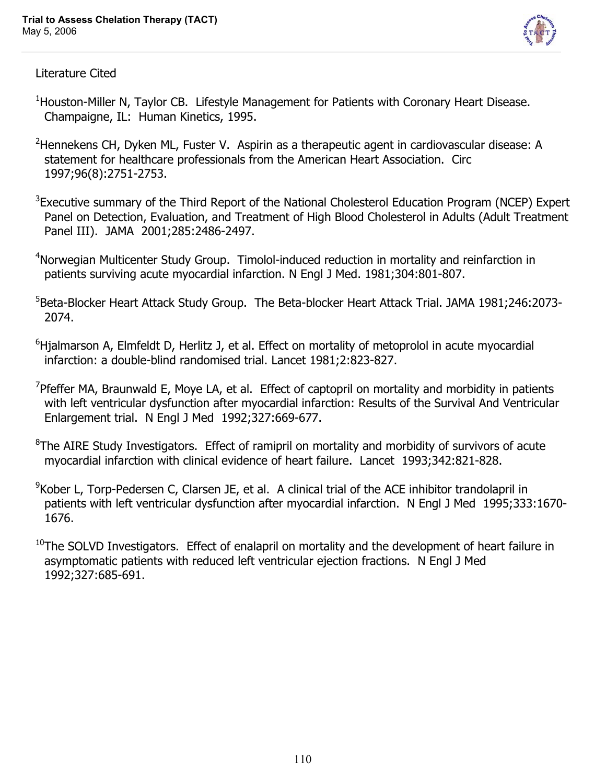

Literature Cited

- <sup>1</sup> Houston-Miller N, Taylor CB. Lifestyle Management for Patients with Coronary Heart Disease. Champaigne, IL: Human Kinetics, 1995.
- <sup>2</sup>Hennekens CH, Dyken ML, Fuster V. Aspirin as a therapeutic agent in cardiovascular disease: A statement for healthcare professionals from the American Heart Association. Circ 1997;96(8):2751-2753.
- $3$ Executive summary of the Third Report of the National Cholesterol Education Program (NCEP) Expert Panel on Detection, Evaluation, and Treatment of High Blood Cholesterol in Adults (Adult Treatment Panel III). JAMA 2001;285:2486-2497.
- <sup>4</sup>Norwegian Multicenter Study Group. Timolol-induced reduction in mortality and reinfarction in patients surviving acute myocardial infarction. N Engl J Med. 1981;304:801-807.
- <sup>5</sup>Beta-Blocker Heart Attack Study Group. The Beta-blocker Heart Attack Trial. JAMA 1981;246:2073 2074.
- <sup>6</sup>Hjalmarson A, Elmfeldt D, Herlitz J, et al. Effect on mortality of metoprolol in acute myocardial infarction: a double-blind randomised trial. Lancet 1981;2:823-827.
- <sup>7</sup>Pfeffer MA, Braunwald E, Moye LA, et al. Effect of captopril on mortality and morbidity in patients with left ventricular dysfunction after myocardial infarction: Results of the Survival And Ventricular Enlargement trial. N Engl J Med 1992;327:669-677.
- ${}^{8}$ The AIRE Study Investigators. Effect of ramipril on mortality and morbidity of survivors of acute myocardial infarction with clinical evidence of heart failure. Lancet 1993;342:821-828.
- <sup>9</sup>Kober L, Torp-Pedersen C, Clarsen JE, et al. A clinical trial of the ACE inhibitor trandolapril in patients with left ventricular dysfunction after myocardial infarction. N Engl J Med 1995;333:1670 1676.
- $10$ The SOLVD Investigators. Effect of enalapril on mortality and the development of heart failure in asymptomatic patients with reduced left ventricular ejection fractions. N Engl J Med 1992;327:685-691.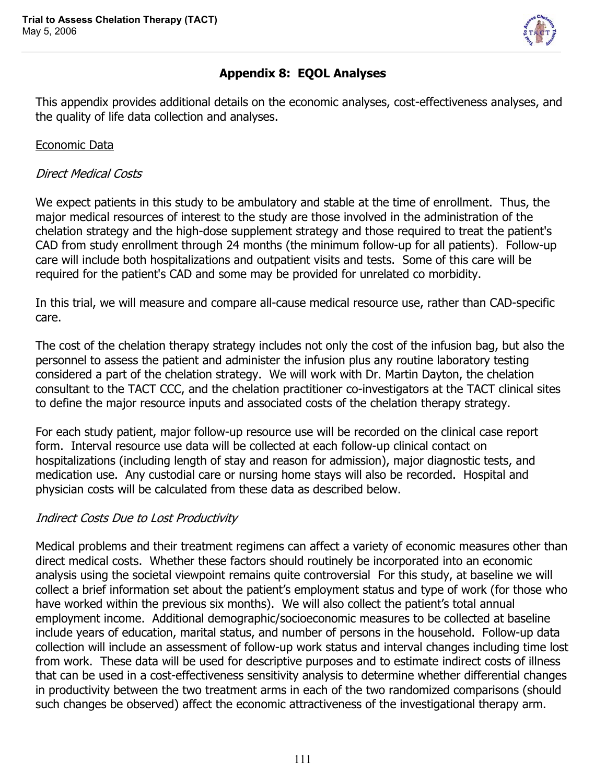

# **Appendix 8: EQOL Analyses**

This appendix provides additional details on the economic analyses, cost-effectiveness analyses, and the quality of life data collection and analyses.

### Economic Data

# Direct Medical Costs

We expect patients in this study to be ambulatory and stable at the time of enrollment. Thus, the major medical resources of interest to the study are those involved in the administration of the chelation strategy and the high-dose supplement strategy and those required to treat the patient's CAD from study enrollment through 24 months (the minimum follow-up for all patients). Follow-up care will include both hospitalizations and outpatient visits and tests. Some of this care will be required for the patient's CAD and some may be provided for unrelated co morbidity.

In this trial, we will measure and compare all-cause medical resource use, rather than CAD-specific care.

The cost of the chelation therapy strategy includes not only the cost of the infusion bag, but also the personnel to assess the patient and administer the infusion plus any routine laboratory testing considered a part of the chelation strategy. We will work with Dr. Martin Dayton, the chelation consultant to the TACT CCC, and the chelation practitioner co-investigators at the TACT clinical sites to define the major resource inputs and associated costs of the chelation therapy strategy.

For each study patient, major follow-up resource use will be recorded on the clinical case report form. Interval resource use data will be collected at each follow-up clinical contact on hospitalizations (including length of stay and reason for admission), major diagnostic tests, and medication use. Any custodial care or nursing home stays will also be recorded. Hospital and physician costs will be calculated from these data as described below.

# Indirect Costs Due to Lost Productivity

Medical problems and their treatment regimens can affect a variety of economic measures other than direct medical costs. Whether these factors should routinely be incorporated into an economic analysis using the societal viewpoint remains quite controversial For this study, at baseline we will collect a brief information set about the patient's employment status and type of work (for those who have worked within the previous six months). We will also collect the patient's total annual employment income. Additional demographic/socioeconomic measures to be collected at baseline include years of education, marital status, and number of persons in the household. Follow-up data collection will include an assessment of follow-up work status and interval changes including time lost from work. These data will be used for descriptive purposes and to estimate indirect costs of illness that can be used in a cost-effectiveness sensitivity analysis to determine whether differential changes in productivity between the two treatment arms in each of the two randomized comparisons (should such changes be observed) affect the economic attractiveness of the investigational therapy arm.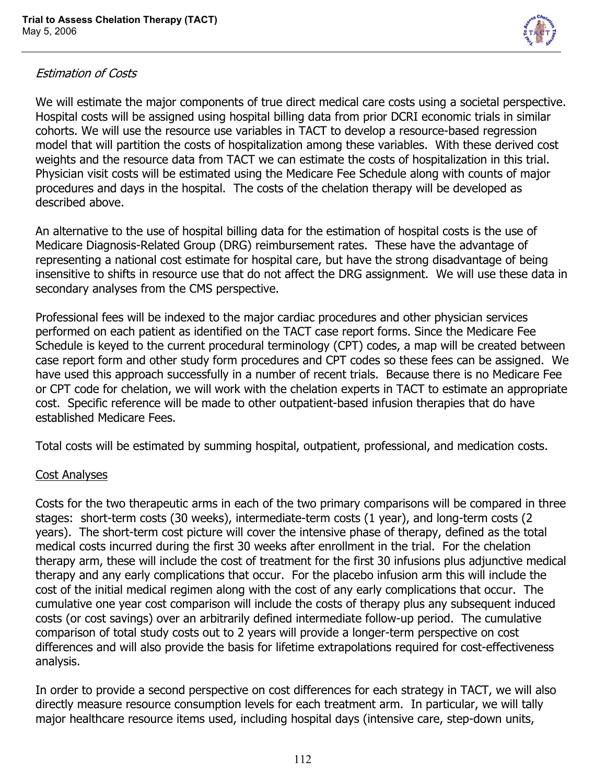

# Estimation of Costs

We will estimate the major components of true direct medical care costs using a societal perspective. Hospital costs will be assigned using hospital billing data from prior DCRI economic trials in similar cohorts. We will use the resource use variables in TACT to develop a resource-based regression model that will partition the costs of hospitalization among these variables. With these derived cost weights and the resource data from TACT we can estimate the costs of hospitalization in this trial. Physician visit costs will be estimated using the Medicare Fee Schedule along with counts of major procedures and days in the hospital. The costs of the chelation therapy will be developed as described above.

An alternative to the use of hospital billing data for the estimation of hospital costs is the use of Medicare Diagnosis-Related Group (DRG) reimbursement rates. These have the advantage of representing a national cost estimate for hospital care, but have the strong disadvantage of being insensitive to shifts in resource use that do not affect the DRG assignment. We will use these data in secondary analyses from the CMS perspective.

Professional fees will be indexed to the major cardiac procedures and other physician services performed on each patient as identified on the TACT case report forms. Since the Medicare Fee Schedule is keyed to the current procedural terminology (CPT) codes, a map will be created between case report form and other study form procedures and CPT codes so these fees can be assigned. We have used this approach successfully in a number of recent trials. Because there is no Medicare Fee or CPT code for chelation, we will work with the chelation experts in TACT to estimate an appropriate cost. Specific reference will be made to other outpatient-based infusion therapies that do have established Medicare Fees.

Total costs will be estimated by summing hospital, outpatient, professional, and medication costs.

### Cost Analyses

Costs for the two therapeutic arms in each of the two primary comparisons will be compared in three stages: short-term costs (30 weeks), intermediate-term costs (1 year), and long-term costs (2 years). The short-term cost picture will cover the intensive phase of therapy, defined as the total medical costs incurred during the first 30 weeks after enrollment in the trial. For the chelation therapy arm, these will include the cost of treatment for the first 30 infusions plus adjunctive medical therapy and any early complications that occur. For the placebo infusion arm this will include the cost of the initial medical regimen along with the cost of any early complications that occur. The cumulative one year cost comparison will include the costs of therapy plus any subsequent induced costs (or cost savings) over an arbitrarily defined intermediate follow-up period. The cumulative comparison of total study costs out to 2 years will provide a longer-term perspective on cost differences and will also provide the basis for lifetime extrapolations required for cost-effectiveness analysis.

In order to provide a second perspective on cost differences for each strategy in TACT, we will also directly measure resource consumption levels for each treatment arm. In particular, we will tally major healthcare resource items used, including hospital days (intensive care, step-down units,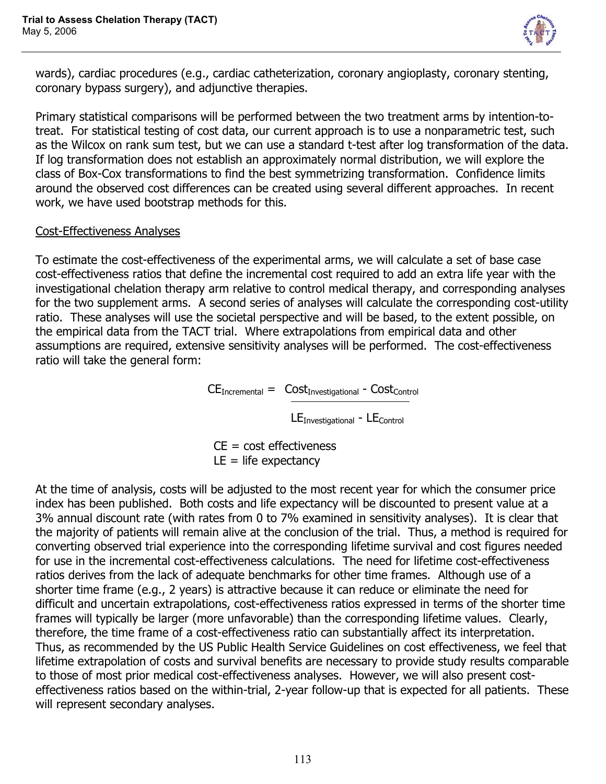

wards), cardiac procedures (e.g., cardiac catheterization, coronary angioplasty, coronary stenting, coronary bypass surgery), and adjunctive therapies.

Primary statistical comparisons will be performed between the two treatment arms by intention-totreat. For statistical testing of cost data, our current approach is to use a nonparametric test, such as the Wilcox on rank sum test, but we can use a standard t-test after log transformation of the data. If log transformation does not establish an approximately normal distribution, we will explore the class of Box-Cox transformations to find the best symmetrizing transformation. Confidence limits around the observed cost differences can be created using several different approaches. In recent work, we have used bootstrap methods for this.

#### Cost-Effectiveness Analyses

To estimate the cost-effectiveness of the experimental arms, we will calculate a set of base case cost-effectiveness ratios that define the incremental cost required to add an extra life year with the investigational chelation therapy arm relative to control medical therapy, and corresponding analyses for the two supplement arms. A second series of analyses will calculate the corresponding cost-utility ratio. These analyses will use the societal perspective and will be based, to the extent possible, on the empirical data from the TACT trial. Where extrapolations from empirical data and other assumptions are required, extensive sensitivity analyses will be performed. The cost-effectiveness ratio will take the general form:

 $CE_{\text{Incremental}} = \frac{\text{Cost}_{\text{Investigational}} - \text{Cost}_{\text{Control}}}{LE_{\text{Investigational}} - \text{LE}_{\text{Control}}}$ 

 $CE = cost$  effectiveness  $LE = life$  expectancy

At the time of analysis, costs will be adjusted to the most recent year for which the consumer price index has been published. Both costs and life expectancy will be discounted to present value at a 3% annual discount rate (with rates from 0 to 7% examined in sensitivity analyses). It is clear that the majority of patients will remain alive at the conclusion of the trial. Thus, a method is required for converting observed trial experience into the corresponding lifetime survival and cost figures needed for use in the incremental cost-effectiveness calculations. The need for lifetime cost-effectiveness ratios derives from the lack of adequate benchmarks for other time frames. Although use of a shorter time frame (e.g., 2 years) is attractive because it can reduce or eliminate the need for difficult and uncertain extrapolations, cost-effectiveness ratios expressed in terms of the shorter time frames will typically be larger (more unfavorable) than the corresponding lifetime values. Clearly, therefore, the time frame of a cost-effectiveness ratio can substantially affect its interpretation. Thus, as recommended by the US Public Health Service Guidelines on cost effectiveness, we feel that lifetime extrapolation of costs and survival benefits are necessary to provide study results comparable to those of most prior medical cost-effectiveness analyses. However, we will also present costeffectiveness ratios based on the within-trial, 2-year follow-up that is expected for all patients. These will represent secondary analyses.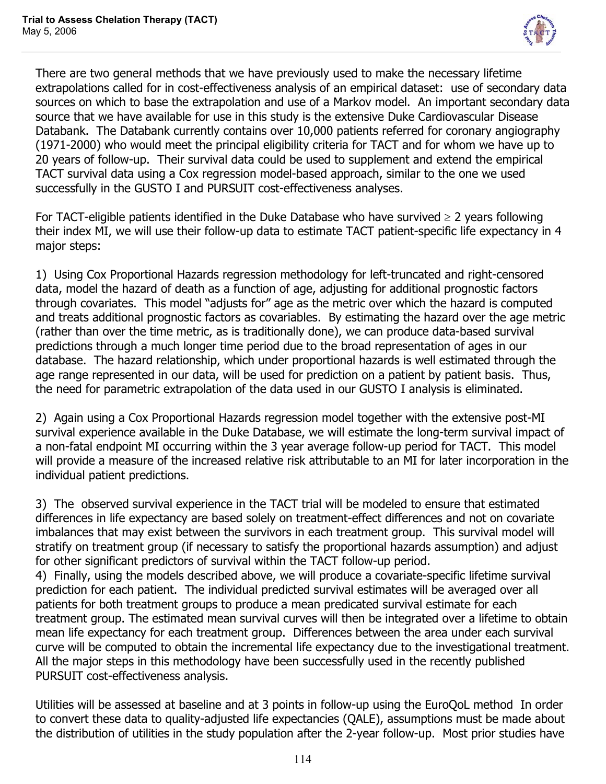

There are two general methods that we have previously used to make the necessary lifetime extrapolations called for in cost-effectiveness analysis of an empirical dataset: use of secondary data sources on which to base the extrapolation and use of a Markov model. An important secondary data source that we have available for use in this study is the extensive Duke Cardiovascular Disease Databank. The Databank currently contains over 10,000 patients referred for coronary angiography (1971-2000) who would meet the principal eligibility criteria for TACT and for whom we have up to 20 years of follow-up. Their survival data could be used to supplement and extend the empirical TACT survival data using a Cox regression model-based approach, similar to the one we used successfully in the GUSTO I and PURSUIT cost-effectiveness analyses.

For TACT-eligible patients identified in the Duke Database who have survived  $\geq 2$  years following their index MI, we will use their follow-up data to estimate TACT patient-specific life expectancy in 4 major steps:

1) Using Cox Proportional Hazards regression methodology for left-truncated and right-censored data, model the hazard of death as a function of age, adjusting for additional prognostic factors through covariates. This model "adjusts for" age as the metric over which the hazard is computed and treats additional prognostic factors as covariables. By estimating the hazard over the age metric (rather than over the time metric, as is traditionally done), we can produce data-based survival predictions through a much longer time period due to the broad representation of ages in our database. The hazard relationship, which under proportional hazards is well estimated through the age range represented in our data, will be used for prediction on a patient by patient basis. Thus, the need for parametric extrapolation of the data used in our GUSTO I analysis is eliminated.

2) Again using a Cox Proportional Hazards regression model together with the extensive post-MI survival experience available in the Duke Database, we will estimate the long-term survival impact of a non-fatal endpoint MI occurring within the 3 year average follow-up period for TACT. This model will provide a measure of the increased relative risk attributable to an MI for later incorporation in the individual patient predictions.

3) The observed survival experience in the TACT trial will be modeled to ensure that estimated differences in life expectancy are based solely on treatment-effect differences and not on covariate imbalances that may exist between the survivors in each treatment group. This survival model will stratify on treatment group (if necessary to satisfy the proportional hazards assumption) and adjust for other significant predictors of survival within the TACT follow-up period.

4) Finally, using the models described above, we will produce a covariate-specific lifetime survival prediction for each patient. The individual predicted survival estimates will be averaged over all patients for both treatment groups to produce a mean predicated survival estimate for each treatment group. The estimated mean survival curves will then be integrated over a lifetime to obtain mean life expectancy for each treatment group. Differences between the area under each survival curve will be computed to obtain the incremental life expectancy due to the investigational treatment. All the major steps in this methodology have been successfully used in the recently published PURSUIT cost-effectiveness analysis.

Utilities will be assessed at baseline and at 3 points in follow-up using the EuroQoL method In order to convert these data to quality-adjusted life expectancies (QALE), assumptions must be made about the distribution of utilities in the study population after the 2-year follow-up. Most prior studies have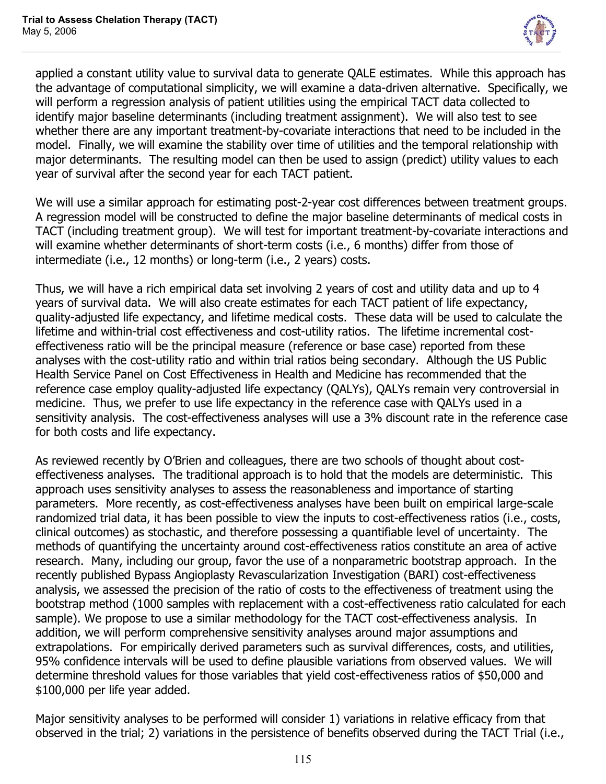

applied a constant utility value to survival data to generate QALE estimates. While this approach has the advantage of computational simplicity, we will examine a data-driven alternative. Specifically, we will perform a regression analysis of patient utilities using the empirical TACT data collected to identify major baseline determinants (including treatment assignment). We will also test to see whether there are any important treatment-by-covariate interactions that need to be included in the model. Finally, we will examine the stability over time of utilities and the temporal relationship with major determinants. The resulting model can then be used to assign (predict) utility values to each year of survival after the second year for each TACT patient.

We will use a similar approach for estimating post-2-year cost differences between treatment groups. A regression model will be constructed to define the major baseline determinants of medical costs in TACT (including treatment group). We will test for important treatment-by-covariate interactions and will examine whether determinants of short-term costs (i.e., 6 months) differ from those of intermediate (i.e., 12 months) or long-term (i.e., 2 years) costs.

Thus, we will have a rich empirical data set involving 2 years of cost and utility data and up to 4 years of survival data. We will also create estimates for each TACT patient of life expectancy, quality-adjusted life expectancy, and lifetime medical costs. These data will be used to calculate the lifetime and within-trial cost effectiveness and cost-utility ratios. The lifetime incremental costeffectiveness ratio will be the principal measure (reference or base case) reported from these analyses with the cost-utility ratio and within trial ratios being secondary. Although the US Public Health Service Panel on Cost Effectiveness in Health and Medicine has recommended that the reference case employ quality-adjusted life expectancy (QALYs), QALYs remain very controversial in medicine. Thus, we prefer to use life expectancy in the reference case with QALYs used in a sensitivity analysis. The cost-effectiveness analyses will use a 3% discount rate in the reference case for both costs and life expectancy.

As reviewed recently by O'Brien and colleagues, there are two schools of thought about costeffectiveness analyses. The traditional approach is to hold that the models are deterministic. This approach uses sensitivity analyses to assess the reasonableness and importance of starting parameters. More recently, as cost-effectiveness analyses have been built on empirical large-scale randomized trial data, it has been possible to view the inputs to cost-effectiveness ratios (i.e., costs, clinical outcomes) as stochastic, and therefore possessing a quantifiable level of uncertainty. The methods of quantifying the uncertainty around cost-effectiveness ratios constitute an area of active research. Many, including our group, favor the use of a nonparametric bootstrap approach. In the recently published Bypass Angioplasty Revascularization Investigation (BARI) cost-effectiveness analysis, we assessed the precision of the ratio of costs to the effectiveness of treatment using the bootstrap method (1000 samples with replacement with a cost-effectiveness ratio calculated for each sample). We propose to use a similar methodology for the TACT cost-effectiveness analysis. In addition, we will perform comprehensive sensitivity analyses around major assumptions and extrapolations. For empirically derived parameters such as survival differences, costs, and utilities, 95% confidence intervals will be used to define plausible variations from observed values. We will determine threshold values for those variables that yield cost-effectiveness ratios of \$50,000 and \$100,000 per life year added.

Major sensitivity analyses to be performed will consider 1) variations in relative efficacy from that observed in the trial; 2) variations in the persistence of benefits observed during the TACT Trial (i.e.,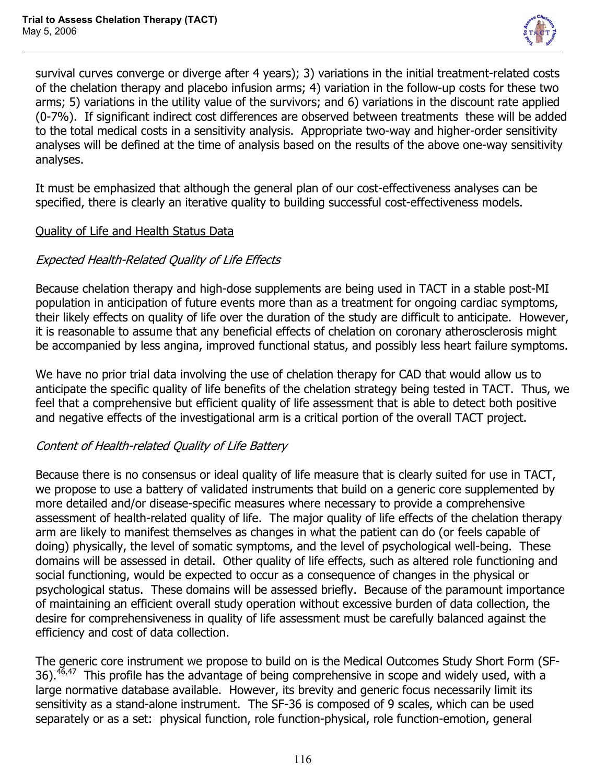

survival curves converge or diverge after 4 years); 3) variations in the initial treatment-related costs of the chelation therapy and placebo infusion arms; 4) variation in the follow-up costs for these two arms; 5) variations in the utility value of the survivors; and 6) variations in the discount rate applied (0-7%). If significant indirect cost differences are observed between treatments these will be added to the total medical costs in a sensitivity analysis. Appropriate two-way and higher-order sensitivity analyses will be defined at the time of analysis based on the results of the above one-way sensitivity analyses.

It must be emphasized that although the general plan of our cost-effectiveness analyses can be specified, there is clearly an iterative quality to building successful cost-effectiveness models.

#### Quality of Life and Health Status Data

### Expected Health-Related Quality of Life Effects

Because chelation therapy and high-dose supplements are being used in TACT in a stable post-MI population in anticipation of future events more than as a treatment for ongoing cardiac symptoms, their likely effects on quality of life over the duration of the study are difficult to anticipate. However, it is reasonable to assume that any beneficial effects of chelation on coronary atherosclerosis might be accompanied by less angina, improved functional status, and possibly less heart failure symptoms.

We have no prior trial data involving the use of chelation therapy for CAD that would allow us to anticipate the specific quality of life benefits of the chelation strategy being tested in TACT. Thus, we feel that a comprehensive but efficient quality of life assessment that is able to detect both positive and negative effects of the investigational arm is a critical portion of the overall TACT project.

### Content of Health-related Quality of Life Battery

Because there is no consensus or ideal quality of life measure that is clearly suited for use in TACT, we propose to use a battery of validated instruments that build on a generic core supplemented by more detailed and/or disease-specific measures where necessary to provide a comprehensive assessment of health-related quality of life. The major quality of life effects of the chelation therapy arm are likely to manifest themselves as changes in what the patient can do (or feels capable of doing) physically, the level of somatic symptoms, and the level of psychological well-being. These domains will be assessed in detail. Other quality of life effects, such as altered role functioning and social functioning, would be expected to occur as a consequence of changes in the physical or psychological status. These domains will be assessed briefly. Because of the paramount importance of maintaining an efficient overall study operation without excessive burden of data collection, the desire for comprehensiveness in quality of life assessment must be carefully balanced against the efficiency and cost of data collection.

The generic core instrument we propose to build on is the Medical Outcomes Study Short Form (SF-36). $46,47$  This profile has the advantage of being comprehensive in scope and widely used, with a large normative database available. However, its brevity and generic focus necessarily limit its sensitivity as a stand-alone instrument. The SF-36 is composed of 9 scales, which can be used separately or as a set: physical function, role function-physical, role function-emotion, general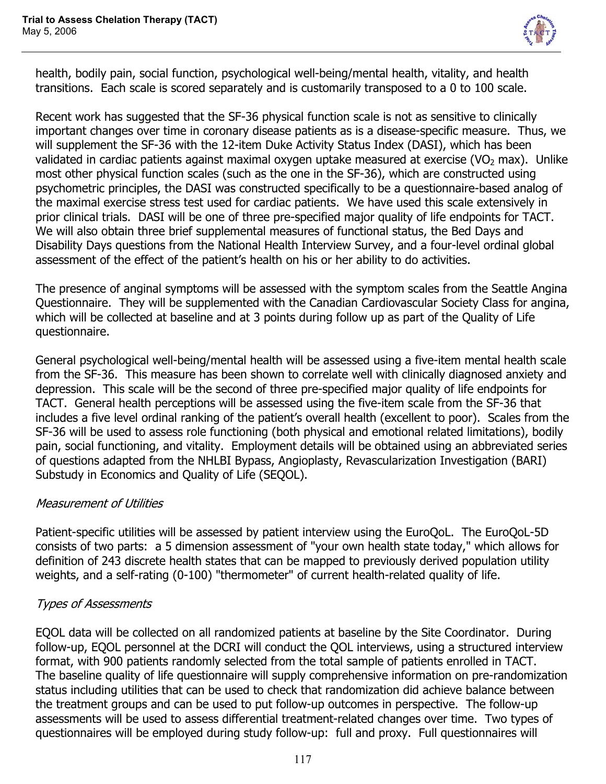

health, bodily pain, social function, psychological well-being/mental health, vitality, and health transitions. Each scale is scored separately and is customarily transposed to a 0 to 100 scale.

Recent work has suggested that the SF-36 physical function scale is not as sensitive to clinically important changes over time in coronary disease patients as is a disease-specific measure. Thus, we will supplement the SF-36 with the 12-item Duke Activity Status Index (DASI), which has been validated in cardiac patients against maximal oxygen uptake measured at exercise (VO<sub>2</sub> max). Unlike most other physical function scales (such as the one in the SF-36), which are constructed using psychometric principles, the DASI was constructed specifically to be a questionnaire-based analog of the maximal exercise stress test used for cardiac patients. We have used this scale extensively in prior clinical trials. DASI will be one of three pre-specified major quality of life endpoints for TACT. We will also obtain three brief supplemental measures of functional status, the Bed Days and Disability Days questions from the National Health Interview Survey, and a four-level ordinal global assessment of the effect of the patient's health on his or her ability to do activities.

The presence of anginal symptoms will be assessed with the symptom scales from the Seattle Angina Questionnaire. They will be supplemented with the Canadian Cardiovascular Society Class for angina, which will be collected at baseline and at 3 points during follow up as part of the Quality of Life questionnaire.

 depression. This scale will be the second of three pre-specified major quality of life endpoints for Substudy in Economics and Quality of Life (SEQOL). General psychological well-being/mental health will be assessed using a five-item mental health scale from the SF-36. This measure has been shown to correlate well with clinically diagnosed anxiety and TACT. General health perceptions will be assessed using the five-item scale from the SF-36 that includes a five level ordinal ranking of the patient's overall health (excellent to poor). Scales from the SF-36 will be used to assess role functioning (both physical and emotional related limitations), bodily pain, social functioning, and vitality. Employment details will be obtained using an abbreviated series of questions adapted from the NHLBI Bypass, Angioplasty, Revascularization Investigation (BARI)

### Measurement of Utilities

Patient-specific utilities will be assessed by patient interview using the EuroQoL. The EuroQoL-5D consists of two parts: a 5 dimension assessment of "your own health state today," which allows for definition of 243 discrete health states that can be mapped to previously derived population utility weights, and a self-rating (0-100) "thermometer" of current health-related quality of life.

### Types of Assessments

EQOL data will be collected on all randomized patients at baseline by the Site Coordinator. During follow-up, EQOL personnel at the DCRI will conduct the QOL interviews, using a structured interview format, with 900 patients randomly selected from the total sample of patients enrolled in TACT. The baseline quality of life questionnaire will supply comprehensive information on pre-randomization status including utilities that can be used to check that randomization did achieve balance between the treatment groups and can be used to put follow-up outcomes in perspective. The follow-up assessments will be used to assess differential treatment-related changes over time. Two types of questionnaires will be employed during study follow-up: full and proxy. Full questionnaires will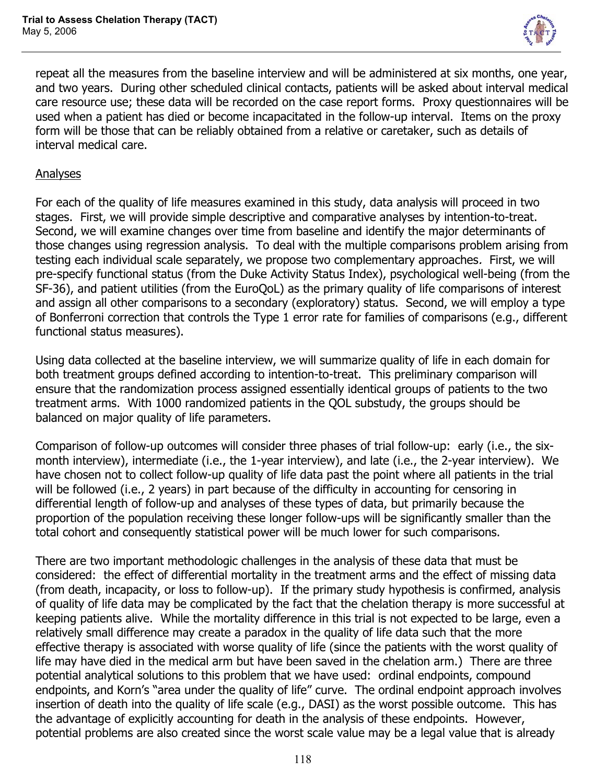

repeat all the measures from the baseline interview and will be administered at six months, one year, and two years. During other scheduled clinical contacts, patients will be asked about interval medical care resource use; these data will be recorded on the case report forms. Proxy questionnaires will be used when a patient has died or become incapacitated in the follow-up interval. Items on the proxy form will be those that can be reliably obtained from a relative or caretaker, such as details of interval medical care.

#### Analyses

For each of the quality of life measures examined in this study, data analysis will proceed in two stages. First, we will provide simple descriptive and comparative analyses by intention-to-treat. Second, we will examine changes over time from baseline and identify the major determinants of those changes using regression analysis. To deal with the multiple comparisons problem arising from testing each individual scale separately, we propose two complementary approaches. First, we will pre-specify functional status (from the Duke Activity Status Index), psychological well-being (from the SF-36), and patient utilities (from the EuroQoL) as the primary quality of life comparisons of interest and assign all other comparisons to a secondary (exploratory) status. Second, we will employ a type of Bonferroni correction that controls the Type 1 error rate for families of comparisons (e.g., different functional status measures).

Using data collected at the baseline interview, we will summarize quality of life in each domain for both treatment groups defined according to intention-to-treat. This preliminary comparison will ensure that the randomization process assigned essentially identical groups of patients to the two treatment arms. With 1000 randomized patients in the QOL substudy, the groups should be balanced on major quality of life parameters.

total cohort and consequently statistical power will be much lower for such comparisons. Comparison of follow-up outcomes will consider three phases of trial follow-up: early (i.e., the sixmonth interview), intermediate (i.e., the 1-year interview), and late (i.e., the 2-year interview). We have chosen not to collect follow-up quality of life data past the point where all patients in the trial will be followed (i.e., 2 years) in part because of the difficulty in accounting for censoring in differential length of follow-up and analyses of these types of data, but primarily because the proportion of the population receiving these longer follow-ups will be significantly smaller than the

There are two important methodologic challenges in the analysis of these data that must be considered: the effect of differential mortality in the treatment arms and the effect of missing data (from death, incapacity, or loss to follow-up). If the primary study hypothesis is confirmed, analysis of quality of life data may be complicated by the fact that the chelation therapy is more successful at keeping patients alive. While the mortality difference in this trial is not expected to be large, even a relatively small difference may create a paradox in the quality of life data such that the more effective therapy is associated with worse quality of life (since the patients with the worst quality of life may have died in the medical arm but have been saved in the chelation arm.) There are three potential analytical solutions to this problem that we have used: ordinal endpoints, compound endpoints, and Korn's "area under the quality of life" curve. The ordinal endpoint approach involves insertion of death into the quality of life scale (e.g., DASI) as the worst possible outcome. This has the advantage of explicitly accounting for death in the analysis of these endpoints. However, potential problems are also created since the worst scale value may be a legal value that is already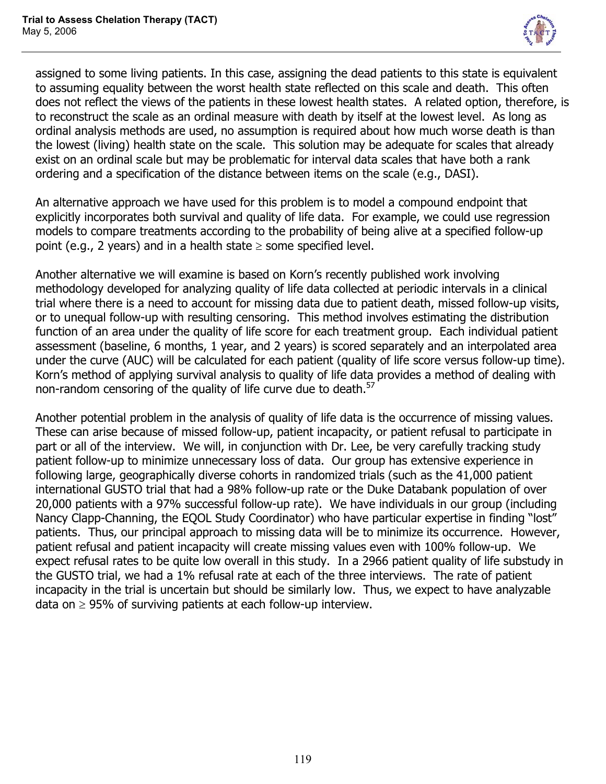

assigned to some living patients. In this case, assigning the dead patients to this state is equivalent to assuming equality between the worst health state reflected on this scale and death. This often does not reflect the views of the patients in these lowest health states. A related option, therefore, is to reconstruct the scale as an ordinal measure with death by itself at the lowest level. As long as ordinal analysis methods are used, no assumption is required about how much worse death is than the lowest (living) health state on the scale. This solution may be adequate for scales that already exist on an ordinal scale but may be problematic for interval data scales that have both a rank ordering and a specification of the distance between items on the scale (e.g., DASI).

An alternative approach we have used for this problem is to model a compound endpoint that explicitly incorporates both survival and quality of life data. For example, we could use regression models to compare treatments according to the probability of being alive at a specified follow-up point (e.g., 2 years) and in a health state  $\geq$  some specified level.

Another alternative we will examine is based on Korn's recently published work involving methodology developed for analyzing quality of life data collected at periodic intervals in a clinical trial where there is a need to account for missing data due to patient death, missed follow-up visits, or to unequal follow-up with resulting censoring. This method involves estimating the distribution function of an area under the quality of life score for each treatment group. Each individual patient assessment (baseline, 6 months, 1 year, and 2 years) is scored separately and an interpolated area under the curve (AUC) will be calculated for each patient (quality of life score versus follow-up time). Korn's method of applying survival analysis to quality of life data provides a method of dealing with non-random censoring of the quality of life curve due to death.<sup>57</sup>

Another potential problem in the analysis of quality of life data is the occurrence of missing values. These can arise because of missed follow-up, patient incapacity, or patient refusal to participate in part or all of the interview. We will, in conjunction with Dr. Lee, be very carefully tracking study patient follow-up to minimize unnecessary loss of data. Our group has extensive experience in following large, geographically diverse cohorts in randomized trials (such as the 41,000 patient international GUSTO trial that had a 98% follow-up rate or the Duke Databank population of over 20,000 patients with a 97% successful follow-up rate). We have individuals in our group (including Nancy Clapp-Channing, the EQOL Study Coordinator) who have particular expertise in finding "lost" patients. Thus, our principal approach to missing data will be to minimize its occurrence. However, patient refusal and patient incapacity will create missing values even with 100% follow-up. We expect refusal rates to be quite low overall in this study. In a 2966 patient quality of life substudy in the GUSTO trial, we had a 1% refusal rate at each of the three interviews. The rate of patient incapacity in the trial is uncertain but should be similarly low. Thus, we expect to have analyzable data on  $\geq$  95% of surviving patients at each follow-up interview.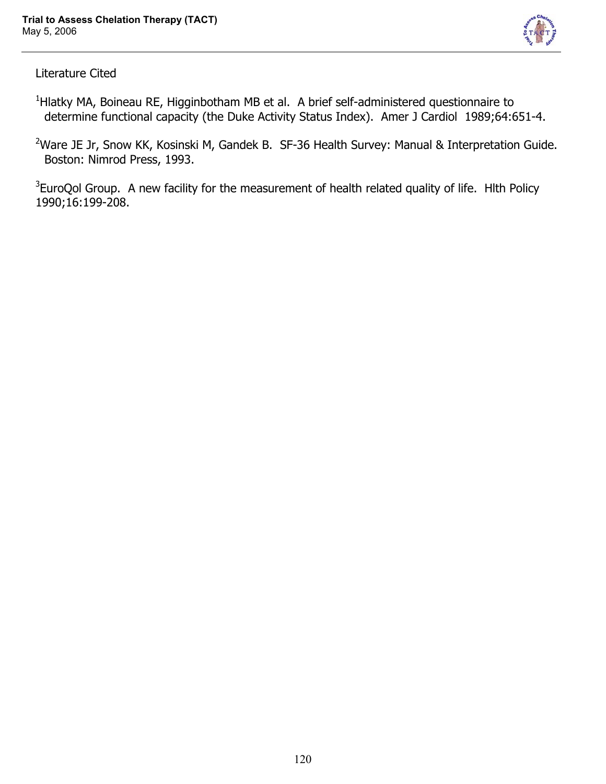

Literature Cited

<sup>1</sup>Hlatky MA, Boineau RE, Higginbotham MB et al. A brief self-administered questionnaire to determine functional capacity (the Duke Activity Status Index). Amer J Cardiol 1989;64:651-4.

<sup>2</sup>Ware JE Jr, Snow KK, Kosinski M, Gandek B. SF-36 Health Survey: Manual & Interpretation Guide.<br>Boston: Nimrod Press, 1993.

 $3$ EuroQol Group. A new facility for the measurement of health related quality of life. HIth Policy 1990;16:199-208.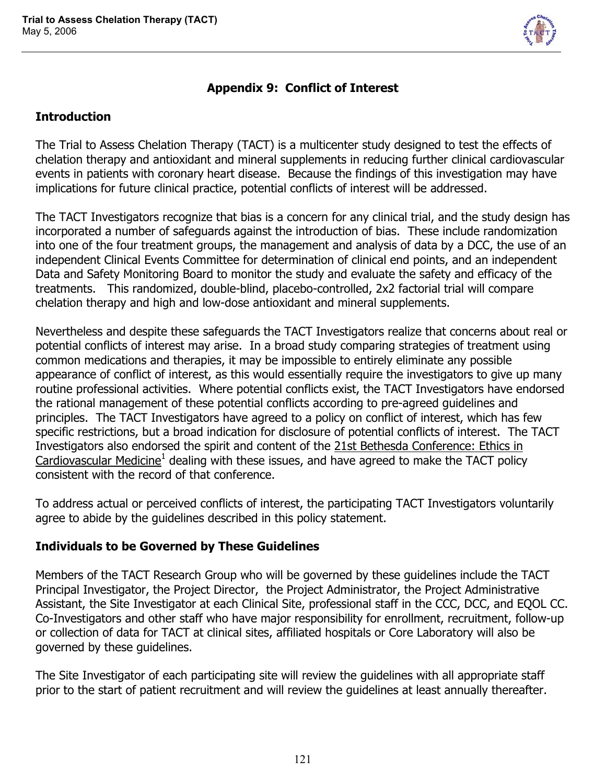

### **Appendix 9: Conflict of Interest**

# **Introduction**

The Trial to Assess Chelation Therapy (TACT) is a multicenter study designed to test the effects of chelation therapy and antioxidant and mineral supplements in reducing further clinical cardiovascular events in patients with coronary heart disease. Because the findings of this investigation may have implications for future clinical practice, potential conflicts of interest will be addressed.

The TACT Investigators recognize that bias is a concern for any clinical trial, and the study design has incorporated a number of safeguards against the introduction of bias. These include randomization into one of the four treatment groups, the management and analysis of data by a DCC, the use of an independent Clinical Events Committee for determination of clinical end points, and an independent Data and Safety Monitoring Board to monitor the study and evaluate the safety and efficacy of the treatments. This randomized, double-blind, placebo-controlled, 2x2 factorial trial will compare chelation therapy and high and low-dose antioxidant and mineral supplements.

Nevertheless and despite these safeguards the TACT Investigators realize that concerns about real or potential conflicts of interest may arise. In a broad study comparing strategies of treatment using common medications and therapies, it may be impossible to entirely eliminate any possible appearance of conflict of interest, as this would essentially require the investigators to give up many routine professional activities. Where potential conflicts exist, the TACT Investigators have endorsed the rational management of these potential conflicts according to pre-agreed guidelines and principles. The TACT Investigators have agreed to a policy on conflict of interest, which has few specific restrictions, but a broad indication for disclosure of potential conflicts of interest. The TACT Investigators also endorsed the spirit and content of the 21st Bethesda Conference: Ethics in Cardiovascular Medicine<sup>1</sup> dealing with these issues, and have agreed to make the TACT policy consistent with the record of that conference.

To address actual or perceived conflicts of interest, the participating TACT Investigators voluntarily agree to abide by the guidelines described in this policy statement.

### **Individuals to be Governed by These Guidelines**

Members of the TACT Research Group who will be governed by these guidelines include the TACT Principal Investigator, the Project Director, the Project Administrator, the Project Administrative Assistant, the Site Investigator at each Clinical Site, professional staff in the CCC, DCC, and EQOL CC. Co-Investigators and other staff who have major responsibility for enrollment, recruitment, follow-up or collection of data for TACT at clinical sites, affiliated hospitals or Core Laboratory will also be governed by these guidelines.

The Site Investigator of each participating site will review the guidelines with all appropriate staff prior to the start of patient recruitment and will review the guidelines at least annually thereafter.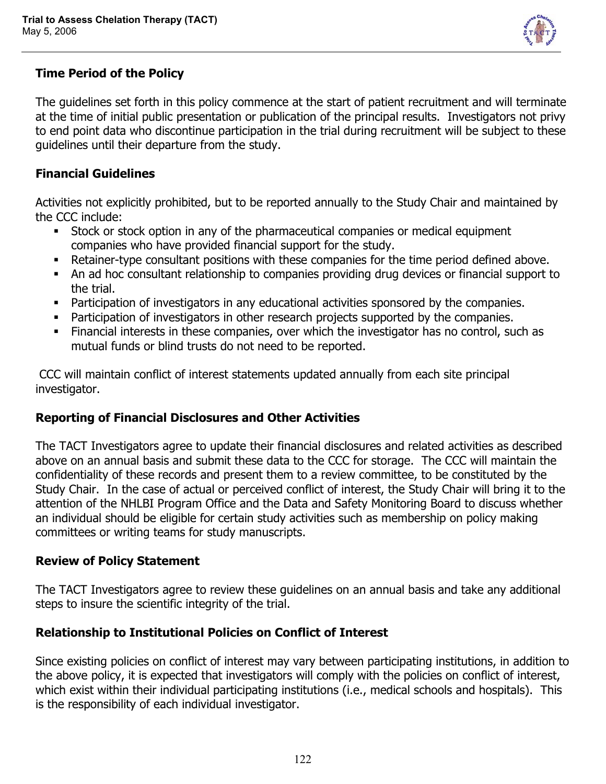

# **Time Period of the Policy**

The guidelines set forth in this policy commence at the start of patient recruitment and will terminate at the time of initial public presentation or publication of the principal results. Investigators not privy to end point data who discontinue participation in the trial during recruitment will be subject to these guidelines until their departure from the study.

### **Financial Guidelines**

Activities not explicitly prohibited, but to be reported annually to the Study Chair and maintained by the CCC include:

- Stock or stock option in any of the pharmaceutical companies or medical equipment companies who have provided financial support for the study.
- **Retainer-type consultant positions with these companies for the time period defined above.**
- An ad hoc consultant relationship to companies providing drug devices or financial support to the trial.
- **Participation of investigators in any educational activities sponsored by the companies.**
- **Participation of investigators in other research projects supported by the companies.**
- $\blacksquare$  . Financial interests in these companies, over which the investigator has no control, such as mutual funds or blind trusts do not need to be reported.

 CCC will maintain conflict of interest statements updated annually from each site principal investigator.

# **Reporting of Financial Disclosures and Other Activities**

The TACT Investigators agree to update their financial disclosures and related activities as described above on an annual basis and submit these data to the CCC for storage. The CCC will maintain the confidentiality of these records and present them to a review committee, to be constituted by the Study Chair. In the case of actual or perceived conflict of interest, the Study Chair will bring it to the attention of the NHLBI Program Office and the Data and Safety Monitoring Board to discuss whether an individual should be eligible for certain study activities such as membership on policy making committees or writing teams for study manuscripts.

### **Review of Policy Statement**

The TACT Investigators agree to review these guidelines on an annual basis and take any additional steps to insure the scientific integrity of the trial.

# **Relationship to Institutional Policies on Conflict of Interest**

Since existing policies on conflict of interest may vary between participating institutions, in addition to the above policy, it is expected that investigators will comply with the policies on conflict of interest, which exist within their individual participating institutions (i.e., medical schools and hospitals). This is the responsibility of each individual investigator.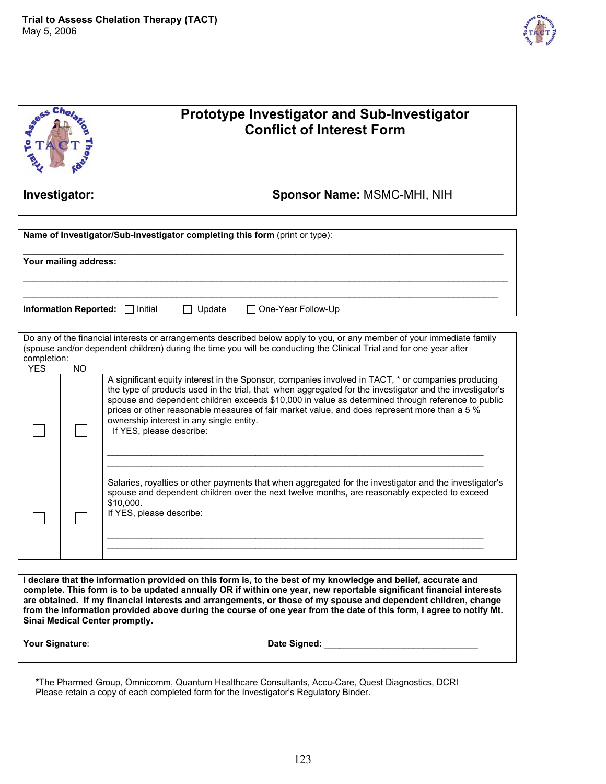

| $Ch_{\odot}$<br><b>Prototype Investigator and Sub-Investigator</b><br><b>Conflict of Interest Form</b> |                       |                                                                                                                                                                                                                                                                                                                                                                                                                                                                                             |                                                                                                                                                                                                                                               |  |  |  |  |
|--------------------------------------------------------------------------------------------------------|-----------------------|---------------------------------------------------------------------------------------------------------------------------------------------------------------------------------------------------------------------------------------------------------------------------------------------------------------------------------------------------------------------------------------------------------------------------------------------------------------------------------------------|-----------------------------------------------------------------------------------------------------------------------------------------------------------------------------------------------------------------------------------------------|--|--|--|--|
| Investigator:                                                                                          |                       |                                                                                                                                                                                                                                                                                                                                                                                                                                                                                             | Sponsor Name: MSMC-MHI, NIH                                                                                                                                                                                                                   |  |  |  |  |
| Name of Investigator/Sub-Investigator completing this form (print or type):                            |                       |                                                                                                                                                                                                                                                                                                                                                                                                                                                                                             |                                                                                                                                                                                                                                               |  |  |  |  |
|                                                                                                        | Your mailing address: |                                                                                                                                                                                                                                                                                                                                                                                                                                                                                             |                                                                                                                                                                                                                                               |  |  |  |  |
| Information Reported: [ Initial<br>One-Year Follow-Up<br>Update                                        |                       |                                                                                                                                                                                                                                                                                                                                                                                                                                                                                             |                                                                                                                                                                                                                                               |  |  |  |  |
| completion:<br><b>YES</b>                                                                              | NO.                   |                                                                                                                                                                                                                                                                                                                                                                                                                                                                                             | Do any of the financial interests or arrangements described below apply to you, or any member of your immediate family<br>(spouse and/or dependent children) during the time you will be conducting the Clinical Trial and for one year after |  |  |  |  |
|                                                                                                        |                       | A significant equity interest in the Sponsor, companies involved in TACT, * or companies producing<br>the type of products used in the trial, that when aggregated for the investigator and the investigator's<br>spouse and dependent children exceeds \$10,000 in value as determined through reference to public<br>prices or other reasonable measures of fair market value, and does represent more than a 5 %<br>ownership interest in any single entity.<br>If YES, please describe: |                                                                                                                                                                                                                                               |  |  |  |  |
|                                                                                                        |                       | Salaries, royalties or other payments that when aggregated for the investigator and the investigator's<br>spouse and dependent children over the next twelve months, are reasonably expected to exceed<br>\$10,000.<br>If YES, please describe:                                                                                                                                                                                                                                             |                                                                                                                                                                                                                                               |  |  |  |  |

Sinai Medical Center promptly. **Sinai Medical Center promptly. Your Signature**: **Date Signed:** \_\_\_\_\_\_\_\_\_\_\_\_\_\_\_\_\_\_\_\_\_\_\_\_\_\_\_\_\_\_\_ **I declare that the information provided on this form is, to the best of my knowledge and belief, accurate and complete. This form is to be updated annually OR if within one year, new reportable significant financial interests are obtained. If my financial interests and arrangements, or those of my spouse and dependent children, change from the information provided above during the course of one year from the date of this form, I agree to notify Mt.** 

\*The Pharmed Group, Omnicomm, Quantum Healthcare Consultants, Accu-Care, Quest Diagnostics, DCRI Please retain a copy of each completed form for the Investigator's Regulatory Binder.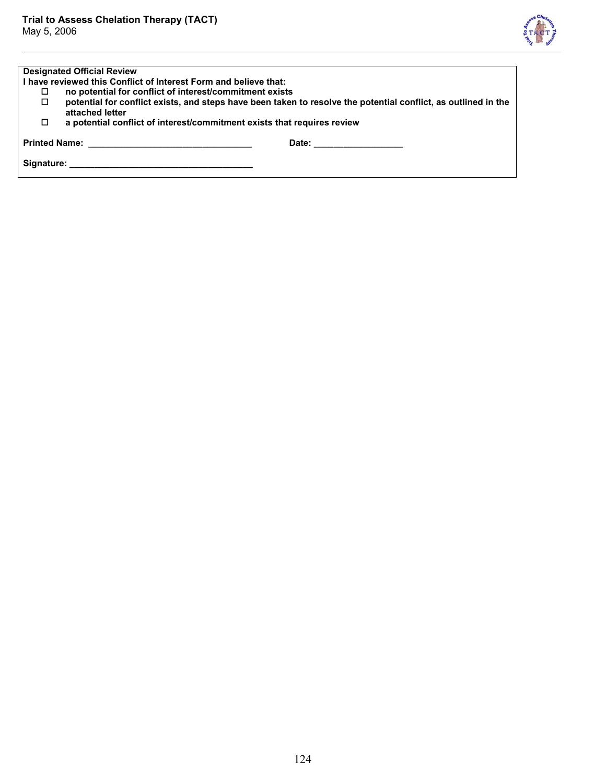

| <b>Designated Official Review</b>                                |                                                                                                                                   |  |  |  |  |
|------------------------------------------------------------------|-----------------------------------------------------------------------------------------------------------------------------------|--|--|--|--|
| I have reviewed this Conflict of Interest Form and believe that: |                                                                                                                                   |  |  |  |  |
| □                                                                | no potential for conflict of interest/commitment exists                                                                           |  |  |  |  |
| □                                                                | potential for conflict exists, and steps have been taken to resolve the potential conflict, as outlined in the<br>attached letter |  |  |  |  |
| □                                                                | a potential conflict of interest/commitment exists that requires review                                                           |  |  |  |  |
|                                                                  | Date: ______________                                                                                                              |  |  |  |  |
|                                                                  |                                                                                                                                   |  |  |  |  |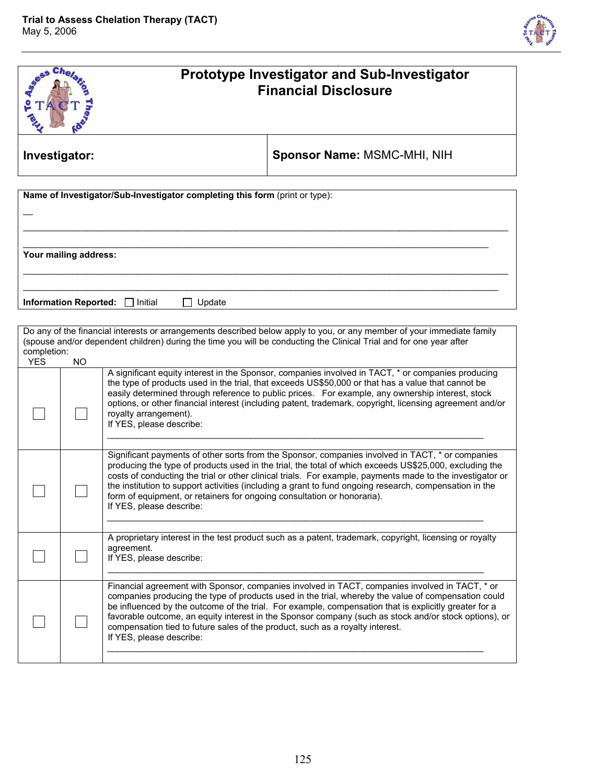

| ess Chey<br><b>Prototype Investigator and Sub-Investigator</b><br><b>Financial Disclosure</b> |                              |                                                                                                           |                                                                                                                                                                                                                                                                                                                                                                                                                                   |  |  |  |  |
|-----------------------------------------------------------------------------------------------|------------------------------|-----------------------------------------------------------------------------------------------------------|-----------------------------------------------------------------------------------------------------------------------------------------------------------------------------------------------------------------------------------------------------------------------------------------------------------------------------------------------------------------------------------------------------------------------------------|--|--|--|--|
| Investigator:                                                                                 |                              |                                                                                                           | Sponsor Name: MSMC-MHI, NIH                                                                                                                                                                                                                                                                                                                                                                                                       |  |  |  |  |
|                                                                                               |                              | Name of Investigator/Sub-Investigator completing this form (print or type):                               |                                                                                                                                                                                                                                                                                                                                                                                                                                   |  |  |  |  |
|                                                                                               | Your mailing address:        |                                                                                                           |                                                                                                                                                                                                                                                                                                                                                                                                                                   |  |  |  |  |
|                                                                                               | <b>Information Reported:</b> | Update<br>    Initial                                                                                     |                                                                                                                                                                                                                                                                                                                                                                                                                                   |  |  |  |  |
| completion:<br><b>YES</b>                                                                     | NO                           |                                                                                                           | Do any of the financial interests or arrangements described below apply to you, or any member of your immediate family<br>(spouse and/or dependent children) during the time you will be conducting the Clinical Trial and for one year after                                                                                                                                                                                     |  |  |  |  |
|                                                                                               |                              | royalty arrangement).<br>If YES, please describe:                                                         | A significant equity interest in the Sponsor, companies involved in TACT, * or companies producing<br>the type of products used in the trial, that exceeds US\$50,000 or that has a value that cannot be<br>easily determined through reference to public prices. For example, any ownership interest, stock<br>options, or other financial interest (including patent, trademark, copyright, licensing agreement and/or          |  |  |  |  |
|                                                                                               |                              | form of equipment, or retainers for ongoing consultation or honoraria).<br>If YES, please describe:       | Significant payments of other sorts from the Sponsor, companies involved in TACT, * or companies<br>producing the type of products used in the trial, the total of which exceeds US\$25,000, excluding the<br>costs of conducting the trial or other clinical trials. For example, payments made to the investigator or<br>the institution to support activities (including a grant to fund ongoing research, compensation in the |  |  |  |  |
|                                                                                               |                              | agreement.<br>If YES, please describe:                                                                    | A proprietary interest in the test product such as a patent, trademark, copyright, licensing or royalty                                                                                                                                                                                                                                                                                                                           |  |  |  |  |
|                                                                                               |                              | compensation tied to future sales of the product, such as a royalty interest.<br>If YES, please describe: | Financial agreement with Sponsor, companies involved in TACT, companies involved in TACT, * or<br>companies producing the type of products used in the trial, whereby the value of compensation could<br>be influenced by the outcome of the trial. For example, compensation that is explicitly greater for a<br>favorable outcome, an equity interest in the Sponsor company (such as stock and/or stock options), or           |  |  |  |  |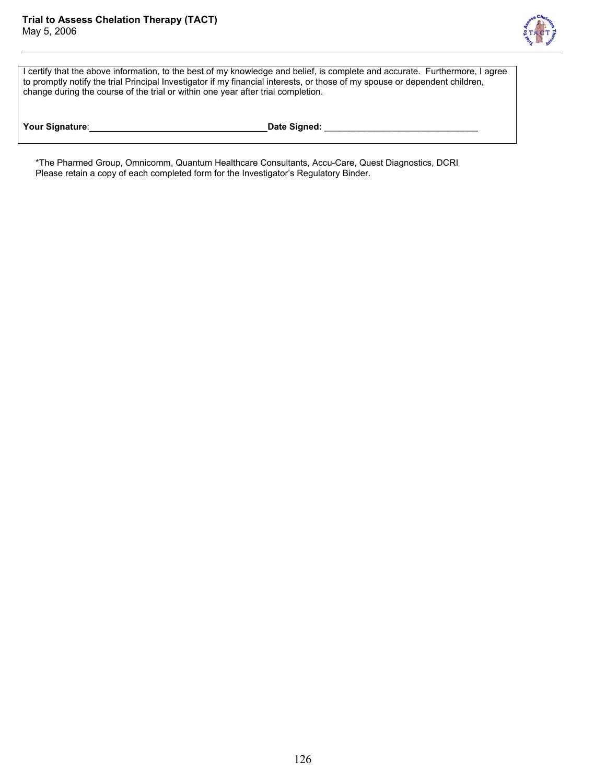

I certify that the above information, to the best of my knowledge and belief, is complete and accurate. Furthermore, I agree to promptly notify the trial Principal Investigator if my financial interests, or those of my spouse or dependent children, change during the course of the trial or within one year after trial completion.

| Your Signature: | Date Signed: |
|-----------------|--------------|

\*The Pharmed Group, Omnicomm, Quantum Healthcare Consultants, Accu-Care, Quest Diagnostics, DCRI Please retain a copy of each completed form for the Investigator's Regulatory Binder.